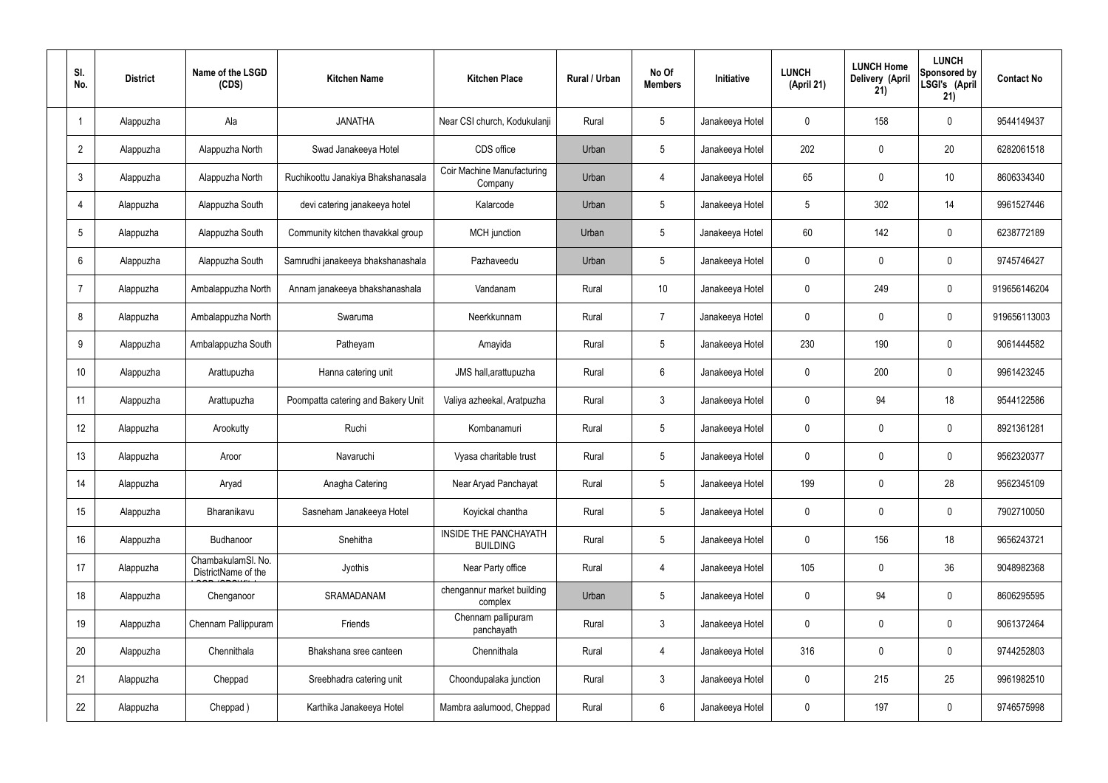| SI.<br>No.      | <b>District</b> | Name of the LSGD<br>(CDS)                 | <b>Kitchen Name</b>                | <b>Kitchen Place</b>                            | Rural / Urban | No Of<br><b>Members</b> | <b>Initiative</b> | <b>LUNCH</b><br>(April 21) | <b>LUNCH Home</b><br>Delivery (April<br>21) | <b>LUNCH</b><br>Sponsored by<br>LSGI's (April<br>21) | <b>Contact No</b> |
|-----------------|-----------------|-------------------------------------------|------------------------------------|-------------------------------------------------|---------------|-------------------------|-------------------|----------------------------|---------------------------------------------|------------------------------------------------------|-------------------|
|                 | Alappuzha       | Ala                                       | <b>JANATHA</b>                     | Near CSI church, Kodukulanji                    | Rural         | $5\phantom{.0}$         | Janakeeya Hotel   | $\mathbf 0$                | 158                                         | $\mathbf 0$                                          | 9544149437        |
| $\overline{2}$  | Alappuzha       | Alappuzha North                           | Swad Janakeeya Hotel               | CDS office                                      | Urban         | $5\phantom{.0}$         | Janakeeya Hotel   | 202                        | $\mathbf 0$                                 | 20                                                   | 6282061518        |
| $\mathbf{3}$    | Alappuzha       | Alappuzha North                           | Ruchikoottu Janakiya Bhakshanasala | <b>Coir Machine Manufacturing</b><br>Company    | Urban         | 4                       | Janakeeya Hotel   | 65                         | $\mathbf 0$                                 | 10                                                   | 8606334340        |
| $\overline{4}$  | Alappuzha       | Alappuzha South                           | devi catering janakeeya hotel      | Kalarcode                                       | Urban         | $5\phantom{.0}$         | Janakeeya Hotel   | 5                          | 302                                         | 14                                                   | 9961527446        |
| $5\overline{)}$ | Alappuzha       | Alappuzha South                           | Community kitchen thavakkal group  | MCH junction                                    | Urban         | $5\phantom{.0}$         | Janakeeya Hotel   | $60\,$                     | 142                                         | $\mathbf 0$                                          | 6238772189        |
| 6               | Alappuzha       | Alappuzha South                           | Samrudhi janakeeya bhakshanashala  | Pazhaveedu                                      | Urban         | $5\phantom{.0}$         | Janakeeya Hotel   | $\mathbf 0$                | $\mathbf 0$                                 | $\mathbf 0$                                          | 9745746427        |
| $\overline{7}$  | Alappuzha       | Ambalappuzha North                        | Annam janakeeya bhakshanashala     | Vandanam                                        | Rural         | 10 <sup>°</sup>         | Janakeeya Hotel   | $\mathbf 0$                | 249                                         | $\mathbf 0$                                          | 919656146204      |
| 8               | Alappuzha       | Ambalappuzha North                        | Swaruma                            | Neerkkunnam                                     | Rural         | $\overline{7}$          | Janakeeya Hotel   | $\mathbf 0$                | 0                                           | $\mathbf 0$                                          | 919656113003      |
| 9               | Alappuzha       | Ambalappuzha South                        | Patheyam                           | Amayida                                         | Rural         | $5\phantom{.0}$         | Janakeeya Hotel   | 230                        | 190                                         | $\mathbf 0$                                          | 9061444582        |
| 10              | Alappuzha       | Arattupuzha                               | Hanna catering unit                | JMS hall, arattupuzha                           | Rural         | $6\phantom{.}6$         | Janakeeya Hotel   | $\mathbf 0$                | 200                                         | $\mathbf 0$                                          | 9961423245        |
| 11              | Alappuzha       | Arattupuzha                               | Poompatta catering and Bakery Unit | Valiya azheekal, Aratpuzha                      | Rural         | $\mathbf{3}$            | Janakeeya Hotel   | $\mathbf 0$                | 94                                          | 18                                                   | 9544122586        |
| 12              | Alappuzha       | Arookutty                                 | Ruchi                              | Kombanamuri                                     | Rural         | $5\phantom{.0}$         | Janakeeya Hotel   | $\mathbf 0$                | $\mathbf 0$                                 | $\mathbf 0$                                          | 8921361281        |
| 13              | Alappuzha       | Aroor                                     | Navaruchi                          | Vyasa charitable trust                          | Rural         | $5\phantom{.0}$         | Janakeeya Hotel   | $\mathbf 0$                | 0                                           | 0                                                    | 9562320377        |
| 14              | Alappuzha       | Aryad                                     | Anagha Catering                    | Near Aryad Panchayat                            | Rural         | $5\phantom{.0}$         | Janakeeya Hotel   | 199                        | $\mathbf 0$                                 | 28                                                   | 9562345109        |
| 15              | Alappuzha       | Bharanikavu                               | Sasneham Janakeeya Hotel           | Koyickal chantha                                | Rural         | $5\phantom{.0}$         | Janakeeya Hotel   | $\mathbf 0$                | $\mathbf 0$                                 | $\mathbf 0$                                          | 7902710050        |
| 16              | Alappuzha       | Budhanoor                                 | Snehitha                           | <b>INSIDE THE PANCHAYATH</b><br><b>BUILDING</b> | Rural         | $5\phantom{.0}$         | Janakeeya Hotel   | $\mathbf 0$                | 156                                         | 18                                                   | 9656243721        |
| 17              | Alappuzha       | ChambakulamSl. No.<br>DistrictName of the | Jyothis                            | Near Party office                               | Rural         | $\overline{4}$          | Janakeeya Hotel   | 105                        | $\mathbf 0$                                 | 36                                                   | 9048982368        |
| 18              | Alappuzha       | Chenganoor                                | SRAMADANAM                         | chengannur market building<br>complex           | Urban         | $5\phantom{.0}$         | Janakeeya Hotel   | $\mathbf 0$                | 94                                          | $\mathbf 0$                                          | 8606295595        |
| 19              | Alappuzha       | Chennam Pallippuram                       | Friends                            | Chennam pallipuram<br>panchayath                | Rural         | $\mathbf{3}$            | Janakeeya Hotel   | $\mathbf 0$                | 0                                           | $\mathbf 0$                                          | 9061372464        |
| 20              | Alappuzha       | Chennithala                               | Bhakshana sree canteen             | Chennithala                                     | Rural         | $\overline{4}$          | Janakeeya Hotel   | 316                        | 0                                           | $\mathbf 0$                                          | 9744252803        |
| 21              | Alappuzha       | Cheppad                                   | Sreebhadra catering unit           | Choondupalaka junction                          | Rural         | $\mathbf{3}$            | Janakeeya Hotel   | $\mathbf 0$                | 215                                         | 25                                                   | 9961982510        |
| 22              | Alappuzha       | Cheppad)                                  | Karthika Janakeeya Hotel           | Mambra aalumood, Cheppad                        | Rural         | $6\overline{6}$         | Janakeeya Hotel   | 0                          | 197                                         | $\mathbf 0$                                          | 9746575998        |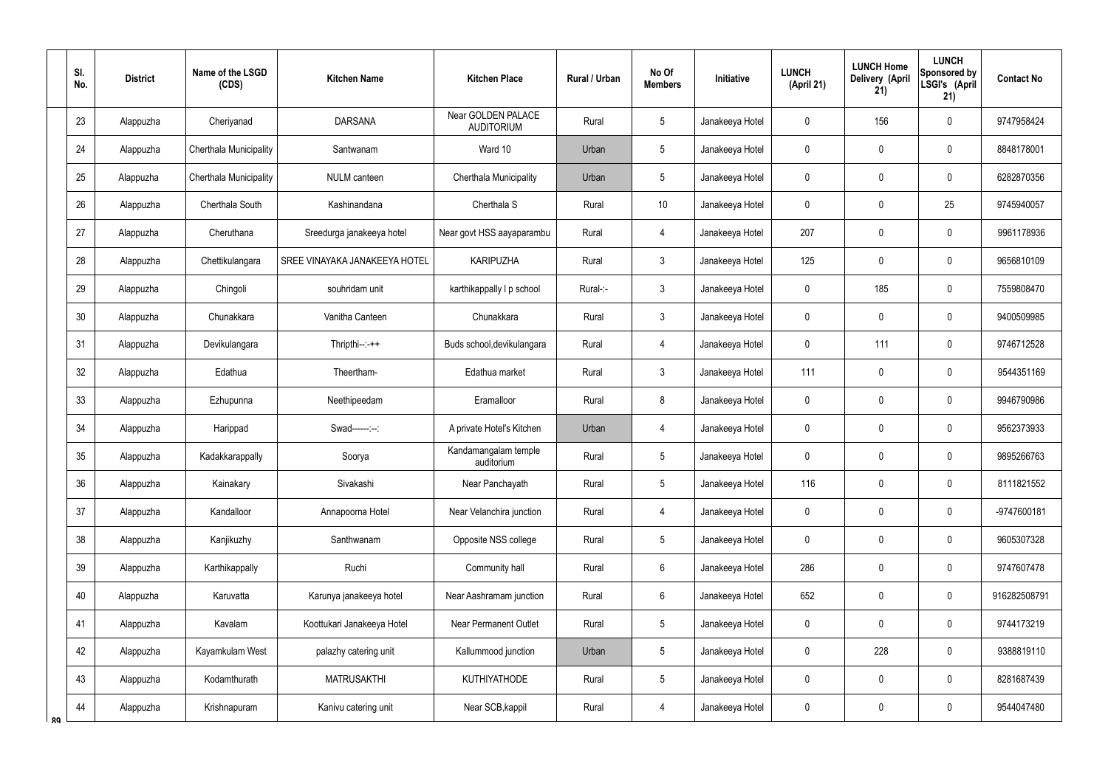|    | SI.<br>No. | <b>District</b> | Name of the LSGD<br>(CDS)     | <b>Kitchen Name</b>           | <b>Kitchen Place</b>                    | Rural / Urban | No Of<br><b>Members</b> | Initiative      | <b>LUNCH</b><br>(April 21) | <b>LUNCH Home</b><br>Delivery (April<br>21) | <b>LUNCH</b><br>Sponsored by<br>LSGI's (April<br>21) | <b>Contact No</b> |
|----|------------|-----------------|-------------------------------|-------------------------------|-----------------------------------------|---------------|-------------------------|-----------------|----------------------------|---------------------------------------------|------------------------------------------------------|-------------------|
|    | 23         | Alappuzha       | Cheriyanad                    | <b>DARSANA</b>                | Near GOLDEN PALACE<br><b>AUDITORIUM</b> | Rural         | 5                       | Janakeeya Hotel | 0                          | 156                                         | $\mathbf 0$                                          | 9747958424        |
|    | 24         | Alappuzha       | <b>Cherthala Municipality</b> | Santwanam                     | Ward 10                                 | Urban         | 5                       | Janakeeya Hotel | 0                          | $\mathbf 0$                                 | $\mathbf 0$                                          | 8848178001        |
|    | 25         | Alappuzha       | Cherthala Municipality        | <b>NULM</b> canteen           | Cherthala Municipality                  | Urban         | 5                       | Janakeeya Hotel | 0                          | 0                                           | $\mathbf 0$                                          | 6282870356        |
|    | 26         | Alappuzha       | Cherthala South               | Kashinandana                  | Cherthala S                             | Rural         | 10                      | Janakeeya Hotel | 0                          | $\mathbf 0$                                 | 25                                                   | 9745940057        |
|    | 27         | Alappuzha       | Cheruthana                    | Sreedurga janakeeya hotel     | Near govt HSS aayaparambu               | Rural         | 4                       | Janakeeya Hotel | 207                        | 0                                           | $\mathbf 0$                                          | 9961178936        |
|    | 28         | Alappuzha       | Chettikulangara               | SREE VINAYAKA JANAKEEYA HOTEL | <b>KARIPUZHA</b>                        | Rural         | $\mathfrak{Z}$          | Janakeeya Hotel | 125                        | 0                                           | $\mathbf 0$                                          | 9656810109        |
|    | 29         | Alappuzha       | Chingoli                      | souhridam unit                | karthikappally I p school               | Rural-:-      | $\mathfrak{Z}$          | Janakeeya Hotel | 0                          | 185                                         | $\mathbf 0$                                          | 7559808470        |
|    | 30         | Alappuzha       | Chunakkara                    | Vanitha Canteen               | Chunakkara                              | Rural         | $\mathfrak{Z}$          | Janakeeya Hotel | 0                          | 0                                           | $\mathbf 0$                                          | 9400509985        |
|    | 31         | Alappuzha       | Devikulangara                 | $Thripthi--++$                | Buds school, devikulangara              | Rural         | 4                       | Janakeeya Hotel | 0                          | 111                                         | $\mathbf 0$                                          | 9746712528        |
|    | 32         | Alappuzha       | Edathua                       | Theertham-                    | Edathua market                          | Rural         | $\mathfrak{Z}$          | Janakeeya Hotel | 111                        | 0                                           | $\mathbf 0$                                          | 9544351169        |
|    | 33         | Alappuzha       | Ezhupunna                     | Neethipeedam                  | Eramalloor                              | Rural         | 8                       | Janakeeya Hotel | 0                          | $\boldsymbol{0}$                            | $\pmb{0}$                                            | 9946790986        |
|    | 34         | Alappuzha       | Harippad                      | Swad------:--:                | A private Hotel's Kitchen               | Urban         | $\overline{4}$          | Janakeeya Hotel | 0                          | 0                                           | $\mathbf 0$                                          | 9562373933        |
|    | 35         | Alappuzha       | Kadakkarappally               | Soorya                        | Kandamangalam temple<br>auditorium      | Rural         | 5                       | Janakeeya Hotel | 0                          | $\mathbf 0$                                 | $\mathbf 0$                                          | 9895266763        |
|    | 36         | Alappuzha       | Kainakary                     | Sivakashi                     | Near Panchayath                         | Rural         | 5                       | Janakeeya Hotel | 116                        | $\pmb{0}$                                   | $\pmb{0}$                                            | 8111821552        |
|    | 37         | Alappuzha       | Kandalloor                    | Annapoorna Hotel              | Near Velanchira junction                | Rural         | $\overline{4}$          | Janakeeya Hotel | 0                          | $\mathbf 0$                                 | $\pmb{0}$                                            | -9747600181       |
|    | 38         | Alappuzha       | Kanjikuzhy                    | Santhwanam                    | Opposite NSS college                    | Rural         | 5                       | Janakeeya Hotel | 0                          | $\pmb{0}$                                   | $\pmb{0}$                                            | 9605307328        |
|    | 39         | Alappuzha       | Karthikappally                | Ruchi                         | Community hall                          | Rural         | $6\phantom{.0}$         | Janakeeya Hotel | 286                        | $\pmb{0}$                                   | $\pmb{0}$                                            | 9747607478        |
|    | 40         | Alappuzha       | Karuvatta                     | Karunya janakeeya hotel       | Near Aashramam junction                 | Rural         | $6\phantom{.0}$         | Janakeeya Hotel | 652                        | $\pmb{0}$                                   | $\pmb{0}$                                            | 916282508791      |
|    | 41         | Alappuzha       | Kavalam                       | Koottukari Janakeeya Hotel    | <b>Near Permanent Outlet</b>            | Rural         | 5                       | Janakeeya Hotel | 0                          | $\overline{0}$                              | $\pmb{0}$                                            | 9744173219        |
|    | 42         | Alappuzha       | Kayamkulam West               | palazhy catering unit         | Kallummood junction                     | Urban         | 5                       | Janakeeya Hotel | 0                          | 228                                         | $\pmb{0}$                                            | 9388819110        |
|    | 43         | Alappuzha       | Kodamthurath                  | <b>MATRUSAKTHI</b>            | <b>KUTHIYATHODE</b>                     | Rural         | $5\,$                   | Janakeeya Hotel | 0                          | $\pmb{0}$                                   | $\pmb{0}$                                            | 8281687439        |
| ՋQ | 44         | Alappuzha       | Krishnapuram                  | Kanivu catering unit          | Near SCB, kappil                        | Rural         | $\overline{4}$          | Janakeeya Hotel | 0                          | $\pmb{0}$                                   | $\pmb{0}$                                            | 9544047480        |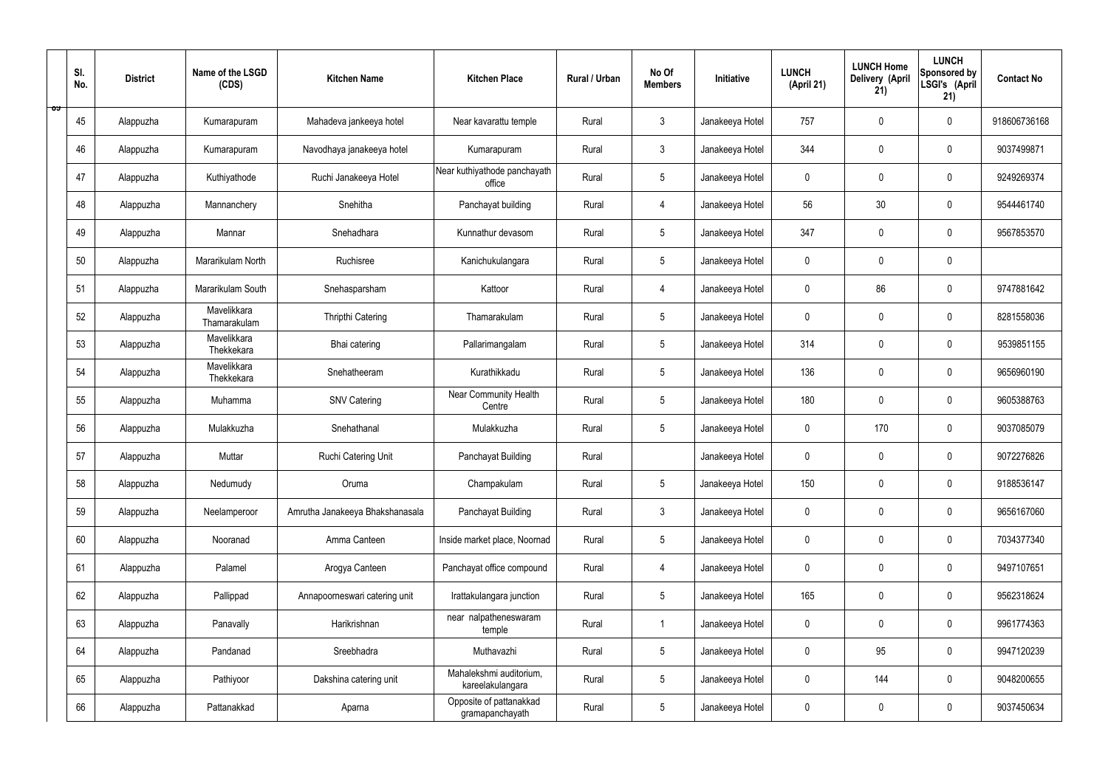|   | SI.<br>No. | <b>District</b> | Name of the LSGD<br>(CDS)   | <b>Kitchen Name</b>             | <b>Kitchen Place</b>                        | Rural / Urban | No Of<br><b>Members</b> | Initiative      | <b>LUNCH</b><br>(April 21) | <b>LUNCH Home</b><br>Delivery (April<br>21) | <b>LUNCH</b><br>Sponsored by<br>LSGI's (April<br>21) | <b>Contact No</b> |
|---|------------|-----------------|-----------------------------|---------------------------------|---------------------------------------------|---------------|-------------------------|-----------------|----------------------------|---------------------------------------------|------------------------------------------------------|-------------------|
| ಾ | 45         | Alappuzha       | Kumarapuram                 | Mahadeva jankeeya hotel         | Near kavarattu temple                       | Rural         | $\mathfrak{Z}$          | Janakeeya Hotel | 757                        | $\mathbf 0$                                 | $\mathbf 0$                                          | 918606736168      |
|   | 46         | Alappuzha       | Kumarapuram                 | Navodhaya janakeeya hotel       | Kumarapuram                                 | Rural         | $\mathbf{3}$            | Janakeeya Hotel | 344                        | $\mathbf 0$                                 | $\mathbf 0$                                          | 9037499871        |
|   | 47         | Alappuzha       | Kuthiyathode                | Ruchi Janakeeya Hotel           | Near kuthiyathode panchayath<br>office      | Rural         | $5\phantom{.0}$         | Janakeeya Hotel | $\mathbf 0$                | 0                                           | $\mathbf 0$                                          | 9249269374        |
|   | 48         | Alappuzha       | Mannanchery                 | Snehitha                        | Panchayat building                          | Rural         | 4                       | Janakeeya Hotel | 56                         | 30                                          | $\mathbf 0$                                          | 9544461740        |
|   | 49         | Alappuzha       | Mannar                      | Snehadhara                      | Kunnathur devasom                           | Rural         | $5\phantom{.0}$         | Janakeeya Hotel | 347                        | $\mathbf 0$                                 | $\mathbf 0$                                          | 9567853570        |
|   | 50         | Alappuzha       | Mararikulam North           | Ruchisree                       | Kanichukulangara                            | Rural         | $5\phantom{.0}$         | Janakeeya Hotel | $\mathbf 0$                | $\mathbf 0$                                 | $\mathbf 0$                                          |                   |
|   | 51         | Alappuzha       | Mararikulam South           | Snehasparsham                   | Kattoor                                     | Rural         | 4                       | Janakeeya Hotel | $\mathbf 0$                | 86                                          | $\mathbf 0$                                          | 9747881642        |
|   | 52         | Alappuzha       | Mavelikkara<br>Thamarakulam | Thripthi Catering               | Thamarakulam                                | Rural         | $5\overline{)}$         | Janakeeya Hotel | $\mathbf 0$                | $\mathbf 0$                                 | $\mathbf 0$                                          | 8281558036        |
|   | 53         | Alappuzha       | Mavelikkara<br>Thekkekara   | Bhai catering                   | Pallarimangalam                             | Rural         | $5\phantom{.0}$         | Janakeeya Hotel | 314                        | $\mathbf 0$                                 | $\mathbf 0$                                          | 9539851155        |
|   | 54         | Alappuzha       | Mavelikkara<br>Thekkekara   | Snehatheeram                    | Kurathikkadu                                | Rural         | $5\overline{)}$         | Janakeeya Hotel | 136                        | $\mathbf 0$                                 | $\mathbf 0$                                          | 9656960190        |
|   | 55         | Alappuzha       | Muhamma                     | <b>SNV Catering</b>             | Near Community Health<br>Centre             | Rural         | $5\phantom{.0}$         | Janakeeya Hotel | 180                        | $\mathbf 0$                                 | $\mathbf 0$                                          | 9605388763        |
|   | 56         | Alappuzha       | Mulakkuzha                  | Snehathanal                     | Mulakkuzha                                  | Rural         | $5\phantom{.0}$         | Janakeeya Hotel | $\mathbf 0$                | 170                                         | $\mathbf 0$                                          | 9037085079        |
|   | 57         | Alappuzha       | Muttar                      | Ruchi Catering Unit             | Panchayat Building                          | Rural         |                         | Janakeeya Hotel | $\pmb{0}$                  | 0                                           | $\mathbf 0$                                          | 9072276826        |
|   | 58         | Alappuzha       | Nedumudy                    | Oruma                           | Champakulam                                 | Rural         | $5\phantom{.0}$         | Janakeeya Hotel | 150                        | $\pmb{0}$                                   | $\mathbf 0$                                          | 9188536147        |
|   | 59         | Alappuzha       | Neelamperoor                | Amrutha Janakeeya Bhakshanasala | Panchayat Building                          | Rural         | $\mathbf{3}$            | Janakeeya Hotel | $\mathbf 0$                | $\pmb{0}$                                   | $\mathbf 0$                                          | 9656167060        |
|   | 60         | Alappuzha       | Nooranad                    | Amma Canteen                    | Inside market place, Noornad                | Rural         | $5\phantom{.0}$         | Janakeeya Hotel | $\pmb{0}$                  | $\mathbf 0$                                 | $\mathbf 0$                                          | 7034377340        |
|   | 61         | Alappuzha       | Palamel                     | Arogya Canteen                  | Panchayat office compound                   | Rural         | $\overline{4}$          | Janakeeya Hotel | $\mathbf 0$                | $\mathbf 0$                                 | $\mathbf 0$                                          | 9497107651        |
|   | 62         | Alappuzha       | Pallippad                   | Annapoorneswari catering unit   | Irattakulangara junction                    | Rural         | $5\phantom{.0}$         | Janakeeya Hotel | 165                        | $\mathbf 0$                                 | $\mathbf 0$                                          | 9562318624        |
|   | 63         | Alappuzha       | Panavally                   | Harikrishnan                    | near nalpatheneswaram<br>temple             | Rural         | $\mathbf{1}$            | Janakeeya Hotel | $\mathbf 0$                | $\pmb{0}$                                   | $\mathbf 0$                                          | 9961774363        |
|   | 64         | Alappuzha       | Pandanad                    | Sreebhadra                      | Muthavazhi                                  | Rural         | $5\phantom{.0}$         | Janakeeya Hotel | $\pmb{0}$                  | 95                                          | $\mathbf 0$                                          | 9947120239        |
|   | 65         | Alappuzha       | Pathiyoor                   | Dakshina catering unit          | Mahalekshmi auditorium,<br>kareelakulangara | Rural         | $5\phantom{.0}$         | Janakeeya Hotel | $\mathbf 0$                | 144                                         | $\mathbf 0$                                          | 9048200655        |
|   | 66         | Alappuzha       | Pattanakkad                 | Aparna                          | Opposite of pattanakkad<br>gramapanchayath  | Rural         | $5\phantom{.0}$         | Janakeeya Hotel | 0                          | $\pmb{0}$                                   | $\mathbf 0$                                          | 9037450634        |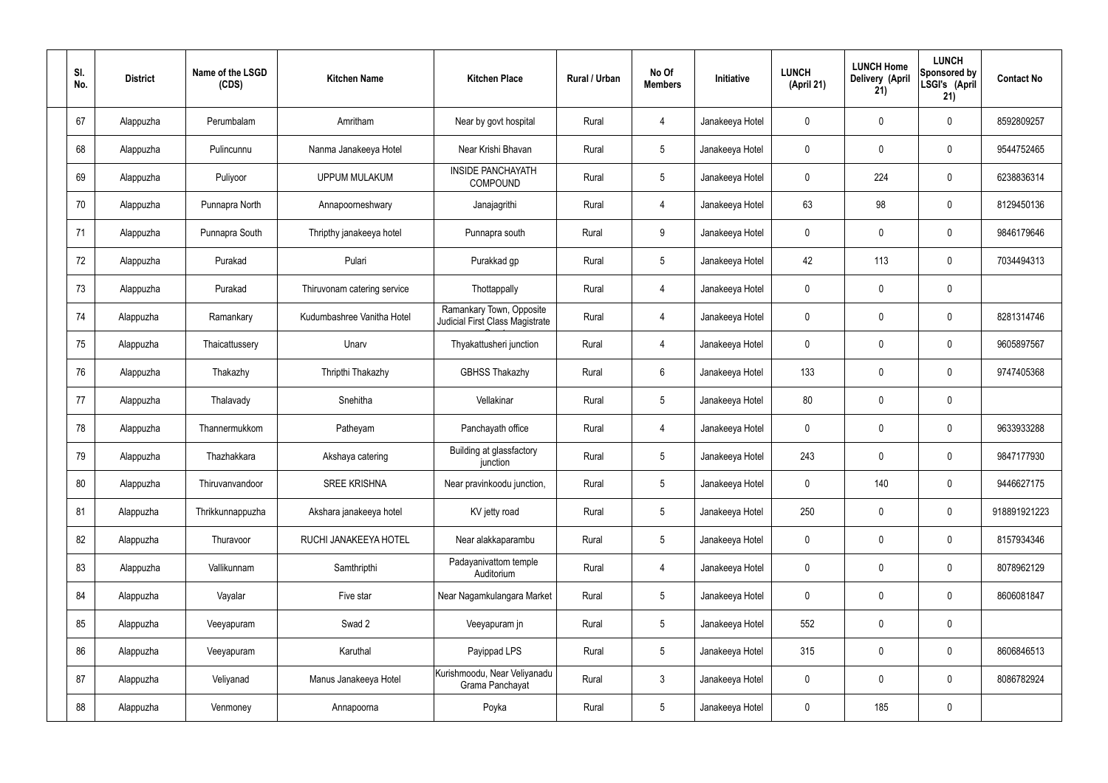| SI.<br>No. | <b>District</b> | Name of the LSGD<br>(CDS) | <b>Kitchen Name</b>         | <b>Kitchen Place</b>                                        | Rural / Urban | No Of<br><b>Members</b> | Initiative      | <b>LUNCH</b><br>(April 21) | <b>LUNCH Home</b><br>Delivery (April<br>21) | <b>LUNCH</b><br>Sponsored by<br>LSGI's (April<br>21) | <b>Contact No</b> |
|------------|-----------------|---------------------------|-----------------------------|-------------------------------------------------------------|---------------|-------------------------|-----------------|----------------------------|---------------------------------------------|------------------------------------------------------|-------------------|
| 67         | Alappuzha       | Perumbalam                | Amritham                    | Near by govt hospital                                       | Rural         | 4                       | Janakeeya Hotel | $\mathbf 0$                | $\mathbf 0$                                 | $\pmb{0}$                                            | 8592809257        |
| 68         | Alappuzha       | Pulincunnu                | Nanma Janakeeya Hotel       | Near Krishi Bhavan                                          | Rural         | $5\phantom{.0}$         | Janakeeya Hotel | $\mathbf 0$                | $\mathbf 0$                                 | $\pmb{0}$                                            | 9544752465        |
| 69         | Alappuzha       | Puliyoor                  | <b>UPPUM MULAKUM</b>        | <b>INSIDE PANCHAYATH</b><br>COMPOUND                        | Rural         | $5\phantom{.0}$         | Janakeeya Hotel | $\mathbf 0$                | 224                                         | $\pmb{0}$                                            | 6238836314        |
| 70         | Alappuzha       | Punnapra North            | Annapoorneshwary            | Janajagrithi                                                | Rural         | $\overline{4}$          | Janakeeya Hotel | 63                         | 98                                          | $\pmb{0}$                                            | 8129450136        |
| 71         | Alappuzha       | Punnapra South            | Thripthy janakeeya hotel    | Punnapra south                                              | Rural         | 9                       | Janakeeya Hotel | $\mathbf 0$                | $\mathbf 0$                                 | $\pmb{0}$                                            | 9846179646        |
| 72         | Alappuzha       | Purakad                   | Pulari                      | Purakkad gp                                                 | Rural         | $5\phantom{.0}$         | Janakeeya Hotel | 42                         | 113                                         | $\pmb{0}$                                            | 7034494313        |
| 73         | Alappuzha       | Purakad                   | Thiruvonam catering service | Thottappally                                                | Rural         | $\overline{4}$          | Janakeeya Hotel | $\mathbf 0$                | $\mathbf 0$                                 | $\pmb{0}$                                            |                   |
| 74         | Alappuzha       | Ramankary                 | Kudumbashree Vanitha Hotel  | Ramankary Town, Opposite<br>Judicial First Class Magistrate | Rural         | 4                       | Janakeeya Hotel | $\mathbf 0$                | $\mathbf 0$                                 | $\pmb{0}$                                            | 8281314746        |
| 75         | Alappuzha       | Thaicattussery            | Unarv                       | Thyakattusheri junction                                     | Rural         | 4                       | Janakeeya Hotel | $\mathbf 0$                | $\mathbf 0$                                 | $\pmb{0}$                                            | 9605897567        |
| 76         | Alappuzha       | Thakazhy                  | Thripthi Thakazhy           | <b>GBHSS Thakazhy</b>                                       | Rural         | $6\phantom{.}6$         | Janakeeya Hotel | 133                        | $\mathbf 0$                                 | $\pmb{0}$                                            | 9747405368        |
| 77         | Alappuzha       | Thalavady                 | Snehitha                    | Vellakinar                                                  | Rural         | 5 <sup>5</sup>          | Janakeeya Hotel | 80                         | $\pmb{0}$                                   | $\pmb{0}$                                            |                   |
| 78         | Alappuzha       | Thannermukkom             | Patheyam                    | Panchayath office                                           | Rural         | 4                       | Janakeeya Hotel | $\mathbf 0$                | $\mathbf 0$                                 | $\pmb{0}$                                            | 9633933288        |
| 79         | Alappuzha       | Thazhakkara               | Akshaya catering            | Building at glassfactory<br>junction                        | Rural         | 5                       | Janakeeya Hotel | 243                        | $\mathbf 0$                                 | $\mathbf 0$                                          | 9847177930        |
| 80         | Alappuzha       | Thiruvanvandoor           | <b>SREE KRISHNA</b>         | Near pravinkoodu junction,                                  | Rural         | 5 <sub>5</sub>          | Janakeeya Hotel | $\pmb{0}$                  | 140                                         | $\pmb{0}$                                            | 9446627175        |
| 81         | Alappuzha       | Thrikkunnappuzha          | Akshara janakeeya hotel     | KV jetty road                                               | Rural         | 5 <sup>5</sup>          | Janakeeya Hotel | 250                        | $\pmb{0}$                                   | $\mathbf 0$                                          | 918891921223      |
| 82         | Alappuzha       | Thuravoor                 | RUCHI JANAKEEYA HOTEL       | Near alakkaparambu                                          | Rural         | 5 <sup>5</sup>          | Janakeeya Hotel | $\pmb{0}$                  | $\pmb{0}$                                   | $\mathbf 0$                                          | 8157934346        |
| 83         | Alappuzha       | Vallikunnam               | Samthripthi                 | Padayanivattom temple<br>Auditorium                         | Rural         | $\overline{4}$          | Janakeeya Hotel | $\mathbf 0$                | $\pmb{0}$                                   | $\mathbf 0$                                          | 8078962129        |
| 84         | Alappuzha       | Vayalar                   | Five star                   | Near Nagamkulangara Market                                  | Rural         | 5 <sup>5</sup>          | Janakeeya Hotel | $\pmb{0}$                  | $\pmb{0}$                                   | $\mathbf 0$                                          | 8606081847        |
| 85         | Alappuzha       | Veeyapuram                | Swad 2                      | Veeyapuram jn                                               | Rural         | 5 <sup>5</sup>          | Janakeeya Hotel | 552                        | $\pmb{0}$                                   | $\mathbf 0$                                          |                   |
| 86         | Alappuzha       | Veeyapuram                | Karuthal                    | Payippad LPS                                                | Rural         | 5 <sub>5</sub>          | Janakeeya Hotel | 315                        | $\pmb{0}$                                   | $\mathbf 0$                                          | 8606846513        |
| 87         | Alappuzha       | Veliyanad                 | Manus Janakeeya Hotel       | Kurishmoodu, Near Veliyanadu<br>Grama Panchayat             | Rural         | $\mathbf{3}$            | Janakeeya Hotel | $\mathbf 0$                | $\pmb{0}$                                   | $\mathbf 0$                                          | 8086782924        |
| 88         | Alappuzha       | Venmoney                  | Annapoorna                  | Poyka                                                       | Rural         | 5 <sub>5</sub>          | Janakeeya Hotel | 0                          | 185                                         | $\pmb{0}$                                            |                   |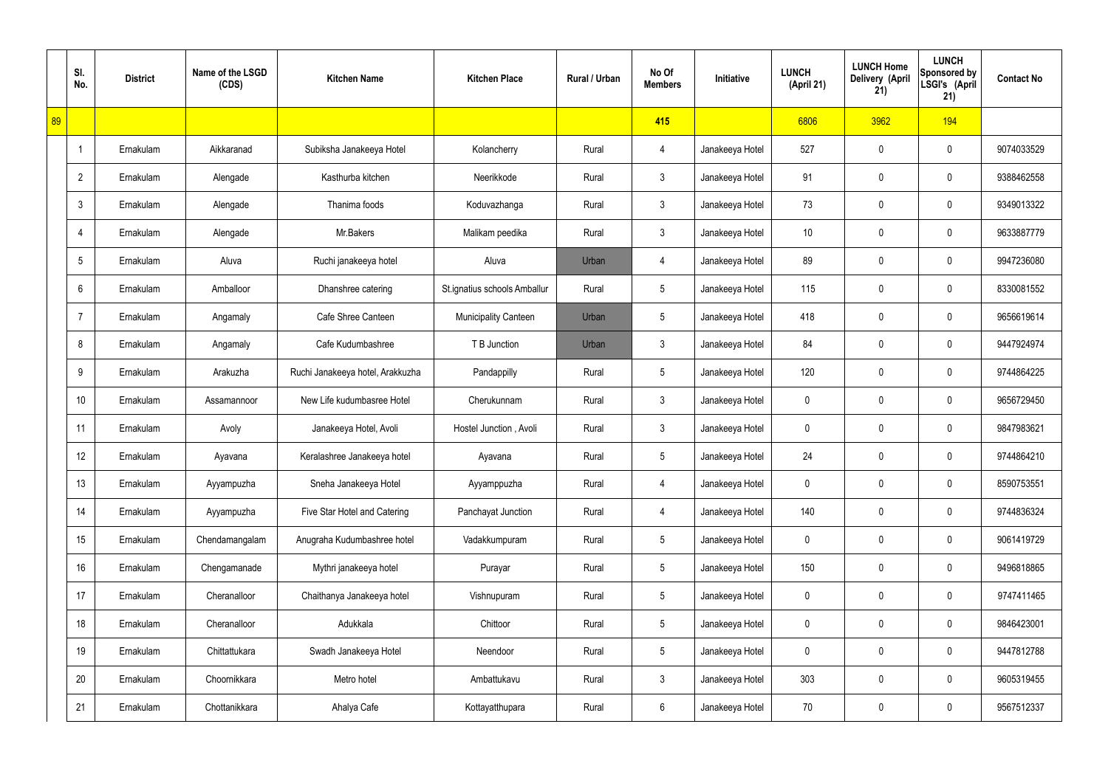|    | SI.<br>No.     | <b>District</b> | Name of the LSGD<br>(CDS) | <b>Kitchen Name</b>              | <b>Kitchen Place</b>         | Rural / Urban | No Of<br><b>Members</b> | Initiative      | <b>LUNCH</b><br>(April 21) | <b>LUNCH Home</b><br>Delivery (April<br>21) | <b>LUNCH</b><br>Sponsored by<br>LSGI's (April<br>21) | <b>Contact No</b> |
|----|----------------|-----------------|---------------------------|----------------------------------|------------------------------|---------------|-------------------------|-----------------|----------------------------|---------------------------------------------|------------------------------------------------------|-------------------|
| 89 |                |                 |                           |                                  |                              |               | 415                     |                 | 6806                       | 3962                                        | 194                                                  |                   |
|    | $\overline{1}$ | Ernakulam       | Aikkaranad                | Subiksha Janakeeya Hotel         | Kolancherry                  | Rural         | 4                       | Janakeeya Hotel | 527                        | 0                                           | $\mathbf 0$                                          | 9074033529        |
|    | $\overline{2}$ | Ernakulam       | Alengade                  | Kasthurba kitchen                | Neerikkode                   | Rural         | $\mathbf{3}$            | Janakeeya Hotel | 91                         | 0                                           | $\mathbf 0$                                          | 9388462558        |
|    | $\mathfrak{Z}$ | Ernakulam       | Alengade                  | Thanima foods                    | Koduvazhanga                 | Rural         | $\mathfrak{Z}$          | Janakeeya Hotel | 73                         | 0                                           | $\mathbf 0$                                          | 9349013322        |
|    | $\overline{4}$ | Ernakulam       | Alengade                  | Mr.Bakers                        | Malikam peedika              | Rural         | $\mathbf{3}$            | Janakeeya Hotel | 10 <sup>°</sup>            | 0                                           | $\mathbf 0$                                          | 9633887779        |
|    | 5              | Ernakulam       | Aluva                     | Ruchi janakeeya hotel            | Aluva                        | Urban         | 4                       | Janakeeya Hotel | 89                         | 0                                           | $\mathbf 0$                                          | 9947236080        |
|    | 6              | Ernakulam       | Amballoor                 | Dhanshree catering               | St.ignatius schools Amballur | Rural         | $5\phantom{.0}$         | Janakeeya Hotel | 115                        | 0                                           | $\mathbf 0$                                          | 8330081552        |
|    | $\overline{7}$ | Ernakulam       | Angamaly                  | Cafe Shree Canteen               | <b>Municipality Canteen</b>  | Urban         | $5\phantom{.0}$         | Janakeeya Hotel | 418                        | 0                                           | $\mathbf 0$                                          | 9656619614        |
|    | 8              | Ernakulam       | Angamaly                  | Cafe Kudumbashree                | T B Junction                 | Urban         | $\mathfrak{Z}$          | Janakeeya Hotel | 84                         | 0                                           | $\mathbf 0$                                          | 9447924974        |
|    | 9              | Ernakulam       | Arakuzha                  | Ruchi Janakeeya hotel, Arakkuzha | Pandappilly                  | Rural         | $5\phantom{.0}$         | Janakeeya Hotel | 120                        | 0                                           | $\mathbf 0$                                          | 9744864225        |
|    | 10             | Ernakulam       | Assamannoor               | New Life kudumbasree Hotel       | Cherukunnam                  | Rural         | $\mathfrak{Z}$          | Janakeeya Hotel | 0                          | 0                                           | $\boldsymbol{0}$                                     | 9656729450        |
|    | 11             | Ernakulam       | Avoly                     | Janakeeya Hotel, Avoli           | Hostel Junction, Avoli       | Rural         | $\mathbf{3}$            | Janakeeya Hotel | 0                          | 0                                           | $\boldsymbol{0}$                                     | 9847983621        |
|    | 12             | Ernakulam       | Ayavana                   | Keralashree Janakeeya hotel      | Ayavana                      | Rural         | $5\phantom{.0}$         | Janakeeya Hotel | 24                         | 0                                           | $\boldsymbol{0}$                                     | 9744864210        |
|    | 13             | Ernakulam       | Ayyampuzha                | Sneha Janakeeya Hotel            | Ayyamppuzha                  | Rural         | 4                       | Janakeeya Hotel | 0                          | 0                                           | $\mathbf 0$                                          | 8590753551        |
|    | 14             | Ernakulam       | Ayyampuzha                | Five Star Hotel and Catering     | Panchayat Junction           | Rural         | $\overline{4}$          | Janakeeya Hotel | 140                        | 0                                           | $\mathbf 0$                                          | 9744836324        |
|    | 15             | Ernakulam       | Chendamangalam            | Anugraha Kudumbashree hotel      | Vadakkumpuram                | Rural         | $5\phantom{.0}$         | Janakeeya Hotel | 0                          | 0                                           | $\mathbf 0$                                          | 9061419729        |
|    | 16             | Ernakulam       | Chengamanade              | Mythri janakeeya hotel           | Purayar                      | Rural         | $5\phantom{.0}$         | Janakeeya Hotel | 150                        | 0                                           | $\mathbf 0$                                          | 9496818865        |
|    | 17             | Ernakulam       | Cheranalloor              | Chaithanya Janakeeya hotel       | Vishnupuram                  | Rural         | $5\phantom{.0}$         | Janakeeya Hotel | 0                          | 0                                           | $\mathbf 0$                                          | 9747411465        |
|    | 18             | Ernakulam       | Cheranalloor              | Adukkala                         | Chittoor                     | Rural         | $5\phantom{.0}$         | Janakeeya Hotel | 0                          | 0                                           | $\mathbf 0$                                          | 9846423001        |
|    | 19             | Ernakulam       | Chittattukara             | Swadh Janakeeya Hotel            | Neendoor                     | Rural         | $5\phantom{.0}$         | Janakeeya Hotel | 0                          | 0                                           | $\mathbf 0$                                          | 9447812788        |
|    | 20             | Ernakulam       | Choornikkara              | Metro hotel                      | Ambattukavu                  | Rural         | $\mathfrak{Z}$          | Janakeeya Hotel | 303                        | 0                                           | $\mathbf 0$                                          | 9605319455        |
|    | 21             | Ernakulam       | Chottanikkara             | Ahalya Cafe                      | Kottayatthupara              | Rural         | $6\,$                   | Janakeeya Hotel | 70                         | 0                                           | $\boldsymbol{0}$                                     | 9567512337        |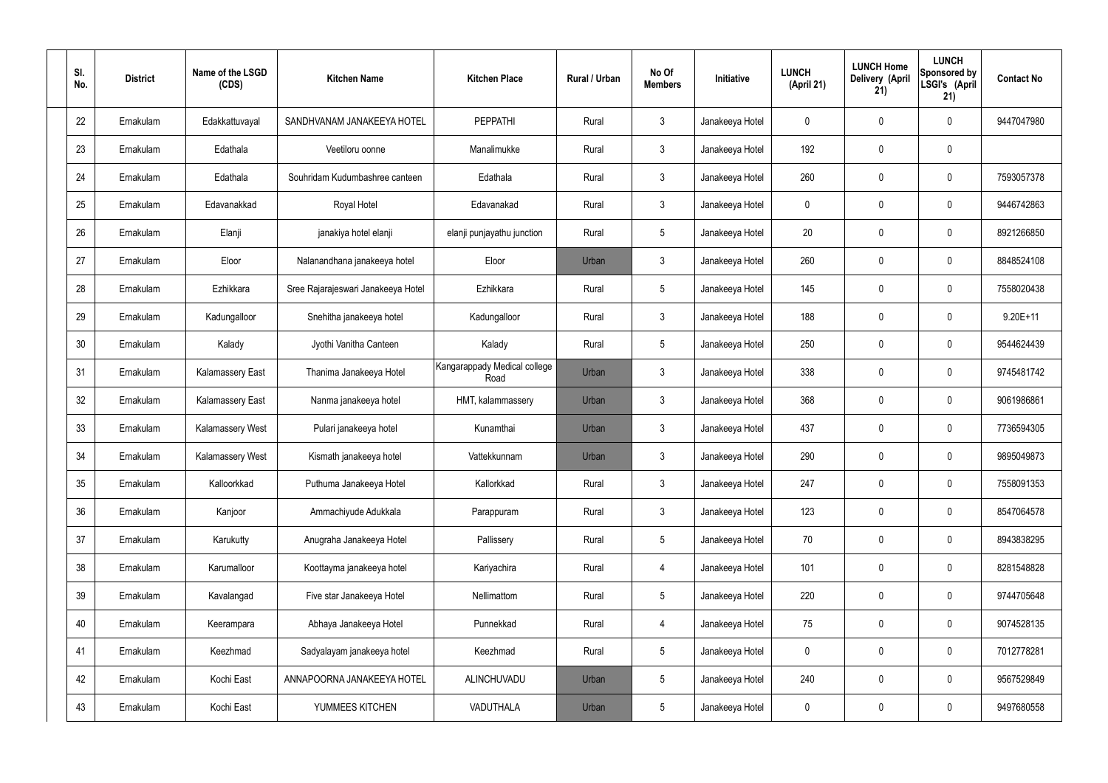| SI.<br>No. | <b>District</b> | Name of the LSGD<br>(CDS) | <b>Kitchen Name</b>                | <b>Kitchen Place</b>                 | Rural / Urban | No Of<br><b>Members</b> | Initiative      | <b>LUNCH</b><br>(April 21) | <b>LUNCH Home</b><br>Delivery (April<br>21) | <b>LUNCH</b><br>Sponsored by<br>LSGI's (April<br>21) | <b>Contact No</b> |
|------------|-----------------|---------------------------|------------------------------------|--------------------------------------|---------------|-------------------------|-----------------|----------------------------|---------------------------------------------|------------------------------------------------------|-------------------|
| 22         | Ernakulam       | Edakkattuvayal            | SANDHVANAM JANAKEEYA HOTEL         | <b>PEPPATHI</b>                      | Rural         | $\mathbf{3}$            | Janakeeya Hotel | 0                          | 0                                           | 0                                                    | 9447047980        |
| 23         | Ernakulam       | Edathala                  | Veetiloru oonne                    | Manalimukke                          | Rural         | $\mathbf{3}$            | Janakeeya Hotel | 192                        | 0                                           | $\mathbf 0$                                          |                   |
| 24         | Ernakulam       | Edathala                  | Souhridam Kudumbashree canteen     | Edathala                             | Rural         | $\mathbf{3}$            | Janakeeya Hotel | 260                        | 0                                           | $\mathbf 0$                                          | 7593057378        |
| 25         | Ernakulam       | Edavanakkad               | Royal Hotel                        | Edavanakad                           | Rural         | $\mathbf{3}$            | Janakeeya Hotel | $\mathbf 0$                | 0                                           | $\boldsymbol{0}$                                     | 9446742863        |
| 26         | Ernakulam       | Elanji                    | janakiya hotel elanji              | elanji punjayathu junction           | Rural         | $5\phantom{.0}$         | Janakeeya Hotel | 20                         | 0                                           | $\mathbf 0$                                          | 8921266850        |
| 27         | Ernakulam       | Eloor                     | Nalanandhana janakeeya hotel       | Eloor                                | Urban         | $\mathbf{3}$            | Janakeeya Hotel | 260                        | 0                                           | $\mathbf 0$                                          | 8848524108        |
| 28         | Ernakulam       | Ezhikkara                 | Sree Rajarajeswari Janakeeya Hotel | Ezhikkara                            | Rural         | $5\phantom{.0}$         | Janakeeya Hotel | 145                        | 0                                           | $\mathbf 0$                                          | 7558020438        |
| 29         | Ernakulam       | Kadungalloor              | Snehitha janakeeya hotel           | Kadungalloor                         | Rural         | $\mathbf{3}$            | Janakeeya Hotel | 188                        | 0                                           | $\boldsymbol{0}$                                     | $9.20E+11$        |
| 30         | Ernakulam       | Kalady                    | Jyothi Vanitha Canteen             | Kalady                               | Rural         | $5\phantom{.0}$         | Janakeeya Hotel | 250                        | 0                                           | $\mathbf 0$                                          | 9544624439        |
| 31         | Ernakulam       | <b>Kalamassery East</b>   | Thanima Janakeeya Hotel            | Kangarappady Medical college<br>Road | Urban         | $\mathbf{3}$            | Janakeeya Hotel | 338                        | 0                                           | $\mathbf 0$                                          | 9745481742        |
| 32         | Ernakulam       | <b>Kalamassery East</b>   | Nanma janakeeya hotel              | HMT, kalammassery                    | Urban         | $\mathbf{3}$            | Janakeeya Hotel | 368                        | $\boldsymbol{0}$                            | $\mathbf 0$                                          | 9061986861        |
| 33         | Ernakulam       | Kalamassery West          | Pulari janakeeya hotel             | Kunamthai                            | Urban         | $\mathbf{3}$            | Janakeeya Hotel | 437                        | 0                                           | $\mathbf 0$                                          | 7736594305        |
| 34         | Ernakulam       | Kalamassery West          | Kismath janakeeya hotel            | Vattekkunnam                         | Urban         | $\mathbf{3}$            | Janakeeya Hotel | 290                        | $\boldsymbol{0}$                            | 0                                                    | 9895049873        |
| 35         | Ernakulam       | Kalloorkkad               | Puthuma Janakeeya Hotel            | Kallorkkad                           | Rural         | $\mathbf{3}$            | Janakeeya Hotel | 247                        | $\mathbf 0$                                 | $\pmb{0}$                                            | 7558091353        |
| 36         | Ernakulam       | Kanjoor                   | Ammachiyude Adukkala               | Parappuram                           | Rural         | 3 <sup>1</sup>          | Janakeeya Hotel | 123                        | 0                                           | $\mathbf 0$                                          | 8547064578        |
| 37         | Ernakulam       | Karukutty                 | Anugraha Janakeeya Hotel           | Pallissery                           | Rural         | $5\phantom{.0}$         | Janakeeya Hotel | 70                         | 0                                           | $\mathbf 0$                                          | 8943838295        |
| 38         | Ernakulam       | Karumalloor               | Koottayma janakeeya hotel          | Kariyachira                          | Rural         | $\overline{4}$          | Janakeeya Hotel | 101                        | 0                                           | $\mathbf 0$                                          | 8281548828        |
| 39         | Ernakulam       | Kavalangad                | Five star Janakeeya Hotel          | Nellimattom                          | Rural         | $5\phantom{.0}$         | Janakeeya Hotel | 220                        | 0                                           | $\mathbf 0$                                          | 9744705648        |
| 40         | Ernakulam       | Keerampara                | Abhaya Janakeeya Hotel             | Punnekkad                            | Rural         | $\overline{4}$          | Janakeeya Hotel | 75                         | 0                                           | $\mathbf 0$                                          | 9074528135        |
| 41         | Ernakulam       | Keezhmad                  | Sadyalayam janakeeya hotel         | Keezhmad                             | Rural         | $5\phantom{.0}$         | Janakeeya Hotel | 0                          | 0                                           | $\mathbf 0$                                          | 7012778281        |
| 42         | Ernakulam       | Kochi East                | ANNAPOORNA JANAKEEYA HOTEL         | ALINCHUVADU                          | Urban         | $5\phantom{.0}$         | Janakeeya Hotel | 240                        | 0                                           | $\mathbf 0$                                          | 9567529849        |
| 43         | Ernakulam       | Kochi East                | YUMMEES KITCHEN                    | VADUTHALA                            | Urban         | $5\phantom{.0}$         | Janakeeya Hotel | 0                          | 0                                           | $\boldsymbol{0}$                                     | 9497680558        |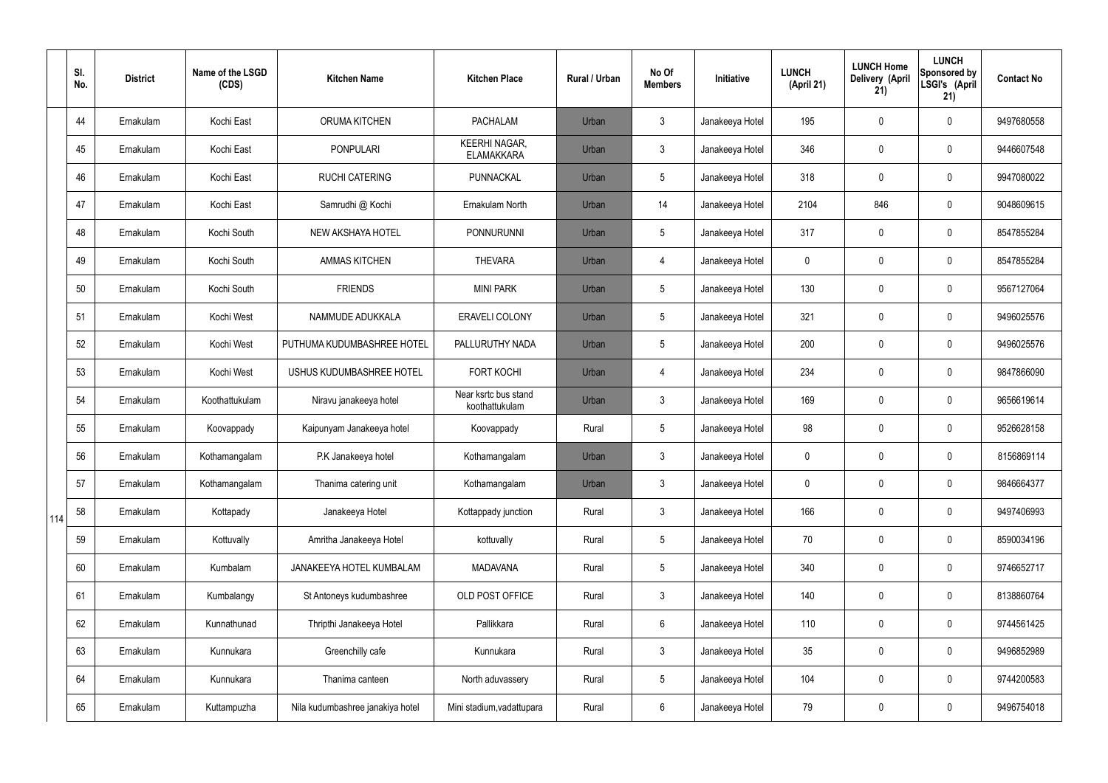|     | SI.<br>No. | <b>District</b> | Name of the LSGD<br>(CDS) | <b>Kitchen Name</b>              | <b>Kitchen Place</b>                      | <b>Rural / Urban</b> | No Of<br><b>Members</b> | Initiative      | <b>LUNCH</b><br>(April 21) | <b>LUNCH Home</b><br>Delivery (April<br>21) | <b>LUNCH</b><br><b>Sponsored by</b><br>LSGI's (April<br>21) | <b>Contact No</b> |
|-----|------------|-----------------|---------------------------|----------------------------------|-------------------------------------------|----------------------|-------------------------|-----------------|----------------------------|---------------------------------------------|-------------------------------------------------------------|-------------------|
|     | 44         | Ernakulam       | Kochi East                | ORUMA KITCHEN                    | <b>PACHALAM</b>                           | Urban                | $\mathbf{3}$            | Janakeeya Hotel | 195                        | 0                                           | $\mathbf 0$                                                 | 9497680558        |
|     | 45         | Ernakulam       | Kochi East                | <b>PONPULARI</b>                 | <b>KEERHI NAGAR,</b><br><b>ELAMAKKARA</b> | Urban                | $\mathfrak{Z}$          | Janakeeya Hotel | 346                        | 0                                           | $\boldsymbol{0}$                                            | 9446607548        |
|     | 46         | Ernakulam       | Kochi East                | <b>RUCHI CATERING</b>            | PUNNACKAL                                 | Urban                | 5                       | Janakeeya Hotel | 318                        | 0                                           | $\mathbf 0$                                                 | 9947080022        |
|     | 47         | Ernakulam       | Kochi East                | Samrudhi @ Kochi                 | Ernakulam North                           | Urban                | 14                      | Janakeeya Hotel | 2104                       | 846                                         | $\pmb{0}$                                                   | 9048609615        |
|     | 48         | Ernakulam       | Kochi South               | NEW AKSHAYA HOTEL                | <b>PONNURUNNI</b>                         | Urban                | 5                       | Janakeeya Hotel | 317                        | 0                                           | $\mathbf 0$                                                 | 8547855284        |
|     | 49         | Ernakulam       | Kochi South               | <b>AMMAS KITCHEN</b>             | <b>THEVARA</b>                            | Urban                | 4                       | Janakeeya Hotel | 0                          | 0                                           | $\mathbf 0$                                                 | 8547855284        |
|     | 50         | Ernakulam       | Kochi South               | <b>FRIENDS</b>                   | <b>MINI PARK</b>                          | Urban                | 5                       | Janakeeya Hotel | 130                        | 0                                           | $\mathbf 0$                                                 | 9567127064        |
|     | 51         | Ernakulam       | Kochi West                | NAMMUDE ADUKKALA                 | <b>ERAVELI COLONY</b>                     | Urban                | 5                       | Janakeeya Hotel | 321                        | 0                                           | $\mathbf 0$                                                 | 9496025576        |
|     | 52         | Ernakulam       | Kochi West                | PUTHUMA KUDUMBASHREE HOTEL       | PALLURUTHY NADA                           | Urban                | 5                       | Janakeeya Hotel | 200                        | 0                                           | $\mathbf 0$                                                 | 9496025576        |
|     | 53         | Ernakulam       | Kochi West                | USHUS KUDUMBASHREE HOTEL         | <b>FORT KOCHI</b>                         | Urban                | 4                       | Janakeeya Hotel | 234                        | 0                                           | $\pmb{0}$                                                   | 9847866090        |
|     | 54         | Ernakulam       | Koothattukulam            | Niravu janakeeya hotel           | Near ksrtc bus stand<br>koothattukulam    | Urban                | $\mathfrak{Z}$          | Janakeeya Hotel | 169                        | 0                                           | $\pmb{0}$                                                   | 9656619614        |
|     | 55         | Ernakulam       | Koovappady                | Kaipunyam Janakeeya hotel        | Koovappady                                | Rural                | 5                       | Janakeeya Hotel | 98                         | 0                                           | $\boldsymbol{0}$                                            | 9526628158        |
|     | 56         | Ernakulam       | Kothamangalam             | P.K Janakeeya hotel              | Kothamangalam                             | Urban                | $\mathbf{3}$            | Janakeeya Hotel | 0                          | 0                                           | $\mathbf 0$                                                 | 8156869114        |
|     | 57         | Ernakulam       | Kothamangalam             | Thanima catering unit            | Kothamangalam                             | Urban                | $\mathbf{3}$            | Janakeeya Hotel | 0                          | 0                                           | $\mathbf 0$                                                 | 9846664377        |
| 114 | 58         | Ernakulam       | Kottapady                 | Janakeeya Hotel                  | Kottappady junction                       | Rural                | $\mathbf{3}$            | Janakeeya Hotel | 166                        | 0                                           | $\mathbf 0$                                                 | 9497406993        |
|     | 59         | Ernakulam       | Kottuvally                | Amritha Janakeeya Hotel          | kottuvally                                | Rural                | 5                       | Janakeeya Hotel | 70                         | 0                                           | $\mathbf 0$                                                 | 8590034196        |
|     | 60         | Ernakulam       | Kumbalam                  | JANAKEEYA HOTEL KUMBALAM         | <b>MADAVANA</b>                           | Rural                | 5                       | Janakeeya Hotel | 340                        | 0                                           | $\pmb{0}$                                                   | 9746652717        |
|     | 61         | Ernakulam       | Kumbalangy                | St Antoneys kudumbashree         | OLD POST OFFICE                           | Rural                | $\mathbf{3}$            | Janakeeya Hotel | 140                        | 0                                           | $\pmb{0}$                                                   | 8138860764        |
|     | 62         | Ernakulam       | Kunnathunad               | Thripthi Janakeeya Hotel         | Pallikkara                                | Rural                | 6                       | Janakeeya Hotel | 110                        | 0                                           | $\pmb{0}$                                                   | 9744561425        |
|     | 63         | Ernakulam       | Kunnukara                 | Greenchilly cafe                 | Kunnukara                                 | Rural                | $\mathfrak{Z}$          | Janakeeya Hotel | 35 <sub>5</sub>            | 0                                           | $\pmb{0}$                                                   | 9496852989        |
|     | 64         | Ernakulam       | Kunnukara                 | Thanima canteen                  | North aduvassery                          | Rural                | $5\phantom{.0}$         | Janakeeya Hotel | 104                        | 0                                           | $\pmb{0}$                                                   | 9744200583        |
|     | 65         | Ernakulam       | Kuttampuzha               | Nila kudumbashree janakiya hotel | Mini stadium, vadattupara                 | Rural                | $6\phantom{.0}$         | Janakeeya Hotel | 79                         | 0                                           | $\pmb{0}$                                                   | 9496754018        |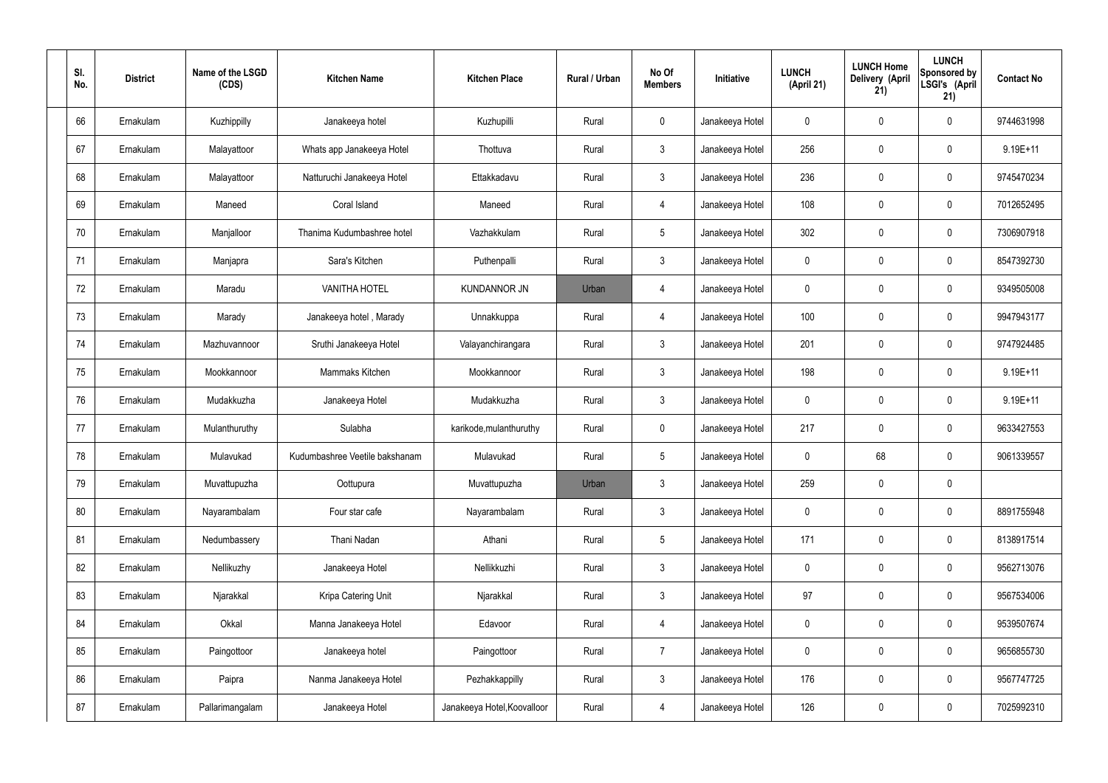| SI.<br>No. | <b>District</b> | Name of the LSGD<br>(CDS) | <b>Kitchen Name</b>            | <b>Kitchen Place</b>        | Rural / Urban | No Of<br><b>Members</b> | Initiative      | <b>LUNCH</b><br>(April 21) | <b>LUNCH Home</b><br>Delivery (April<br>21) | <b>LUNCH</b><br>Sponsored by<br>LSGI's (April<br>21) | <b>Contact No</b> |
|------------|-----------------|---------------------------|--------------------------------|-----------------------------|---------------|-------------------------|-----------------|----------------------------|---------------------------------------------|------------------------------------------------------|-------------------|
| 66         | Ernakulam       | Kuzhippilly               | Janakeeya hotel                | Kuzhupilli                  | Rural         | $\mathbf 0$             | Janakeeya Hotel | 0                          | 0                                           | $\mathbf 0$                                          | 9744631998        |
| 67         | Ernakulam       | Malayattoor               | Whats app Janakeeya Hotel      | Thottuva                    | Rural         | $\mathbf{3}$            | Janakeeya Hotel | 256                        | 0                                           | $\mathbf 0$                                          | 9.19E+11          |
| 68         | Ernakulam       | Malayattoor               | Natturuchi Janakeeya Hotel     | Ettakkadavu                 | Rural         | $\mathbf{3}$            | Janakeeya Hotel | 236                        | 0                                           | $\mathbf 0$                                          | 9745470234        |
| 69         | Ernakulam       | Maneed                    | Coral Island                   | Maneed                      | Rural         | $\overline{4}$          | Janakeeya Hotel | 108                        | 0                                           | $\mathbf 0$                                          | 7012652495        |
| 70         | Ernakulam       | Manjalloor                | Thanima Kudumbashree hotel     | Vazhakkulam                 | Rural         | $5\phantom{.0}$         | Janakeeya Hotel | 302                        | $\boldsymbol{0}$                            | $\mathbf 0$                                          | 7306907918        |
| 71         | Ernakulam       | Manjapra                  | Sara's Kitchen                 | Puthenpalli                 | Rural         | $\mathbf{3}$            | Janakeeya Hotel | $\mathbf 0$                | 0                                           | $\mathbf 0$                                          | 8547392730        |
| 72         | Ernakulam       | Maradu                    | <b>VANITHA HOTEL</b>           | <b>KUNDANNOR JN</b>         | Urban         | $\overline{4}$          | Janakeeya Hotel | $\mathbf 0$                | 0                                           | $\mathbf 0$                                          | 9349505008        |
| 73         | Ernakulam       | Marady                    | Janakeeya hotel, Marady        | Unnakkuppa                  | Rural         | $\overline{4}$          | Janakeeya Hotel | 100                        | 0                                           | $\mathbf 0$                                          | 9947943177        |
| 74         | Ernakulam       | Mazhuvannoor              | Sruthi Janakeeya Hotel         | Valayanchirangara           | Rural         | $\mathbf{3}$            | Janakeeya Hotel | 201                        | $\boldsymbol{0}$                            | $\mathbf 0$                                          | 9747924485        |
| 75         | Ernakulam       | Mookkannoor               | Mammaks Kitchen                | Mookkannoor                 | Rural         | $\mathfrak{Z}$          | Janakeeya Hotel | 198                        | 0                                           | $\mathbf 0$                                          | $9.19E + 11$      |
| 76         | Ernakulam       | Mudakkuzha                | Janakeeya Hotel                | Mudakkuzha                  | Rural         | $\mathbf{3}$            | Janakeeya Hotel | $\mathbf 0$                | 0                                           | $\boldsymbol{0}$                                     | $9.19E + 11$      |
| 77         | Ernakulam       | Mulanthuruthy             | Sulabha                        | karikode, mulanthuruthy     | Rural         | $\mathbf 0$             | Janakeeya Hotel | 217                        | 0                                           | $\boldsymbol{0}$                                     | 9633427553        |
| 78         | Ernakulam       | Mulavukad                 | Kudumbashree Veetile bakshanam | Mulavukad                   | Rural         | $5\phantom{.0}$         | Janakeeya Hotel | 0                          | 68                                          | $\boldsymbol{0}$                                     | 9061339557        |
| 79         | Ernakulam       | Muvattupuzha              | Oottupura                      | Muvattupuzha                | Urban         | 3                       | Janakeeya Hotel | 259                        | $\mathsf{0}$                                | $\pmb{0}$                                            |                   |
| 80         | Ernakulam       | Nayarambalam              | Four star cafe                 | Nayarambalam                | Rural         | $\mathbf{3}$            | Janakeeya Hotel | $\mathbf 0$                | $\mathsf{0}$                                | $\mathbf 0$                                          | 8891755948        |
| 81         | Ernakulam       | Nedumbassery              | Thani Nadan                    | Athani                      | Rural         | $5\phantom{.0}$         | Janakeeya Hotel | 171                        | $\mathbf 0$                                 | $\mathbf 0$                                          | 8138917514        |
| 82         | Ernakulam       | Nellikuzhy                | Janakeeya Hotel                | Nellikkuzhi                 | Rural         | $\mathbf{3}$            | Janakeeya Hotel | $\mathbf 0$                | $\mathsf{0}$                                | $\mathbf 0$                                          | 9562713076        |
| 83         | Ernakulam       | Njarakkal                 | Kripa Catering Unit            | Njarakkal                   | Rural         | $\mathbf{3}$            | Janakeeya Hotel | 97                         | $\mathbf 0$                                 | $\mathbf 0$                                          | 9567534006        |
| 84         | Ernakulam       | Okkal                     | Manna Janakeeya Hotel          | Edavoor                     | Rural         | $\overline{4}$          | Janakeeya Hotel | $\mathbf 0$                | $\mathsf{0}$                                | $\mathbf 0$                                          | 9539507674        |
| 85         | Ernakulam       | Paingottoor               | Janakeeya hotel                | Paingottoor                 | Rural         | $\overline{7}$          | Janakeeya Hotel | $\mathbf 0$                | $\mathbf 0$                                 | $\mathbf 0$                                          | 9656855730        |
| 86         | Ernakulam       | Paipra                    | Nanma Janakeeya Hotel          | Pezhakkappilly              | Rural         | $\mathfrak{Z}$          | Janakeeya Hotel | 176                        | 0                                           | $\mathbf 0$                                          | 9567747725        |
| 87         | Ernakulam       | Pallarimangalam           | Janakeeya Hotel                | Janakeeya Hotel, Koovalloor | Rural         | 4                       | Janakeeya Hotel | 126                        | $\pmb{0}$                                   | $\boldsymbol{0}$                                     | 7025992310        |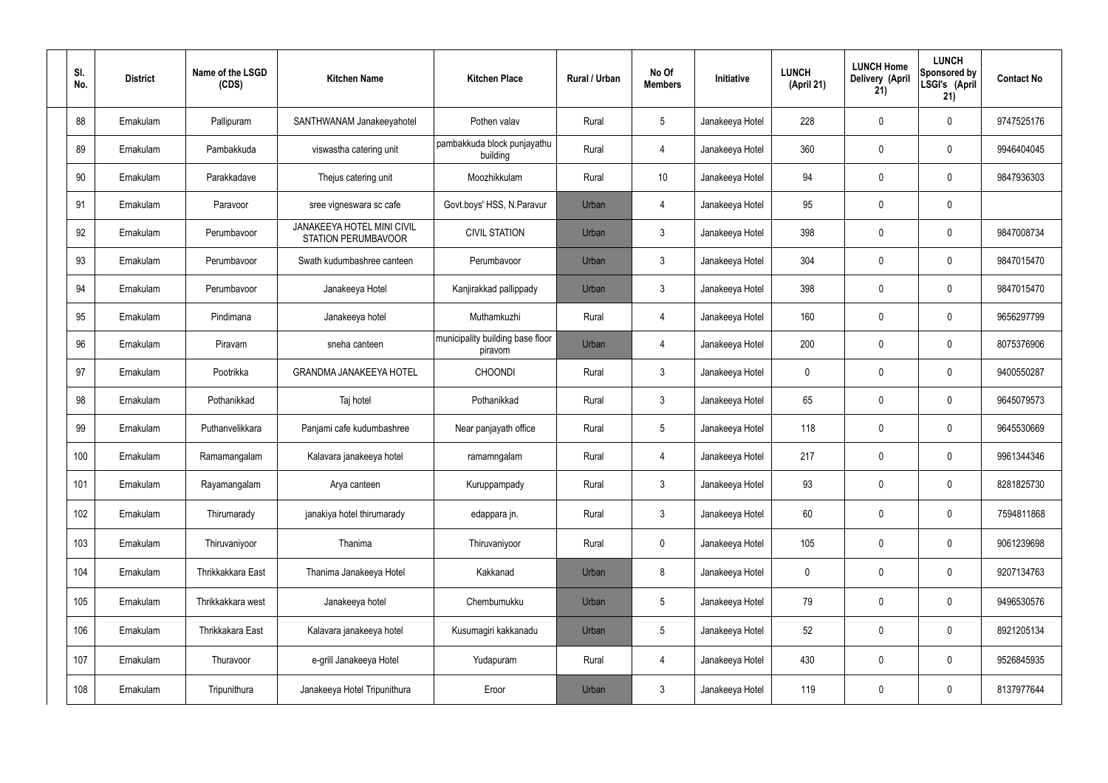| SI.<br>No. | <b>District</b> | Name of the LSGD<br>(CDS) | <b>Kitchen Name</b>                                      | <b>Kitchen Place</b>                        | Rural / Urban | No Of<br><b>Members</b> | Initiative      | <b>LUNCH</b><br>(April 21) | <b>LUNCH Home</b><br>Delivery (April<br>21) | <b>LUNCH</b><br>Sponsored by<br>LSGI's (April<br>21) | <b>Contact No</b> |
|------------|-----------------|---------------------------|----------------------------------------------------------|---------------------------------------------|---------------|-------------------------|-----------------|----------------------------|---------------------------------------------|------------------------------------------------------|-------------------|
| 88         | Ernakulam       | Pallipuram                | SANTHWANAM Janakeeyahotel                                | Pothen valav                                | Rural         | $5\phantom{.0}$         | Janakeeya Hotel | 228                        | 0                                           | $\mathbf 0$                                          | 9747525176        |
| 89         | Ernakulam       | Pambakkuda                | viswastha catering unit                                  | pambakkuda block punjayathu<br>building     | Rural         | 4                       | Janakeeya Hotel | 360                        | 0                                           | $\mathbf 0$                                          | 9946404045        |
| 90         | Ernakulam       | Parakkadave               | Thejus catering unit                                     | Moozhikkulam                                | Rural         | 10 <sup>°</sup>         | Janakeeya Hotel | 94                         | 0                                           | $\mathbf 0$                                          | 9847936303        |
| 91         | Ernakulam       | Paravoor                  | sree vigneswara sc cafe                                  | Govt.boys' HSS, N.Paravur                   | Urban         | 4                       | Janakeeya Hotel | 95                         | 0                                           | $\mathbf 0$                                          |                   |
| 92         | Ernakulam       | Perumbavoor               | JANAKEEYA HOTEL MINI CIVIL<br><b>STATION PERUMBAVOOR</b> | <b>CIVIL STATION</b>                        | Urban         | $\mathbf{3}$            | Janakeeya Hotel | 398                        | 0                                           | $\mathbf 0$                                          | 9847008734        |
| 93         | Ernakulam       | Perumbayoor               | Swath kudumbashree canteen                               | Perumbavoor                                 | Urban         | $\mathbf{3}$            | Janakeeya Hotel | 304                        | 0                                           | $\mathbf 0$                                          | 9847015470        |
| 94         | Ernakulam       | Perumbavoor               | Janakeeya Hotel                                          | Kanjirakkad pallippady                      | Urban         | $\mathbf{3}$            | Janakeeya Hotel | 398                        | 0                                           | $\mathbf 0$                                          | 9847015470        |
| 95         | Ernakulam       | Pindimana                 | Janakeeya hotel                                          | Muthamkuzhi                                 | Rural         | 4                       | Janakeeya Hotel | 160                        | 0                                           | $\mathbf 0$                                          | 9656297799        |
| 96         | Ernakulam       | Piravam                   | sneha canteen                                            | municipality building base floor<br>piravom | Urban         | 4                       | Janakeeya Hotel | 200                        | 0                                           | $\mathbf 0$                                          | 8075376906        |
| 97         | Ernakulam       | Pootrikka                 | <b>GRANDMA JANAKEEYA HOTEL</b>                           | <b>CHOONDI</b>                              | Rural         | $\mathbf{3}$            | Janakeeya Hotel | $\mathbf 0$                | 0                                           | $\mathbf 0$                                          | 9400550287        |
| 98         | Ernakulam       | Pothanikkad               | Taj hotel                                                | Pothanikkad                                 | Rural         | $\mathfrak{Z}$          | Janakeeya Hotel | 65                         | 0                                           | $\mathbf 0$                                          | 9645079573        |
| 99         | Ernakulam       | Puthanvelikkara           | Panjami cafe kudumbashree                                | Near panjayath office                       | Rural         | $5\phantom{.0}$         | Janakeeya Hotel | 118                        | 0                                           | $\mathbf 0$                                          | 9645530669        |
| 100        | Ernakulam       | Ramamangalam              | Kalavara janakeeya hotel                                 | ramamngalam                                 | Rural         | 4                       | Janakeeya Hotel | 217                        | $\mathbf 0$                                 | 0                                                    | 9961344346        |
| 101        | Ernakulam       | Rayamangalam              | Arya canteen                                             | Kuruppampady                                | Rural         | $\mathbf{3}$            | Janakeeya Hotel | 93                         | 0                                           | $\pmb{0}$                                            | 8281825730        |
| 102        | Ernakulam       | Thirumarady               | janakiya hotel thirumarady                               | edappara jn.                                | Rural         | 3 <sup>1</sup>          | Janakeeya Hotel | 60                         | 0                                           | $\mathbf 0$                                          | 7594811868        |
| 103        | Ernakulam       | Thiruvaniyoor             | Thanima                                                  | Thiruvaniyoor                               | Rural         | $\mathbf 0$             | Janakeeya Hotel | 105                        | $\pmb{0}$                                   | $\mathbf 0$                                          | 9061239698        |
| 104        | Ernakulam       | Thrikkakkara East         | Thanima Janakeeya Hotel                                  | Kakkanad                                    | Urban         | 8                       | Janakeeya Hotel | $\mathbf 0$                | 0                                           | $\mathbf 0$                                          | 9207134763        |
| 105        | Ernakulam       | Thrikkakkara west         | Janakeeya hotel                                          | Chembumukku                                 | Urban         | $5\,$                   | Janakeeya Hotel | 79                         | 0                                           | $\mathbf 0$                                          | 9496530576        |
| 106        | Ernakulam       | Thrikkakara East          | Kalavara janakeeya hotel                                 | Kusumagiri kakkanadu                        | Urban         | $5\phantom{.0}$         | Janakeeya Hotel | 52                         | 0                                           | $\mathbf 0$                                          | 8921205134        |
| 107        | Ernakulam       | Thuravoor                 | e-grill Janakeeya Hotel                                  | Yudapuram                                   | Rural         | $\overline{4}$          | Janakeeya Hotel | 430                        | $\pmb{0}$                                   | $\mathbf 0$                                          | 9526845935        |
| 108        | Ernakulam       | Tripunithura              | Janakeeya Hotel Tripunithura                             | Eroor                                       | Urban         | $\mathbf{3}$            | Janakeeya Hotel | 119                        | 0                                           | $\mathbf 0$                                          | 8137977644        |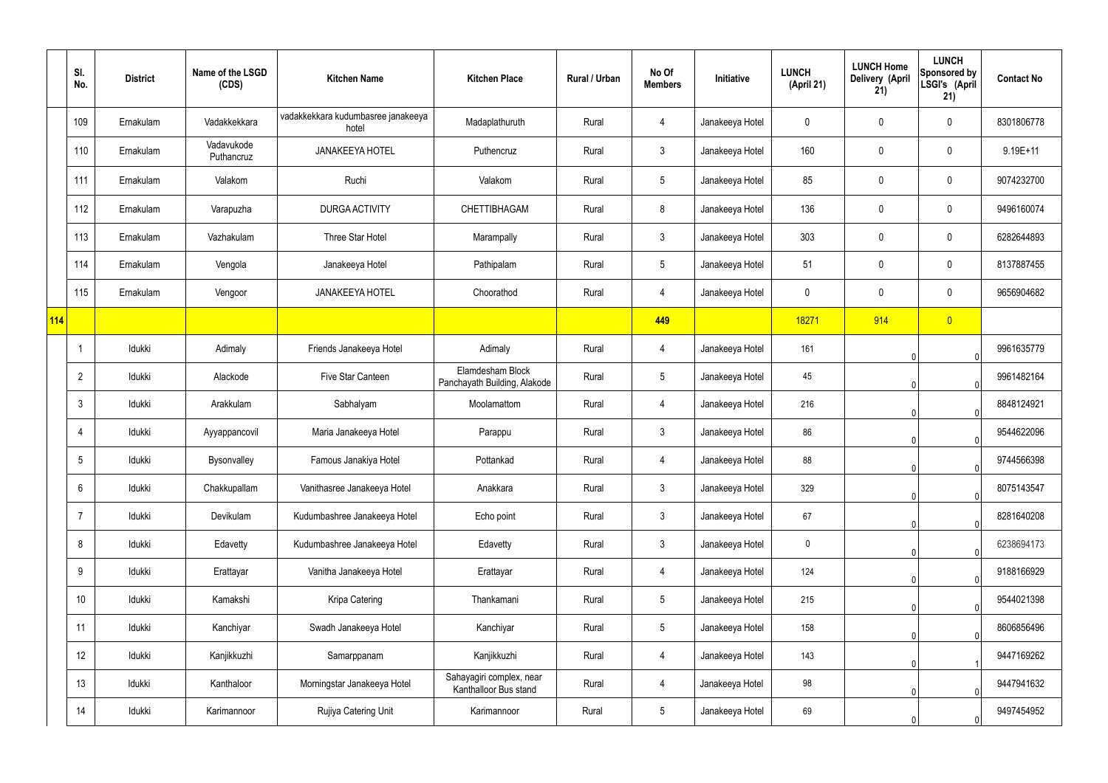|            | SI.<br>No.      | <b>District</b> | Name of the LSGD<br>(CDS) | <b>Kitchen Name</b>                         | <b>Kitchen Place</b>                              | Rural / Urban | No Of<br><b>Members</b> | Initiative      | <b>LUNCH</b><br>(April 21) | <b>LUNCH Home</b><br>Delivery (April<br>21) | <b>LUNCH</b><br>Sponsored by<br>LSGI's (April<br>21) | <b>Contact No</b> |
|------------|-----------------|-----------------|---------------------------|---------------------------------------------|---------------------------------------------------|---------------|-------------------------|-----------------|----------------------------|---------------------------------------------|------------------------------------------------------|-------------------|
|            | 109             | Ernakulam       | Vadakkekkara              | vadakkekkara kudumbasree janakeeya<br>hotel | Madaplathuruth                                    | Rural         | 4                       | Janakeeya Hotel | 0                          | 0                                           | 0                                                    | 8301806778        |
|            | 110             | Ernakulam       | Vadavukode<br>Puthancruz  | <b>JANAKEEYA HOTEL</b>                      | Puthencruz                                        | Rural         | 3                       | Janakeeya Hotel | 160                        | 0                                           | 0                                                    | $9.19E + 11$      |
|            | 111             | Ernakulam       | Valakom                   | Ruchi                                       | Valakom                                           | Rural         | $5\phantom{.0}$         | Janakeeya Hotel | 85                         | 0                                           | $\pmb{0}$                                            | 9074232700        |
|            | 112             | Ernakulam       | Varapuzha                 | <b>DURGA ACTIVITY</b>                       | <b>CHETTIBHAGAM</b>                               | Rural         | 8                       | Janakeeya Hotel | 136                        | 0                                           | $\pmb{0}$                                            | 9496160074        |
|            | 113             | Ernakulam       | Vazhakulam                | Three Star Hotel                            | Marampally                                        | Rural         | $\mathfrak{Z}$          | Janakeeya Hotel | 303                        | $\mathbf 0$                                 | $\pmb{0}$                                            | 6282644893        |
|            | 114             | Ernakulam       | Vengola                   | Janakeeya Hotel                             | Pathipalam                                        | Rural         | $5\phantom{.0}$         | Janakeeya Hotel | 51                         | 0                                           | $\pmb{0}$                                            | 8137887455        |
|            | 115             | Ernakulam       | Vengoor                   | <b>JANAKEEYA HOTEL</b>                      | Choorathod                                        | Rural         | 4                       | Janakeeya Hotel | $\mathbf 0$                | $\mathbf 0$                                 | $\pmb{0}$                                            | 9656904682        |
| <b>114</b> |                 |                 |                           |                                             |                                                   |               | 449                     |                 | 18271                      | 914                                         | $\overline{0}$                                       |                   |
|            | $\overline{1}$  | Idukki          | Adimaly                   | Friends Janakeeya Hotel                     | Adimaly                                           | Rural         | 4                       | Janakeeya Hotel | 161                        |                                             | $\Omega$                                             | 9961635779        |
|            | $\overline{2}$  | Idukki          | Alackode                  | Five Star Canteen                           | Elamdesham Block<br>Panchayath Building, Alakode  | Rural         | $5\phantom{.0}$         | Janakeeya Hotel | 45                         |                                             | $\Omega$                                             | 9961482164        |
|            | $\mathbf{3}$    | Idukki          | Arakkulam                 | Sabhalyam                                   | Moolamattom                                       | Rural         | 4                       | Janakeeya Hotel | 216                        |                                             | $\Omega$                                             | 8848124921        |
|            | 4               | Idukki          | Ayyappancovil             | Maria Janakeeya Hotel                       | Parappu                                           | Rural         | $\mathfrak{Z}$          | Janakeeya Hotel | 86                         |                                             | $\Omega$                                             | 9544622096        |
|            | 5               | Idukki          | Bysonvalley               | Famous Janakiya Hotel                       | Pottankad                                         | Rural         | 4                       | Janakeeya Hotel | 88                         | 0                                           | 01                                                   | 9744566398        |
|            | $6\phantom{.}6$ | Idukki          | Chakkupallam              | Vanithasree Janakeeya Hotel                 | Anakkara                                          | Rural         | $\mathfrak{Z}$          | Janakeeya Hotel | 329                        |                                             | 0                                                    | 8075143547        |
|            | $\overline{7}$  | Idukki          | Devikulam                 | Kudumbashree Janakeeya Hotel                | Echo point                                        | Rural         | $\mathfrak{Z}$          | Janakeeya Hotel | 67                         |                                             | 0                                                    | 8281640208        |
|            | 8               | Idukki          | Edavetty                  | Kudumbashree Janakeeya Hotel                | Edavetty                                          | Rural         | $\mathbf{3}$            | Janakeeya Hotel | $\pmb{0}$                  |                                             | 0                                                    | 6238694173        |
|            | 9               | Idukki          | Erattayar                 | Vanitha Janakeeya Hotel                     | Erattayar                                         | Rural         | 4                       | Janakeeya Hotel | 124                        |                                             | 0                                                    | 9188166929        |
|            | 10 <sup>°</sup> | Idukki          | Kamakshi                  | Kripa Catering                              | Thankamani                                        | Rural         | $5\phantom{.0}$         | Janakeeya Hotel | 215                        |                                             | 0                                                    | 9544021398        |
|            | 11              | Idukki          | Kanchiyar                 | Swadh Janakeeya Hotel                       | Kanchiyar                                         | Rural         | $5\phantom{.0}$         | Janakeeya Hotel | 158                        |                                             | $\mathbf{0}$                                         | 8606856496        |
|            | 12              | Idukki          | Kanjikkuzhi               | Samarppanam                                 | Kanjikkuzhi                                       | Rural         | 4                       | Janakeeya Hotel | 143                        |                                             |                                                      | 9447169262        |
|            | 13              | Idukki          | Kanthaloor                | Morningstar Janakeeya Hotel                 | Sahayagiri complex, near<br>Kanthalloor Bus stand | Rural         | 4                       | Janakeeya Hotel | 98                         |                                             | 0                                                    | 9447941632        |
|            | 14              | Idukki          | Karimannoor               | Rujiya Catering Unit                        | Karimannoor                                       | Rural         | $\overline{5}$          | Janakeeya Hotel | 69                         |                                             | 0                                                    | 9497454952        |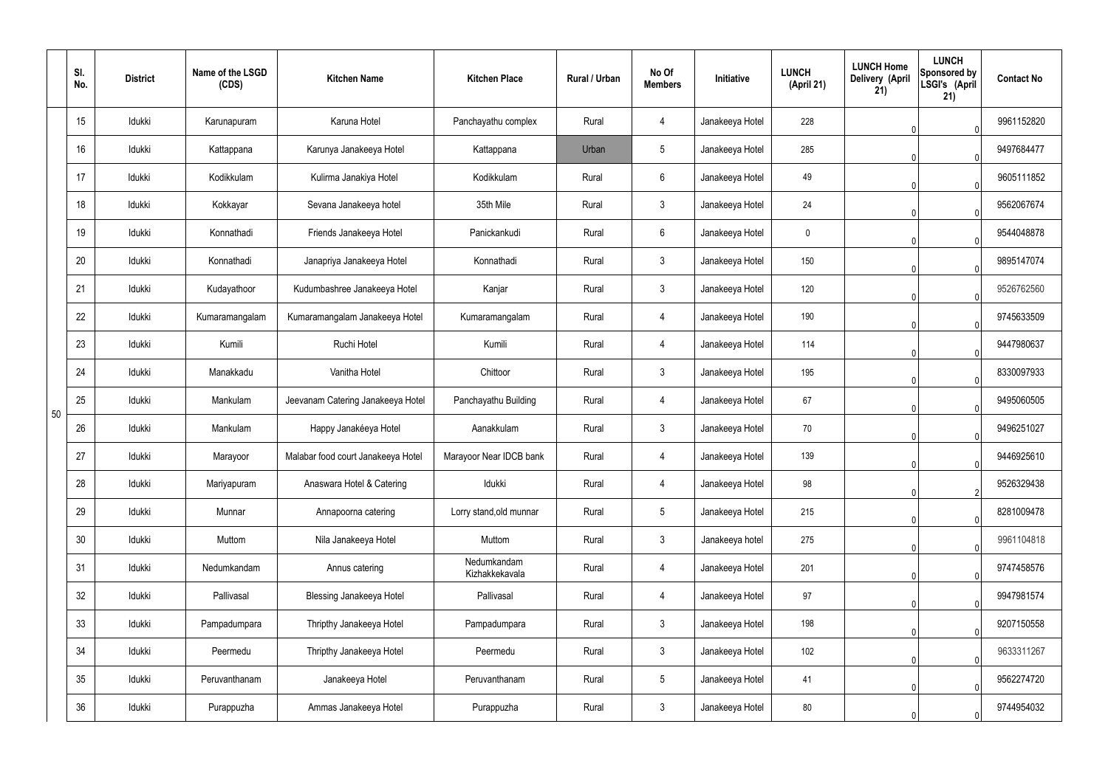|    | SI.<br>No. | <b>District</b> | Name of the LSGD<br>(CDS) | <b>Kitchen Name</b>                | <b>Kitchen Place</b>          | <b>Rural / Urban</b> | No Of<br><b>Members</b> | Initiative      | <b>LUNCH</b><br>(April 21) | <b>LUNCH Home</b><br>Delivery (April<br>21) | <b>LUNCH</b><br>Sponsored by<br>LSGI's (April<br>21) | <b>Contact No</b> |
|----|------------|-----------------|---------------------------|------------------------------------|-------------------------------|----------------------|-------------------------|-----------------|----------------------------|---------------------------------------------|------------------------------------------------------|-------------------|
|    | 15         | Idukki          | Karunapuram               | Karuna Hotel                       | Panchayathu complex           | Rural                | 4                       | Janakeeya Hotel | 228                        |                                             | 0                                                    | 9961152820        |
|    | 16         | Idukki          | Kattappana                | Karunya Janakeeya Hotel            | Kattappana                    | Urban                | 5                       | Janakeeya Hotel | 285                        |                                             | $\Omega$                                             | 9497684477        |
|    | 17         | Idukki          | Kodikkulam                | Kulirma Janakiya Hotel             | Kodikkulam                    | Rural                | 6                       | Janakeeya Hotel | 49                         |                                             | $\Omega$                                             | 9605111852        |
|    | 18         | Idukki          | Kokkayar                  | Sevana Janakeeya hotel             | 35th Mile                     | Rural                | $\mathfrak{Z}$          | Janakeeya Hotel | 24                         |                                             | $\Omega$                                             | 9562067674        |
|    | 19         | Idukki          | Konnathadi                | Friends Janakeeya Hotel            | Panickankudi                  | Rural                | 6                       | Janakeeya Hotel | 0                          |                                             | $\Omega$                                             | 9544048878        |
|    | 20         | Idukki          | Konnathadi                | Janapriya Janakeeya Hotel          | Konnathadi                    | Rural                | $\mathfrak{Z}$          | Janakeeya Hotel | 150                        |                                             |                                                      | 9895147074        |
|    | 21         | Idukki          | Kudayathoor               | Kudumbashree Janakeeya Hotel       | Kanjar                        | Rural                | $\mathbf{3}$            | Janakeeya Hotel | 120                        |                                             | $\Omega$                                             | 9526762560        |
|    | 22         | Idukki          | Kumaramangalam            | Kumaramangalam Janakeeya Hotel     | Kumaramangalam                | Rural                | 4                       | Janakeeya Hotel | 190                        |                                             |                                                      | 9745633509        |
|    | 23         | Idukki          | Kumili                    | Ruchi Hotel                        | Kumili                        | Rural                | 4                       | Janakeeya Hotel | 114                        |                                             | $\Omega$                                             | 9447980637        |
|    | 24         | Idukki          | Manakkadu                 | Vanitha Hotel                      | Chittoor                      | Rural                | $\mathfrak{Z}$          | Janakeeya Hotel | 195                        |                                             |                                                      | 8330097933        |
| 50 | 25         | Idukki          | Mankulam                  | Jeevanam Catering Janakeeya Hotel  | Panchayathu Building          | Rural                | 4                       | Janakeeya Hotel | 67                         |                                             | $\Omega$                                             | 9495060505        |
|    | 26         | Idukki          | Mankulam                  | Happy Janakéeya Hotel              | Aanakkulam                    | Rural                | 3                       | Janakeeya Hotel | 70                         |                                             |                                                      | 9496251027        |
|    | 27         | Idukki          | Marayoor                  | Malabar food court Janakeeya Hotel | Marayoor Near IDCB bank       | Rural                | 4                       | Janakeeya Hotel | 139                        |                                             | 0                                                    | 9446925610        |
|    | 28         | Idukki          | Mariyapuram               | Anaswara Hotel & Catering          | Idukki                        | Rural                | $\overline{4}$          | Janakeeya Hotel | 98                         |                                             | $\overline{2}$                                       | 9526329438        |
|    | 29         | Idukki          | Munnar                    | Annapoorna catering                | Lorry stand, old munnar       | Rural                | $5\phantom{.0}$         | Janakeeya Hotel | 215                        |                                             | $\mathbf{0}$                                         | 8281009478        |
|    | 30         | Idukki          | Muttom                    | Nila Janakeeya Hotel               | Muttom                        | Rural                | $\mathbf{3}$            | Janakeeya hotel | 275                        |                                             | 0                                                    | 9961104818        |
|    | 31         | Idukki          | Nedumkandam               | Annus catering                     | Nedumkandam<br>Kizhakkekavala | Rural                | 4                       | Janakeeya Hotel | 201                        |                                             | $\Omega$                                             | 9747458576        |
|    | 32         | Idukki          | Pallivasal                | <b>Blessing Janakeeya Hotel</b>    | Pallivasal                    | Rural                | 4                       | Janakeeya Hotel | 97                         |                                             | 0                                                    | 9947981574        |
|    | 33         | Idukki          | Pampadumpara              | Thripthy Janakeeya Hotel           | Pampadumpara                  | Rural                | $\mathbf{3}$            | Janakeeya Hotel | 198                        |                                             | $\Omega$                                             | 9207150558        |
|    | 34         | Idukki          | Peermedu                  | Thripthy Janakeeya Hotel           | Peermedu                      | Rural                | $\mathbf{3}$            | Janakeeya Hotel | 102                        |                                             | 0                                                    | 9633311267        |
|    | 35         | Idukki          | Peruvanthanam             | Janakeeya Hotel                    | Peruvanthanam                 | Rural                | $5\phantom{.0}$         | Janakeeya Hotel | 41                         |                                             | $\Omega$                                             | 9562274720        |
|    | 36         | Idukki          | Purappuzha                | Ammas Janakeeya Hotel              | Purappuzha                    | Rural                | $\mathfrak{Z}$          | Janakeeya Hotel | 80                         |                                             | $\Omega$                                             | 9744954032        |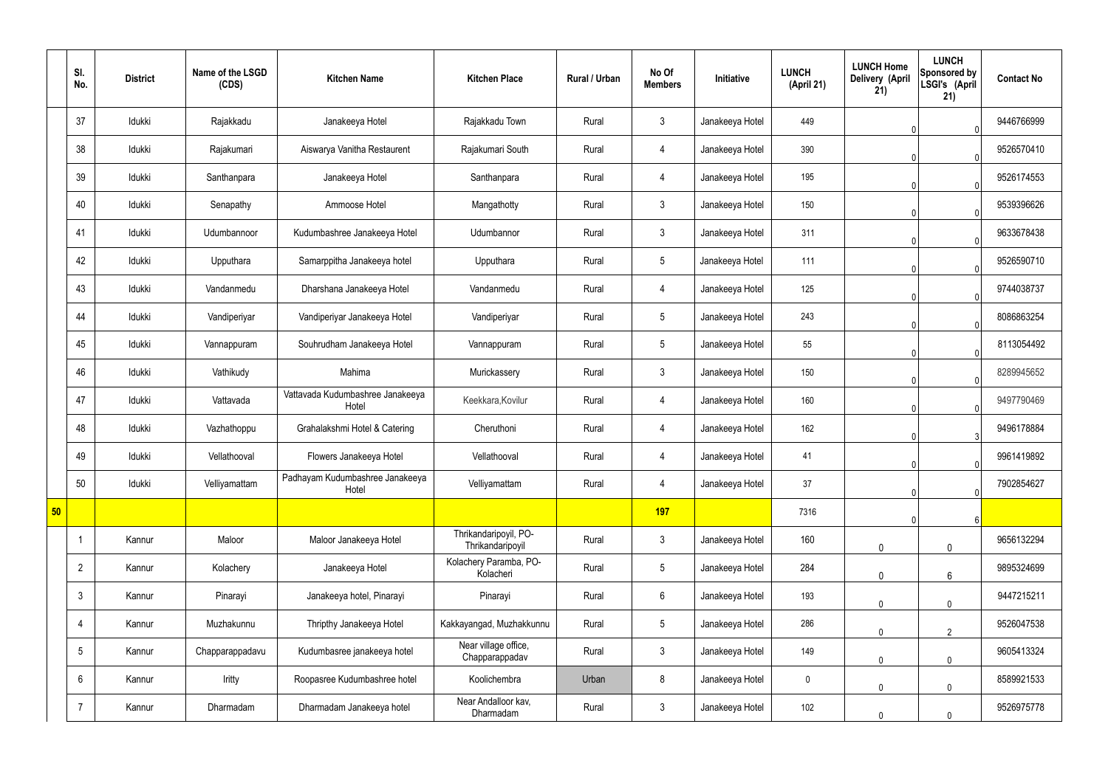|    | SI.<br>No.      | <b>District</b> | Name of the LSGD<br>(CDS) | <b>Kitchen Name</b>                       | <b>Kitchen Place</b>                      | Rural / Urban | No Of<br><b>Members</b> | Initiative      | <b>LUNCH</b><br>(April 21) | <b>LUNCH Home</b><br>Delivery (April<br>21) | <b>LUNCH</b><br>Sponsored by<br>LSGI's (April<br>21) | <b>Contact No</b> |
|----|-----------------|-----------------|---------------------------|-------------------------------------------|-------------------------------------------|---------------|-------------------------|-----------------|----------------------------|---------------------------------------------|------------------------------------------------------|-------------------|
|    | 37              | Idukki          | Rajakkadu                 | Janakeeya Hotel                           | Rajakkadu Town                            | Rural         | $\mathbf{3}$            | Janakeeya Hotel | 449                        |                                             |                                                      | 9446766999        |
|    | 38              | Idukki          | Rajakumari                | Aiswarya Vanitha Restaurent               | Rajakumari South                          | Rural         | 4                       | Janakeeya Hotel | 390                        |                                             | $\Omega$                                             | 9526570410        |
|    | 39              | Idukki          | Santhanpara               | Janakeeya Hotel                           | Santhanpara                               | Rural         | 4                       | Janakeeya Hotel | 195                        |                                             | $\Omega$                                             | 9526174553        |
|    | 40              | Idukki          | Senapathy                 | Ammoose Hotel                             | Mangathotty                               | Rural         | $\mathbf{3}$            | Janakeeya Hotel | 150                        |                                             | $\Omega$                                             | 9539396626        |
|    | 41              | Idukki          | Udumbannoor               | Kudumbashree Janakeeya Hotel              | Udumbannor                                | Rural         | $\mathbf{3}$            | Janakeeya Hotel | 311                        |                                             | $\Omega$                                             | 9633678438        |
|    | 42              | Idukki          | Upputhara                 | Samarppitha Janakeeya hotel               | Upputhara                                 | Rural         | $5\phantom{.0}$         | Janakeeya Hotel | 111                        |                                             | $\Omega$                                             | 9526590710        |
|    | 43              | Idukki          | Vandanmedu                | Dharshana Janakeeya Hotel                 | Vandanmedu                                | Rural         | 4                       | Janakeeya Hotel | 125                        |                                             | $\Omega$                                             | 9744038737        |
|    | 44              | Idukki          | Vandiperiyar              | Vandiperiyar Janakeeya Hotel              | Vandiperiyar                              | Rural         | $5\phantom{.0}$         | Janakeeya Hotel | 243                        |                                             | $\Omega$                                             | 8086863254        |
|    | 45              | Idukki          | Vannappuram               | Souhrudham Janakeeya Hotel                | Vannappuram                               | Rural         | $5\phantom{.0}$         | Janakeeya Hotel | 55                         |                                             | $\Omega$                                             | 8113054492        |
|    | 46              | Idukki          | Vathikudy                 | Mahima                                    | Murickassery                              | Rural         | $\mathbf{3}$            | Janakeeya Hotel | 150                        |                                             | $\Omega$                                             | 8289945652        |
|    | 47              | Idukki          | Vattavada                 | Vattavada Kudumbashree Janakeeya<br>Hotel | Keekkara, Kovilur                         | Rural         | $\overline{4}$          | Janakeeya Hotel | 160                        |                                             | $\Omega$                                             | 9497790469        |
|    | 48              | Idukki          | Vazhathoppu               | Grahalakshmi Hotel & Catering             | Cheruthoni                                | Rural         | 4                       | Janakeeya Hotel | 162                        |                                             |                                                      | 9496178884        |
|    | 49              | Idukki          | Vellathooval              | Flowers Janakeeya Hotel                   | Vellathooval                              | Rural         | $\overline{4}$          | Janakeeya Hotel | 41                         |                                             | 0                                                    | 9961419892        |
|    | 50              | Idukki          | Velliyamattam             | Padhayam Kudumbashree Janakeeya<br>Hotel  | Velliyamattam                             | Rural         | $\overline{4}$          | Janakeeya Hotel | 37                         |                                             | 0                                                    | 7902854627        |
| 50 |                 |                 |                           |                                           |                                           |               | 197                     |                 | 7316                       |                                             | 6                                                    |                   |
|    | $\overline{1}$  | Kannur          | Maloor                    | Maloor Janakeeya Hotel                    | Thrikandaripoyil, PO-<br>Thrikandaripoyil | Rural         | $\mathbf{3}$            | Janakeeya Hotel | 160                        | $\mathbf 0$                                 | $\mathbf 0$                                          | 9656132294        |
|    | $\overline{2}$  | Kannur          | Kolachery                 | Janakeeya Hotel                           | Kolachery Paramba, PO-<br>Kolacheri       | Rural         | $5\overline{)}$         | Janakeeya Hotel | 284                        | $\mathbf 0$                                 | $6\phantom{.}6$                                      | 9895324699        |
|    | $\mathfrak{Z}$  | Kannur          | Pinarayi                  | Janakeeya hotel, Pinarayi                 | Pinarayi                                  | Rural         | $6\phantom{.}6$         | Janakeeya Hotel | 193                        | $\mathbf 0$                                 | $\mathbf 0$                                          | 9447215211        |
|    | $\overline{4}$  | Kannur          | Muzhakunnu                | Thripthy Janakeeya Hotel                  | Kakkayangad, Muzhakkunnu                  | Rural         | $5\phantom{.0}$         | Janakeeya Hotel | 286                        | $\mathbf 0$                                 | $\overline{2}$                                       | 9526047538        |
|    | $5\phantom{.0}$ | Kannur          | Chapparappadavu           | Kudumbasree janakeeya hotel               | Near village office,<br>Chapparappadav    | Rural         | $\mathbf{3}$            | Janakeeya Hotel | 149                        | $\Omega$                                    | $\mathbf 0$                                          | 9605413324        |
|    | 6               | Kannur          | Iritty                    | Roopasree Kudumbashree hotel              | Koolichembra                              | Urban         | 8                       | Janakeeya Hotel | $\boldsymbol{0}$           | 0                                           | $\mathbf 0$                                          | 8589921533        |
|    | $\overline{7}$  | Kannur          | Dharmadam                 | Dharmadam Janakeeya hotel                 | Near Andalloor kav,<br>Dharmadam          | Rural         | $3\phantom{.0}$         | Janakeeya Hotel | 102                        | 0                                           | $\mathbf 0$                                          | 9526975778        |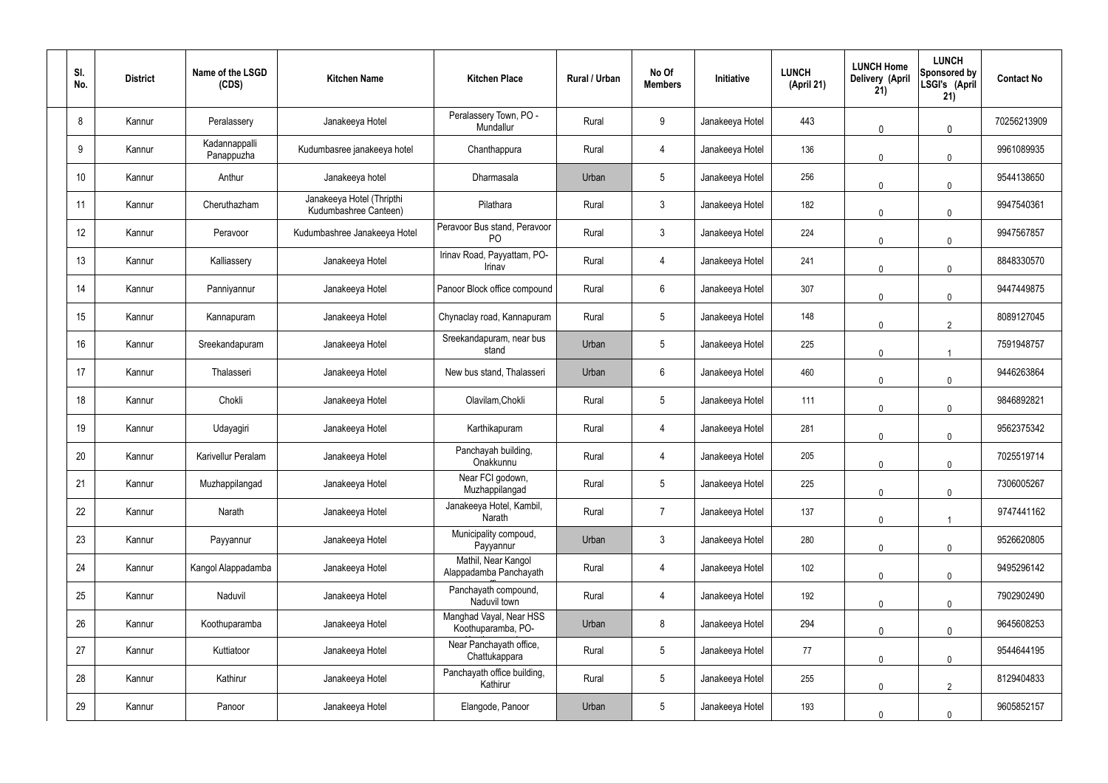| SI.<br>No. | <b>District</b> | Name of the LSGD<br>(CDS)   | <b>Kitchen Name</b>                                | <b>Kitchen Place</b>                           | Rural / Urban | No Of<br><b>Members</b> | Initiative      | <b>LUNCH</b><br>(April 21) | <b>LUNCH Home</b><br>Delivery (April<br>21) | <b>LUNCH</b><br>Sponsored by<br>LSGI's (April<br>21) | <b>Contact No</b> |
|------------|-----------------|-----------------------------|----------------------------------------------------|------------------------------------------------|---------------|-------------------------|-----------------|----------------------------|---------------------------------------------|------------------------------------------------------|-------------------|
| 8          | Kannur          | Peralassery                 | Janakeeya Hotel                                    | Peralassery Town, PO -<br>Mundallur            | Rural         | 9                       | Janakeeya Hotel | 443                        | $\mathbf{0}$                                | $\mathbf 0$                                          | 70256213909       |
| 9          | Kannur          | Kadannappalli<br>Panappuzha | Kudumbasree janakeeya hotel                        | Chanthappura                                   | Rural         | $\overline{4}$          | Janakeeya Hotel | 136                        | $\mathbf 0$                                 | $\mathbf 0$                                          | 9961089935        |
| 10         | Kannur          | Anthur                      | Janakeeya hotel                                    | Dharmasala                                     | Urban         | $5\phantom{.0}$         | Janakeeya Hotel | 256                        | $\mathbf{0}$                                | $\mathbf 0$                                          | 9544138650        |
| 11         | Kannur          | Cheruthazham                | Janakeeya Hotel (Thripthi<br>Kudumbashree Canteen) | Pilathara                                      | Rural         | $\mathbf{3}$            | Janakeeya Hotel | 182                        | $\mathbf 0$                                 | $\mathbf 0$                                          | 9947540361        |
| 12         | Kannur          | Peravoor                    | Kudumbashree Janakeeya Hotel                       | Peravoor Bus stand, Peravoor<br>P <sub>O</sub> | Rural         | $\mathbf{3}$            | Janakeeya Hotel | 224                        | $\Omega$                                    | $\mathbf 0$                                          | 9947567857        |
| 13         | Kannur          | Kalliassery                 | Janakeeya Hotel                                    | Irinav Road, Payyattam, PO-<br>Irinav          | Rural         | 4                       | Janakeeya Hotel | 241                        | $\mathbf 0$                                 | $\mathbf 0$                                          | 8848330570        |
| 14         | Kannur          | Panniyannur                 | Janakeeya Hotel                                    | Panoor Block office compound                   | Rural         | $6\phantom{.}6$         | Janakeeya Hotel | 307                        | $\Omega$                                    | $\mathbf 0$                                          | 9447449875        |
| 15         | Kannur          | Kannapuram                  | Janakeeya Hotel                                    | Chynaclay road, Kannapuram                     | Rural         | $5\phantom{.0}$         | Janakeeya Hotel | 148                        | $\mathbf 0$                                 | $\overline{2}$                                       | 8089127045        |
| 16         | Kannur          | Sreekandapuram              | Janakeeya Hotel                                    | Sreekandapuram, near bus<br>stand              | Urban         | $5\phantom{.0}$         | Janakeeya Hotel | 225                        | $\mathbf 0$                                 | -1                                                   | 7591948757        |
| 17         | Kannur          | Thalasseri                  | Janakeeya Hotel                                    | New bus stand, Thalasseri                      | Urban         | $6\phantom{.}6$         | Janakeeya Hotel | 460                        | $\mathbf 0$                                 | $\mathbf 0$                                          | 9446263864        |
| 18         | Kannur          | Chokli                      | Janakeeya Hotel                                    | Olavilam, Chokli                               | Rural         | $5\,$                   | Janakeeya Hotel | 111                        | $\mathbf 0$                                 | $\mathbf 0$                                          | 9846892821        |
| 19         | Kannur          | Udayagiri                   | Janakeeya Hotel                                    | Karthikapuram                                  | Rural         | 4                       | Janakeeya Hotel | 281                        | $\mathbf 0$                                 | $\mathbf 0$                                          | 9562375342        |
| 20         | Kannur          | Karivellur Peralam          | Janakeeya Hotel                                    | Panchayah building,<br>Onakkunnu               | Rural         | 4                       | Janakeeya Hotel | 205                        | $\mathbf 0$                                 | $\mathbf 0$                                          | 7025519714        |
| 21         | Kannur          | Muzhappilangad              | Janakeeya Hotel                                    | Near FCI godown,<br>Muzhappilangad             | Rural         | $5\phantom{.0}$         | Janakeeya Hotel | 225                        | $\mathbf 0$                                 | $\mathbf 0$                                          | 7306005267        |
| 22         | Kannur          | Narath                      | Janakeeya Hotel                                    | Janakeeya Hotel, Kambil,<br>Narath             | Rural         | $\overline{7}$          | Janakeeya Hotel | 137                        | $\mathbf 0$                                 |                                                      | 9747441162        |
| 23         | Kannur          | Payyannur                   | Janakeeya Hotel                                    | Municipality compoud,<br>Payyannur             | Urban         | $\mathbf{3}$            | Janakeeya Hotel | 280                        | $\mathbf 0$                                 | $\mathbf 0$                                          | 9526620805        |
| 24         | Kannur          | Kangol Alappadamba          | Janakeeya Hotel                                    | Mathil, Near Kangol<br>Alappadamba Panchayath  | Rural         | $\overline{4}$          | Janakeeya Hotel | 102                        | $\mathbf 0$                                 | $\mathbf 0$                                          | 9495296142        |
| 25         | Kannur          | Naduvil                     | Janakeeya Hotel                                    | Panchayath compound,<br>Naduvil town           | Rural         | $\overline{4}$          | Janakeeya Hotel | 192                        | $\mathbf 0$                                 | $\mathbf 0$                                          | 7902902490        |
| 26         | Kannur          | Koothuparamba               | Janakeeya Hotel                                    | Manghad Vayal, Near HSS<br>Koothuparamba, PO-  | Urban         | 8                       | Janakeeya Hotel | 294                        | $\mathbf 0$                                 | $\mathbf 0$                                          | 9645608253        |
| 27         | Kannur          | Kuttiatoor                  | Janakeeya Hotel                                    | Near Panchayath office,<br>Chattukappara       | Rural         | $5\phantom{.0}$         | Janakeeya Hotel | 77                         | $\mathbf 0$                                 | $\mathbf 0$                                          | 9544644195        |
| 28         | Kannur          | Kathirur                    | Janakeeya Hotel                                    | Panchayath office building,<br>Kathirur        | Rural         | $5\phantom{.0}$         | Janakeeya Hotel | 255                        | $\mathbf 0$                                 | $\overline{2}$                                       | 8129404833        |
| 29         | Kannur          | Panoor                      | Janakeeya Hotel                                    | Elangode, Panoor                               | Urban         | $\sqrt{5}$              | Janakeeya Hotel | 193                        | $\mathbf{0}$                                | $\mathbf 0$                                          | 9605852157        |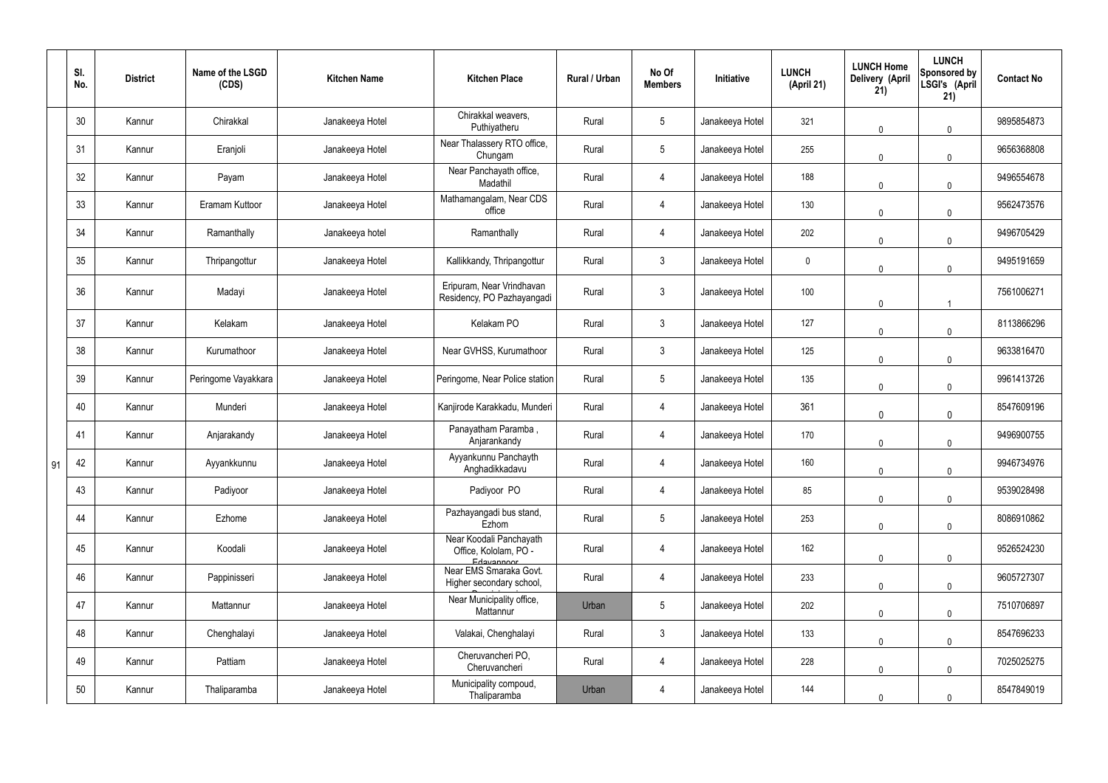|    | SI.<br>No. | <b>District</b> | Name of the LSGD<br>(CDS) | <b>Kitchen Name</b> | <b>Kitchen Place</b>                                           | Rural / Urban | No Of<br><b>Members</b> | Initiative      | <b>LUNCH</b><br>(April 21) | <b>LUNCH Home</b><br>Delivery (April<br>21) | <b>LUNCH</b><br>Sponsored by<br>LSGI's (April<br>21) | <b>Contact No</b> |
|----|------------|-----------------|---------------------------|---------------------|----------------------------------------------------------------|---------------|-------------------------|-----------------|----------------------------|---------------------------------------------|------------------------------------------------------|-------------------|
|    | 30         | Kannur          | Chirakkal                 | Janakeeya Hotel     | Chirakkal weavers,<br>Puthiyatheru                             | Rural         | $5\phantom{.0}$         | Janakeeya Hotel | 321                        | 0                                           | $\mathbf 0$                                          | 9895854873        |
|    | 31         | Kannur          | Eranjoli                  | Janakeeya Hotel     | Near Thalassery RTO office,<br>Chungam                         | Rural         | $5\phantom{.0}$         | Janakeeya Hotel | 255                        | 0                                           | $\mathbf 0$                                          | 9656368808        |
|    | 32         | Kannur          | Payam                     | Janakeeya Hotel     | Near Panchayath office,<br>Madathil                            | Rural         | 4                       | Janakeeya Hotel | 188                        | $\mathbf 0$                                 | $\mathbf 0$                                          | 9496554678        |
|    | 33         | Kannur          | Eramam Kuttoor            | Janakeeya Hotel     | Mathamangalam, Near CDS<br>office                              | Rural         | $\overline{4}$          | Janakeeya Hotel | 130                        | $\mathbf 0$                                 | $\mathbf 0$                                          | 9562473576        |
|    | 34         | Kannur          | Ramanthally               | Janakeeya hotel     | Ramanthally                                                    | Rural         | 4                       | Janakeeya Hotel | 202                        | $\mathbf 0$                                 | $\mathbf 0$                                          | 9496705429        |
|    | 35         | Kannur          | Thripangottur             | Janakeeya Hotel     | Kallikkandy, Thripangottur                                     | Rural         | $\mathbf{3}$            | Janakeeya Hotel | $\boldsymbol{0}$           | $\mathbf 0$                                 | $\mathbf 0$                                          | 9495191659        |
|    | 36         | Kannur          | Madayi                    | Janakeeya Hotel     | Eripuram, Near Vrindhavan<br>Residency, PO Pazhayangadi        | Rural         | $\mathbf{3}$            | Janakeeya Hotel | 100                        | 0                                           |                                                      | 7561006271        |
|    | 37         | Kannur          | Kelakam                   | Janakeeya Hotel     | Kelakam PO                                                     | Rural         | $\mathbf{3}$            | Janakeeya Hotel | 127                        | 0                                           | $\mathbf 0$                                          | 8113866296        |
|    | 38         | Kannur          | Kurumathoor               | Janakeeya Hotel     | Near GVHSS, Kurumathoor                                        | Rural         | $\mathbf{3}$            | Janakeeya Hotel | 125                        | $\mathbf 0$                                 | $\mathbf 0$                                          | 9633816470        |
|    | 39         | Kannur          | Peringome Vayakkara       | Janakeeya Hotel     | Peringome, Near Police station                                 | Rural         | $5\overline{)}$         | Janakeeya Hotel | 135                        | $\mathbf 0$                                 | $\mathbf 0$                                          | 9961413726        |
|    | 40         | Kannur          | Munderi                   | Janakeeya Hotel     | Kanjirode Karakkadu, Munderi                                   | Rural         | 4                       | Janakeeya Hotel | 361                        | $\mathbf 0$                                 | $\mathbf 0$                                          | 8547609196        |
|    | 41         | Kannur          | Anjarakandy               | Janakeeya Hotel     | Panayatham Paramba,<br>Anjarankandy                            | Rural         | $\overline{4}$          | Janakeeya Hotel | 170                        | 0                                           | $\mathbf 0$                                          | 9496900755        |
| 91 | 42         | Kannur          | Ayyankkunnu               | Janakeeya Hotel     | Ayyankunnu Panchayth<br>Anghadikkadavu                         | Rural         | 4                       | Janakeeya Hotel | 160                        | $\mathbf 0$                                 | $\mathbf 0$                                          | 9946734976        |
|    | 43         | Kannur          | Padiyoor                  | Janakeeya Hotel     | Padiyoor PO                                                    | Rural         | 4                       | Janakeeya Hotel | 85                         | $\mathbf 0$                                 | $\mathbf 0$                                          | 9539028498        |
|    | 44         | Kannur          | Ezhome                    | Janakeeya Hotel     | Pazhayangadi bus stand,<br>Ezhom                               | Rural         | $5\phantom{.0}$         | Janakeeya Hotel | 253                        | 0                                           | $\mathbf 0$                                          | 8086910862        |
|    | 45         | Kannur          | Koodali                   | Janakeeya Hotel     | Near Koodali Panchayath<br>Office, Kololam, PO -<br>Edavannoor | Rural         | $\overline{4}$          | Janakeeya Hotel | 162                        | $\mathbf 0$                                 | $\mathbf 0$                                          | 9526524230        |
|    | 46         | Kannur          | Pappinisseri              | Janakeeya Hotel     | Near EMS Smaraka Govt.<br>Higher secondary school,             | Rural         | 4                       | Janakeeya Hotel | 233                        | $\mathbf 0$                                 | $\pmb{0}$                                            | 9605727307        |
|    | 47         | Kannur          | Mattannur                 | Janakeeya Hotel     | Near Municipality office,<br>Mattannur                         | Urban         | $5\phantom{.0}$         | Janakeeya Hotel | 202                        | $\mathbf{0}$                                | $\mathbf 0$                                          | 7510706897        |
|    | 48         | Kannur          | Chenghalayi               | Janakeeya Hotel     | Valakai, Chenghalayi                                           | Rural         | $\mathbf{3}$            | Janakeeya Hotel | 133                        | $\mathbf 0$                                 | $\mathbf 0$                                          | 8547696233        |
|    | 49         | Kannur          | Pattiam                   | Janakeeya Hotel     | Cheruvancheri PO,<br>Cheruvancheri                             | Rural         | $\overline{4}$          | Janakeeya Hotel | 228                        | $\mathbf{0}$                                | $\mathbf 0$                                          | 7025025275        |
|    | 50         | Kannur          | Thaliparamba              | Janakeeya Hotel     | Municipality compoud,<br>Thaliparamba                          | Urban         | 4                       | Janakeeya Hotel | 144                        | 0                                           | $\mathbf 0$                                          | 8547849019        |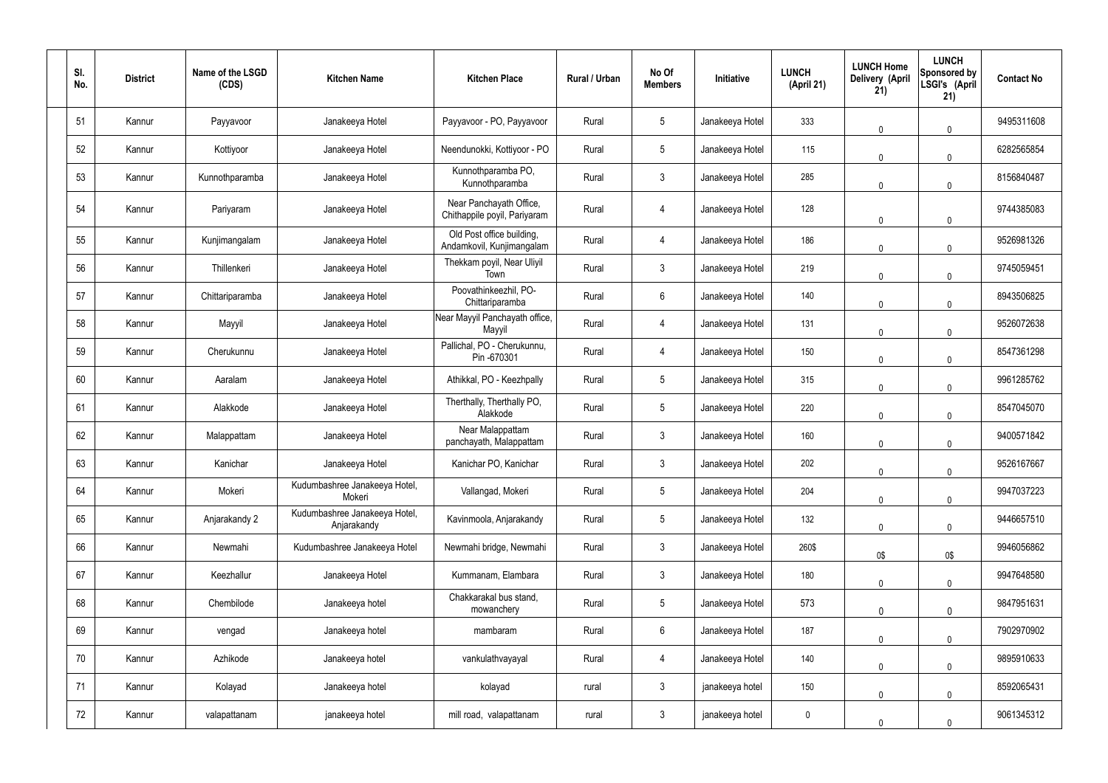| SI.<br>No. | <b>District</b> | Name of the LSGD<br>(CDS) | <b>Kitchen Name</b>                          | <b>Kitchen Place</b>                                    | Rural / Urban | No Of<br><b>Members</b> | Initiative      | <b>LUNCH</b><br>(April 21) | <b>LUNCH Home</b><br><b>Delivery (April</b><br>21) | <b>LUNCH</b><br>Sponsored by<br>LSGI's (April<br>21) | <b>Contact No</b> |
|------------|-----------------|---------------------------|----------------------------------------------|---------------------------------------------------------|---------------|-------------------------|-----------------|----------------------------|----------------------------------------------------|------------------------------------------------------|-------------------|
| 51         | Kannur          | Payyavoor                 | Janakeeya Hotel                              | Payyavoor - PO, Payyavoor                               | Rural         | $5\overline{)}$         | Janakeeya Hotel | 333                        | 0                                                  | $\mathbf 0$                                          | 9495311608        |
| 52         | Kannur          | Kottiyoor                 | Janakeeya Hotel                              | Neendunokki, Kottiyoor - PO                             | Rural         | $5\phantom{.0}$         | Janakeeya Hotel | 115                        | 0                                                  | $\mathbf 0$                                          | 6282565854        |
| 53         | Kannur          | Kunnothparamba            | Janakeeya Hotel                              | Kunnothparamba PO,<br>Kunnothparamba                    | Rural         | $\mathbf{3}$            | Janakeeya Hotel | 285                        | $\Omega$                                           | $\mathbf 0$                                          | 8156840487        |
| 54         | Kannur          | Pariyaram                 | Janakeeya Hotel                              | Near Panchayath Office,<br>Chithappile poyil, Pariyaram | Rural         | 4                       | Janakeeya Hotel | 128                        | 0                                                  | $\mathbf 0$                                          | 9744385083        |
| 55         | Kannur          | Kunjimangalam             | Janakeeya Hotel                              | Old Post office building,<br>Andamkovil, Kunjimangalam  | Rural         | 4                       | Janakeeya Hotel | 186                        | 0                                                  | $\mathbf 0$                                          | 9526981326        |
| 56         | Kannur          | Thillenkeri               | Janakeeya Hotel                              | Thekkam poyil, Near Uliyil<br>Town                      | Rural         | $\mathbf{3}$            | Janakeeya Hotel | 219                        | 0                                                  | $\mathbf 0$                                          | 9745059451        |
| 57         | Kannur          | Chittariparamba           | Janakeeya Hotel                              | Poovathinkeezhil, PO-<br>Chittariparamba                | Rural         | $6\overline{6}$         | Janakeeya Hotel | 140                        | 0                                                  | $\mathbf 0$                                          | 8943506825        |
| 58         | Kannur          | Mayyil                    | Janakeeya Hotel                              | Near Mayyil Panchayath office,<br>Mayyil                | Rural         | $\overline{4}$          | Janakeeya Hotel | 131                        | 0                                                  | $\mathbf 0$                                          | 9526072638        |
| 59         | Kannur          | Cherukunnu                | Janakeeya Hotel                              | Pallichal, PO - Cherukunnu,<br>Pin -670301              | Rural         | 4                       | Janakeeya Hotel | 150                        | $\mathbf 0$                                        | $\overline{0}$                                       | 8547361298        |
| 60         | Kannur          | Aaralam                   | Janakeeya Hotel                              | Athikkal, PO - Keezhpally                               | Rural         | $5\overline{)}$         | Janakeeya Hotel | 315                        | $\mathbf 0$                                        | $\overline{0}$                                       | 9961285762        |
| 61         | Kannur          | Alakkode                  | Janakeeya Hotel                              | Therthally, Therthally PO,<br>Alakkode                  | Rural         | $5\overline{)}$         | Janakeeya Hotel | 220                        | $\mathbf 0$                                        | $\mathbf 0$                                          | 8547045070        |
| 62         | Kannur          | Malappattam               | Janakeeya Hotel                              | Near Malappattam<br>panchayath, Malappattam             | Rural         | $\mathbf{3}$            | Janakeeya Hotel | 160                        | 0                                                  | $\mathbf 0$                                          | 9400571842        |
| 63         | Kannur          | Kanichar                  | Janakeeya Hotel                              | Kanichar PO, Kanichar                                   | Rural         | 3                       | Janakeeya Hotel | 202                        | $\mathbf 0$                                        | $\overline{0}$                                       | 9526167667        |
| 64         | Kannur          | Mokeri                    | Kudumbashree Janakeeya Hotel,<br>Mokeri      | Vallangad, Mokeri                                       | Rural         | $5\phantom{.0}$         | Janakeeya Hotel | 204                        | 0                                                  | $\mathbf 0$                                          | 9947037223        |
| 65         | Kannur          | Anjarakandy 2             | Kudumbashree Janakeeya Hotel,<br>Anjarakandy | Kavinmoola, Anjarakandy                                 | Rural         | 5 <sub>5</sub>          | Janakeeya Hotel | 132                        | 0                                                  | $\mathbf 0$                                          | 9446657510        |
| 66         | Kannur          | Newmahi                   | Kudumbashree Janakeeya Hotel                 | Newmahi bridge, Newmahi                                 | Rural         | $\mathbf{3}$            | Janakeeya Hotel | 260\$                      | 0\$                                                | 0\$                                                  | 9946056862        |
| 67         | Kannur          | Keezhallur                | Janakeeya Hotel                              | Kummanam, Elambara                                      | Rural         | $\mathbf{3}$            | Janakeeya Hotel | 180                        | 0                                                  | $\overline{0}$                                       | 9947648580        |
| 68         | Kannur          | Chembilode                | Janakeeya hotel                              | Chakkarakal bus stand,<br>mowanchery                    | Rural         | $5\phantom{.0}$         | Janakeeya Hotel | 573                        | $\pmb{0}$                                          | $\mathbf 0$                                          | 9847951631        |
| 69         | Kannur          | vengad                    | Janakeeya hotel                              | mambaram                                                | Rural         | $6\phantom{.}6$         | Janakeeya Hotel | 187                        | 0                                                  | $\overline{0}$                                       | 7902970902        |
| 70         | Kannur          | Azhikode                  | Janakeeya hotel                              | vankulathvayayal                                        | Rural         | 4                       | Janakeeya Hotel | 140                        | 0                                                  | $\mathbf 0$                                          | 9895910633        |
| 71         | Kannur          | Kolayad                   | Janakeeya hotel                              | kolayad                                                 | rural         | $\mathbf{3}$            | janakeeya hotel | 150                        | 0                                                  | $\overline{0}$                                       | 8592065431        |
| 72         | Kannur          | valapattanam              | janakeeya hotel                              | mill road, valapattanam                                 | rural         | $\mathbf{3}$            | janakeeya hotel | $\boldsymbol{0}$           | 0                                                  | $\mathbf 0$                                          | 9061345312        |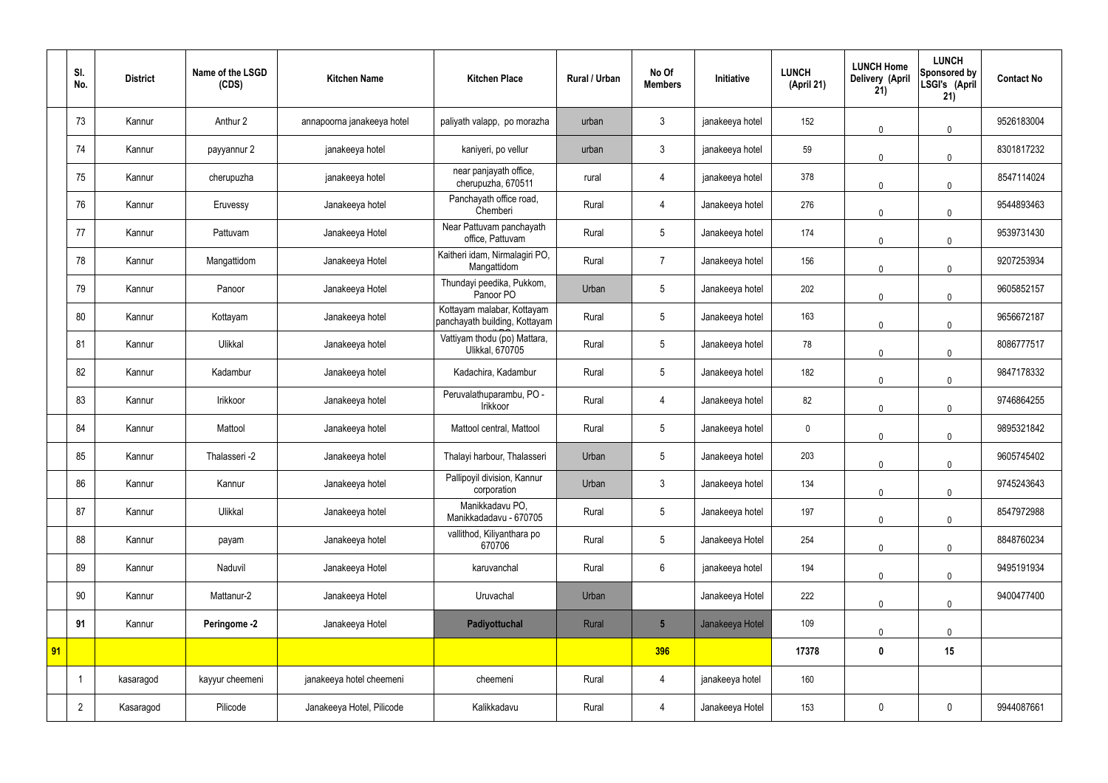|    | SI.<br>No.     | <b>District</b> | Name of the LSGD<br>(CDS) | <b>Kitchen Name</b>        | <b>Kitchen Place</b>                                        | <b>Rural / Urban</b> | No Of<br><b>Members</b> | Initiative      | <b>LUNCH</b><br>(April 21) | <b>LUNCH Home</b><br><b>Delivery (April</b><br>21) | <b>LUNCH</b><br>Sponsored by<br>LSGI's (April<br>21) | <b>Contact No</b> |
|----|----------------|-----------------|---------------------------|----------------------------|-------------------------------------------------------------|----------------------|-------------------------|-----------------|----------------------------|----------------------------------------------------|------------------------------------------------------|-------------------|
|    | 73             | Kannur          | Anthur 2                  | annapoorna janakeeya hotel | paliyath valapp, po morazha                                 | urban                | 3                       | janakeeya hotel | 152                        | $\mathbf 0$                                        | $\overline{0}$                                       | 9526183004        |
|    | 74             | Kannur          | payyannur 2               | janakeeya hotel            | kaniyeri, po vellur                                         | urban                | $\mathbf{3}$            | janakeeya hotel | 59                         | $\mathbf 0$                                        | $\overline{0}$                                       | 8301817232        |
|    | 75             | Kannur          | cherupuzha                | janakeeya hotel            | near panjayath office,<br>cherupuzha, 670511                | rural                | 4                       | janakeeya hotel | 378                        | $\Omega$                                           | $\mathbf 0$                                          | 8547114024        |
|    | 76             | Kannur          | Eruvessy                  | Janakeeya hotel            | Panchayath office road,<br>Chemberi                         | Rural                | 4                       | Janakeeya hotel | 276                        | 0                                                  | $\mathbf 0$                                          | 9544893463        |
|    | 77             | Kannur          | Pattuvam                  | Janakeeya Hotel            | Near Pattuvam panchayath<br>office, Pattuvam                | Rural                | 5                       | Janakeeya hotel | 174                        | $\Omega$                                           | $\mathbf 0$                                          | 9539731430        |
|    | 78             | Kannur          | Mangattidom               | Janakeeya Hotel            | Kaitheri idam, Nirmalagiri PO,<br>Mangattidom               | Rural                | $\overline{7}$          | Janakeeya hotel | 156                        | 0                                                  | $\mathbf 0$                                          | 9207253934        |
|    | 79             | Kannur          | Panoor                    | Janakeeya Hotel            | Thundayi peedika, Pukkom,<br>Panoor PO                      | Urban                | 5                       | Janakeeya hotel | 202                        | $\Omega$                                           | $\mathbf 0$                                          | 9605852157        |
|    | 80             | Kannur          | Kottayam                  | Janakeeya hotel            | Kottayam malabar, Kottayam<br>panchayath building, Kottayam | Rural                | 5                       | Janakeeya hotel | 163                        | 0                                                  | $\mathbf 0$                                          | 9656672187        |
|    | 81             | Kannur          | Ulikkal                   | Janakeeya hotel            | Vattiyam thodu (po) Mattara,<br>Ulikkal, 670705             | Rural                | 5                       | Janakeeya hotel | 78                         | $\Omega$                                           | $\mathbf 0$                                          | 8086777517        |
|    | 82             | Kannur          | Kadambur                  | Janakeeya hotel            | Kadachira, Kadambur                                         | Rural                | 5                       | Janakeeya hotel | 182                        | $\mathbf 0$                                        | $\mathbf 0$                                          | 9847178332        |
|    | 83             | Kannur          | Irikkoor                  | Janakeeya hotel            | Peruvalathuparambu, PO -<br>Irikkoor                        | Rural                | $\overline{4}$          | Janakeeya hotel | 82                         | $\mathbf 0$                                        | $\mathbf 0$                                          | 9746864255        |
|    | 84             | Kannur          | Mattool                   | Janakeeya hotel            | Mattool central, Mattool                                    | Rural                | 5                       | Janakeeya hotel | $\boldsymbol{0}$           | 0                                                  | $\mathbf 0$                                          | 9895321842        |
|    | 85             | Kannur          | Thalasseri -2             | Janakeeya hotel            | Thalayi harbour, Thalasseri                                 | Urban                | 5                       | Janakeeya hotel | 203                        | 0                                                  | $\mathbf 0$                                          | 9605745402        |
|    | 86             | Kannur          | Kannur                    | Janakeeya hotel            | Pallipoyil division, Kannur<br>corporation                  | Urban                | $\mathfrak{Z}$          | Janakeeya hotel | 134                        | $\mathbf 0$                                        | $\overline{0}$                                       | 9745243643        |
|    | 87             | Kannur          | Ulikkal                   | Janakeeya hotel            | Manikkadavu PO,<br>Manikkadadavu - 670705                   | Rural                | 5                       | Janakeeya hotel | 197                        | $\mathbf 0$                                        | $\overline{0}$                                       | 8547972988        |
|    | 88             | Kannur          | payam                     | Janakeeya hotel            | vallithod, Kiliyanthara po<br>670706                        | Rural                | $5\phantom{.0}$         | Janakeeya Hotel | 254                        | $\mathbf 0$                                        | $\overline{0}$                                       | 8848760234        |
|    | 89             | Kannur          | Naduvil                   | Janakeeya Hotel            | karuvanchal                                                 | Rural                | $6\overline{6}$         | janakeeya hotel | 194                        | $\mathbf 0$                                        | $\overline{0}$                                       | 9495191934        |
|    | 90             | Kannur          | Mattanur-2                | Janakeeya Hotel            | Uruvachal                                                   | Urban                |                         | Janakeeya Hotel | 222                        | $\mathbf 0$                                        | $\overline{0}$                                       | 9400477400        |
|    | 91             | Kannur          | Peringome -2              | Janakeeya Hotel            | Padiyottuchal                                               | Rural                | $5\overline{)}$         | Janakeeya Hotel | 109                        | 0                                                  | $\mathbf 0$                                          |                   |
| 91 |                |                 |                           |                            |                                                             |                      | 396                     |                 | 17378                      | $\pmb{0}$                                          | 15                                                   |                   |
|    |                | kasaragod       | kayyur cheemeni           | janakeeya hotel cheemeni   | cheemeni                                                    | Rural                | $\overline{4}$          | janakeeya hotel | 160                        |                                                    |                                                      |                   |
|    | $\overline{2}$ | Kasaragod       | Pilicode                  | Janakeeya Hotel, Pilicode  | Kalikkadavu                                                 | Rural                | 4                       | Janakeeya Hotel | 153                        | $\pmb{0}$                                          | $\mathbf 0$                                          | 9944087661        |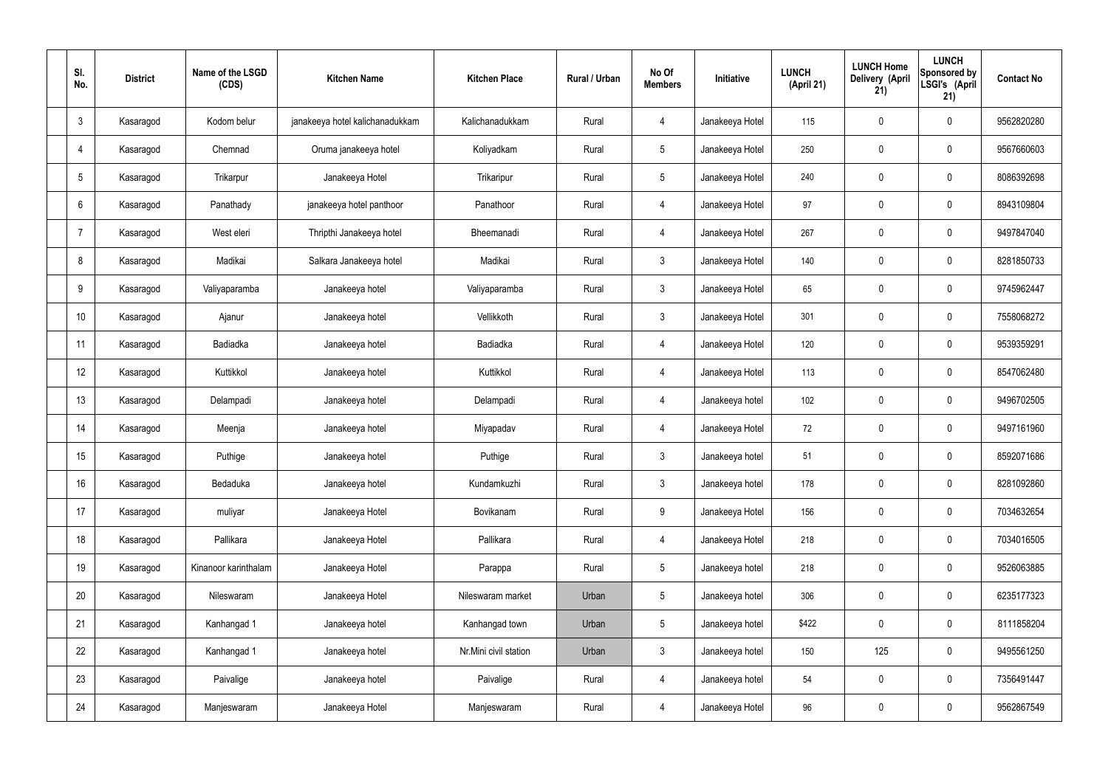| SI.<br>No.      | <b>District</b> | Name of the LSGD<br>(CDS) | <b>Kitchen Name</b>             | <b>Kitchen Place</b>  | <b>Rural / Urban</b> | No Of<br><b>Members</b> | Initiative      | <b>LUNCH</b><br>(April 21) | <b>LUNCH Home</b><br>Delivery (April<br>21) | <b>LUNCH</b><br>Sponsored by<br>LSGI's (April<br>21) | <b>Contact No</b> |
|-----------------|-----------------|---------------------------|---------------------------------|-----------------------|----------------------|-------------------------|-----------------|----------------------------|---------------------------------------------|------------------------------------------------------|-------------------|
| $\mathbf{3}$    | Kasaragod       | Kodom belur               | janakeeya hotel kalichanadukkam | Kalichanadukkam       | Rural                | $\overline{4}$          | Janakeeya Hotel | 115                        | $\mathbf 0$                                 | $\mathbf 0$                                          | 9562820280        |
| $\overline{4}$  | Kasaragod       | Chemnad                   | Oruma janakeeya hotel           | Koliyadkam            | Rural                | $5\phantom{.0}$         | Janakeeya Hotel | 250                        | $\mathbf 0$                                 | $\mathbf 0$                                          | 9567660603        |
| $5\phantom{.0}$ | Kasaragod       | Trikarpur                 | Janakeeya Hotel                 | Trikaripur            | Rural                | $5\phantom{.0}$         | Janakeeya Hotel | 240                        | $\mathbf 0$                                 | $\mathbf 0$                                          | 8086392698        |
| 6               | Kasaragod       | Panathady                 | janakeeya hotel panthoor        | Panathoor             | Rural                | $\overline{4}$          | Janakeeya Hotel | 97                         | $\mathbf 0$                                 | $\mathbf 0$                                          | 8943109804        |
| 7               | Kasaragod       | West eleri                | Thripthi Janakeeya hotel        | Bheemanadi            | Rural                | $\overline{4}$          | Janakeeya Hotel | 267                        | $\mathbf 0$                                 | $\mathbf 0$                                          | 9497847040        |
| 8               | Kasaragod       | Madikai                   | Salkara Janakeeya hotel         | Madikai               | Rural                | $\mathbf{3}$            | Janakeeya Hotel | 140                        | $\pmb{0}$                                   | $\mathbf 0$                                          | 8281850733        |
| 9               | Kasaragod       | Valiyaparamba             | Janakeeya hotel                 | Valiyaparamba         | Rural                | $\mathbf{3}$            | Janakeeya Hotel | 65                         | $\mathbf 0$                                 | $\mathbf 0$                                          | 9745962447        |
| 10              | Kasaragod       | Ajanur                    | Janakeeya hotel                 | Vellikkoth            | Rural                | $\mathbf{3}$            | Janakeeya Hotel | 301                        | $\pmb{0}$                                   | $\mathbf 0$                                          | 7558068272        |
| 11              | Kasaragod       | Badiadka                  | Janakeeya hotel                 | Badiadka              | Rural                | $\overline{4}$          | Janakeeya Hotel | 120                        | $\pmb{0}$                                   | $\mathbf 0$                                          | 9539359291        |
| 12              | Kasaragod       | Kuttikkol                 | Janakeeya hotel                 | Kuttikkol             | Rural                | $\overline{4}$          | Janakeeya Hotel | 113                        | $\mathbf 0$                                 | $\mathbf 0$                                          | 8547062480        |
| 13              | Kasaragod       | Delampadi                 | Janakeeya hotel                 | Delampadi             | Rural                | $\overline{4}$          | Janakeeya hotel | 102                        | $\pmb{0}$                                   | $\mathbf 0$                                          | 9496702505        |
| 14              | Kasaragod       | Meenja                    | Janakeeya hotel                 | Miyapadav             | Rural                | 4                       | Janakeeya Hotel | 72                         | $\mathbf 0$                                 | $\mathbf 0$                                          | 9497161960        |
| 15              | Kasaragod       | Puthige                   | Janakeeya hotel                 | Puthige               | Rural                | 3 <sup>1</sup>          | Janakeeya hotel | 51                         | $\mathbf 0$                                 | $\mathbf 0$                                          | 8592071686        |
| 16              | Kasaragod       | Bedaduka                  | Janakeeya hotel                 | Kundamkuzhi           | Rural                | $\mathbf{3}$            | Janakeeya hotel | 178                        | $\pmb{0}$                                   | $\mathbf 0$                                          | 8281092860        |
| 17              | Kasaragod       | muliyar                   | Janakeeya Hotel                 | Bovikanam             | Rural                | 9                       | Janakeeya Hotel | 156                        | $\pmb{0}$                                   | $\mathbf 0$                                          | 7034632654        |
| 18              | Kasaragod       | Pallikara                 | Janakeeya Hotel                 | Pallikara             | Rural                | $\overline{4}$          | Janakeeya Hotel | 218                        | $\pmb{0}$                                   | $\mathbf 0$                                          | 7034016505        |
| 19              | Kasaragod       | Kinanoor karinthalam      | Janakeeya Hotel                 | Parappa               | Rural                | $5\phantom{.0}$         | Janakeeya hotel | 218                        | $\pmb{0}$                                   | $\mathbf 0$                                          | 9526063885        |
| 20              | Kasaragod       | Nileswaram                | Janakeeya Hotel                 | Nileswaram market     | Urban                | 5                       | Janakeeya hotel | 306                        | $\pmb{0}$                                   | $\mathbf 0$                                          | 6235177323        |
| 21              | Kasaragod       | Kanhangad 1               | Janakeeya hotel                 | Kanhangad town        | Urban                | 5                       | Janakeeya hotel | \$422                      | $\pmb{0}$                                   | $\mathbf 0$                                          | 8111858204        |
| 22              | Kasaragod       | Kanhangad 1               | Janakeeya hotel                 | Nr.Mini civil station | Urban                | $\mathbf{3}$            | Janakeeya hotel | 150                        | 125                                         | $\mathbf 0$                                          | 9495561250        |
| 23              | Kasaragod       | Paivalige                 | Janakeeya hotel                 | Paivalige             | Rural                | $\overline{4}$          | Janakeeya hotel | 54                         | $\pmb{0}$                                   | $\mathbf 0$                                          | 7356491447        |
| 24              | Kasaragod       | Manjeswaram               | Janakeeya Hotel                 | Manjeswaram           | Rural                | 4                       | Janakeeya Hotel | 96                         | $\pmb{0}$                                   | $\mathbf 0$                                          | 9562867549        |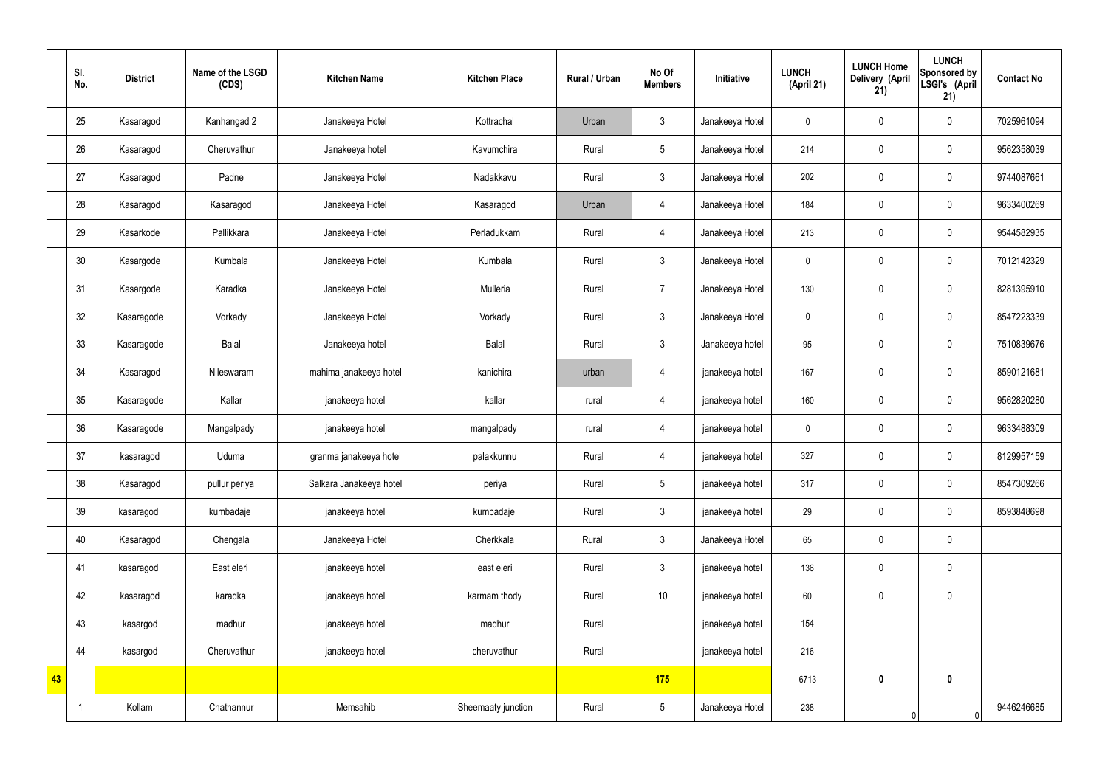|    | SI.<br>No. | <b>District</b> | Name of the LSGD<br>(CDS) | <b>Kitchen Name</b>     | <b>Kitchen Place</b> | <b>Rural / Urban</b> | No Of<br><b>Members</b> | Initiative      | <b>LUNCH</b><br>(April 21) | <b>LUNCH Home</b><br><b>Delivery (April</b><br>21) | <b>LUNCH</b><br>Sponsored by<br>LSGI's (April<br>21) | <b>Contact No</b> |
|----|------------|-----------------|---------------------------|-------------------------|----------------------|----------------------|-------------------------|-----------------|----------------------------|----------------------------------------------------|------------------------------------------------------|-------------------|
|    | 25         | Kasaragod       | Kanhangad 2               | Janakeeya Hotel         | Kottrachal           | Urban                | $\mathbf{3}$            | Janakeeya Hotel | $\boldsymbol{0}$           | $\mathbf 0$                                        | $\mathbf 0$                                          | 7025961094        |
|    | 26         | Kasaragod       | Cheruvathur               | Janakeeya hotel         | Kavumchira           | Rural                | 5                       | Janakeeya Hotel | 214                        | $\mathbf 0$                                        | $\mathbf 0$                                          | 9562358039        |
|    | 27         | Kasaragod       | Padne                     | Janakeeya Hotel         | Nadakkavu            | Rural                | $\mathfrak{Z}$          | Janakeeya Hotel | 202                        | $\pmb{0}$                                          | $\mathbf 0$                                          | 9744087661        |
|    | 28         | Kasaragod       | Kasaragod                 | Janakeeya Hotel         | Kasaragod            | Urban                | $\overline{4}$          | Janakeeya Hotel | 184                        | $\pmb{0}$                                          | $\boldsymbol{0}$                                     | 9633400269        |
|    | 29         | Kasarkode       | Pallikkara                | Janakeeya Hotel         | Perladukkam          | Rural                | $\overline{4}$          | Janakeeya Hotel | 213                        | $\pmb{0}$                                          | $\mathbf 0$                                          | 9544582935        |
|    | 30         | Kasargode       | Kumbala                   | Janakeeya Hotel         | Kumbala              | Rural                | $\mathfrak{Z}$          | Janakeeya Hotel | $\mathbf 0$                | $\pmb{0}$                                          | $\pmb{0}$                                            | 7012142329        |
|    | 31         | Kasargode       | Karadka                   | Janakeeya Hotel         | Mulleria             | Rural                | $\overline{7}$          | Janakeeya Hotel | 130                        | $\pmb{0}$                                          | $\mathbf 0$                                          | 8281395910        |
|    | 32         | Kasaragode      | Vorkady                   | Janakeeya Hotel         | Vorkady              | Rural                | $\mathbf{3}$            | Janakeeya Hotel | $\mathbf 0$                | $\mathbf 0$                                        | $\mathbf 0$                                          | 8547223339        |
|    | 33         | Kasaragode      | Balal                     | Janakeeya hotel         | Balal                | Rural                | $\mathbf{3}$            | Janakeeya hotel | 95                         | $\pmb{0}$                                          | $\mathbf 0$                                          | 7510839676        |
|    | 34         | Kasaragod       | Nileswaram                | mahima janakeeya hotel  | kanichira            | urban                | $\overline{4}$          | janakeeya hotel | 167                        | $\pmb{0}$                                          | $\mathbf 0$                                          | 8590121681        |
|    | 35         | Kasaragode      | Kallar                    | janakeeya hotel         | kallar               | rural                | 4                       | janakeeya hotel | 160                        | $\pmb{0}$                                          | $\pmb{0}$                                            | 9562820280        |
|    | 36         | Kasaragode      | Mangalpady                | janakeeya hotel         | mangalpady           | rural                | 4                       | janakeeya hotel | $\mathbf 0$                | $\pmb{0}$                                          | $\mathbf 0$                                          | 9633488309        |
|    | 37         | kasaragod       | Uduma                     | granma janakeeya hotel  | palakkunnu           | Rural                | $\overline{4}$          | janakeeya hotel | 327                        | $\mathbf 0$                                        | $\mathbf 0$                                          | 8129957159        |
|    | 38         | Kasaragod       | pullur periya             | Salkara Janakeeya hotel | periya               | Rural                | $5\phantom{.0}$         | janakeeya hotel | 317                        | $\pmb{0}$                                          | $\mathbf 0$                                          | 8547309266        |
|    | 39         | kasaragod       | kumbadaje                 | janakeeya hotel         | kumbadaje            | Rural                | $\mathfrak{Z}$          | janakeeya hotel | 29                         | $\overline{0}$                                     | $\pmb{0}$                                            | 8593848698        |
|    | 40         | Kasaragod       | Chengala                  | Janakeeya Hotel         | Cherkkala            | Rural                | $\mathbf{3}$            | Janakeeya Hotel | 65                         | $\mathbf 0$                                        | $\pmb{0}$                                            |                   |
|    | 41         | kasaragod       | East eleri                | janakeeya hotel         | east eleri           | Rural                | $\mathfrak{Z}$          | janakeeya hotel | 136                        | $\mathbf 0$                                        | $\pmb{0}$                                            |                   |
|    | 42         | kasaragod       | karadka                   | janakeeya hotel         | karmam thody         | Rural                | 10                      | janakeeya hotel | 60                         | $\boldsymbol{0}$                                   | $\pmb{0}$                                            |                   |
|    | 43         | kasargod        | madhur                    | janakeeya hotel         | madhur               | Rural                |                         | janakeeya hotel | 154                        |                                                    |                                                      |                   |
|    | 44         | kasargod        | Cheruvathur               | janakeeya hotel         | cheruvathur          | Rural                |                         | janakeeya hotel | 216                        |                                                    |                                                      |                   |
| 43 |            |                 |                           |                         |                      |                      | 175                     |                 | 6713                       | $\pmb{0}$                                          | $\mathbf 0$                                          |                   |
|    |            | Kollam          | Chathannur                | Memsahib                | Sheemaaty junction   | Rural                | $5\phantom{.0}$         | Janakeeya Hotel | 238                        |                                                    |                                                      | 9446246685        |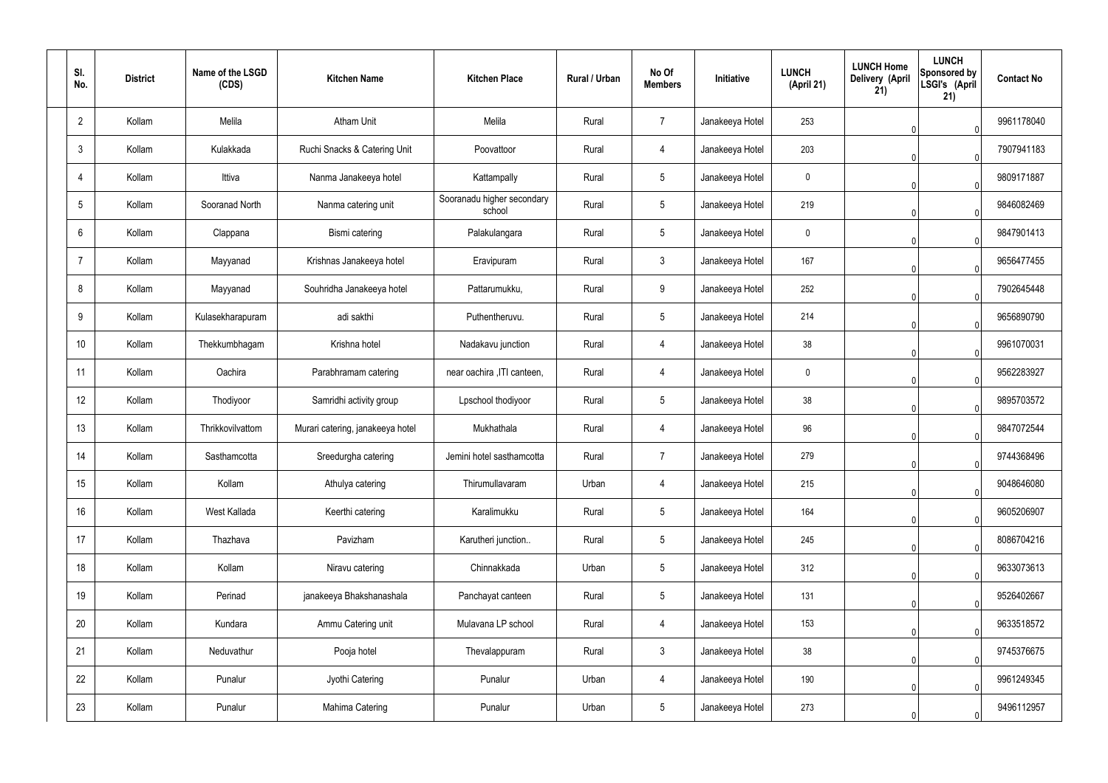| SI.<br>No.     | <b>District</b> | Name of the LSGD<br>(CDS) | <b>Kitchen Name</b>              | <b>Kitchen Place</b>                 | Rural / Urban | No Of<br><b>Members</b> | Initiative      | <b>LUNCH</b><br>(April 21) | <b>LUNCH Home</b><br>Delivery (April<br>21) | <b>LUNCH</b><br>Sponsored by<br>LSGI's (April<br>21) | <b>Contact No</b> |
|----------------|-----------------|---------------------------|----------------------------------|--------------------------------------|---------------|-------------------------|-----------------|----------------------------|---------------------------------------------|------------------------------------------------------|-------------------|
| $2^{\circ}$    | Kollam          | Melila                    | <b>Atham Unit</b>                | Melila                               | Rural         | $\overline{7}$          | Janakeeya Hotel | 253                        |                                             |                                                      | 9961178040        |
| 3              | Kollam          | Kulakkada                 | Ruchi Snacks & Catering Unit     | Poovattoor                           | Rural         | 4                       | Janakeeya Hotel | 203                        |                                             |                                                      | 7907941183        |
| $\overline{4}$ | Kollam          | Ittiva                    | Nanma Janakeeya hotel            | Kattampally                          | Rural         | $5\phantom{.0}$         | Janakeeya Hotel | $\mathbf 0$                |                                             | $\Omega$                                             | 9809171887        |
| 5              | Kollam          | Sooranad North            | Nanma catering unit              | Sooranadu higher secondary<br>school | Rural         | $5\phantom{.0}$         | Janakeeya Hotel | 219                        |                                             | $\Omega$                                             | 9846082469        |
| 6              | Kollam          | Clappana                  | Bismi catering                   | Palakulangara                        | Rural         | $5\overline{)}$         | Janakeeya Hotel | $\mathbf 0$                |                                             | $\Omega$                                             | 9847901413        |
| $\overline{7}$ | Kollam          | Mayyanad                  | Krishnas Janakeeya hotel         | Eravipuram                           | Rural         | $\mathbf{3}$            | Janakeeya Hotel | 167                        |                                             | $\Omega$                                             | 9656477455        |
| 8              | Kollam          | Mayyanad                  | Souhridha Janakeeya hotel        | Pattarumukku,                        | Rural         | 9                       | Janakeeya Hotel | 252                        |                                             | $\mathsf{O}$                                         | 7902645448        |
| 9              | Kollam          | Kulasekharapuram          | adi sakthi                       | Puthentheruvu.                       | Rural         | $5\overline{)}$         | Janakeeya Hotel | 214                        |                                             |                                                      | 9656890790        |
| 10             | Kollam          | Thekkumbhagam             | Krishna hotel                    | Nadakavu junction                    | Rural         | 4                       | Janakeeya Hotel | 38                         |                                             |                                                      | 9961070031        |
| 11             | Kollam          | Oachira                   | Parabhramam catering             | near oachira , ITI canteen,          | Rural         | 4                       | Janakeeya Hotel | $\mathbf 0$                |                                             |                                                      | 9562283927        |
| 12             | Kollam          | Thodiyoor                 | Samridhi activity group          | Lpschool thodiyoor                   | Rural         | $5\phantom{.0}$         | Janakeeya Hotel | 38                         |                                             |                                                      | 9895703572        |
| 13             | Kollam          | Thrikkovilvattom          | Murari catering, janakeeya hotel | Mukhathala                           | Rural         | 4                       | Janakeeya Hotel | 96                         |                                             |                                                      | 9847072544        |
| 14             | Kollam          | Sasthamcotta              | Sreedurgha catering              | Jemini hotel sasthamcotta            | Rural         | $\overline{7}$          | Janakeeya Hotel | 279                        |                                             | 0                                                    | 9744368496        |
| 15             | Kollam          | Kollam                    | Athulya catering                 | Thirumullavaram                      | Urban         | $\overline{4}$          | Janakeeya Hotel | 215                        |                                             | $\Omega$                                             | 9048646080        |
| 16             | Kollam          | West Kallada              | Keerthi catering                 | Karalimukku                          | Rural         | $5\phantom{.0}$         | Janakeeya Hotel | 164                        |                                             | $\Omega$                                             | 9605206907        |
| 17             | Kollam          | Thazhava                  | Pavizham                         | Karutheri junction                   | Rural         | $5\overline{)}$         | Janakeeya Hotel | 245                        |                                             | $\Omega$                                             | 8086704216        |
| 18             | Kollam          | Kollam                    | Niravu catering                  | Chinnakkada                          | Urban         | $5\phantom{.0}$         | Janakeeya Hotel | 312                        |                                             | $\Omega$                                             | 9633073613        |
| 19             | Kollam          | Perinad                   | janakeeya Bhakshanashala         | Panchayat canteen                    | Rural         | $5\overline{)}$         | Janakeeya Hotel | 131                        |                                             | $\Omega$                                             | 9526402667        |
| 20             | Kollam          | Kundara                   | Ammu Catering unit               | Mulavana LP school                   | Rural         | $\overline{4}$          | Janakeeya Hotel | 153                        |                                             | $\Omega$                                             | 9633518572        |
| 21             | Kollam          | Neduvathur                | Pooja hotel                      | Thevalappuram                        | Rural         | $\mathbf{3}$            | Janakeeya Hotel | 38                         |                                             | $\Omega$                                             | 9745376675        |
| 22             | Kollam          | Punalur                   | Jyothi Catering                  | Punalur                              | Urban         | 4                       | Janakeeya Hotel | 190                        |                                             |                                                      | 9961249345        |
| 23             | Kollam          | Punalur                   | Mahima Catering                  | Punalur                              | Urban         | $5\phantom{.0}$         | Janakeeya Hotel | 273                        |                                             | $\Omega$                                             | 9496112957        |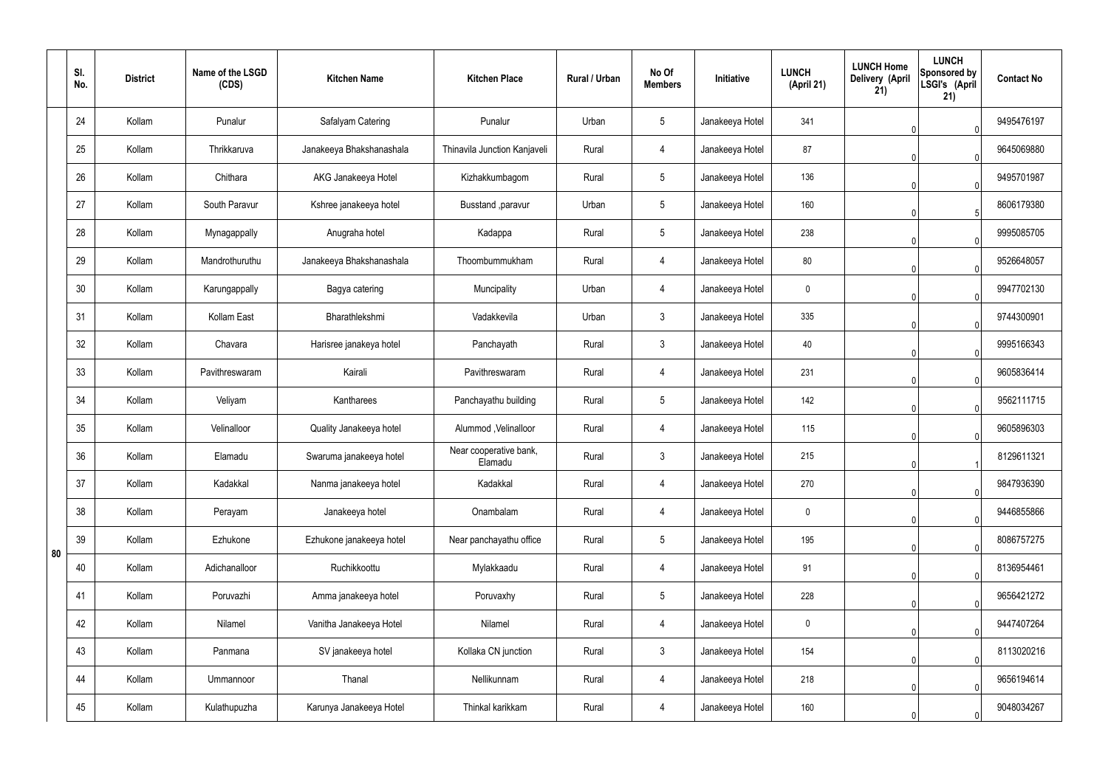|    | SI.<br>No. | <b>District</b> | Name of the LSGD<br>(CDS) | <b>Kitchen Name</b>      | <b>Kitchen Place</b>              | Rural / Urban | No Of<br><b>Members</b> | Initiative      | <b>LUNCH</b><br>(April 21) | <b>LUNCH Home</b><br>Delivery (April<br>21) | <b>LUNCH</b><br>Sponsored by<br>LSGI's (April<br>21) | <b>Contact No</b> |
|----|------------|-----------------|---------------------------|--------------------------|-----------------------------------|---------------|-------------------------|-----------------|----------------------------|---------------------------------------------|------------------------------------------------------|-------------------|
|    | 24         | Kollam          | Punalur                   | Safalyam Catering        | Punalur                           | Urban         | $5\phantom{.0}$         | Janakeeya Hotel | 341                        |                                             |                                                      | 9495476197        |
|    | 25         | Kollam          | Thrikkaruva               | Janakeeya Bhakshanashala | Thinavila Junction Kanjaveli      | Rural         | 4                       | Janakeeya Hotel | 87                         |                                             | $\Omega$                                             | 9645069880        |
|    | 26         | Kollam          | Chithara                  | AKG Janakeeya Hotel      | Kizhakkumbagom                    | Rural         | $5\phantom{.0}$         | Janakeeya Hotel | 136                        |                                             | $\Omega$                                             | 9495701987        |
|    | 27         | Kollam          | South Paravur             | Kshree janakeeya hotel   | Busstand , paravur                | Urban         | $5\overline{)}$         | Janakeeya Hotel | 160                        |                                             | -5                                                   | 8606179380        |
|    | 28         | Kollam          | Mynagappally              | Anugraha hotel           | Kadappa                           | Rural         | $5\overline{)}$         | Janakeeya Hotel | 238                        |                                             |                                                      | 9995085705        |
|    | 29         | Kollam          | Mandrothuruthu            | Janakeeya Bhakshanashala | Thoombummukham                    | Rural         | 4                       | Janakeeya Hotel | 80                         |                                             |                                                      | 9526648057        |
|    | 30         | Kollam          | Karungappally             | Bagya catering           | Muncipality                       | Urban         | 4                       | Janakeeya Hotel | $\mathbf 0$                |                                             |                                                      | 9947702130        |
|    | 31         | Kollam          | Kollam East               | Bharathlekshmi           | Vadakkevila                       | Urban         | $\mathbf{3}$            | Janakeeya Hotel | 335                        |                                             |                                                      | 9744300901        |
|    | 32         | Kollam          | Chavara                   | Harisree janakeya hotel  | Panchayath                        | Rural         | $\mathbf{3}$            | Janakeeya Hotel | 40                         |                                             |                                                      | 9995166343        |
|    | 33         | Kollam          | Pavithreswaram            | Kairali                  | Pavithreswaram                    | Rural         | 4                       | Janakeeya Hotel | 231                        |                                             |                                                      | 9605836414        |
|    | 34         | Kollam          | Veliyam                   | Kantharees               | Panchayathu building              | Rural         | $5\overline{)}$         | Janakeeya Hotel | 142                        |                                             |                                                      | 9562111715        |
|    | 35         | Kollam          | Velinalloor               | Quality Janakeeya hotel  | Alummod, Velinalloor              | Rural         | 4                       | Janakeeya Hotel | 115                        |                                             |                                                      | 9605896303        |
|    | 36         | Kollam          | Elamadu                   | Swaruma janakeeya hotel  | Near cooperative bank,<br>Elamadu | Rural         | $\mathbf{3}$            | Janakeeya Hotel | 215                        | ◡                                           | $\blacktriangleleft$                                 | 8129611321        |
|    | 37         | Kollam          | Kadakkal                  | Nanma janakeeya hotel    | Kadakkal                          | Rural         | 4                       | Janakeeya Hotel | 270                        |                                             | $\Omega$                                             | 9847936390        |
|    | 38         | Kollam          | Perayam                   | Janakeeya hotel          | Onambalam                         | Rural         | $\overline{4}$          | Janakeeya Hotel | $\mathbf 0$                |                                             | $\Omega$                                             | 9446855866        |
| 80 | 39         | Kollam          | Ezhukone                  | Ezhukone janakeeya hotel | Near panchayathu office           | Rural         | $5\phantom{.0}$         | Janakeeya Hotel | 195                        |                                             | $\mathbf 0$                                          | 8086757275        |
|    | 40         | Kollam          | Adichanalloor             | Ruchikkoottu             | Mylakkaadu                        | Rural         | $\overline{4}$          | Janakeeya Hotel | 91                         |                                             | $\Omega$                                             | 8136954461        |
|    | 41         | Kollam          | Poruvazhi                 | Amma janakeeya hotel     | Poruvaxhy                         | Rural         | $5\phantom{.0}$         | Janakeeya Hotel | 228                        |                                             | $\mathbf 0$                                          | 9656421272        |
|    | 42         | Kollam          | Nilamel                   | Vanitha Janakeeya Hotel  | Nilamel                           | Rural         | $\overline{4}$          | Janakeeya Hotel | $\mathbf 0$                |                                             | $\Omega$                                             | 9447407264        |
|    | 43         | Kollam          | Panmana                   | SV janakeeya hotel       | Kollaka CN junction               | Rural         | $\mathbf{3}$            | Janakeeya Hotel | 154                        |                                             | $\mathbf{0}$                                         | 8113020216        |
|    | 44         | Kollam          | Ummannoor                 | Thanal                   | Nellikunnam                       | Rural         | $\overline{4}$          | Janakeeya Hotel | 218                        |                                             | $\Omega$                                             | 9656194614        |
|    | 45         | Kollam          | Kulathupuzha              | Karunya Janakeeya Hotel  | Thinkal karikkam                  | Rural         | 4                       | Janakeeya Hotel | 160                        |                                             | $\Omega$                                             | 9048034267        |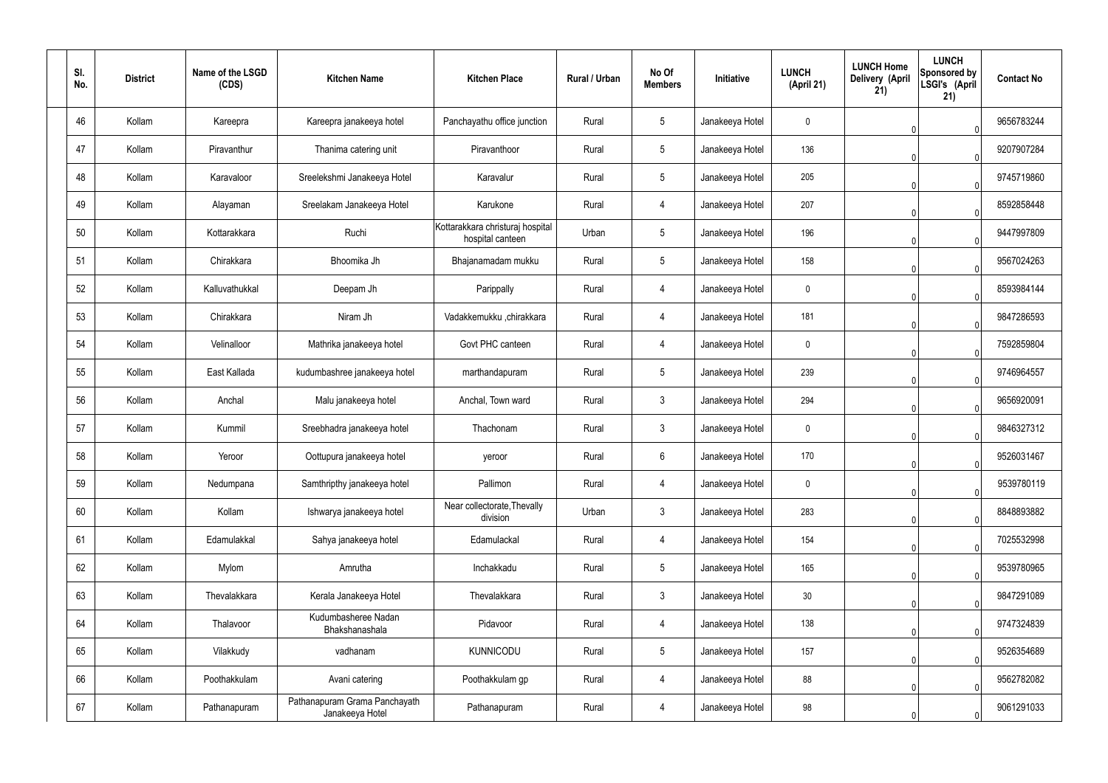| SI.<br>No. | <b>District</b> | Name of the LSGD<br>(CDS) | <b>Kitchen Name</b>                              | <b>Kitchen Place</b>                                 | Rural / Urban | No Of<br><b>Members</b> | Initiative      | <b>LUNCH</b><br>(April 21) | <b>LUNCH Home</b><br>Delivery (April<br>21) | <b>LUNCH</b><br>Sponsored by<br>LSGI's (April<br>21) | <b>Contact No</b> |
|------------|-----------------|---------------------------|--------------------------------------------------|------------------------------------------------------|---------------|-------------------------|-----------------|----------------------------|---------------------------------------------|------------------------------------------------------|-------------------|
| 46         | Kollam          | Kareepra                  | Kareepra janakeeya hotel                         | Panchayathu office junction                          | Rural         | $5\phantom{.0}$         | Janakeeya Hotel | $\mathbf 0$                |                                             |                                                      | 9656783244        |
| 47         | Kollam          | Piravanthur               | Thanima catering unit                            | Piravanthoor                                         | Rural         | $5\phantom{.0}$         | Janakeeya Hotel | 136                        |                                             |                                                      | 9207907284        |
| 48         | Kollam          | Karavaloor                | Sreelekshmi Janakeeya Hotel                      | Karavalur                                            | Rural         | $5\phantom{.0}$         | Janakeeya Hotel | 205                        |                                             | $\Omega$                                             | 9745719860        |
| 49         | Kollam          | Alayaman                  | Sreelakam Janakeeya Hotel                        | Karukone                                             | Rural         | $\overline{4}$          | Janakeeya Hotel | 207                        |                                             | $\Omega$                                             | 8592858448        |
| 50         | Kollam          | Kottarakkara              | Ruchi                                            | Kottarakkara christuraj hospital<br>hospital canteen | Urban         | $5\phantom{.0}$         | Janakeeya Hotel | 196                        |                                             | $\Omega$                                             | 9447997809        |
| 51         | Kollam          | Chirakkara                | Bhoomika Jh                                      | Bhajanamadam mukku                                   | Rural         | $5\phantom{.0}$         | Janakeeya Hotel | 158                        |                                             |                                                      | 9567024263        |
| 52         | Kollam          | Kalluvathukkal            | Deepam Jh                                        | Parippally                                           | Rural         | $\overline{4}$          | Janakeeya Hotel | $\mathbf 0$                |                                             |                                                      | 8593984144        |
| 53         | Kollam          | Chirakkara                | Niram Jh                                         | Vadakkemukku ,chirakkara                             | Rural         | $\overline{4}$          | Janakeeya Hotel | 181                        |                                             |                                                      | 9847286593        |
| 54         | Kollam          | Velinalloor               | Mathrika janakeeya hotel                         | Govt PHC canteen                                     | Rural         | $\overline{4}$          | Janakeeya Hotel | $\mathbf 0$                |                                             |                                                      | 7592859804        |
| 55         | Kollam          | East Kallada              | kudumbashree janakeeya hotel                     | marthandapuram                                       | Rural         | $5\phantom{.0}$         | Janakeeya Hotel | 239                        |                                             |                                                      | 9746964557        |
| 56         | Kollam          | Anchal                    | Malu janakeeya hotel                             | Anchal, Town ward                                    | Rural         | $\mathbf{3}$            | Janakeeya Hotel | 294                        |                                             |                                                      | 9656920091        |
| 57         | Kollam          | Kummil                    | Sreebhadra janakeeya hotel                       | Thachonam                                            | Rural         | $\mathfrak{Z}$          | Janakeeya Hotel | $\mathbf 0$                |                                             |                                                      | 9846327312        |
| 58         | Kollam          | Yeroor                    | Oottupura janakeeya hotel                        | yeroor                                               | Rural         | $6\phantom{.}$          | Janakeeya Hotel | 170                        |                                             | $\overline{0}$                                       | 9526031467        |
| 59         | Kollam          | Nedumpana                 | Samthripthy janakeeya hotel                      | Pallimon                                             | Rural         | $\overline{4}$          | Janakeeya Hotel | $\mathbf 0$                |                                             | $\Omega$                                             | 9539780119        |
| 60         | Kollam          | Kollam                    | Ishwarya janakeeya hotel                         | Near collectorate, Thevally<br>division              | Urban         | $\mathbf{3}$            | Janakeeya Hotel | 283                        |                                             | $\Omega$                                             | 8848893882        |
| 61         | Kollam          | Edamulakkal               | Sahya janakeeya hotel                            | Edamulackal                                          | Rural         | 4                       | Janakeeya Hotel | 154                        |                                             | $\Omega$                                             | 7025532998        |
| 62         | Kollam          | Mylom                     | Amrutha                                          | Inchakkadu                                           | Rural         | $5\phantom{.0}$         | Janakeeya Hotel | 165                        |                                             | $\cup$                                               | 9539780965        |
| 63         | Kollam          | Thevalakkara              | Kerala Janakeeya Hotel                           | Thevalakkara                                         | Rural         | $\mathbf{3}$            | Janakeeya Hotel | 30 <sub>2</sub>            |                                             | $\Omega$                                             | 9847291089        |
| 64         | Kollam          | Thalavoor                 | Kudumbasheree Nadan<br>Bhakshanashala            | Pidavoor                                             | Rural         | $\overline{4}$          | Janakeeya Hotel | 138                        |                                             | $\Omega$                                             | 9747324839        |
| 65         | Kollam          | Vilakkudy                 | vadhanam                                         | <b>KUNNICODU</b>                                     | Rural         | $5\phantom{.0}$         | Janakeeya Hotel | 157                        |                                             | $\Omega$                                             | 9526354689        |
| 66         | Kollam          | Poothakkulam              | Avani catering                                   | Poothakkulam gp                                      | Rural         | $\overline{4}$          | Janakeeya Hotel | 88                         |                                             | <sup>n</sup>                                         | 9562782082        |
| 67         | Kollam          | Pathanapuram              | Pathanapuram Grama Panchayath<br>Janakeeya Hotel | Pathanapuram                                         | Rural         | 4                       | Janakeeya Hotel | 98                         |                                             | $\Omega$                                             | 9061291033        |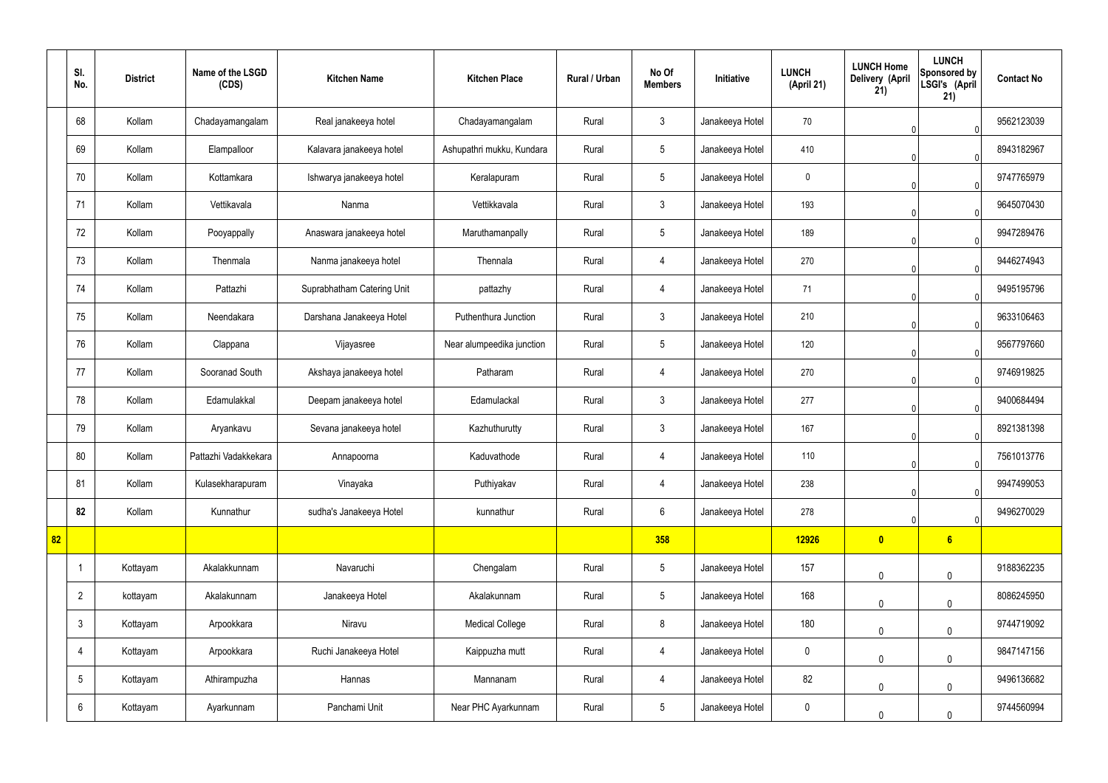|    | SI.<br>No.      | <b>District</b> | Name of the LSGD<br>(CDS) | <b>Kitchen Name</b>        | <b>Kitchen Place</b>      | <b>Rural / Urban</b> | No Of<br><b>Members</b> | Initiative      | <b>LUNCH</b><br>(April 21) | <b>LUNCH Home</b><br>Delivery (April<br>21) | <b>LUNCH</b><br>Sponsored by<br>LSGI's (April<br>21) | <b>Contact No</b> |
|----|-----------------|-----------------|---------------------------|----------------------------|---------------------------|----------------------|-------------------------|-----------------|----------------------------|---------------------------------------------|------------------------------------------------------|-------------------|
|    | 68              | Kollam          | Chadayamangalam           | Real janakeeya hotel       | Chadayamangalam           | Rural                | $\mathbf{3}$            | Janakeeya Hotel | 70                         |                                             | $\Omega$                                             | 9562123039        |
|    | 69              | Kollam          | Elampalloor               | Kalavara janakeeya hotel   | Ashupathri mukku, Kundara | Rural                | $5\phantom{.0}$         | Janakeeya Hotel | 410                        |                                             | $\Omega$                                             | 8943182967        |
|    | 70              | Kollam          | Kottamkara                | Ishwarya janakeeya hotel   | Keralapuram               | Rural                | $5\phantom{.0}$         | Janakeeya Hotel | $\mathbf 0$                |                                             | $\Omega$                                             | 9747765979        |
|    | 71              | Kollam          | Vettikavala               | Nanma                      | Vettikkavala              | Rural                | $\mathbf{3}$            | Janakeeya Hotel | 193                        |                                             | $\Omega$                                             | 9645070430        |
|    | 72              | Kollam          | Pooyappally               | Anaswara janakeeya hotel   | Maruthamanpally           | Rural                | $5\phantom{.0}$         | Janakeeya Hotel | 189                        |                                             |                                                      | 9947289476        |
|    | 73              | Kollam          | Thenmala                  | Nanma janakeeya hotel      | Thennala                  | Rural                | 4                       | Janakeeya Hotel | 270                        |                                             |                                                      | 9446274943        |
|    | 74              | Kollam          | Pattazhi                  | Suprabhatham Catering Unit | pattazhy                  | Rural                | $\overline{4}$          | Janakeeya Hotel | 71                         |                                             |                                                      | 9495195796        |
|    | 75              | Kollam          | Neendakara                | Darshana Janakeeya Hotel   | Puthenthura Junction      | Rural                | $\mathbf{3}$            | Janakeeya Hotel | 210                        |                                             |                                                      | 9633106463        |
|    | 76              | Kollam          | Clappana                  | Vijayasree                 | Near alumpeedika junction | Rural                | $5\phantom{.0}$         | Janakeeya Hotel | 120                        |                                             |                                                      | 9567797660        |
|    | 77              | Kollam          | Sooranad South            | Akshaya janakeeya hotel    | Patharam                  | Rural                | 4                       | Janakeeya Hotel | 270                        |                                             |                                                      | 9746919825        |
|    | 78              | Kollam          | Edamulakkal               | Deepam janakeeya hotel     | Edamulackal               | Rural                | $\mathbf{3}$            | Janakeeya Hotel | 277                        |                                             | $\Omega$                                             | 9400684494        |
|    | 79              | Kollam          | Aryankavu                 | Sevana janakeeya hotel     | Kazhuthurutty             | Rural                | $\mathbf{3}$            | Janakeeya Hotel | 167                        |                                             | $\Omega$                                             | 8921381398        |
|    | 80              | Kollam          | Pattazhi Vadakkekara      | Annapoorna                 | Kaduvathode               | Rural                | 4                       | Janakeeya Hotel | 110                        | v.                                          | 0                                                    | 7561013776        |
|    | 81              | Kollam          | Kulasekharapuram          | Vinayaka                   | Puthiyakav                | Rural                | $\overline{4}$          | Janakeeya Hotel | 238                        |                                             | $\mathbf 0$                                          | 9947499053        |
|    | 82              | Kollam          | Kunnathur                 | sudha's Janakeeya Hotel    | kunnathur                 | Rural                | $6\overline{6}$         | Janakeeya Hotel | 278                        |                                             | $\overline{0}$                                       | 9496270029        |
| 82 |                 |                 |                           |                            |                           |                      | 358                     |                 | 12926                      | $\bullet$                                   | 6                                                    |                   |
|    |                 | Kottayam        | Akalakkunnam              | Navaruchi                  | Chengalam                 | Rural                | $5\phantom{.0}$         | Janakeeya Hotel | 157                        | $\mathbf 0$                                 | $\mathbf 0$                                          | 9188362235        |
|    | $\overline{2}$  | kottayam        | Akalakunnam               | Janakeeya Hotel            | Akalakunnam               | Rural                | $5\phantom{.0}$         | Janakeeya Hotel | 168                        | $\mathbf 0$                                 | $\mathbf 0$                                          | 8086245950        |
|    | $\mathfrak{Z}$  | Kottayam        | Arpookkara                | Niravu                     | <b>Medical College</b>    | Rural                | 8                       | Janakeeya Hotel | 180                        | $\mathbf 0$                                 | $\mathbf 0$                                          | 9744719092        |
|    | 4               | Kottayam        | Arpookkara                | Ruchi Janakeeya Hotel      | Kaippuzha mutt            | Rural                | $\overline{4}$          | Janakeeya Hotel | $\pmb{0}$                  | $\mathbf 0$                                 | $\mathbf 0$                                          | 9847147156        |
|    | $5\phantom{.0}$ | Kottayam        | Athirampuzha              | Hannas                     | Mannanam                  | Rural                | $\overline{4}$          | Janakeeya Hotel | 82                         | $\mathbf 0$                                 | $\mathbf 0$                                          | 9496136682        |
|    | $6\phantom{.}$  | Kottayam        | Ayarkunnam                | Panchami Unit              | Near PHC Ayarkunnam       | Rural                | $5\overline{)}$         | Janakeeya Hotel | $\boldsymbol{0}$           | $\mathbf 0$                                 | $\mathbf 0$                                          | 9744560994        |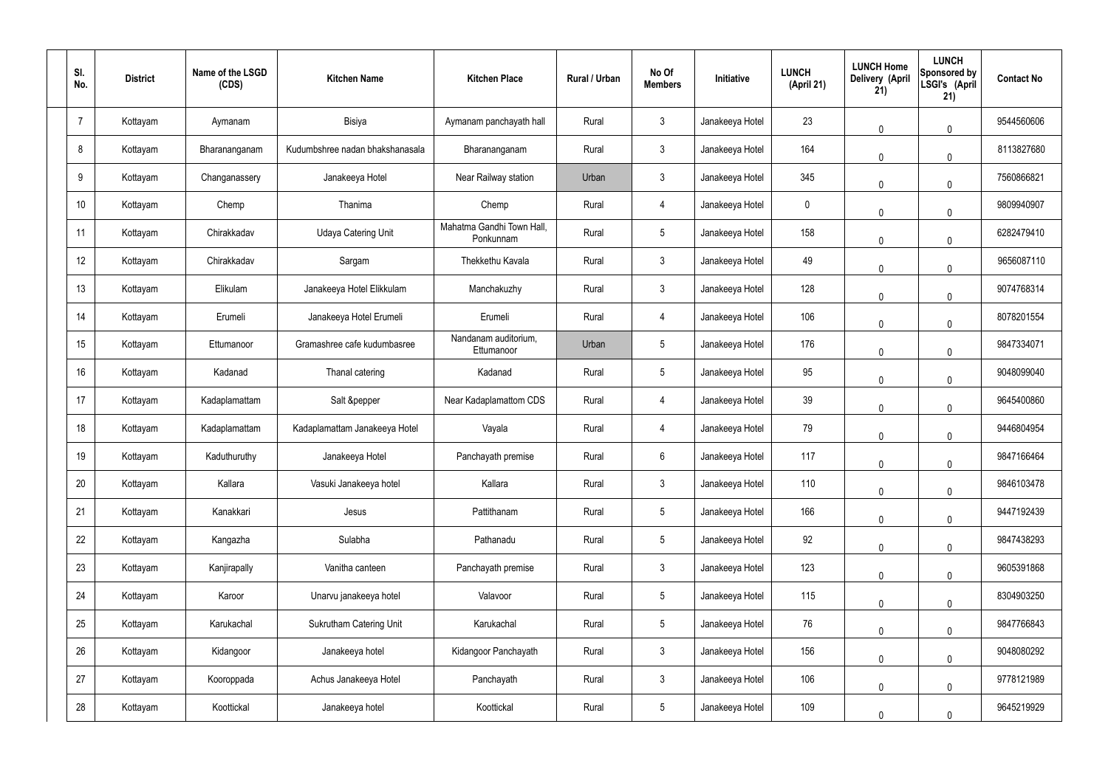| SI.<br>No. | <b>District</b> | Name of the LSGD<br>(CDS) | <b>Kitchen Name</b>             | <b>Kitchen Place</b>                   | Rural / Urban | No Of<br><b>Members</b> | Initiative      | <b>LUNCH</b><br>(April 21) | <b>LUNCH Home</b><br>Delivery (April<br>21) | <b>LUNCH</b><br>Sponsored by<br>LSGI's (April<br>21) | <b>Contact No</b> |
|------------|-----------------|---------------------------|---------------------------------|----------------------------------------|---------------|-------------------------|-----------------|----------------------------|---------------------------------------------|------------------------------------------------------|-------------------|
| 7          | Kottayam        | Aymanam                   | Bisiya                          | Aymanam panchayath hall                | Rural         | $\mathbf{3}$            | Janakeeya Hotel | 23                         | 0                                           | $\mathbf 0$                                          | 9544560606        |
| 8          | Kottayam        | Bharananganam             | Kudumbshree nadan bhakshanasala | Bharananganam                          | Rural         | $\mathbf{3}$            | Janakeeya Hotel | 164                        | 0                                           | $\mathbf 0$                                          | 8113827680        |
| 9          | Kottayam        | Changanassery             | Janakeeya Hotel                 | Near Railway station                   | Urban         | $\mathbf{3}$            | Janakeeya Hotel | 345                        | $\mathbf{0}$                                | $\mathbf 0$                                          | 7560866821        |
| 10         | Kottayam        | Chemp                     | Thanima                         | Chemp                                  | Rural         | $\overline{4}$          | Janakeeya Hotel | 0                          | 0                                           | $\mathbf 0$                                          | 9809940907        |
| 11         | Kottayam        | Chirakkadav               | <b>Udaya Catering Unit</b>      | Mahatma Gandhi Town Hall,<br>Ponkunnam | Rural         | $5\overline{)}$         | Janakeeya Hotel | 158                        | $\mathbf{0}$                                | $\mathbf 0$                                          | 6282479410        |
| 12         | Kottayam        | Chirakkadav               | Sargam                          | Thekkethu Kavala                       | Rural         | $\mathbf{3}$            | Janakeeya Hotel | 49                         | 0                                           | $\pmb{0}$                                            | 9656087110        |
| 13         | Kottayam        | Elikulam                  | Janakeeya Hotel Elikkulam       | Manchakuzhy                            | Rural         | $\mathbf{3}$            | Janakeeya Hotel | 128                        | $\mathbf{0}$                                | $\mathbf 0$                                          | 9074768314        |
| 14         | Kottayam        | Erumeli                   | Janakeeya Hotel Erumeli         | Erumeli                                | Rural         | $\overline{4}$          | Janakeeya Hotel | 106                        | 0                                           | $\mathbf 0$                                          | 8078201554        |
| 15         | Kottayam        | Ettumanoor                | Gramashree cafe kudumbasree     | Nandanam auditorium,<br>Ettumanoor     | Urban         | $5\overline{)}$         | Janakeeya Hotel | 176                        | $\mathbf 0$                                 | $\mathbf 0$                                          | 9847334071        |
| 16         | Kottayam        | Kadanad                   | Thanal catering                 | Kadanad                                | Rural         | $5\phantom{.0}$         | Janakeeya Hotel | 95                         | 0                                           | $\mathbf 0$                                          | 9048099040        |
| 17         | Kottayam        | Kadaplamattam             | Salt &pepper                    | Near Kadaplamattom CDS                 | Rural         | 4                       | Janakeeya Hotel | 39                         | 0                                           | $\mathbf 0$                                          | 9645400860        |
| 18         | Kottayam        | Kadaplamattam             | Kadaplamattam Janakeeya Hotel   | Vayala                                 | Rural         | 4                       | Janakeeya Hotel | 79                         | 0                                           | $\mathbf 0$                                          | 9446804954        |
| 19         | Kottayam        | Kaduthuruthy              | Janakeeya Hotel                 | Panchayath premise                     | Rural         | $6\phantom{.}6$         | Janakeeya Hotel | 117                        | $\mathbf 0$                                 | $\overline{0}$                                       | 9847166464        |
| 20         | Kottayam        | Kallara                   | Vasuki Janakeeya hotel          | Kallara                                | Rural         | $\mathbf{3}$            | Janakeeya Hotel | 110                        | 0                                           | $\mathbf 0$                                          | 9846103478        |
| 21         | Kottayam        | Kanakkari                 | Jesus                           | Pattithanam                            | Rural         | $5\phantom{.0}$         | Janakeeya Hotel | 166                        | 0                                           | $\mathbf 0$                                          | 9447192439        |
| 22         | Kottayam        | Kangazha                  | Sulabha                         | Pathanadu                              | Rural         | $5\phantom{.0}$         | Janakeeya Hotel | 92                         | 0                                           | $\mathbf 0$                                          | 9847438293        |
| 23         | Kottayam        | Kanjirapally              | Vanitha canteen                 | Panchayath premise                     | Rural         | $\mathbf{3}$            | Janakeeya Hotel | 123                        | $\mathsf{0}$                                | $\mathbf 0$                                          | 9605391868        |
| 24         | Kottayam        | Karoor                    | Unarvu janakeeya hotel          | Valavoor                               | Rural         | $5\overline{)}$         | Janakeeya Hotel | 115                        | $\mathsf{0}$                                | $\mathbf 0$                                          | 8304903250        |
| 25         | Kottayam        | Karukachal                | <b>Sukrutham Catering Unit</b>  | Karukachal                             | Rural         | $5\phantom{.0}$         | Janakeeya Hotel | 76                         | $\mathsf{0}$                                | $\mathbf 0$                                          | 9847766843        |
| 26         | Kottayam        | Kidangoor                 | Janakeeya hotel                 | Kidangoor Panchayath                   | Rural         | $\mathbf{3}$            | Janakeeya Hotel | 156                        | 0                                           | $\mathbf 0$                                          | 9048080292        |
| 27         | Kottayam        | Kooroppada                | Achus Janakeeya Hotel           | Panchayath                             | Rural         | $\mathfrak{Z}$          | Janakeeya Hotel | 106                        | $\mathbf 0$                                 | $\mathbf 0$                                          | 9778121989        |
| 28         | Kottayam        | Koottickal                | Janakeeya hotel                 | Koottickal                             | Rural         | $5\phantom{.0}$         | Janakeeya Hotel | 109                        | 0                                           | $\mathbf 0$                                          | 9645219929        |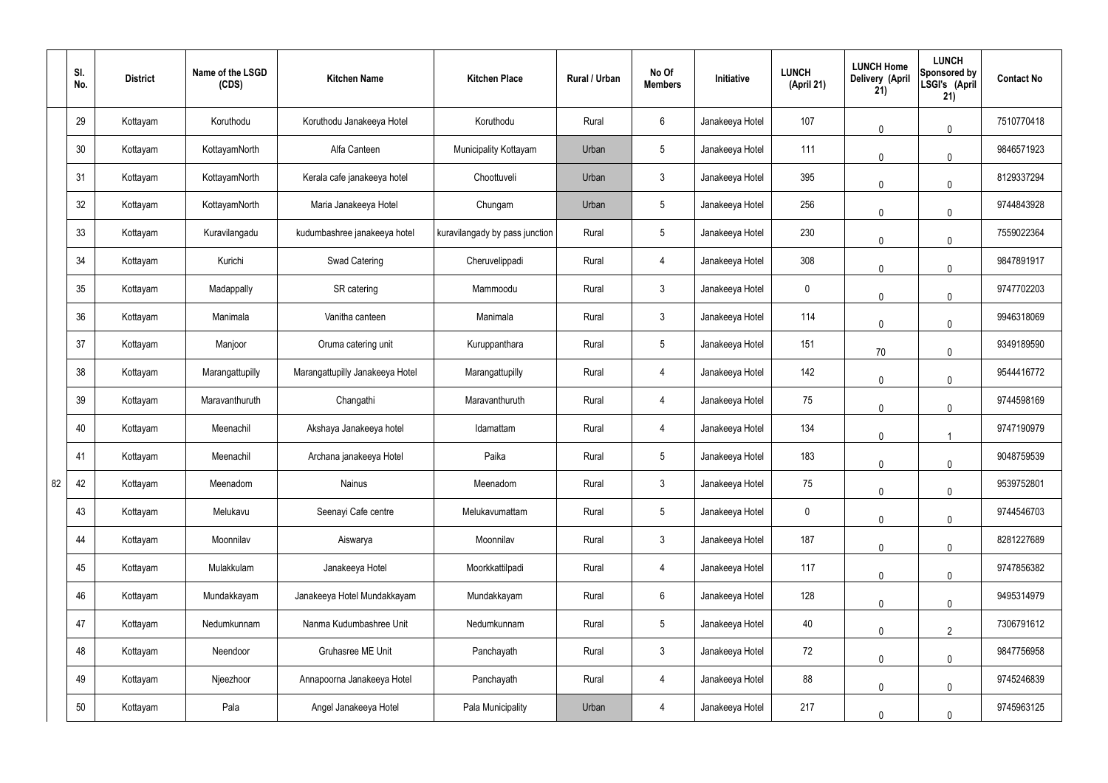|    | SI.<br>No. | <b>District</b> | Name of the LSGD<br>(CDS) | <b>Kitchen Name</b>             | <b>Kitchen Place</b>           | Rural / Urban | No Of<br><b>Members</b> | Initiative      | <b>LUNCH</b><br>(April 21) | <b>LUNCH Home</b><br>Delivery (April<br>21) | <b>LUNCH</b><br>Sponsored by<br>LSGI's (April<br>21) | <b>Contact No</b> |
|----|------------|-----------------|---------------------------|---------------------------------|--------------------------------|---------------|-------------------------|-----------------|----------------------------|---------------------------------------------|------------------------------------------------------|-------------------|
|    | 29         | Kottayam        | Koruthodu                 | Koruthodu Janakeeya Hotel       | Koruthodu                      | Rural         | $6\overline{6}$         | Janakeeya Hotel | 107                        | $\mathbf 0$                                 | $\mathbf 0$                                          | 7510770418        |
|    | 30         | Kottayam        | KottayamNorth             | Alfa Canteen                    | Municipality Kottayam          | Urban         | $5\phantom{.0}$         | Janakeeya Hotel | 111                        | $\mathbf 0$                                 | $\mathbf 0$                                          | 9846571923        |
|    | 31         | Kottayam        | KottayamNorth             | Kerala cafe janakeeya hotel     | Choottuveli                    | Urban         | $\mathbf{3}$            | Janakeeya Hotel | 395                        | $\mathbf 0$                                 | $\mathbf 0$                                          | 8129337294        |
|    | 32         | Kottayam        | KottayamNorth             | Maria Janakeeya Hotel           | Chungam                        | Urban         | $5\phantom{.0}$         | Janakeeya Hotel | 256                        | $\mathbf 0$                                 | $\mathbf 0$                                          | 9744843928        |
|    | 33         | Kottayam        | Kuravilangadu             | kudumbashree janakeeya hotel    | kuravilangady by pass junction | Rural         | $5\phantom{.0}$         | Janakeeya Hotel | 230                        | $\mathbf 0$                                 | $\mathbf 0$                                          | 7559022364        |
|    | 34         | Kottayam        | Kurichi                   | <b>Swad Catering</b>            | Cheruvelippadi                 | Rural         | 4                       | Janakeeya Hotel | 308                        | $\mathbf 0$                                 | $\mathbf 0$                                          | 9847891917        |
|    | 35         | Kottayam        | Madappally                | SR catering                     | Mammoodu                       | Rural         | $\mathbf{3}$            | Janakeeya Hotel | $\mathbf 0$                | $\mathbf 0$                                 | $\mathbf 0$                                          | 9747702203        |
|    | 36         | Kottayam        | Manimala                  | Vanitha canteen                 | Manimala                       | Rural         | $\mathbf{3}$            | Janakeeya Hotel | 114                        | $\mathbf 0$                                 | $\mathbf 0$                                          | 9946318069        |
|    | 37         | Kottayam        | Manjoor                   | Oruma catering unit             | Kuruppanthara                  | Rural         | $5\phantom{.0}$         | Janakeeya Hotel | 151                        | 70                                          | $\mathbf 0$                                          | 9349189590        |
|    | 38         | Kottayam        | Marangattupilly           | Marangattupilly Janakeeya Hotel | Marangattupilly                | Rural         | 4                       | Janakeeya Hotel | 142                        | $\mathbf 0$                                 | $\pmb{0}$                                            | 9544416772        |
|    | 39         | Kottayam        | Maravanthuruth            | Changathi                       | Maravanthuruth                 | Rural         | 4                       | Janakeeya Hotel | 75                         | $\mathbf 0$                                 | $\mathbf 0$                                          | 9744598169        |
|    | 40         | Kottayam        | Meenachil                 | Akshaya Janakeeya hotel         | Idamattam                      | Rural         | 4                       | Janakeeya Hotel | 134                        | $\pmb{0}$                                   |                                                      | 9747190979        |
|    | 41         | Kottayam        | Meenachil                 | Archana janakeeya Hotel         | Paika                          | Rural         | $5\overline{)}$         | Janakeeya Hotel | 183                        | $\mathbf 0$                                 | 0                                                    | 9048759539        |
| 82 | 42         | Kottayam        | Meenadom                  | Nainus                          | Meenadom                       | Rural         | $\mathbf{3}$            | Janakeeya Hotel | 75                         | $\mathbf 0$                                 | $\mathbf 0$                                          | 9539752801        |
|    | 43         | Kottayam        | Melukavu                  | Seenayi Cafe centre             | Melukavumattam                 | Rural         | $5\phantom{.0}$         | Janakeeya Hotel | $\mathbf 0$                | $\mathbf 0$                                 | $\mathbf 0$                                          | 9744546703        |
|    | 44         | Kottayam        | Moonnilav                 | Aiswarya                        | Moonnilav                      | Rural         | $\mathbf{3}$            | Janakeeya Hotel | 187                        | $\mathbf 0$                                 | $\mathbf 0$                                          | 8281227689        |
|    | 45         | Kottayam        | Mulakkulam                | Janakeeya Hotel                 | Moorkkattilpadi                | Rural         | $\overline{4}$          | Janakeeya Hotel | 117                        | $\mathbf 0$                                 | $\mathbf 0$                                          | 9747856382        |
|    | 46         | Kottayam        | Mundakkayam               | Janakeeya Hotel Mundakkayam     | Mundakkayam                    | Rural         | $6\overline{6}$         | Janakeeya Hotel | 128                        | $\mathbf 0$                                 | $\mathbf 0$                                          | 9495314979        |
|    | 47         | Kottayam        | Nedumkunnam               | Nanma Kudumbashree Unit         | Nedumkunnam                    | Rural         | $5\phantom{.0}$         | Janakeeya Hotel | 40                         | $\mathbf 0$                                 | $\overline{2}$                                       | 7306791612        |
|    | 48         | Kottayam        | Neendoor                  | Gruhasree ME Unit               | Panchayath                     | Rural         | $\mathbf{3}$            | Janakeeya Hotel | 72                         | $\mathbf 0$                                 | $\mathbf 0$                                          | 9847756958        |
|    | 49         | Kottayam        | Njeezhoor                 | Annapoorna Janakeeya Hotel      | Panchayath                     | Rural         | $\overline{4}$          | Janakeeya Hotel | 88                         | $\mathbf 0$                                 | $\mathbf 0$                                          | 9745246839        |
|    | 50         | Kottayam        | Pala                      | Angel Janakeeya Hotel           | Pala Municipality              | Urban         | 4                       | Janakeeya Hotel | 217                        | 0                                           | $\mathbf 0$                                          | 9745963125        |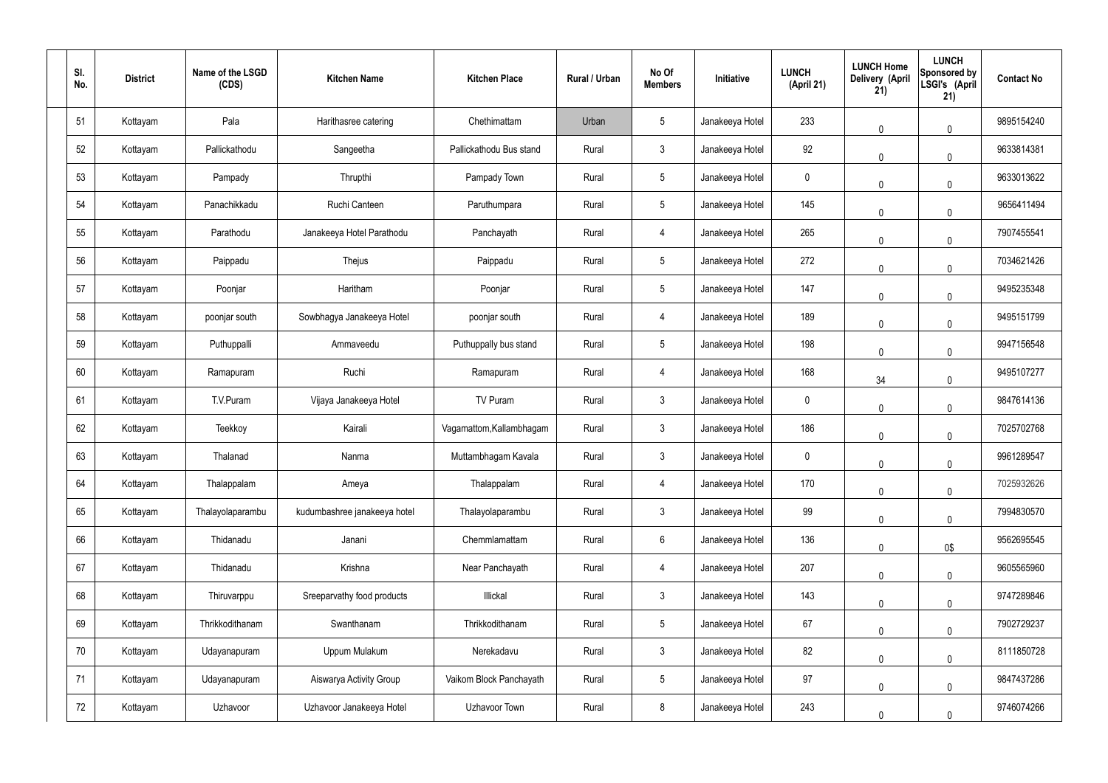| SI.<br>No. | <b>District</b> | Name of the LSGD<br>(CDS) | <b>Kitchen Name</b>          | <b>Kitchen Place</b>     | Rural / Urban | No Of<br><b>Members</b> | Initiative      | <b>LUNCH</b><br>(April 21) | <b>LUNCH Home</b><br><b>Delivery (April</b><br>21) | <b>LUNCH</b><br>Sponsored by<br>LSGI's (April<br>21) | <b>Contact No</b> |
|------------|-----------------|---------------------------|------------------------------|--------------------------|---------------|-------------------------|-----------------|----------------------------|----------------------------------------------------|------------------------------------------------------|-------------------|
| 51         | Kottayam        | Pala                      | Harithasree catering         | Chethimattam             | Urban         | $\sqrt{5}$              | Janakeeya Hotel | 233                        | $\mathbf 0$                                        | $\mathbf 0$                                          | 9895154240        |
| 52         | Kottayam        | Pallickathodu             | Sangeetha                    | Pallickathodu Bus stand  | Rural         | $\mathbf{3}$            | Janakeeya Hotel | 92                         | $\mathbf 0$                                        | $\mathbf 0$                                          | 9633814381        |
| 53         | Kottayam        | Pampady                   | Thrupthi                     | Pampady Town             | Rural         | $5\phantom{.0}$         | Janakeeya Hotel | 0                          | $\mathbf 0$                                        | $\mathbf 0$                                          | 9633013622        |
| 54         | Kottayam        | Panachikkadu              | Ruchi Canteen                | Paruthumpara             | Rural         | $5\phantom{.0}$         | Janakeeya Hotel | 145                        | $\mathbf 0$                                        | $\mathbf 0$                                          | 9656411494        |
| 55         | Kottayam        | Parathodu                 | Janakeeya Hotel Parathodu    | Panchayath               | Rural         | 4                       | Janakeeya Hotel | 265                        | $\mathbf 0$                                        | $\mathbf 0$                                          | 7907455541        |
| 56         | Kottayam        | Paippadu                  | Thejus                       | Paippadu                 | Rural         | $5\phantom{.0}$         | Janakeeya Hotel | 272                        | $\mathbf 0$                                        | $\mathbf 0$                                          | 7034621426        |
| 57         | Kottayam        | Poonjar                   | Haritham                     | Poonjar                  | Rural         | $5\phantom{.0}$         | Janakeeya Hotel | 147                        | $\mathbf 0$                                        | $\mathbf 0$                                          | 9495235348        |
| 58         | Kottayam        | poonjar south             | Sowbhagya Janakeeya Hotel    | poonjar south            | Rural         | $\overline{4}$          | Janakeeya Hotel | 189                        | $\mathbf 0$                                        | $\mathbf 0$                                          | 9495151799        |
| 59         | Kottayam        | Puthuppalli               | Ammaveedu                    | Puthuppally bus stand    | Rural         | $5\phantom{.0}$         | Janakeeya Hotel | 198                        | $\mathbf 0$                                        | $\mathbf 0$                                          | 9947156548        |
| 60         | Kottayam        | Ramapuram                 | Ruchi                        | Ramapuram                | Rural         | $\overline{4}$          | Janakeeya Hotel | 168                        | 34                                                 | $\mathbf 0$                                          | 9495107277        |
| 61         | Kottayam        | T.V.Puram                 | Vijaya Janakeeya Hotel       | TV Puram                 | Rural         | $\mathbf{3}$            | Janakeeya Hotel | $\mathbf 0$                | $\mathbf 0$                                        | $\mathbf 0$                                          | 9847614136        |
| 62         | Kottayam        | Teekkoy                   | Kairali                      | Vagamattom, Kallambhagam | Rural         | $\mathbf{3}$            | Janakeeya Hotel | 186                        | $\pmb{0}$                                          | $\mathbf 0$                                          | 7025702768        |
| 63         | Kottayam        | Thalanad                  | Nanma                        | Muttambhagam Kavala      | Rural         | $\mathbf{3}$            | Janakeeya Hotel | $\mathbf 0$                | $\pmb{0}$                                          | $\mathbf 0$                                          | 9961289547        |
| 64         | Kottayam        | Thalappalam               | Ameya                        | Thalappalam              | Rural         | $\overline{4}$          | Janakeeya Hotel | 170                        | $\mathbf 0$                                        | $\pmb{0}$                                            | 7025932626        |
| 65         | Kottayam        | Thalayolaparambu          | kudumbashree janakeeya hotel | Thalayolaparambu         | Rural         | $\mathbf{3}$            | Janakeeya Hotel | 99                         | $\mathbf 0$                                        | $\mathbf 0$                                          | 7994830570        |
| 66         | Kottayam        | Thidanadu                 | Janani                       | Chemmlamattam            | Rural         | $6\overline{6}$         | Janakeeya Hotel | 136                        | $\mathbf 0$                                        | 0\$                                                  | 9562695545        |
| 67         | Kottayam        | Thidanadu                 | Krishna                      | Near Panchayath          | Rural         | $\overline{4}$          | Janakeeya Hotel | 207                        | $\mathbf 0$                                        | $\mathbf 0$                                          | 9605565960        |
| 68         | Kottayam        | Thiruvarppu               | Sreeparvathy food products   | Illickal                 | Rural         | $\mathbf{3}$            | Janakeeya Hotel | 143                        | $\mathbf 0$                                        | $\mathbf 0$                                          | 9747289846        |
| 69         | Kottayam        | Thrikkodithanam           | Swanthanam                   | Thrikkodithanam          | Rural         | $5\phantom{.0}$         | Janakeeya Hotel | 67                         | $\mathbf 0$                                        | $\mathbf 0$                                          | 7902729237        |
| 70         | Kottayam        | Udayanapuram              | Uppum Mulakum                | Nerekadavu               | Rural         | $\mathbf{3}$            | Janakeeya Hotel | 82                         | $\mathbf 0$                                        | $\mathbf 0$                                          | 8111850728        |
| 71         | Kottayam        | Udayanapuram              | Aiswarya Activity Group      | Vaikom Block Panchayath  | Rural         | $5\phantom{.0}$         | Janakeeya Hotel | 97                         | $\mathbf 0$                                        | $\mathbf 0$                                          | 9847437286        |
| 72         | Kottayam        | Uzhavoor                  | Uzhavoor Janakeeya Hotel     | Uzhavoor Town            | Rural         | $\,8\,$                 | Janakeeya Hotel | 243                        | $\mathbf 0$                                        | $\mathbf 0$                                          | 9746074266        |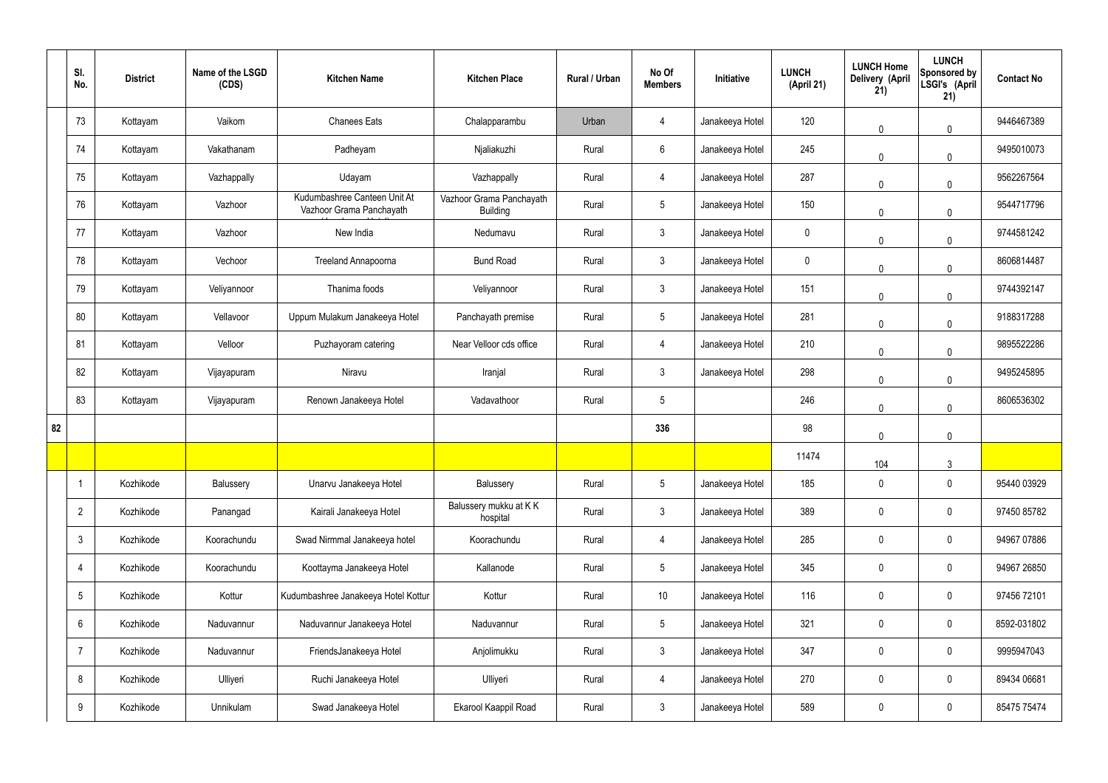|    | SI.<br>No.      | <b>District</b> | Name of the LSGD<br>(CDS) | <b>Kitchen Name</b>                                      | <b>Kitchen Place</b>                        | Rural / Urban | No Of<br><b>Members</b> | Initiative      | <b>LUNCH</b><br>(April 21) | <b>LUNCH Home</b><br>Delivery (April<br>21) | <b>LUNCH</b><br>Sponsored by<br>LSGI's (April<br>21) | <b>Contact No</b> |
|----|-----------------|-----------------|---------------------------|----------------------------------------------------------|---------------------------------------------|---------------|-------------------------|-----------------|----------------------------|---------------------------------------------|------------------------------------------------------|-------------------|
|    | 73              | Kottayam        | Vaikom                    | <b>Chanees Eats</b>                                      | Chalapparambu                               | Urban         | 4                       | Janakeeya Hotel | 120                        | $\mathbf 0$                                 | $\mathbf 0$                                          | 9446467389        |
|    | 74              | Kottayam        | Vakathanam                | Padheyam                                                 | Njaliakuzhi                                 | Rural         | $6\overline{6}$         | Janakeeya Hotel | 245                        | $\mathbf 0$                                 | $\mathbf 0$                                          | 9495010073        |
|    | 75              | Kottayam        | Vazhappally               | Udayam                                                   | Vazhappally                                 | Rural         | $\overline{4}$          | Janakeeya Hotel | 287                        | $\mathbf 0$                                 | $\mathbf 0$                                          | 9562267564        |
|    | 76              | Kottayam        | Vazhoor                   | Kudumbashree Canteen Unit At<br>Vazhoor Grama Panchayath | Vazhoor Grama Panchayath<br><b>Building</b> | Rural         | $5\phantom{.0}$         | Janakeeya Hotel | 150                        | $\mathbf 0$                                 | $\mathbf 0$                                          | 9544717796        |
|    | 77              | Kottayam        | Vazhoor                   | New India                                                | Nedumavu                                    | Rural         | $\mathbf{3}$            | Janakeeya Hotel | $\pmb{0}$                  | $\mathbf 0$                                 | $\mathbf 0$                                          | 9744581242        |
|    | 78              | Kottayam        | Vechoor                   | <b>Treeland Annapoorna</b>                               | <b>Bund Road</b>                            | Rural         | $\mathbf{3}$            | Janakeeya Hotel | $\pmb{0}$                  | $\mathbf 0$                                 | $\mathbf 0$                                          | 8606814487        |
|    | 79              | Kottayam        | Veliyannoor               | Thanima foods                                            | Veliyannoor                                 | Rural         | $\mathbf{3}$            | Janakeeya Hotel | 151                        | 0                                           | $\mathbf 0$                                          | 9744392147        |
|    | 80              | Kottayam        | Vellavoor                 | Uppum Mulakum Janakeeya Hotel                            | Panchayath premise                          | Rural         | $5\phantom{.0}$         | Janakeeya Hotel | 281                        | $\mathbf 0$                                 | $\mathbf 0$                                          | 9188317288        |
|    | 81              | Kottayam        | Velloor                   | Puzhayoram catering                                      | Near Velloor cds office                     | Rural         | $\overline{4}$          | Janakeeya Hotel | 210                        | $\mathbf 0$                                 | $\mathbf 0$                                          | 9895522286        |
|    | 82              | Kottayam        | Vijayapuram               | Niravu                                                   | Iranjal                                     | Rural         | $\mathfrak{Z}$          | Janakeeya Hotel | 298                        | $\mathbf 0$                                 | $\mathbf 0$                                          | 9495245895        |
|    | 83              | Kottayam        | Vijayapuram               | Renown Janakeeya Hotel                                   | Vadavathoor                                 | Rural         | 5                       |                 | 246                        | $\mathbf 0$                                 | $\mathbf 0$                                          | 8606536302        |
| 82 |                 |                 |                           |                                                          |                                             |               | 336                     |                 | 98                         | $\mathbf 0$                                 | $\mathbf 0$                                          |                   |
|    |                 |                 |                           |                                                          |                                             |               |                         |                 | 11474                      | 104                                         | $\mathbf{3}$                                         |                   |
|    |                 | Kozhikode       | Balussery                 | Unarvu Janakeeya Hotel                                   | Balussery                                   | Rural         | 5 <sub>5</sub>          | Janakeeya Hotel | 185                        | $\mathbf 0$                                 | $\mathbf 0$                                          | 95440 03929       |
|    | $\overline{2}$  | Kozhikode       | Panangad                  | Kairali Janakeeya Hotel                                  | Balussery mukku at KK<br>hospital           | Rural         | $\mathbf{3}$            | Janakeeya Hotel | 389                        | $\pmb{0}$                                   | $\mathbf 0$                                          | 97450 85782       |
|    | $\mathfrak{Z}$  | Kozhikode       | Koorachundu               | Swad Nirmmal Janakeeya hotel                             | Koorachundu                                 | Rural         | $\overline{4}$          | Janakeeya Hotel | 285                        | $\pmb{0}$                                   | $\mathbf 0$                                          | 94967 07886       |
|    | 4               | Kozhikode       | Koorachundu               | Koottayma Janakeeya Hotel                                | Kallanode                                   | Rural         | $5\phantom{.0}$         | Janakeeya Hotel | 345                        | $\pmb{0}$                                   | $\mathbf 0$                                          | 94967 26850       |
|    | $5\phantom{.0}$ | Kozhikode       | Kottur                    | Kudumbashree Janakeeya Hotel Kottur                      | Kottur                                      | Rural         | $10$                    | Janakeeya Hotel | 116                        | $\pmb{0}$                                   | $\mathbf 0$                                          | 97456 72101       |
|    | 6               | Kozhikode       | Naduvannur                | Naduvannur Janakeeya Hotel                               | Naduvannur                                  | Rural         | $5\phantom{.0}$         | Janakeeya Hotel | 321                        | $\pmb{0}$                                   | $\mathbf 0$                                          | 8592-031802       |
|    | $\overline{7}$  | Kozhikode       | Naduvannur                | FriendsJanakeeya Hotel                                   | Anjolimukku                                 | Rural         | $\mathbf{3}$            | Janakeeya Hotel | 347                        | $\pmb{0}$                                   | $\mathbf 0$                                          | 9995947043        |
|    | 8               | Kozhikode       | Ulliyeri                  | Ruchi Janakeeya Hotel                                    | Ulliyeri                                    | Rural         | 4                       | Janakeeya Hotel | 270                        | $\pmb{0}$                                   | $\mathbf 0$                                          | 89434 06681       |
|    | 9               | Kozhikode       | Unnikulam                 | Swad Janakeeya Hotel                                     | Ekarool Kaappil Road                        | Rural         | $\mathbf{3}$            | Janakeeya Hotel | 589                        | $\pmb{0}$                                   | $\boldsymbol{0}$                                     | 85475 75474       |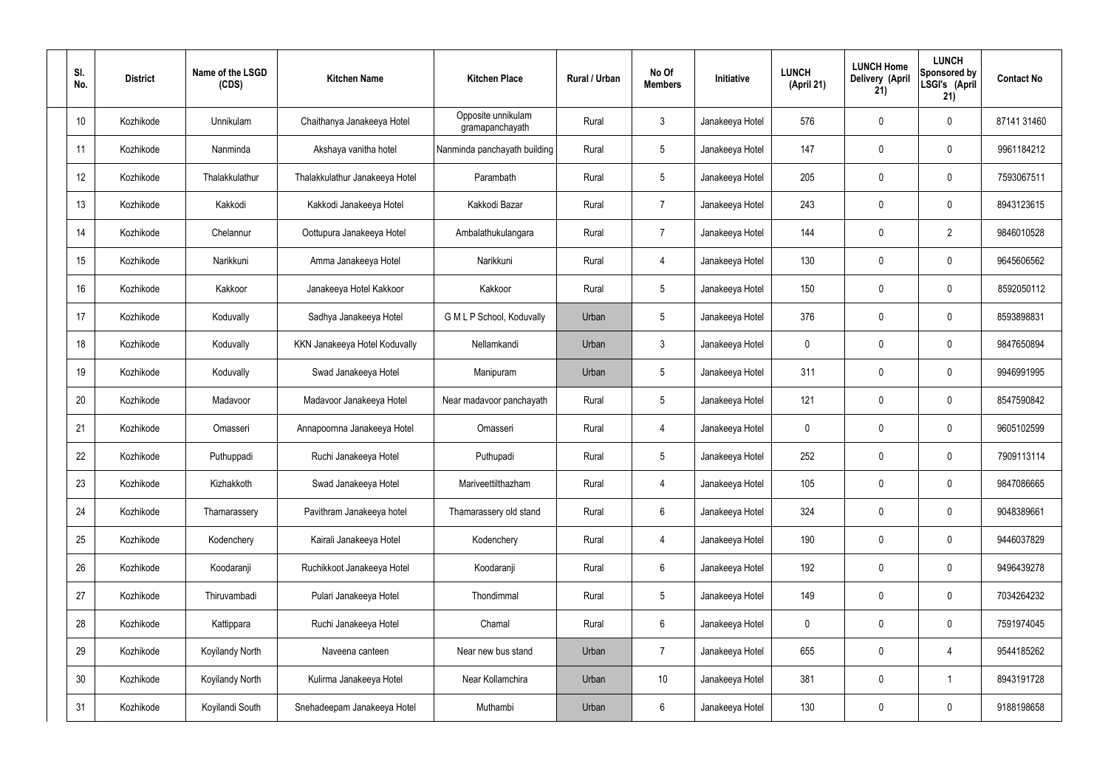| SI.<br>No. | <b>District</b> | Name of the LSGD<br>(CDS) | <b>Kitchen Name</b>            | <b>Kitchen Place</b>                  | Rural / Urban | No Of<br><b>Members</b> | Initiative      | <b>LUNCH</b><br>(April 21) | <b>LUNCH Home</b><br>Delivery (April<br>21) | <b>LUNCH</b><br>Sponsored by<br>LSGI's (April<br>21) | <b>Contact No</b> |
|------------|-----------------|---------------------------|--------------------------------|---------------------------------------|---------------|-------------------------|-----------------|----------------------------|---------------------------------------------|------------------------------------------------------|-------------------|
| 10         | Kozhikode       | Unnikulam                 | Chaithanya Janakeeya Hotel     | Opposite unnikulam<br>gramapanchayath | Rural         | $\mathfrak{Z}$          | Janakeeya Hotel | 576                        | 0                                           | $\mathbf 0$                                          | 87141 31460       |
| 11         | Kozhikode       | Nanminda                  | Akshaya vanitha hotel          | Nanminda panchayath building          | Rural         | $5\phantom{.0}$         | Janakeeya Hotel | 147                        | 0                                           | $\mathbf 0$                                          | 9961184212        |
| 12         | Kozhikode       | Thalakkulathur            | Thalakkulathur Janakeeya Hotel | Parambath                             | Rural         | $5\phantom{.0}$         | Janakeeya Hotel | 205                        | 0                                           | $\mathbf 0$                                          | 7593067511        |
| 13         | Kozhikode       | Kakkodi                   | Kakkodi Janakeeya Hotel        | Kakkodi Bazar                         | Rural         | $\overline{7}$          | Janakeeya Hotel | 243                        | 0                                           | $\mathbf 0$                                          | 8943123615        |
| 14         | Kozhikode       | Chelannur                 | Oottupura Janakeeya Hotel      | Ambalathukulangara                    | Rural         | $\overline{7}$          | Janakeeya Hotel | 144                        | 0                                           | $\overline{2}$                                       | 9846010528        |
| 15         | Kozhikode       | Narikkuni                 | Amma Janakeeya Hotel           | Narikkuni                             | Rural         | 4                       | Janakeeya Hotel | 130                        | 0                                           | $\mathbf 0$                                          | 9645606562        |
| 16         | Kozhikode       | Kakkoor                   | Janakeeya Hotel Kakkoor        | Kakkoor                               | Rural         | $5\overline{)}$         | Janakeeya Hotel | 150                        | 0                                           | $\mathbf 0$                                          | 8592050112        |
| 17         | Kozhikode       | Koduvally                 | Sadhya Janakeeya Hotel         | G M L P School, Koduvally             | Urban         | $5\phantom{.0}$         | Janakeeya Hotel | 376                        | 0                                           | $\mathbf 0$                                          | 8593898831        |
| 18         | Kozhikode       | Koduvally                 | KKN Janakeeya Hotel Koduvally  | Nellamkandi                           | Urban         | $\mathbf{3}$            | Janakeeya Hotel | $\mathbf 0$                | 0                                           | $\mathbf 0$                                          | 9847650894        |
| 19         | Kozhikode       | Koduvally                 | Swad Janakeeya Hotel           | Manipuram                             | Urban         | $5\phantom{.0}$         | Janakeeya Hotel | 311                        | 0                                           | $\mathbf 0$                                          | 9946991995        |
| 20         | Kozhikode       | Madavoor                  | Madavoor Janakeeya Hotel       | Near madavoor panchayath              | Rural         | $5\,$                   | Janakeeya Hotel | 121                        | 0                                           | $\boldsymbol{0}$                                     | 8547590842        |
| 21         | Kozhikode       | Omasseri                  | Annapoornna Janakeeya Hotel    | Omasseri                              | Rural         | 4                       | Janakeeya Hotel | $\mathbf 0$                | 0                                           | $\boldsymbol{0}$                                     | 9605102599        |
| 22         | Kozhikode       | Puthuppadi                | Ruchi Janakeeya Hotel          | Puthupadi                             | Rural         | $5\phantom{.0}$         | Janakeeya Hotel | 252                        | 0                                           | 0                                                    | 7909113114        |
| 23         | Kozhikode       | Kizhakkoth                | Swad Janakeeya Hotel           | Mariveettilthazham                    | Rural         | $\overline{4}$          | Janakeeya Hotel | 105                        | $\mathbf 0$                                 | $\mathbf 0$                                          | 9847086665        |
| 24         | Kozhikode       | Thamarassery              | Pavithram Janakeeya hotel      | Thamarassery old stand                | Rural         | $6\,$                   | Janakeeya Hotel | 324                        | $\mathbf 0$                                 | $\mathbf 0$                                          | 9048389661        |
| 25         | Kozhikode       | Kodenchery                | Kairali Janakeeya Hotel        | Kodenchery                            | Rural         | 4                       | Janakeeya Hotel | 190                        | $\mathbf 0$                                 | $\mathbf 0$                                          | 9446037829        |
| 26         | Kozhikode       | Koodaranji                | Ruchikkoot Janakeeya Hotel     | Koodaranji                            | Rural         | $6\,$                   | Janakeeya Hotel | 192                        | 0                                           | $\mathbf 0$                                          | 9496439278        |
| 27         | Kozhikode       | Thiruvambadi              | Pulari Janakeeya Hotel         | Thondimmal                            | Rural         | $5\phantom{.0}$         | Janakeeya Hotel | 149                        | 0                                           | $\mathbf 0$                                          | 7034264232        |
| 28         | Kozhikode       | Kattippara                | Ruchi Janakeeya Hotel          | Chamal                                | Rural         | $6\,$                   | Janakeeya Hotel | $\mathbf 0$                | 0                                           | $\mathbf 0$                                          | 7591974045        |
| 29         | Kozhikode       | <b>Koyilandy North</b>    | Naveena canteen                | Near new bus stand                    | Urban         | $\overline{7}$          | Janakeeya Hotel | 655                        | 0                                           | $\overline{4}$                                       | 9544185262        |
| 30         | Kozhikode       | <b>Koyilandy North</b>    | Kulirma Janakeeya Hotel        | Near Kollamchira                      | Urban         | 10 <sup>°</sup>         | Janakeeya Hotel | 381                        | 0                                           | $\mathbf 1$                                          | 8943191728        |
| 31         | Kozhikode       | Koyilandi South           | Snehadeepam Janakeeya Hotel    | Muthambi                              | Urban         | $6\phantom{.}$          | Janakeeya Hotel | 130                        | 0                                           | $\boldsymbol{0}$                                     | 9188198658        |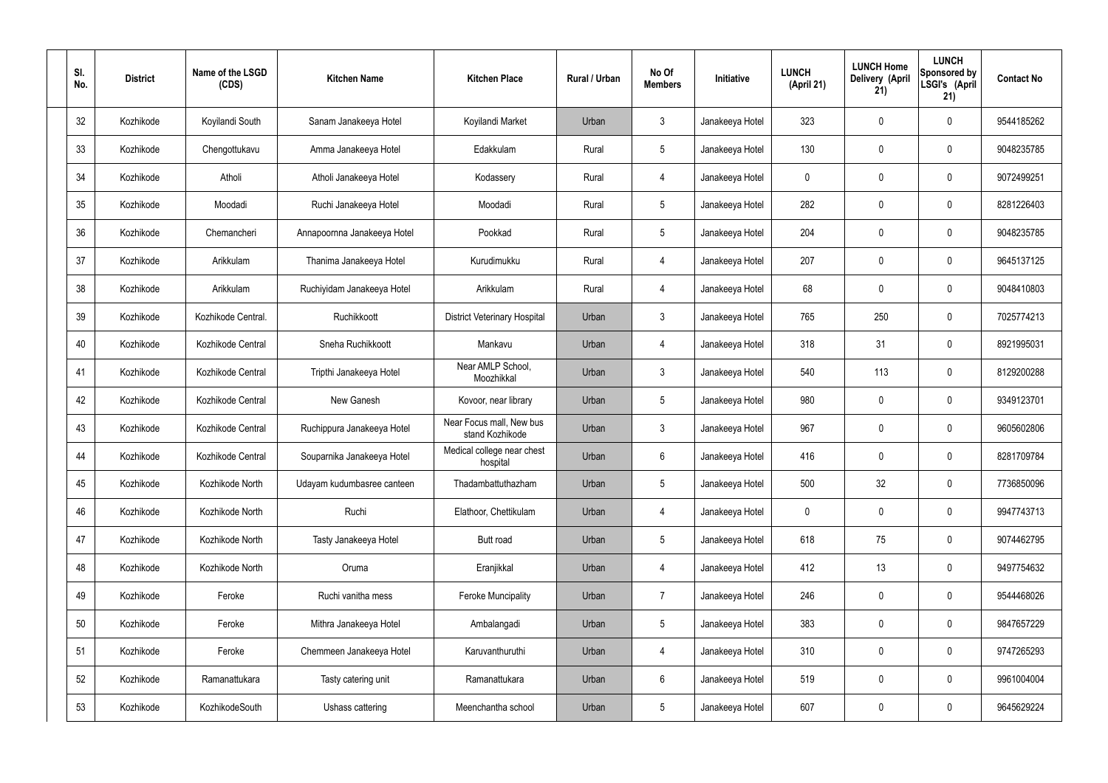| SI.<br>No. | <b>District</b> | Name of the LSGD<br>(CDS) | <b>Kitchen Name</b>         | <b>Kitchen Place</b>                        | <b>Rural / Urban</b> | No Of<br><b>Members</b> | Initiative      | <b>LUNCH</b><br>(April 21) | <b>LUNCH Home</b><br>Delivery (April<br>21) | <b>LUNCH</b><br>Sponsored by<br>LSGI's (April<br>21) | <b>Contact No</b> |
|------------|-----------------|---------------------------|-----------------------------|---------------------------------------------|----------------------|-------------------------|-----------------|----------------------------|---------------------------------------------|------------------------------------------------------|-------------------|
| 32         | Kozhikode       | Koyilandi South           | Sanam Janakeeya Hotel       | Koyilandi Market                            | Urban                | $\mathbf{3}$            | Janakeeya Hotel | 323                        | 0                                           | $\boldsymbol{0}$                                     | 9544185262        |
| 33         | Kozhikode       | Chengottukavu             | Amma Janakeeya Hotel        | Edakkulam                                   | Rural                | $5\phantom{.0}$         | Janakeeya Hotel | 130                        | 0                                           | $\boldsymbol{0}$                                     | 9048235785        |
| 34         | Kozhikode       | Atholi                    | Atholi Janakeeya Hotel      | Kodassery                                   | Rural                | $\overline{4}$          | Janakeeya Hotel | 0                          | 0                                           | $\boldsymbol{0}$                                     | 9072499251        |
| 35         | Kozhikode       | Moodadi                   | Ruchi Janakeeya Hotel       | Moodadi                                     | Rural                | $5\phantom{.0}$         | Janakeeya Hotel | 282                        | 0                                           | $\boldsymbol{0}$                                     | 8281226403        |
| 36         | Kozhikode       | Chemancheri               | Annapoornna Janakeeya Hotel | Pookkad                                     | Rural                | $5\phantom{.0}$         | Janakeeya Hotel | 204                        | 0                                           | $\boldsymbol{0}$                                     | 9048235785        |
| 37         | Kozhikode       | Arikkulam                 | Thanima Janakeeya Hotel     | Kurudimukku                                 | Rural                | $\overline{4}$          | Janakeeya Hotel | 207                        | 0                                           | $\boldsymbol{0}$                                     | 9645137125        |
| 38         | Kozhikode       | Arikkulam                 | Ruchiyidam Janakeeya Hotel  | Arikkulam                                   | Rural                | $\overline{4}$          | Janakeeya Hotel | 68                         | 0                                           | $\boldsymbol{0}$                                     | 9048410803        |
| 39         | Kozhikode       | Kozhikode Central.        | Ruchikkoott                 | <b>District Veterinary Hospital</b>         | Urban                | 3                       | Janakeeya Hotel | 765                        | 250                                         | $\boldsymbol{0}$                                     | 7025774213        |
| 40         | Kozhikode       | Kozhikode Central         | Sneha Ruchikkoott           | Mankavu                                     | Urban                | 4                       | Janakeeya Hotel | 318                        | 31                                          | $\boldsymbol{0}$                                     | 8921995031        |
| 41         | Kozhikode       | Kozhikode Central         | Tripthi Janakeeya Hotel     | Near AMLP School,<br>Moozhikkal             | Urban                | $\mathbf{3}$            | Janakeeya Hotel | 540                        | 113                                         | $\boldsymbol{0}$                                     | 8129200288        |
| 42         | Kozhikode       | Kozhikode Central         | New Ganesh                  | Kovoor, near library                        | Urban                | $5\phantom{.0}$         | Janakeeya Hotel | 980                        | $\boldsymbol{0}$                            | $\boldsymbol{0}$                                     | 9349123701        |
| 43         | Kozhikode       | Kozhikode Central         | Ruchippura Janakeeya Hotel  | Near Focus mall, New bus<br>stand Kozhikode | Urban                | 3                       | Janakeeya Hotel | 967                        | 0                                           | $\boldsymbol{0}$                                     | 9605602806        |
| 44         | Kozhikode       | Kozhikode Central         | Souparnika Janakeeya Hotel  | Medical college near chest<br>hospital      | Urban                | $6\phantom{1}$          | Janakeeya Hotel | 416                        | 0                                           | 0                                                    | 8281709784        |
| 45         | Kozhikode       | Kozhikode North           | Udayam kudumbasree canteen  | Thadambattuthazham                          | Urban                | $5\phantom{.0}$         | Janakeeya Hotel | 500                        | 32                                          | $\pmb{0}$                                            | 7736850096        |
| 46         | Kozhikode       | Kozhikode North           | Ruchi                       | Elathoor, Chettikulam                       | Urban                | $\overline{4}$          | Janakeeya Hotel | $\pmb{0}$                  | $\pmb{0}$                                   | $\pmb{0}$                                            | 9947743713        |
| 47         | Kozhikode       | Kozhikode North           | Tasty Janakeeya Hotel       | Butt road                                   | Urban                | $5\phantom{.0}$         | Janakeeya Hotel | 618                        | 75                                          | $\pmb{0}$                                            | 9074462795        |
| 48         | Kozhikode       | Kozhikode North           | Oruma                       | Eranjikkal                                  | Urban                | $\overline{4}$          | Janakeeya Hotel | 412                        | 13                                          | $\pmb{0}$                                            | 9497754632        |
| 49         | Kozhikode       | Feroke                    | Ruchi vanitha mess          | <b>Feroke Muncipality</b>                   | Urban                | $\overline{7}$          | Janakeeya Hotel | 246                        | $\pmb{0}$                                   | $\pmb{0}$                                            | 9544468026        |
| 50         | Kozhikode       | Feroke                    | Mithra Janakeeya Hotel      | Ambalangadi                                 | Urban                | $5\phantom{.0}$         | Janakeeya Hotel | 383                        | $\pmb{0}$                                   | $\pmb{0}$                                            | 9847657229        |
| 51         | Kozhikode       | Feroke                    | Chemmeen Janakeeya Hotel    | Karuvanthuruthi                             | Urban                | $\overline{4}$          | Janakeeya Hotel | 310                        | $\pmb{0}$                                   | $\pmb{0}$                                            | 9747265293        |
| 52         | Kozhikode       | Ramanattukara             | Tasty catering unit         | Ramanattukara                               | Urban                | $6\phantom{.}$          | Janakeeya Hotel | 519                        | 0                                           | $\pmb{0}$                                            | 9961004004        |
| 53         | Kozhikode       | KozhikodeSouth            | Ushass cattering            | Meenchantha school                          | Urban                | $\sqrt{5}$              | Janakeeya Hotel | 607                        | $\pmb{0}$                                   | $\boldsymbol{0}$                                     | 9645629224        |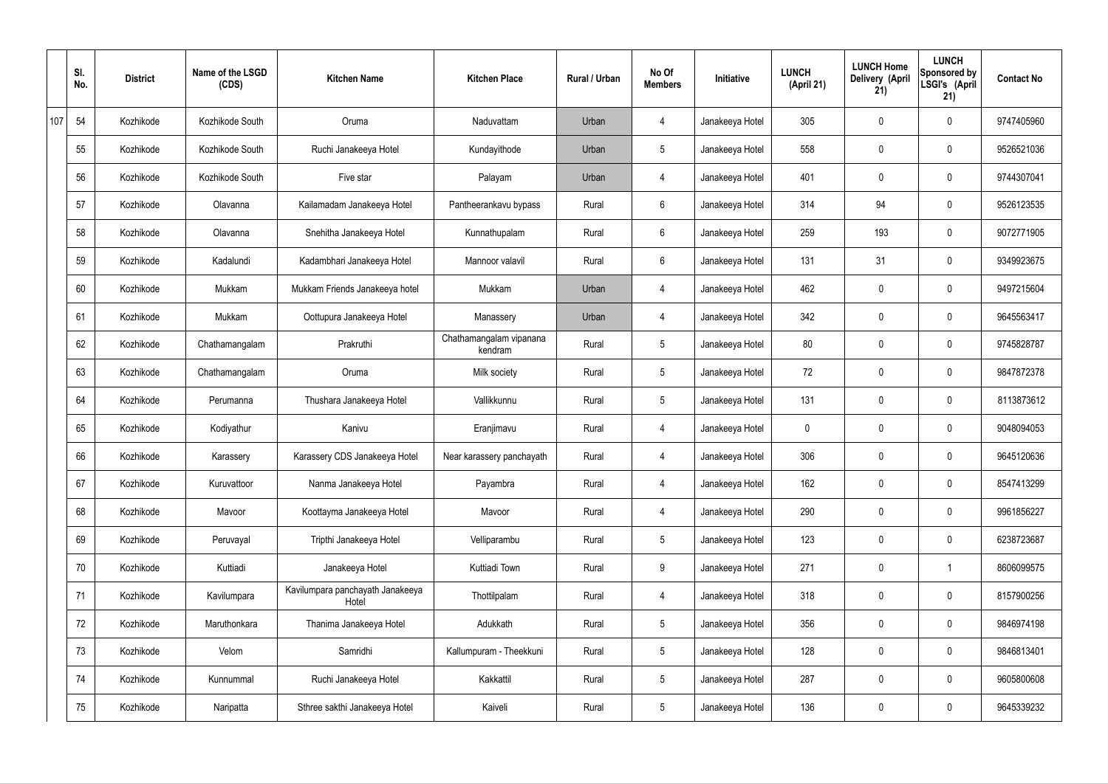|     | SI.<br>No. | <b>District</b> | Name of the LSGD<br>(CDS) | <b>Kitchen Name</b>                       | <b>Kitchen Place</b>               | <b>Rural / Urban</b> | No Of<br><b>Members</b> | Initiative      | <b>LUNCH</b><br>(April 21) | <b>LUNCH Home</b><br>Delivery (April<br>21) | <b>LUNCH</b><br>Sponsored by<br>LSGI's (April<br>21) | <b>Contact No</b> |
|-----|------------|-----------------|---------------------------|-------------------------------------------|------------------------------------|----------------------|-------------------------|-----------------|----------------------------|---------------------------------------------|------------------------------------------------------|-------------------|
| 107 | 54         | Kozhikode       | Kozhikode South           | Oruma                                     | Naduvattam                         | Urban                | 4                       | Janakeeya Hotel | 305                        | $\mathbf 0$                                 | $\mathbf 0$                                          | 9747405960        |
|     | 55         | Kozhikode       | Kozhikode South           | Ruchi Janakeeya Hotel                     | Kundayithode                       | Urban                | $5\phantom{.0}$         | Janakeeya Hotel | 558                        | $\mathbf 0$                                 | $\mathbf 0$                                          | 9526521036        |
|     | 56         | Kozhikode       | Kozhikode South           | Five star                                 | Palayam                            | Urban                | 4                       | Janakeeya Hotel | 401                        | $\mathbf 0$                                 | $\mathbf 0$                                          | 9744307041        |
|     | 57         | Kozhikode       | Olavanna                  | Kailamadam Janakeeya Hotel                | Pantheerankavu bypass              | Rural                | $6\phantom{.}6$         | Janakeeya Hotel | 314                        | 94                                          | $\mathbf 0$                                          | 9526123535        |
|     | 58         | Kozhikode       | Olavanna                  | Snehitha Janakeeya Hotel                  | Kunnathupalam                      | Rural                | $6\overline{6}$         | Janakeeya Hotel | 259                        | 193                                         | $\mathbf 0$                                          | 9072771905        |
|     | 59         | Kozhikode       | Kadalundi                 | Kadambhari Janakeeya Hotel                | Mannoor valavil                    | Rural                | $6\phantom{.}6$         | Janakeeya Hotel | 131                        | 31                                          | $\mathbf 0$                                          | 9349923675        |
|     | 60         | Kozhikode       | Mukkam                    | Mukkam Friends Janakeeya hotel            | Mukkam                             | Urban                | $\overline{4}$          | Janakeeya Hotel | 462                        | $\mathbf 0$                                 | $\mathbf 0$                                          | 9497215604        |
|     | 61         | Kozhikode       | Mukkam                    | Oottupura Janakeeya Hotel                 | Manassery                          | Urban                | 4                       | Janakeeya Hotel | 342                        | $\mathbf 0$                                 | $\mathbf 0$                                          | 9645563417        |
|     | 62         | Kozhikode       | Chathamangalam            | Prakruthi                                 | Chathamangalam vipanana<br>kendram | Rural                | $5\overline{)}$         | Janakeeya Hotel | 80                         | $\mathbf 0$                                 | $\mathbf 0$                                          | 9745828787        |
|     | 63         | Kozhikode       | Chathamangalam            | Oruma                                     | Milk society                       | Rural                | $5\phantom{.0}$         | Janakeeya Hotel | 72                         | 0                                           | $\mathbf 0$                                          | 9847872378        |
|     | 64         | Kozhikode       | Perumanna                 | Thushara Janakeeya Hotel                  | Vallikkunnu                        | Rural                | $5\overline{)}$         | Janakeeya Hotel | 131                        | 0                                           | $\mathbf 0$                                          | 8113873612        |
|     | 65         | Kozhikode       | Kodiyathur                | Kanivu                                    | Eranjimavu                         | Rural                | 4                       | Janakeeya Hotel | 0                          | 0                                           | $\mathbf 0$                                          | 9048094053        |
|     | 66         | Kozhikode       | Karassery                 | Karassery CDS Janakeeya Hotel             | Near karassery panchayath          | Rural                | 4                       | Janakeeya Hotel | 306                        | 0                                           | $\mathbf 0$                                          | 9645120636        |
|     | 67         | Kozhikode       | Kuruvattoor               | Nanma Janakeeya Hotel                     | Payambra                           | Rural                | $\overline{4}$          | Janakeeya Hotel | 162                        | $\mathbf 0$                                 | $\mathbf 0$                                          | 8547413299        |
|     | 68         | Kozhikode       | Mavoor                    | Koottayma Janakeeya Hotel                 | Mavoor                             | Rural                | $\overline{4}$          | Janakeeya Hotel | 290                        | $\mathbf 0$                                 | $\mathbf 0$                                          | 9961856227        |
|     | 69         | Kozhikode       | Peruvayal                 | Tripthi Janakeeya Hotel                   | Velliparambu                       | Rural                | $5\overline{)}$         | Janakeeya Hotel | 123                        | 0                                           | $\mathbf 0$                                          | 6238723687        |
|     | 70         | Kozhikode       | Kuttiadi                  | Janakeeya Hotel                           | Kuttiadi Town                      | Rural                | 9                       | Janakeeya Hotel | 271                        | 0                                           | $\mathbf 1$                                          | 8606099575        |
|     | 71         | Kozhikode       | Kavilumpara               | Kavilumpara panchayath Janakeeya<br>Hotel | Thottilpalam                       | Rural                | $\overline{4}$          | Janakeeya Hotel | 318                        | 0                                           | $\mathbf 0$                                          | 8157900256        |
|     | 72         | Kozhikode       | Maruthonkara              | Thanima Janakeeya Hotel                   | Adukkath                           | Rural                | $5\overline{)}$         | Janakeeya Hotel | 356                        | 0                                           | $\mathbf 0$                                          | 9846974198        |
|     | 73         | Kozhikode       | Velom                     | Samridhi                                  | Kallumpuram - Theekkuni            | Rural                | $5\overline{)}$         | Janakeeya Hotel | 128                        | 0                                           | $\mathbf 0$                                          | 9846813401        |
|     | 74         | Kozhikode       | Kunnummal                 | Ruchi Janakeeya Hotel                     | Kakkattil                          | Rural                | $5\phantom{.0}$         | Janakeeya Hotel | 287                        | 0                                           | $\mathbf 0$                                          | 9605800608        |
|     | 75         | Kozhikode       | Naripatta                 | Sthree sakthi Janakeeya Hotel             | Kaiveli                            | Rural                | $5\phantom{.0}$         | Janakeeya Hotel | 136                        | 0                                           | $\overline{0}$                                       | 9645339232        |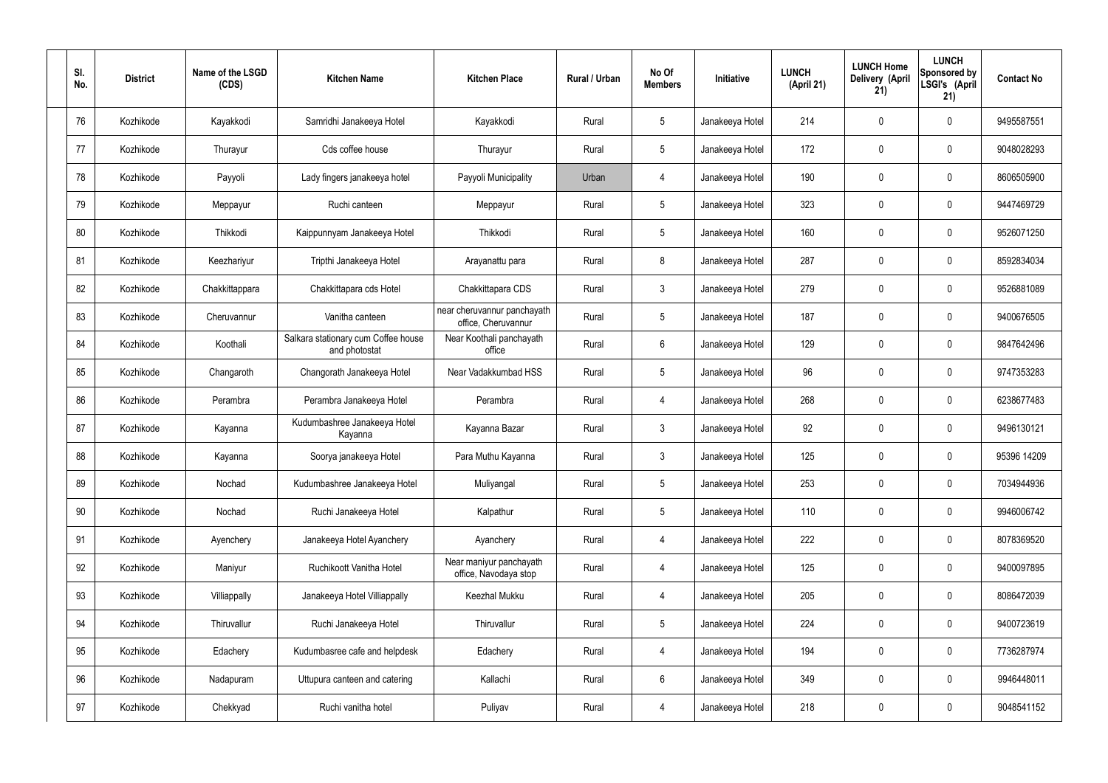| SI.<br>No. | <b>District</b> | Name of the LSGD<br>(CDS) | <b>Kitchen Name</b>                                  | <b>Kitchen Place</b>                               | Rural / Urban | No Of<br><b>Members</b> | <b>Initiative</b> | <b>LUNCH</b><br>(April 21) | <b>LUNCH Home</b><br>Delivery (April<br>21) | <b>LUNCH</b><br>Sponsored by<br>LSGI's (April<br>21) | <b>Contact No</b> |
|------------|-----------------|---------------------------|------------------------------------------------------|----------------------------------------------------|---------------|-------------------------|-------------------|----------------------------|---------------------------------------------|------------------------------------------------------|-------------------|
| 76         | Kozhikode       | Kayakkodi                 | Samridhi Janakeeya Hotel                             | Kayakkodi                                          | Rural         | $5\phantom{.0}$         | Janakeeya Hotel   | 214                        | $\mathbf 0$                                 | $\mathbf 0$                                          | 9495587551        |
| 77         | Kozhikode       | Thurayur                  | Cds coffee house                                     | Thurayur                                           | Rural         | $5\phantom{.0}$         | Janakeeya Hotel   | 172                        | $\mathbf 0$                                 | $\mathbf 0$                                          | 9048028293        |
| 78         | Kozhikode       | Payyoli                   | Lady fingers janakeeya hotel                         | Payyoli Municipality                               | Urban         | $\overline{4}$          | Janakeeya Hotel   | 190                        | $\mathbf 0$                                 | $\mathbf 0$                                          | 8606505900        |
| 79         | Kozhikode       | Meppayur                  | Ruchi canteen                                        | Meppayur                                           | Rural         | $5\phantom{.0}$         | Janakeeya Hotel   | 323                        | $\mathbf 0$                                 | $\mathbf 0$                                          | 9447469729        |
| 80         | Kozhikode       | Thikkodi                  | Kaippunnyam Janakeeya Hotel                          | Thikkodi                                           | Rural         | $5\phantom{.0}$         | Janakeeya Hotel   | 160                        | $\mathbf 0$                                 | $\mathbf 0$                                          | 9526071250        |
| 81         | Kozhikode       | Keezhariyur               | Tripthi Janakeeya Hotel                              | Arayanattu para                                    | Rural         | 8                       | Janakeeya Hotel   | 287                        | 0                                           | $\mathbf 0$                                          | 8592834034        |
| 82         | Kozhikode       | Chakkittappara            | Chakkittapara cds Hotel                              | Chakkittapara CDS                                  | Rural         | $\mathbf{3}$            | Janakeeya Hotel   | 279                        | $\mathbf 0$                                 | $\mathbf 0$                                          | 9526881089        |
| 83         | Kozhikode       | Cheruvannur               | Vanitha canteen                                      | near cheruvannur panchayath<br>office, Cheruvannur | Rural         | $5\phantom{.0}$         | Janakeeya Hotel   | 187                        | 0                                           | $\mathbf 0$                                          | 9400676505        |
| 84         | Kozhikode       | Koothali                  | Salkara stationary cum Coffee house<br>and photostat | Near Koothali panchayath<br>office                 | Rural         | $6\overline{6}$         | Janakeeya Hotel   | 129                        | $\mathbf 0$                                 | $\mathbf 0$                                          | 9847642496        |
| 85         | Kozhikode       | Changaroth                | Changorath Janakeeya Hotel                           | Near Vadakkumbad HSS                               | Rural         | $5\phantom{.0}$         | Janakeeya Hotel   | 96                         | 0                                           | $\mathbf 0$                                          | 9747353283        |
| 86         | Kozhikode       | Perambra                  | Perambra Janakeeya Hotel                             | Perambra                                           | Rural         | $\overline{4}$          | Janakeeya Hotel   | 268                        | $\mathbf 0$                                 | $\mathbf 0$                                          | 6238677483        |
| 87         | Kozhikode       | Kayanna                   | Kudumbashree Janakeeya Hotel<br>Kayanna              | Kayanna Bazar                                      | Rural         | $\mathbf{3}$            | Janakeeya Hotel   | 92                         | 0                                           | $\mathbf 0$                                          | 9496130121        |
| 88         | Kozhikode       | Kayanna                   | Soorya janakeeya Hotel                               | Para Muthu Kayanna                                 | Rural         | $\mathbf{3}$            | Janakeeya Hotel   | 125                        | 0                                           | 0                                                    | 95396 14209       |
| 89         | Kozhikode       | Nochad                    | Kudumbashree Janakeeya Hotel                         | Muliyangal                                         | Rural         | $5\phantom{.0}$         | Janakeeya Hotel   | 253                        | $\mathbf 0$                                 | $\mathbf 0$                                          | 7034944936        |
| 90         | Kozhikode       | Nochad                    | Ruchi Janakeeya Hotel                                | Kalpathur                                          | Rural         | $5\overline{)}$         | Janakeeya Hotel   | 110                        | $\mathbf 0$                                 | $\mathbf 0$                                          | 9946006742        |
| 91         | Kozhikode       | Ayenchery                 | Janakeeya Hotel Ayanchery                            | Ayanchery                                          | Rural         | $\overline{4}$          | Janakeeya Hotel   | 222                        | $\mathbf 0$                                 | $\mathbf 0$                                          | 8078369520        |
| 92         | Kozhikode       | Maniyur                   | Ruchikoott Vanitha Hotel                             | Near maniyur panchayath<br>office, Navodaya stop   | Rural         | $\overline{4}$          | Janakeeya Hotel   | 125                        | 0                                           | $\mathbf 0$                                          | 9400097895        |
| 93         | Kozhikode       | Villiappally              | Janakeeya Hotel Villiappally                         | Keezhal Mukku                                      | Rural         | $\overline{4}$          | Janakeeya Hotel   | 205                        | 0                                           | $\mathbf 0$                                          | 8086472039        |
| 94         | Kozhikode       | Thiruvallur               | Ruchi Janakeeya Hotel                                | Thiruvallur                                        | Rural         | $5\phantom{.0}$         | Janakeeya Hotel   | 224                        | 0                                           | $\mathbf 0$                                          | 9400723619        |
| 95         | Kozhikode       | Edachery                  | Kudumbasree cafe and helpdesk                        | Edachery                                           | Rural         | $\overline{4}$          | Janakeeya Hotel   | 194                        | 0                                           | $\mathbf 0$                                          | 7736287974        |
| 96         | Kozhikode       | Nadapuram                 | Uttupura canteen and catering                        | Kallachi                                           | Rural         | $6\overline{6}$         | Janakeeya Hotel   | 349                        | 0                                           | $\mathbf 0$                                          | 9946448011        |
| 97         | Kozhikode       | Chekkyad                  | Ruchi vanitha hotel                                  | Puliyav                                            | Rural         | 4                       | Janakeeya Hotel   | 218                        | 0                                           | $\mathbf 0$                                          | 9048541152        |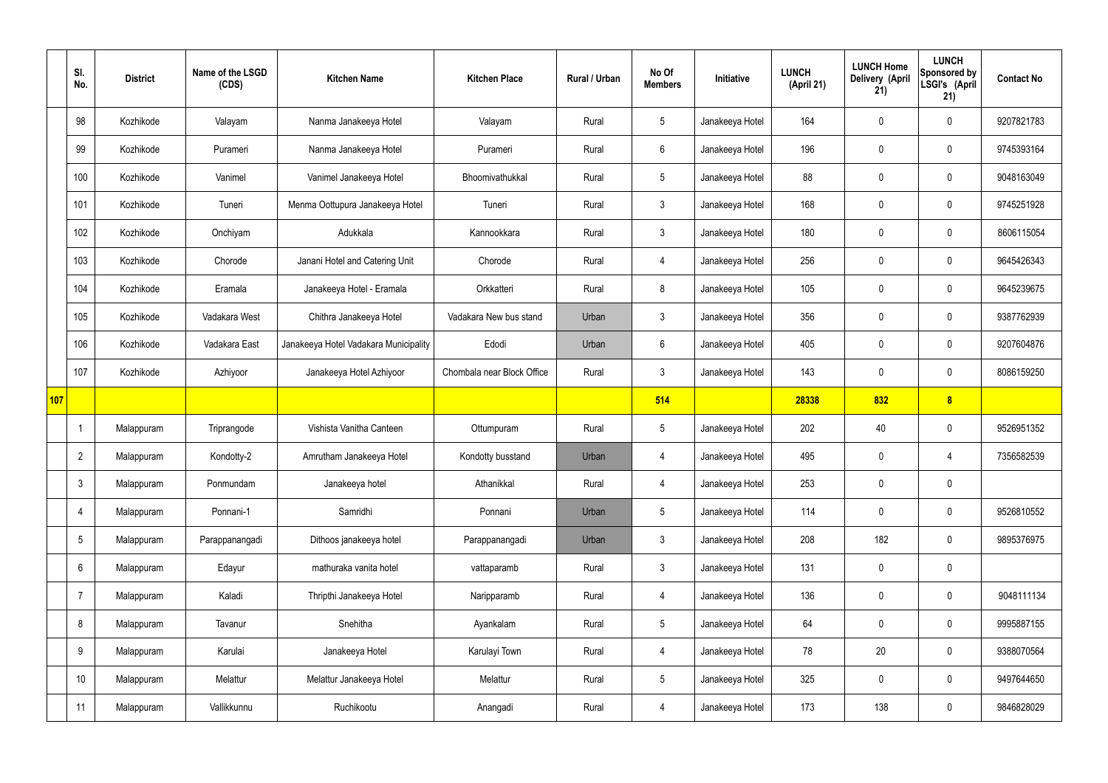|            | SI.<br>No.      | <b>District</b> | Name of the LSGD<br>(CDS) | <b>Kitchen Name</b>                   | <b>Kitchen Place</b>       | <b>Rural / Urban</b> | No Of<br><b>Members</b> | Initiative      | <b>LUNCH</b><br>(April 21) | <b>LUNCH Home</b><br>Delivery (April<br>21) | <b>LUNCH</b><br>Sponsored by<br>LSGI's (April<br>21) | <b>Contact No</b> |
|------------|-----------------|-----------------|---------------------------|---------------------------------------|----------------------------|----------------------|-------------------------|-----------------|----------------------------|---------------------------------------------|------------------------------------------------------|-------------------|
|            | 98              | Kozhikode       | Valayam                   | Nanma Janakeeya Hotel                 | Valayam                    | Rural                | 5                       | Janakeeya Hotel | 164                        | $\mathbf 0$                                 | $\mathbf 0$                                          | 9207821783        |
|            | 99              | Kozhikode       | Purameri                  | Nanma Janakeeya Hotel                 | Purameri                   | Rural                | $6\overline{6}$         | Janakeeya Hotel | 196                        | $\mathbf 0$                                 | $\mathbf 0$                                          | 9745393164        |
|            | 100             | Kozhikode       | Vanimel                   | Vanimel Janakeeya Hotel               | Bhoomivathukkal            | Rural                | $5\phantom{.0}$         | Janakeeya Hotel | 88                         | $\mathbf 0$                                 | $\mathbf 0$                                          | 9048163049        |
|            | 101             | Kozhikode       | Tuneri                    | Menma Oottupura Janakeeya Hotel       | Tuneri                     | Rural                | $\mathbf{3}$            | Janakeeya Hotel | 168                        | $\mathbf 0$                                 | $\mathbf 0$                                          | 9745251928        |
|            | 102             | Kozhikode       | Onchiyam                  | Adukkala                              | Kannookkara                | Rural                | $\mathbf{3}$            | Janakeeya Hotel | 180                        | $\mathbf 0$                                 | $\mathbf 0$                                          | 8606115054        |
|            | 103             | Kozhikode       | Chorode                   | Janani Hotel and Catering Unit        | Chorode                    | Rural                | $\overline{4}$          | Janakeeya Hotel | 256                        | $\mathbf 0$                                 | $\mathbf 0$                                          | 9645426343        |
|            | 104             | Kozhikode       | Eramala                   | Janakeeya Hotel - Eramala             | Orkkatteri                 | Rural                | 8                       | Janakeeya Hotel | 105                        | $\mathbf 0$                                 | $\mathbf 0$                                          | 9645239675        |
|            | 105             | Kozhikode       | Vadakara West             | Chithra Janakeeya Hotel               | Vadakara New bus stand     | Urban                | $\mathbf{3}$            | Janakeeya Hotel | 356                        | $\mathbf 0$                                 | $\mathbf 0$                                          | 9387762939        |
|            | 106             | Kozhikode       | Vadakara East             | Janakeeya Hotel Vadakara Municipality | Edodi                      | Urban                | $6\overline{6}$         | Janakeeya Hotel | 405                        | $\mathbf 0$                                 | $\mathbf 0$                                          | 9207604876        |
|            | 107             | Kozhikode       | Azhiyoor                  | Janakeeya Hotel Azhiyoor              | Chombala near Block Office | Rural                | $\mathbf{3}$            | Janakeeya Hotel | 143                        | $\mathbf 0$                                 | $\mathbf 0$                                          | 8086159250        |
| <b>107</b> |                 |                 |                           |                                       |                            |                      | 514                     |                 | 28338                      | 832                                         | 8                                                    |                   |
|            | -1              | Malappuram      | Triprangode               | Vishista Vanitha Canteen              | Ottumpuram                 | Rural                | 5                       | Janakeeya Hotel | 202                        | 40                                          | $\mathbf 0$                                          | 9526951352        |
|            | $\overline{2}$  | Malappuram      | Kondotty-2                | Amrutham Janakeeya Hotel              | Kondotty busstand          | Urban                | 4                       | Janakeeya Hotel | 495                        | $\mathbf 0$                                 | 4                                                    | 7356582539        |
|            | $\mathbf{3}$    | Malappuram      | Ponmundam                 | Janakeeya hotel                       | Athanikkal                 | Rural                | 4                       | Janakeeya Hotel | 253                        | $\pmb{0}$                                   | $\mathbf 0$                                          |                   |
|            | 4               | Malappuram      | Ponnani-1                 | Samridhi                              | Ponnani                    | Urban                | $5\phantom{.0}$         | Janakeeya Hotel | 114                        | $\pmb{0}$                                   | $\mathbf 0$                                          | 9526810552        |
|            | $5\phantom{.0}$ | Malappuram      | Parappanangadi            | Dithoos janakeeya hotel               | Parappanangadi             | Urban                | $\mathbf{3}$            | Janakeeya Hotel | 208                        | 182                                         | $\mathbf 0$                                          | 9895376975        |
|            | $6\phantom{.}6$ | Malappuram      | Edayur                    | mathuraka vanita hotel                | vattaparamb                | Rural                | $\mathbf{3}$            | Janakeeya Hotel | 131                        | $\pmb{0}$                                   | $\mathbf 0$                                          |                   |
|            | $\overline{7}$  | Malappuram      | Kaladi                    | Thripthi Janakeeya Hotel              | Naripparamb                | Rural                | $\overline{4}$          | Janakeeya Hotel | 136                        | $\pmb{0}$                                   | $\mathbf 0$                                          | 9048111134        |
|            | 8               | Malappuram      | Tavanur                   | Snehitha                              | Ayankalam                  | Rural                | 5                       | Janakeeya Hotel | 64                         | $\pmb{0}$                                   | $\mathbf 0$                                          | 9995887155        |
|            | 9               | Malappuram      | Karulai                   | Janakeeya Hotel                       | Karulayi Town              | Rural                | $\overline{4}$          | Janakeeya Hotel | 78                         | 20                                          | $\mathbf 0$                                          | 9388070564        |
|            | 10 <sup>°</sup> | Malappuram      | Melattur                  | Melattur Janakeeya Hotel              | Melattur                   | Rural                | $5\phantom{.0}$         | Janakeeya Hotel | 325                        | $\pmb{0}$                                   | $\mathbf 0$                                          | 9497644650        |
|            | 11              | Malappuram      | Vallikkunnu               | Ruchikootu                            | Anangadi                   | Rural                | 4                       | Janakeeya Hotel | 173                        | 138                                         | $\mathbf 0$                                          | 9846828029        |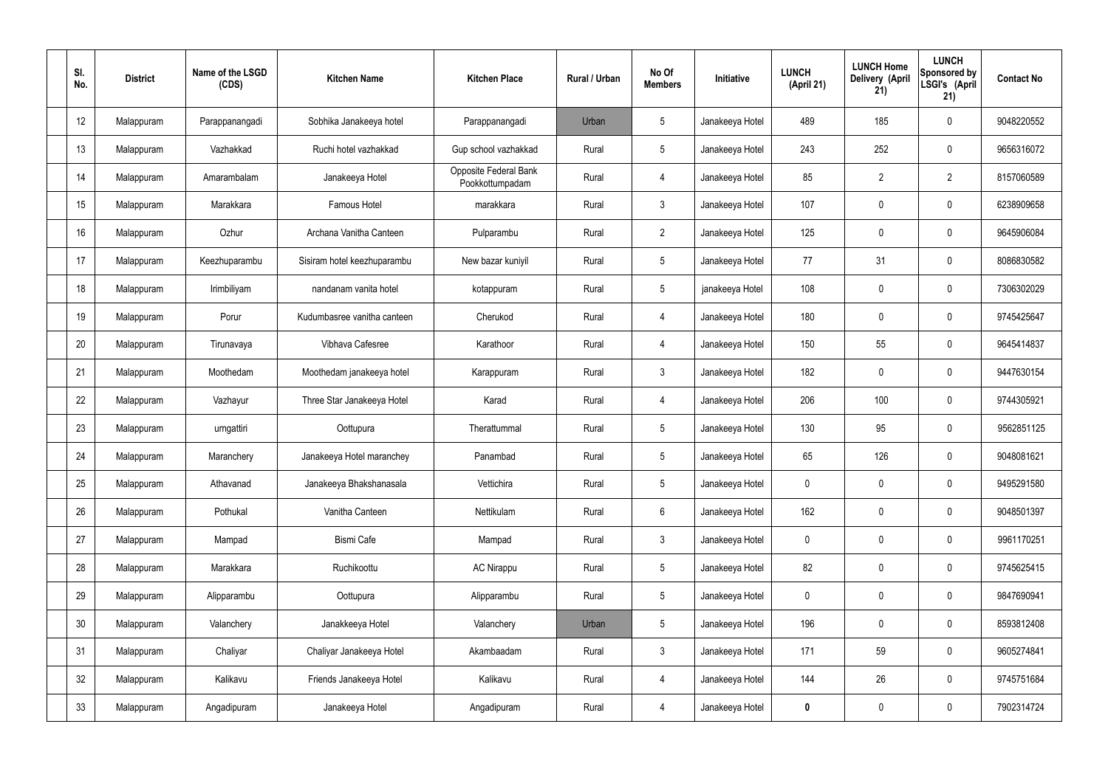| SI.<br>No.      | <b>District</b> | Name of the LSGD<br>(CDS) | <b>Kitchen Name</b>         | <b>Kitchen Place</b>                     | Rural / Urban | No Of<br><b>Members</b> | <b>Initiative</b> | <b>LUNCH</b><br>(April 21) | <b>LUNCH Home</b><br>Delivery (April<br>21) | <b>LUNCH</b><br>Sponsored by<br>LSGI's (April<br>21) | <b>Contact No</b> |
|-----------------|-----------------|---------------------------|-----------------------------|------------------------------------------|---------------|-------------------------|-------------------|----------------------------|---------------------------------------------|------------------------------------------------------|-------------------|
| 12 <sup>°</sup> | Malappuram      | Parappanangadi            | Sobhika Janakeeya hotel     | Parappanangadi                           | Urban         | $5\phantom{.0}$         | Janakeeya Hotel   | 489                        | 185                                         | $\mathbf 0$                                          | 9048220552        |
| 13              | Malappuram      | Vazhakkad                 | Ruchi hotel vazhakkad       | Gup school vazhakkad                     | Rural         | $5\phantom{.0}$         | Janakeeya Hotel   | 243                        | 252                                         | $\mathbf 0$                                          | 9656316072        |
| 14              | Malappuram      | Amarambalam               | Janakeeya Hotel             | Opposite Federal Bank<br>Pookkottumpadam | Rural         | $\overline{4}$          | Janakeeya Hotel   | 85                         | $\overline{2}$                              | $\overline{2}$                                       | 8157060589        |
| 15              | Malappuram      | Marakkara                 | <b>Famous Hotel</b>         | marakkara                                | Rural         | $\mathbf{3}$            | Janakeeya Hotel   | 107                        | $\mathbf 0$                                 | $\mathbf 0$                                          | 6238909658        |
| 16              | Malappuram      | Ozhur                     | Archana Vanitha Canteen     | Pulparambu                               | Rural         | $\overline{2}$          | Janakeeya Hotel   | 125                        | $\mathbf 0$                                 | $\mathbf 0$                                          | 9645906084        |
| 17              | Malappuram      | Keezhuparambu             | Sisiram hotel keezhuparambu | New bazar kuniyil                        | Rural         | $5\overline{)}$         | Janakeeya Hotel   | 77                         | 31                                          | $\mathbf 0$                                          | 8086830582        |
| 18              | Malappuram      | Irimbiliyam               | nandanam vanita hotel       | kotappuram                               | Rural         | $5\overline{)}$         | janakeeya Hotel   | 108                        | $\mathbf 0$                                 | $\mathbf 0$                                          | 7306302029        |
| 19              | Malappuram      | Porur                     | Kudumbasree vanitha canteen | Cherukod                                 | Rural         | $\overline{4}$          | Janakeeya Hotel   | 180                        | $\mathbf 0$                                 | $\mathbf 0$                                          | 9745425647        |
| 20              | Malappuram      | Tirunavaya                | Vibhava Cafesree            | Karathoor                                | Rural         | $\overline{4}$          | Janakeeya Hotel   | 150                        | 55                                          | $\mathbf 0$                                          | 9645414837        |
| 21              | Malappuram      | Moothedam                 | Moothedam janakeeya hotel   | Karappuram                               | Rural         | $\mathbf{3}$            | Janakeeya Hotel   | 182                        | $\mathbf 0$                                 | $\mathbf 0$                                          | 9447630154        |
| 22              | Malappuram      | Vazhayur                  | Three Star Janakeeya Hotel  | Karad                                    | Rural         | $\overline{4}$          | Janakeeya Hotel   | 206                        | 100                                         | $\mathbf 0$                                          | 9744305921        |
| 23              | Malappuram      | urngattiri                | Oottupura                   | Therattummal                             | Rural         | $5\phantom{.0}$         | Janakeeya Hotel   | 130                        | 95                                          | $\mathbf 0$                                          | 9562851125        |
| 24              | Malappuram      | Maranchery                | Janakeeya Hotel maranchey   | Panambad                                 | Rural         | $5\overline{)}$         | Janakeeya Hotel   | 65                         | 126                                         | $\mathbf 0$                                          | 9048081621        |
| 25              | Malappuram      | Athavanad                 | Janakeeya Bhakshanasala     | Vettichira                               | Rural         | $5\phantom{.0}$         | Janakeeya Hotel   | $\mathbf 0$                | $\pmb{0}$                                   | $\mathbf 0$                                          | 9495291580        |
| 26              | Malappuram      | Pothukal                  | Vanitha Canteen             | Nettikulam                               | Rural         | $6\overline{6}$         | Janakeeya Hotel   | 162                        | $\pmb{0}$                                   | $\mathbf 0$                                          | 9048501397        |
| 27              | Malappuram      | Mampad                    | Bismi Cafe                  | Mampad                                   | Rural         | $\mathbf{3}$            | Janakeeya Hotel   | $\pmb{0}$                  | $\pmb{0}$                                   | $\mathbf 0$                                          | 9961170251        |
| 28              | Malappuram      | Marakkara                 | Ruchikoottu                 | <b>AC Nirappu</b>                        | Rural         | $5\overline{)}$         | Janakeeya Hotel   | 82                         | $\pmb{0}$                                   | $\mathbf 0$                                          | 9745625415        |
| 29              | Malappuram      | Alipparambu               | Oottupura                   | Alipparambu                              | Rural         | $5\phantom{.0}$         | Janakeeya Hotel   | $\pmb{0}$                  | $\pmb{0}$                                   | $\mathbf 0$                                          | 9847690941        |
| 30              | Malappuram      | Valanchery                | Janakkeeya Hotel            | Valanchery                               | Urban         | $5\phantom{.0}$         | Janakeeya Hotel   | 196                        | $\pmb{0}$                                   | $\mathbf 0$                                          | 8593812408        |
| 31              | Malappuram      | Chaliyar                  | Chaliyar Janakeeya Hotel    | Akambaadam                               | Rural         | $\mathbf{3}$            | Janakeeya Hotel   | 171                        | 59                                          | $\mathbf 0$                                          | 9605274841        |
| 32              | Malappuram      | Kalikavu                  | Friends Janakeeya Hotel     | Kalikavu                                 | Rural         | $\overline{4}$          | Janakeeya Hotel   | 144                        | 26                                          | $\mathbf 0$                                          | 9745751684        |
| 33              | Malappuram      | Angadipuram               | Janakeeya Hotel             | Angadipuram                              | Rural         | $\overline{4}$          | Janakeeya Hotel   | $\bf{0}$                   | $\pmb{0}$                                   | $\boldsymbol{0}$                                     | 7902314724        |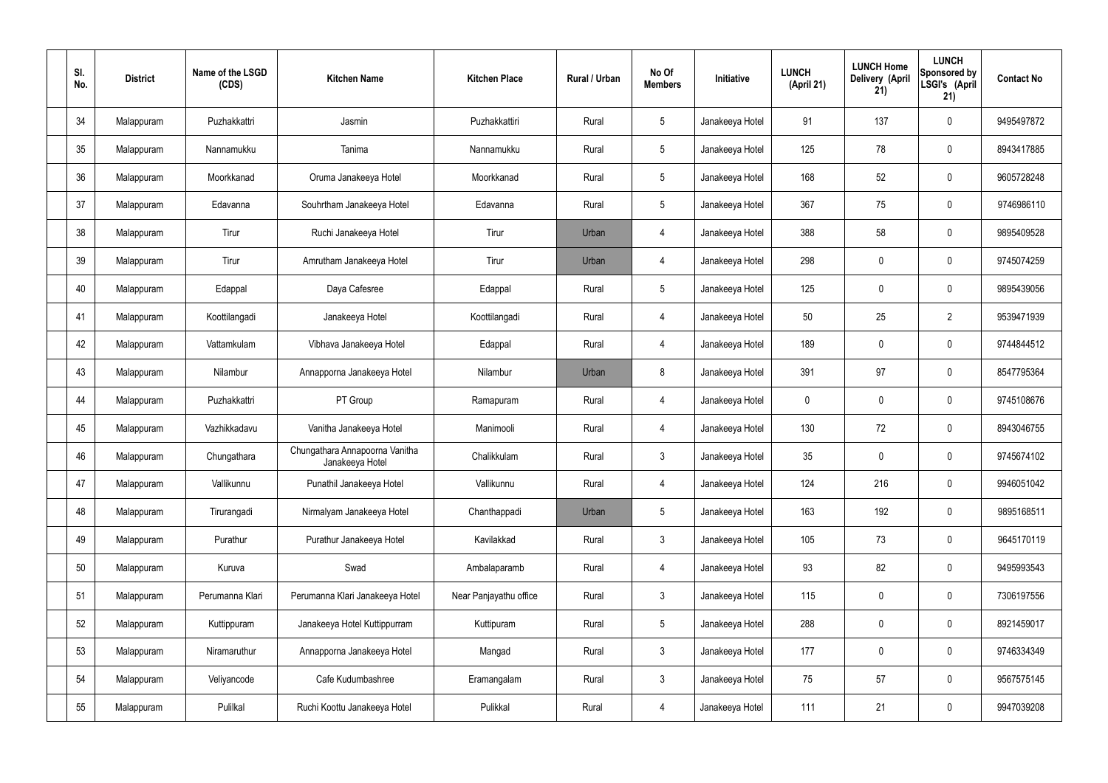| SI.<br>No. | <b>District</b> | Name of the LSGD<br>(CDS) | <b>Kitchen Name</b>                               | <b>Kitchen Place</b>   | Rural / Urban | No Of<br><b>Members</b> | Initiative      | <b>LUNCH</b><br>(April 21) | <b>LUNCH Home</b><br>Delivery (April<br>21) | <b>LUNCH</b><br>Sponsored by<br>LSGI's (April<br>21) | <b>Contact No</b> |
|------------|-----------------|---------------------------|---------------------------------------------------|------------------------|---------------|-------------------------|-----------------|----------------------------|---------------------------------------------|------------------------------------------------------|-------------------|
| 34         | Malappuram      | Puzhakkattri              | Jasmin                                            | Puzhakkattiri          | Rural         | $5\overline{)}$         | Janakeeya Hotel | 91                         | 137                                         | $\mathbf 0$                                          | 9495497872        |
| 35         | Malappuram      | Nannamukku                | Tanima                                            | Nannamukku             | Rural         | $5\overline{)}$         | Janakeeya Hotel | 125                        | 78                                          | $\mathbf 0$                                          | 8943417885        |
| 36         | Malappuram      | Moorkkanad                | Oruma Janakeeya Hotel                             | Moorkkanad             | Rural         | $5\phantom{.0}$         | Janakeeya Hotel | 168                        | 52                                          | $\mathbf 0$                                          | 9605728248        |
| 37         | Malappuram      | Edavanna                  | Souhrtham Janakeeya Hotel                         | Edavanna               | Rural         | $5\phantom{.0}$         | Janakeeya Hotel | 367                        | 75                                          | $\mathbf 0$                                          | 9746986110        |
| 38         | Malappuram      | Tirur                     | Ruchi Janakeeya Hotel                             | Tirur                  | Urban         | $\overline{4}$          | Janakeeya Hotel | 388                        | 58                                          | $\mathbf 0$                                          | 9895409528        |
| 39         | Malappuram      | Tirur                     | Amrutham Janakeeya Hotel                          | Tirur                  | Urban         | 4                       | Janakeeya Hotel | 298                        | $\mathbf 0$                                 | $\mathbf 0$                                          | 9745074259        |
| 40         | Malappuram      | Edappal                   | Daya Cafesree                                     | Edappal                | Rural         | $5\overline{)}$         | Janakeeya Hotel | 125                        | $\mathbf 0$                                 | $\mathbf 0$                                          | 9895439056        |
| 41         | Malappuram      | Koottilangadi             | Janakeeya Hotel                                   | Koottilangadi          | Rural         | 4                       | Janakeeya Hotel | 50                         | 25                                          | $\overline{2}$                                       | 9539471939        |
| 42         | Malappuram      | Vattamkulam               | Vibhava Janakeeya Hotel                           | Edappal                | Rural         | $\overline{4}$          | Janakeeya Hotel | 189                        | $\pmb{0}$                                   | $\mathbf 0$                                          | 9744844512        |
| 43         | Malappuram      | Nilambur                  | Annapporna Janakeeya Hotel                        | Nilambur               | Urban         | 8                       | Janakeeya Hotel | 391                        | 97                                          | $\mathbf 0$                                          | 8547795364        |
| 44         | Malappuram      | Puzhakkattri              | PT Group                                          | Ramapuram              | Rural         | $\overline{4}$          | Janakeeya Hotel | $\mathbf 0$                | $\mathbf 0$                                 | $\mathbf 0$                                          | 9745108676        |
| 45         | Malappuram      | Vazhikkadavu              | Vanitha Janakeeya Hotel                           | Manimooli              | Rural         | 4                       | Janakeeya Hotel | 130                        | 72                                          | $\mathbf 0$                                          | 8943046755        |
| 46         | Malappuram      | Chungathara               | Chungathara Annapoorna Vanitha<br>Janakeeya Hotel | Chalikkulam            | Rural         | $\mathfrak{Z}$          | Janakeeya Hotel | 35                         | 0                                           | $\mathbf 0$                                          | 9745674102        |
| 47         | Malappuram      | Vallikunnu                | Punathil Janakeeya Hotel                          | Vallikunnu             | Rural         | 4                       | Janakeeya Hotel | 124                        | 216                                         | $\mathbf 0$                                          | 9946051042        |
| 48         | Malappuram      | Tirurangadi               | Nirmalyam Janakeeya Hotel                         | Chanthappadi           | Urban         | $5\phantom{.0}$         | Janakeeya Hotel | 163                        | 192                                         | $\mathbf 0$                                          | 9895168511        |
| 49         | Malappuram      | Purathur                  | Purathur Janakeeya Hotel                          | Kavilakkad             | Rural         | $\mathbf{3}$            | Janakeeya Hotel | 105                        | 73                                          | $\mathbf 0$                                          | 9645170119        |
| 50         | Malappuram      | Kuruva                    | Swad                                              | Ambalaparamb           | Rural         | $\overline{4}$          | Janakeeya Hotel | 93                         | 82                                          | $\mathbf 0$                                          | 9495993543        |
| 51         | Malappuram      | Perumanna Klari           | Perumanna Klari Janakeeya Hotel                   | Near Panjayathu office | Rural         | $\mathbf{3}$            | Janakeeya Hotel | 115                        | $\pmb{0}$                                   | $\mathbf 0$                                          | 7306197556        |
| 52         | Malappuram      | Kuttippuram               | Janakeeya Hotel Kuttippurram                      | Kuttipuram             | Rural         | $5\phantom{.0}$         | Janakeeya Hotel | 288                        | $\pmb{0}$                                   | $\mathbf 0$                                          | 8921459017        |
| 53         | Malappuram      | Niramaruthur              | Annapporna Janakeeya Hotel                        | Mangad                 | Rural         | $\mathfrak{Z}$          | Janakeeya Hotel | 177                        | $\pmb{0}$                                   | $\pmb{0}$                                            | 9746334349        |
| 54         | Malappuram      | Veliyancode               | Cafe Kudumbashree                                 | Eramangalam            | Rural         | $\mathbf{3}$            | Janakeeya Hotel | 75                         | 57                                          | $\mathbf 0$                                          | 9567575145        |
| 55         | Malappuram      | Pulilkal                  | Ruchi Koottu Janakeeya Hotel                      | Pulikkal               | Rural         | 4                       | Janakeeya Hotel | $111$                      | 21                                          | $\pmb{0}$                                            | 9947039208        |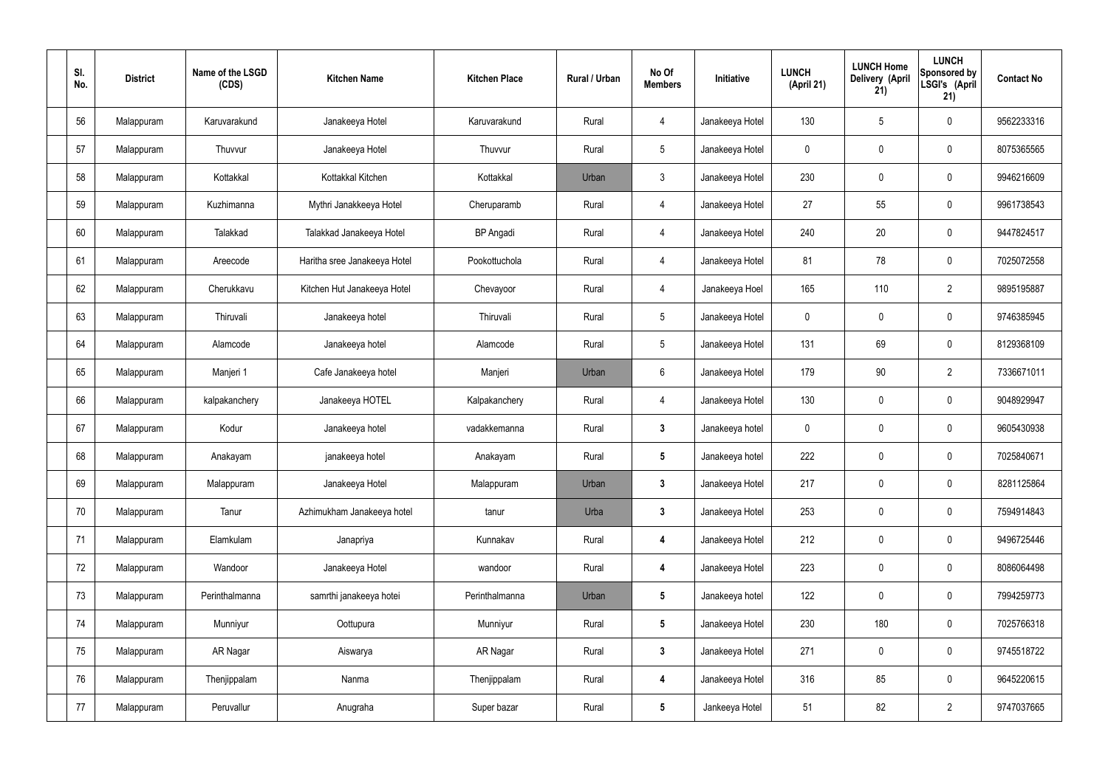| SI.<br>No. | <b>District</b> | Name of the LSGD<br>(CDS) | <b>Kitchen Name</b>          | <b>Kitchen Place</b> | Rural / Urban | No Of<br><b>Members</b> | Initiative      | <b>LUNCH</b><br>(April 21) | <b>LUNCH Home</b><br>Delivery (April<br>21) | <b>LUNCH</b><br>Sponsored by<br>LSGI's (April<br>21) | <b>Contact No</b> |
|------------|-----------------|---------------------------|------------------------------|----------------------|---------------|-------------------------|-----------------|----------------------------|---------------------------------------------|------------------------------------------------------|-------------------|
| 56         | Malappuram      | Karuvarakund              | Janakeeya Hotel              | Karuvarakund         | Rural         | $\overline{4}$          | Janakeeya Hotel | 130                        | $5\phantom{.0}$                             | $\mathbf 0$                                          | 9562233316        |
| 57         | Malappuram      | Thuvvur                   | Janakeeya Hotel              | Thuvvur              | Rural         | $5\overline{)}$         | Janakeeya Hotel | $\mathbf 0$                | $\mathbf 0$                                 | $\mathbf 0$                                          | 8075365565        |
| 58         | Malappuram      | Kottakkal                 | Kottakkal Kitchen            | Kottakkal            | Urban         | $\mathbf{3}$            | Janakeeya Hotel | 230                        | $\pmb{0}$                                   | $\mathbf 0$                                          | 9946216609        |
| 59         | Malappuram      | Kuzhimanna                | Mythri Janakkeeya Hotel      | Cheruparamb          | Rural         | $\overline{4}$          | Janakeeya Hotel | 27                         | 55                                          | $\mathbf 0$                                          | 9961738543        |
| 60         | Malappuram      | Talakkad                  | Talakkad Janakeeya Hotel     | <b>BP</b> Angadi     | Rural         | $\overline{4}$          | Janakeeya Hotel | 240                        | 20                                          | $\mathbf 0$                                          | 9447824517        |
| 61         | Malappuram      | Areecode                  | Haritha sree Janakeeya Hotel | Pookottuchola        | Rural         | $\overline{4}$          | Janakeeya Hotel | 81                         | 78                                          | $\mathbf 0$                                          | 7025072558        |
| 62         | Malappuram      | Cherukkavu                | Kitchen Hut Janakeeya Hotel  | Chevayoor            | Rural         | $\overline{4}$          | Janakeeya Hoel  | 165                        | 110                                         | $\overline{2}$                                       | 9895195887        |
| 63         | Malappuram      | Thiruvali                 | Janakeeya hotel              | Thiruvali            | Rural         | $5\phantom{.0}$         | Janakeeya Hotel | $\mathbf 0$                | $\mathbf 0$                                 | $\mathbf 0$                                          | 9746385945        |
| 64         | Malappuram      | Alamcode                  | Janakeeya hotel              | Alamcode             | Rural         | $5\phantom{.0}$         | Janakeeya Hotel | 131                        | 69                                          | $\mathbf 0$                                          | 8129368109        |
| 65         | Malappuram      | Manjeri 1                 | Cafe Janakeeya hotel         | Manjeri              | Urban         | $6\overline{6}$         | Janakeeya Hotel | 179                        | 90                                          | $\overline{2}$                                       | 7336671011        |
| 66         | Malappuram      | kalpakanchery             | Janakeeya HOTEL              | Kalpakanchery        | Rural         | $\overline{4}$          | Janakeeya Hotel | 130                        | $\pmb{0}$                                   | $\mathbf 0$                                          | 9048929947        |
| 67         | Malappuram      | Kodur                     | Janakeeya hotel              | vadakkemanna         | Rural         | $3\phantom{a}$          | Janakeeya hotel | $\mathbf 0$                | $\mathbf 0$                                 | $\mathbf 0$                                          | 9605430938        |
| 68         | Malappuram      | Anakayam                  | janakeeya hotel              | Anakayam             | Rural         | $5\phantom{.0}$         | Janakeeya hotel | 222                        | 0                                           | $\mathbf 0$                                          | 7025840671        |
| 69         | Malappuram      | Malappuram                | Janakeeya Hotel              | Malappuram           | Urban         | $\mathbf{3}$            | Janakeeya Hotel | 217                        | $\pmb{0}$                                   | $\mathbf 0$                                          | 8281125864        |
| 70         | Malappuram      | Tanur                     | Azhimukham Janakeeya hotel   | tanur                | Urba          | $3\phantom{a}$          | Janakeeya Hotel | 253                        | $\pmb{0}$                                   | $\mathbf 0$                                          | 7594914843        |
| 71         | Malappuram      | Elamkulam                 | Janapriya                    | Kunnakav             | Rural         | $\overline{\mathbf{4}}$ | Janakeeya Hotel | 212                        | $\pmb{0}$                                   | $\mathbf 0$                                          | 9496725446        |
| 72         | Malappuram      | Wandoor                   | Janakeeya Hotel              | wandoor              | Rural         | $\overline{\mathbf{4}}$ | Janakeeya Hotel | 223                        | $\pmb{0}$                                   | $\mathbf 0$                                          | 8086064498        |
| 73         | Malappuram      | Perinthalmanna            | samrthi janakeeya hotei      | Perinthalmanna       | Urban         | $5\phantom{.0}$         | Janakeeya hotel | 122                        | $\pmb{0}$                                   | $\mathbf 0$                                          | 7994259773        |
| 74         | Malappuram      | Munniyur                  | Oottupura                    | Munniyur             | Rural         | $5\phantom{.0}$         | Janakeeya Hotel | 230                        | 180                                         | $\mathbf 0$                                          | 7025766318        |
| 75         | Malappuram      | AR Nagar                  | Aiswarya                     | AR Nagar             | Rural         | $3\phantom{a}$          | Janakeeya Hotel | 271                        | $\pmb{0}$                                   | $\mathbf 0$                                          | 9745518722        |
| 76         | Malappuram      | Thenjippalam              | Nanma                        | Thenjippalam         | Rural         | 4                       | Janakeeya Hotel | 316                        | 85                                          | $\mathbf 0$                                          | 9645220615        |
| 77         | Malappuram      | Peruvallur                | Anugraha                     | Super bazar          | Rural         | $5\phantom{.0}$         | Jankeeya Hotel  | 51                         | 82                                          | $\overline{2}$                                       | 9747037665        |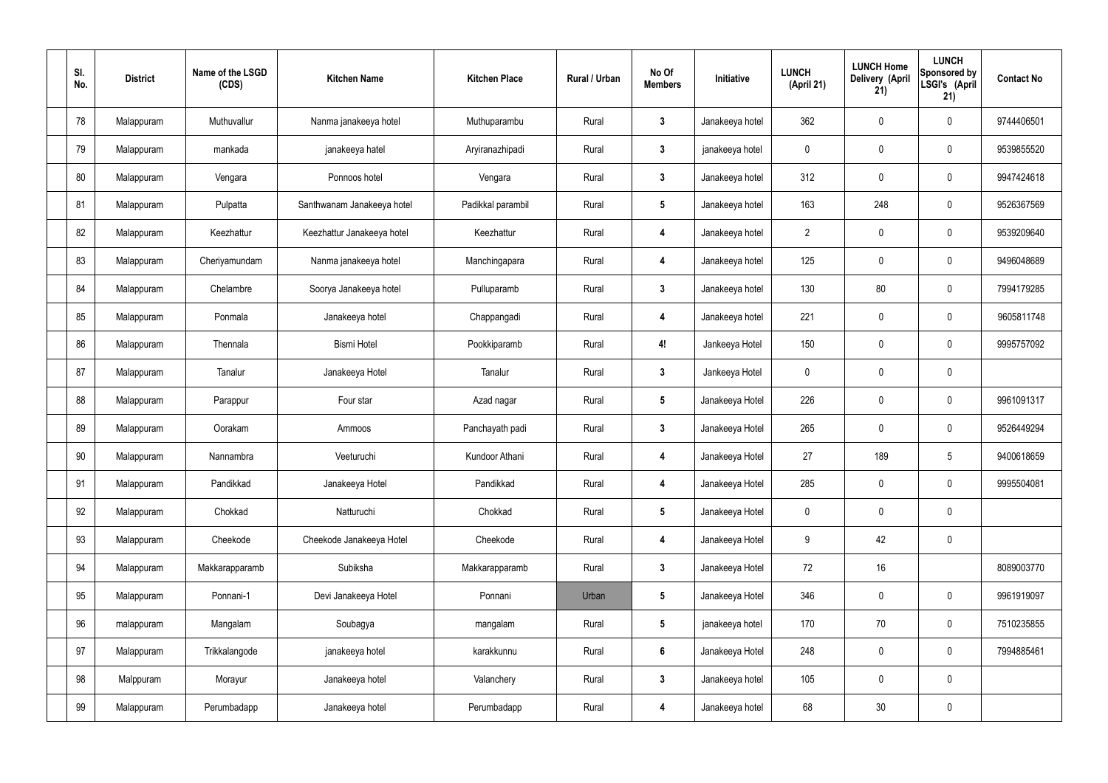| SI.<br>No. | <b>District</b> | Name of the LSGD<br>(CDS) | <b>Kitchen Name</b>        | <b>Kitchen Place</b> | <b>Rural / Urban</b> | No Of<br><b>Members</b> | Initiative      | <b>LUNCH</b><br>(April 21) | <b>LUNCH Home</b><br>Delivery (April<br>21) | <b>LUNCH</b><br>Sponsored by<br>LSGI's (April<br>21) | <b>Contact No</b> |
|------------|-----------------|---------------------------|----------------------------|----------------------|----------------------|-------------------------|-----------------|----------------------------|---------------------------------------------|------------------------------------------------------|-------------------|
| 78         | Malappuram      | Muthuvallur               | Nanma janakeeya hotel      | Muthuparambu         | Rural                | $3\phantom{a}$          | Janakeeya hotel | 362                        | $\mathbf 0$                                 | $\mathbf 0$                                          | 9744406501        |
| 79         | Malappuram      | mankada                   | janakeeya hatel            | Aryiranazhipadi      | Rural                | $3\phantom{a}$          | janakeeya hotel | $\mathbf 0$                | $\mathbf 0$                                 | $\mathbf 0$                                          | 9539855520        |
| 80         | Malappuram      | Vengara                   | Ponnoos hotel              | Vengara              | Rural                | $3\phantom{a}$          | Janakeeya hotel | 312                        | $\mathbf 0$                                 | $\mathbf 0$                                          | 9947424618        |
| 81         | Malappuram      | Pulpatta                  | Santhwanam Janakeeya hotel | Padikkal parambil    | Rural                | $5\phantom{.0}$         | Janakeeya hotel | 163                        | 248                                         | $\mathbf 0$                                          | 9526367569        |
| 82         | Malappuram      | Keezhattur                | Keezhattur Janakeeya hotel | Keezhattur           | Rural                | $\boldsymbol{4}$        | Janakeeya hotel | $\overline{2}$             | $\mathbf 0$                                 | $\mathbf 0$                                          | 9539209640        |
| 83         | Malappuram      | Cheriyamundam             | Nanma janakeeya hotel      | Manchingapara        | Rural                | $\overline{4}$          | Janakeeya hotel | 125                        | $\mathbf 0$                                 | $\mathbf 0$                                          | 9496048689        |
| 84         | Malappuram      | Chelambre                 | Soorya Janakeeya hotel     | Pulluparamb          | Rural                | $\mathbf{3}$            | Janakeeya hotel | 130                        | 80                                          | $\mathbf 0$                                          | 7994179285        |
| 85         | Malappuram      | Ponmala                   | Janakeeya hotel            | Chappangadi          | Rural                | $\boldsymbol{4}$        | Janakeeya hotel | 221                        | $\mathbf 0$                                 | $\mathbf 0$                                          | 9605811748        |
| 86         | Malappuram      | Thennala                  | <b>Bismi Hotel</b>         | Pookkiparamb         | Rural                | 4!                      | Jankeeya Hotel  | 150                        | $\mathbf 0$                                 | $\mathbf 0$                                          | 9995757092        |
| 87         | Malappuram      | Tanalur                   | Janakeeya Hotel            | Tanalur              | Rural                | $3\phantom{a}$          | Jankeeya Hotel  | $\mathbf 0$                | $\mathbf 0$                                 | $\mathbf 0$                                          |                   |
| 88         | Malappuram      | Parappur                  | Four star                  | Azad nagar           | Rural                | $5\phantom{.0}$         | Janakeeya Hotel | 226                        | $\pmb{0}$                                   | $\mathbf 0$                                          | 9961091317        |
| 89         | Malappuram      | Oorakam                   | Ammoos                     | Panchayath padi      | Rural                | $3\phantom{a}$          | Janakeeya Hotel | 265                        | $\mathbf 0$                                 | $\mathbf 0$                                          | 9526449294        |
| 90         | Malappuram      | Nannambra                 | Veeturuchi                 | Kundoor Athani       | Rural                | 4                       | Janakeeya Hotel | 27                         | 189                                         | 5                                                    | 9400618659        |
| 91         | Malappuram      | Pandikkad                 | Janakeeya Hotel            | Pandikkad            | Rural                | $\overline{4}$          | Janakeeya Hotel | 285                        | $\pmb{0}$                                   | $\mathbf 0$                                          | 9995504081        |
| 92         | Malappuram      | Chokkad                   | Natturuchi                 | Chokkad              | Rural                | $5\phantom{.0}$         | Janakeeya Hotel | $\mathbf 0$                | $\pmb{0}$                                   | $\pmb{0}$                                            |                   |
| 93         | Malappuram      | Cheekode                  | Cheekode Janakeeya Hotel   | Cheekode             | Rural                | $\overline{4}$          | Janakeeya Hotel | $9\,$                      | 42                                          | $\pmb{0}$                                            |                   |
| 94         | Malappuram      | Makkarapparamb            | Subiksha                   | Makkarapparamb       | Rural                | $3\phantom{a}$          | Janakeeya Hotel | 72                         | 16                                          |                                                      | 8089003770        |
| 95         | Malappuram      | Ponnani-1                 | Devi Janakeeya Hotel       | Ponnani              | Urban                | $5\phantom{.0}$         | Janakeeya Hotel | 346                        | $\pmb{0}$                                   | $\pmb{0}$                                            | 9961919097        |
| 96         | malappuram      | Mangalam                  | Soubagya                   | mangalam             | Rural                | $5\phantom{.0}$         | janakeeya hotel | 170                        | 70                                          | $\pmb{0}$                                            | 7510235855        |
| 97         | Malappuram      | Trikkalangode             | janakeeya hotel            | karakkunnu           | Rural                | $6\phantom{.}$          | Janakeeya Hotel | 248                        | $\pmb{0}$                                   | $\mathbf 0$                                          | 7994885461        |
| 98         | Malppuram       | Morayur                   | Janakeeya hotel            | Valanchery           | Rural                | $\mathbf{3}$            | Janakeeya hotel | 105                        | $\pmb{0}$                                   | $\pmb{0}$                                            |                   |
| 99         | Malappuram      | Perumbadapp               | Janakeeya hotel            | Perumbadapp          | Rural                | $\overline{4}$          | Janakeeya hotel | 68                         | $30\,$                                      | $\pmb{0}$                                            |                   |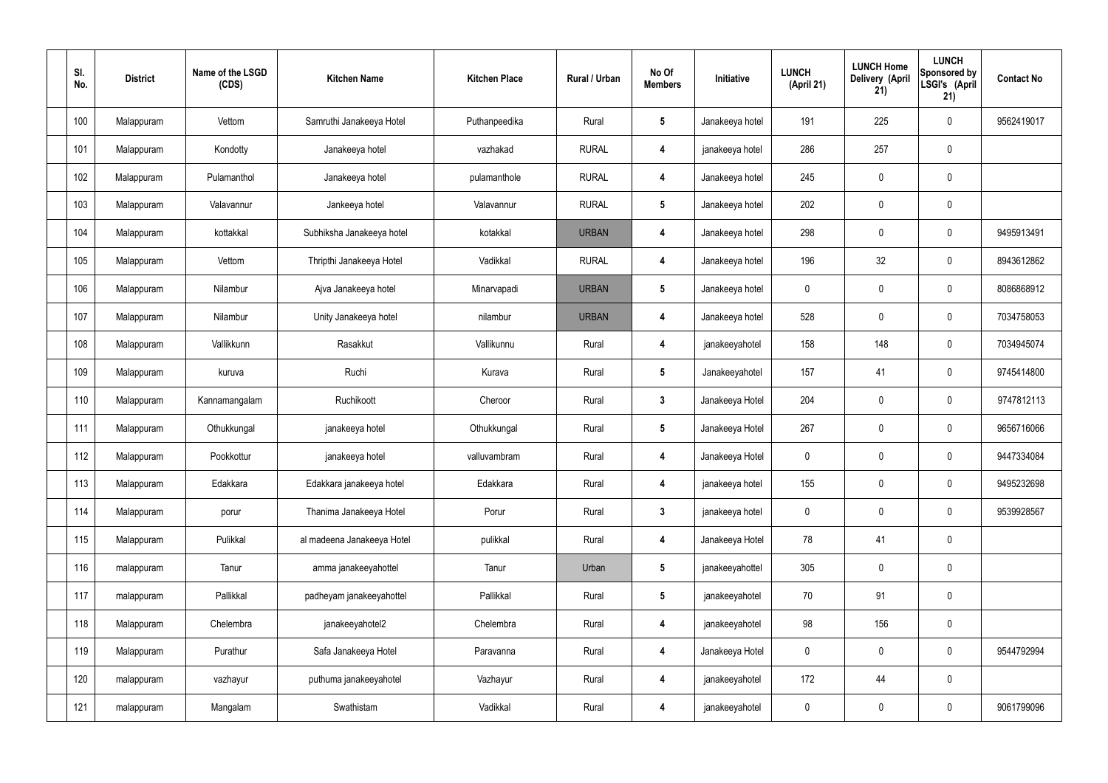| SI.<br>No. | <b>District</b> | Name of the LSGD<br>(CDS) | <b>Kitchen Name</b>        | <b>Kitchen Place</b> | <b>Rural / Urban</b> | No Of<br><b>Members</b> | Initiative      | <b>LUNCH</b><br>(April 21) | <b>LUNCH Home</b><br>Delivery (April<br>21) | <b>LUNCH</b><br>Sponsored by<br>LSGI's (April<br>21) | <b>Contact No</b> |
|------------|-----------------|---------------------------|----------------------------|----------------------|----------------------|-------------------------|-----------------|----------------------------|---------------------------------------------|------------------------------------------------------|-------------------|
| 100        | Malappuram      | Vettom                    | Samruthi Janakeeya Hotel   | Puthanpeedika        | Rural                | $5\phantom{.0}$         | Janakeeya hotel | 191                        | 225                                         | $\mathbf 0$                                          | 9562419017        |
| 101        | Malappuram      | Kondotty                  | Janakeeya hotel            | vazhakad             | <b>RURAL</b>         | $\boldsymbol{4}$        | janakeeya hotel | 286                        | 257                                         | $\mathbf 0$                                          |                   |
| 102        | Malappuram      | Pulamanthol               | Janakeeya hotel            | pulamanthole         | <b>RURAL</b>         | $\boldsymbol{4}$        | Janakeeya hotel | 245                        | $\mathbf 0$                                 | $\mathbf 0$                                          |                   |
| 103        | Malappuram      | Valavannur                | Jankeeya hotel             | Valavannur           | <b>RURAL</b>         | $5\phantom{.0}$         | Janakeeya hotel | 202                        | $\mathbf 0$                                 | $\mathbf 0$                                          |                   |
| 104        | Malappuram      | kottakkal                 | Subhiksha Janakeeya hotel  | kotakkal             | <b>URBAN</b>         | $\boldsymbol{4}$        | Janakeeya hotel | 298                        | $\pmb{0}$                                   | $\mathbf 0$                                          | 9495913491        |
| 105        | Malappuram      | Vettom                    | Thripthi Janakeeya Hotel   | Vadikkal             | <b>RURAL</b>         | $\overline{4}$          | Janakeeya hotel | 196                        | 32                                          | $\mathbf 0$                                          | 8943612862        |
| 106        | Malappuram      | Nilambur                  | Ajva Janakeeya hotel       | Minarvapadi          | <b>URBAN</b>         | $5\phantom{.0}$         | Janakeeya hotel | $\mathbf 0$                | $\pmb{0}$                                   | $\mathbf 0$                                          | 8086868912        |
| 107        | Malappuram      | Nilambur                  | Unity Janakeeya hotel      | nilambur             | <b>URBAN</b>         | $\boldsymbol{4}$        | Janakeeya hotel | 528                        | $\pmb{0}$                                   | $\mathbf 0$                                          | 7034758053        |
| 108        | Malappuram      | Vallikkunn                | Rasakkut                   | Vallikunnu           | Rural                | $\boldsymbol{4}$        | janakeeyahotel  | 158                        | 148                                         | $\mathbf 0$                                          | 7034945074        |
| 109        | Malappuram      | kuruva                    | Ruchi                      | Kurava               | Rural                | $5\phantom{.0}$         | Janakeeyahotel  | 157                        | 41                                          | $\mathbf 0$                                          | 9745414800        |
| 110        | Malappuram      | Kannamangalam             | Ruchikoott                 | Cheroor              | Rural                | $\mathbf{3}$            | Janakeeya Hotel | 204                        | $\pmb{0}$                                   | $\mathbf 0$                                          | 9747812113        |
| 111        | Malappuram      | Othukkungal               | janakeeya hotel            | Othukkungal          | Rural                | $5\phantom{.0}$         | Janakeeya Hotel | 267                        | $\mathbf 0$                                 | $\mathbf 0$                                          | 9656716066        |
| 112        | Malappuram      | Pookkottur                | janakeeya hotel            | valluvambram         | Rural                | $\overline{\mathbf{4}}$ | Janakeeya Hotel | $\mathbf 0$                | $\mathbf 0$                                 | $\mathbf 0$                                          | 9447334084        |
| 113        | Malappuram      | Edakkara                  | Edakkara janakeeya hotel   | Edakkara             | Rural                | $\overline{4}$          | janakeeya hotel | 155                        | $\pmb{0}$                                   | $\mathbf 0$                                          | 9495232698        |
| 114        | Malappuram      | porur                     | Thanima Janakeeya Hotel    | Porur                | Rural                | $\mathbf{3}$            | janakeeya hotel | $\mathbf 0$                | $\pmb{0}$                                   | $\mathbf 0$                                          | 9539928567        |
| 115        | Malappuram      | Pulikkal                  | al madeena Janakeeya Hotel | pulikkal             | Rural                | $\boldsymbol{4}$        | Janakeeya Hotel | 78                         | 41                                          | $\mathbf 0$                                          |                   |
| 116        | malappuram      | Tanur                     | amma janakeeyahottel       | Tanur                | Urban                | $5\phantom{.0}$         | janakeeyahottel | 305                        | $\pmb{0}$                                   | $\mathbf 0$                                          |                   |
| 117        | malappuram      | Pallikkal                 | padheyam janakeeyahottel   | Pallikkal            | Rural                | $5\phantom{.0}$         | janakeeyahotel  | 70                         | 91                                          | $\mathbf 0$                                          |                   |
| 118        | Malappuram      | Chelembra                 | janakeeyahotel2            | Chelembra            | Rural                | $\boldsymbol{4}$        | janakeeyahotel  | 98                         | 156                                         | $\mathbf 0$                                          |                   |
| 119        | Malappuram      | Purathur                  | Safa Janakeeya Hotel       | Paravanna            | Rural                | $\boldsymbol{4}$        | Janakeeya Hotel | $\mathbf 0$                | $\pmb{0}$                                   | $\mathbf 0$                                          | 9544792994        |
| 120        | malappuram      | vazhayur                  | puthuma janakeeyahotel     | Vazhayur             | Rural                | $\boldsymbol{4}$        | janakeeyahotel  | 172                        | 44                                          | $\mathbf 0$                                          |                   |
| 121        | malappuram      | Mangalam                  | Swathistam                 | Vadikkal             | Rural                | $\overline{\mathbf{4}}$ | janakeeyahotel  | $\pmb{0}$                  | $\pmb{0}$                                   | $\mathbf 0$                                          | 9061799096        |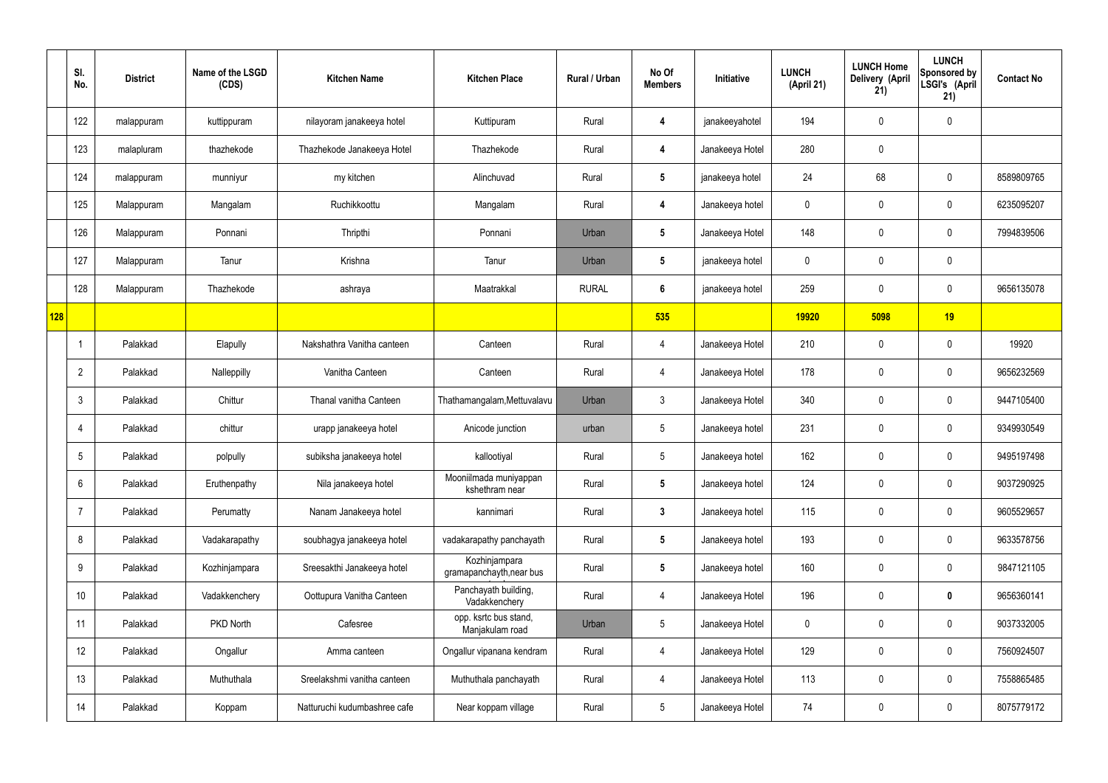| SI.<br>No.      | <b>District</b> | Name of the LSGD<br>(CDS) | <b>Kitchen Name</b>          | <b>Kitchen Place</b>                      | Rural / Urban | No Of<br><b>Members</b> | Initiative      | <b>LUNCH</b><br>(April 21) | <b>LUNCH Home</b><br>Delivery (April<br>21) | <b>LUNCH</b><br>Sponsored by<br>LSGI's (April<br>21) | <b>Contact No</b> |
|-----------------|-----------------|---------------------------|------------------------------|-------------------------------------------|---------------|-------------------------|-----------------|----------------------------|---------------------------------------------|------------------------------------------------------|-------------------|
| 122             | malappuram      | kuttippuram               | nilayoram janakeeya hotel    | Kuttipuram                                | Rural         | 4                       | janakeeyahotel  | 194                        | $\mathbf 0$                                 | $\mathbf 0$                                          |                   |
| 123             | malapluram      | thazhekode                | Thazhekode Janakeeya Hotel   | Thazhekode                                | Rural         | 4                       | Janakeeya Hotel | 280                        | 0                                           |                                                      |                   |
| 124             | malappuram      | munniyur                  | my kitchen                   | Alinchuvad                                | Rural         | $5\phantom{.0}$         | janakeeya hotel | 24                         | 68                                          | $\mathbf 0$                                          | 8589809765        |
| 125             | Malappuram      | Mangalam                  | Ruchikkoottu                 | Mangalam                                  | Rural         | 4                       | Janakeeya hotel | 0                          | $\mathbf 0$                                 | $\mathbf 0$                                          | 6235095207        |
| 126             | Malappuram      | Ponnani                   | Thripthi                     | Ponnani                                   | Urban         | $5\phantom{.0}$         | Janakeeya Hotel | 148                        | $\mathbf 0$                                 | $\mathbf 0$                                          | 7994839506        |
| 127             | Malappuram      | Tanur                     | Krishna                      | Tanur                                     | Urban         | $5\phantom{.0}$         | janakeeya hotel | 0                          | $\mathbf 0$                                 | $\mathbf 0$                                          |                   |
| 128             | Malappuram      | Thazhekode                | ashraya                      | Maatrakkal                                | <b>RURAL</b>  | $6\phantom{1}$          | janakeeya hotel | 259                        | 0                                           | $\mathbf 0$                                          | 9656135078        |
| 128             |                 |                           |                              |                                           |               | 535                     |                 | 19920                      | 5098                                        | 19                                                   |                   |
|                 | Palakkad        | Elapully                  | Nakshathra Vanitha canteen   | Canteen                                   | Rural         | 4                       | Janakeeya Hotel | 210                        | 0                                           | $\mathbf 0$                                          | 19920             |
| $\overline{2}$  | Palakkad        | Nalleppilly               | Vanitha Canteen              | Canteen                                   | Rural         | 4                       | Janakeeya Hotel | 178                        | $\mathbf 0$                                 | $\mathbf 0$                                          | 9656232569        |
| $\mathbf{3}$    | Palakkad        | Chittur                   | Thanal vanitha Canteen       | Thathamangalam, Mettuvalavu               | Urban         | $\mathbf{3}$            | Janakeeya Hotel | 340                        | 0                                           | $\mathbf 0$                                          | 9447105400        |
| $\overline{4}$  | Palakkad        | chittur                   | urapp janakeeya hotel        | Anicode junction                          | urban         | $5\phantom{.0}$         | Janakeeya hotel | 231                        | $\mathbf 0$                                 | $\mathbf 0$                                          | 9349930549        |
| 5               | Palakkad        | polpully                  | subiksha janakeeya hotel     | kallootiyal                               | Rural         | $5\phantom{.0}$         | Janakeeya hotel | 162                        | $\mathbf 0$                                 | $\mathbf 0$                                          | 9495197498        |
| $6\overline{6}$ | Palakkad        | Eruthenpathy              | Nila janakeeya hotel         | Mooniilmada muniyappan<br>kshethram near  | Rural         | $5\phantom{.0}$         | Janakeeya hotel | 124                        | $\mathbf 0$                                 | $\mathbf 0$                                          | 9037290925        |
| 7               | Palakkad        | Perumatty                 | Nanam Janakeeya hotel        | kannimari                                 | Rural         | $\mathbf{3}$            | Janakeeya hotel | 115                        | 0                                           | $\mathbf 0$                                          | 9605529657        |
| 8               | Palakkad        | Vadakarapathy             | soubhagya janakeeya hotel    | vadakarapathy panchayath                  | Rural         | $5\overline{)}$         | Janakeeya hotel | 193                        | 0                                           | $\mathbf 0$                                          | 9633578756        |
| 9               | Palakkad        | Kozhinjampara             | Sreesakthi Janakeeya hotel   | Kozhinjampara<br>gramapanchayth, near bus | Rural         | $5\overline{)}$         | Janakeeya hotel | 160                        | 0                                           | $\mathbf 0$                                          | 9847121105        |
| 10              | Palakkad        | Vadakkenchery             | Oottupura Vanitha Canteen    | Panchayath building,<br>Vadakkenchery     | Rural         | $\overline{4}$          | Janakeeya Hotel | 196                        | 0                                           | $\bf{0}$                                             | 9656360141        |
| 11              | Palakkad        | PKD North                 | Cafesree                     | opp. ksrtc bus stand,<br>Manjakulam road  | Urban         | $5\phantom{.0}$         | Janakeeya Hotel | 0                          | 0                                           | $\mathbf 0$                                          | 9037332005        |
| 12              | Palakkad        | Ongallur                  | Amma canteen                 | Ongallur vipanana kendram                 | Rural         | $\overline{4}$          | Janakeeya Hotel | 129                        | 0                                           | $\mathbf 0$                                          | 7560924507        |
| 13              | Palakkad        | Muthuthala                | Sreelakshmi vanitha canteen  | Muthuthala panchayath                     | Rural         | $\overline{4}$          | Janakeeya Hotel | 113                        | 0                                           | $\mathbf 0$                                          | 7558865485        |
| 14              | Palakkad        | Koppam                    | Natturuchi kudumbashree cafe | Near koppam village                       | Rural         | $5\phantom{.0}$         | Janakeeya Hotel | 74                         | 0                                           | $\boldsymbol{0}$                                     | 8075779172        |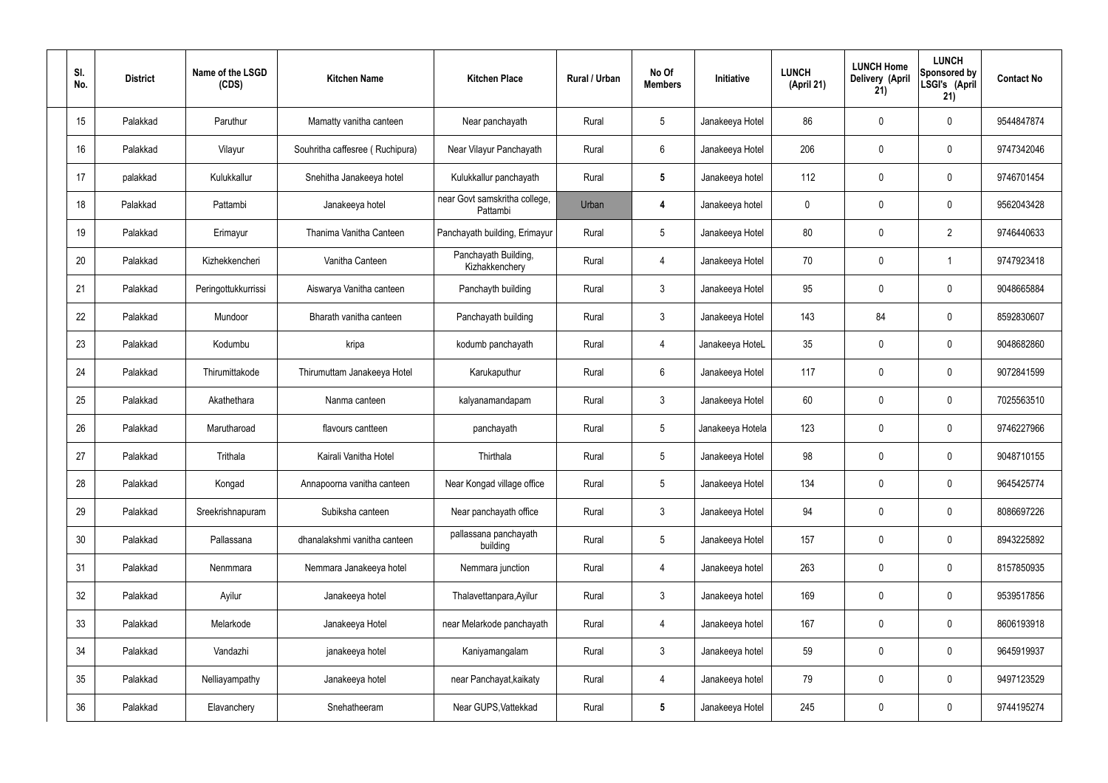| SI.<br>No.      | <b>District</b> | Name of the LSGD<br>(CDS) | <b>Kitchen Name</b>             | <b>Kitchen Place</b>                      | Rural / Urban | No Of<br><b>Members</b> | Initiative       | <b>LUNCH</b><br>(April 21) | <b>LUNCH Home</b><br>Delivery (April<br>21) | <b>LUNCH</b><br>Sponsored by<br>LSGI's (April<br>21) | <b>Contact No</b> |
|-----------------|-----------------|---------------------------|---------------------------------|-------------------------------------------|---------------|-------------------------|------------------|----------------------------|---------------------------------------------|------------------------------------------------------|-------------------|
| 15              | Palakkad        | Paruthur                  | Mamatty vanitha canteen         | Near panchayath                           | Rural         | $5\phantom{.0}$         | Janakeeya Hotel  | 86                         | 0                                           | $\mathbf 0$                                          | 9544847874        |
| 16              | Palakkad        | Vilayur                   | Souhritha caffesree (Ruchipura) | Near Vilayur Panchayath                   | Rural         | $6\phantom{.}$          | Janakeeya Hotel  | 206                        | 0                                           | $\mathbf 0$                                          | 9747342046        |
| 17              | palakkad        | Kulukkallur               | Snehitha Janakeeya hotel        | Kulukkallur panchayath                    | Rural         | $5\phantom{.0}$         | Janakeeya hotel  | 112                        | 0                                           | $\mathbf 0$                                          | 9746701454        |
| 18              | Palakkad        | Pattambi                  | Janakeeya hotel                 | near Govt samskritha college,<br>Pattambi | Urban         | 4                       | Janakeeya hotel  | $\mathbf 0$                | 0                                           | $\mathbf 0$                                          | 9562043428        |
| 19              | Palakkad        | Erimayur                  | Thanima Vanitha Canteen         | Panchayath building, Erimayur             | Rural         | $5\phantom{.0}$         | Janakeeya Hotel  | 80                         | 0                                           | $\overline{2}$                                       | 9746440633        |
| 20              | Palakkad        | Kizhekkencheri            | Vanitha Canteen                 | Panchayath Building,<br>Kizhakkenchery    | Rural         | $\overline{4}$          | Janakeeya Hotel  | 70                         | 0                                           | -1                                                   | 9747923418        |
| 21              | Palakkad        | Peringottukkurrissi       | Aiswarya Vanitha canteen        | Panchayth building                        | Rural         | $\mathbf{3}$            | Janakeeya Hotel  | 95                         | 0                                           | $\mathbf 0$                                          | 9048665884        |
| 22              | Palakkad        | Mundoor                   | Bharath vanitha canteen         | Panchayath building                       | Rural         | $\mathfrak{Z}$          | Janakeeya Hotel  | 143                        | 84                                          | $\mathbf 0$                                          | 8592830607        |
| 23              | Palakkad        | Kodumbu                   | kripa                           | kodumb panchayath                         | Rural         | $\overline{4}$          | Janakeeya HoteL  | 35                         | 0                                           | $\mathbf 0$                                          | 9048682860        |
| 24              | Palakkad        | Thirumittakode            | Thirumuttam Janakeeya Hotel     | Karukaputhur                              | Rural         | $6\phantom{.}$          | Janakeeya Hotel  | 117                        | 0                                           | $\boldsymbol{0}$                                     | 9072841599        |
| 25              | Palakkad        | Akathethara               | Nanma canteen                   | kalyanamandapam                           | Rural         | $\mathbf{3}$            | Janakeeya Hotel  | 60                         | 0                                           | $\boldsymbol{0}$                                     | 7025563510        |
| 26              | Palakkad        | Marutharoad               | flavours cantteen               | panchayath                                | Rural         | $5\phantom{.0}$         | Janakeeya Hotela | 123                        | 0                                           | $\boldsymbol{0}$                                     | 9746227966        |
| 27              | Palakkad        | Trithala                  | Kairali Vanitha Hotel           | Thirthala                                 | Rural         | $5\phantom{.0}$         | Janakeeya Hotel  | 98                         | 0                                           | 0                                                    | 9048710155        |
| 28              | Palakkad        | Kongad                    | Annapoorna vanitha canteen      | Near Kongad village office                | Rural         | $5\phantom{.0}$         | Janakeeya Hotel  | 134                        | $\mathbf 0$                                 | $\mathbf 0$                                          | 9645425774        |
| 29              | Palakkad        | Sreekrishnapuram          | Subiksha canteen                | Near panchayath office                    | Rural         | $\mathbf{3}$            | Janakeeya Hotel  | 94                         | $\mathbf 0$                                 | $\mathbf 0$                                          | 8086697226        |
| 30 <sub>2</sub> | Palakkad        | Pallassana                | dhanalakshmi vanitha canteen    | pallassana panchayath<br>building         | Rural         | $5\phantom{.0}$         | Janakeeya Hotel  | 157                        | $\mathbf 0$                                 | $\mathbf 0$                                          | 8943225892        |
| 31              | Palakkad        | Nenmmara                  | Nemmara Janakeeya hotel         | Nemmara junction                          | Rural         | 4                       | Janakeeya hotel  | 263                        | $\mathbf 0$                                 | $\mathbf 0$                                          | 8157850935        |
| 32              | Palakkad        | Ayilur                    | Janakeeya hotel                 | Thalavettanpara, Ayilur                   | Rural         | $\mathbf{3}$            | Janakeeya hotel  | 169                        | $\mathbf 0$                                 | $\mathbf 0$                                          | 9539517856        |
| 33              | Palakkad        | Melarkode                 | Janakeeya Hotel                 | near Melarkode panchayath                 | Rural         | 4                       | Janakeeya hotel  | 167                        | $\mathbf 0$                                 | $\mathbf 0$                                          | 8606193918        |
| 34              | Palakkad        | Vandazhi                  | janakeeya hotel                 | Kaniyamangalam                            | Rural         | $\mathbf{3}$            | Janakeeya hotel  | 59                         | $\mathbf 0$                                 | $\mathbf 0$                                          | 9645919937        |
| 35              | Palakkad        | Nelliayampathy            | Janakeeya hotel                 | near Panchayat, kaikaty                   | Rural         | 4                       | Janakeeya hotel  | 79                         | 0                                           | $\mathbf 0$                                          | 9497123529        |
| 36              | Palakkad        | Elavanchery               | Snehatheeram                    | Near GUPS, Vattekkad                      | Rural         | $5\phantom{.0}$         | Janakeeya Hotel  | 245                        | $\pmb{0}$                                   | $\boldsymbol{0}$                                     | 9744195274        |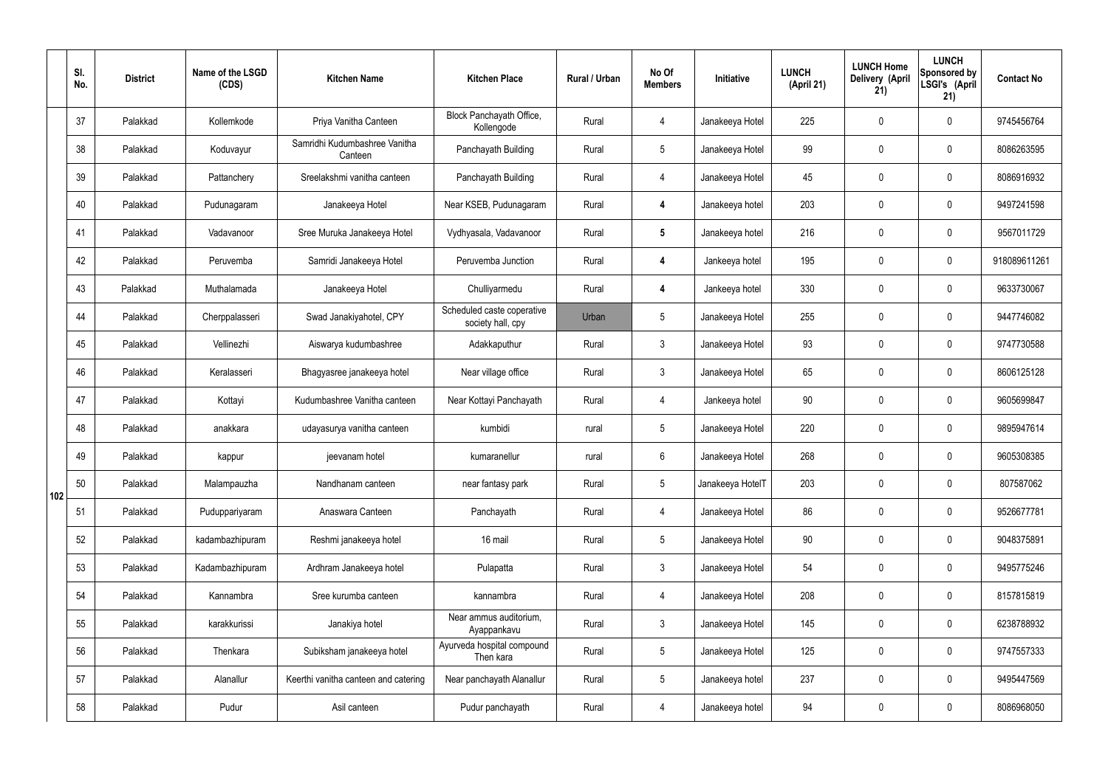|     | SI.<br>No. | <b>District</b> | Name of the LSGD<br>(CDS) | <b>Kitchen Name</b>                      | <b>Kitchen Place</b>                            | <b>Rural / Urban</b> | No Of<br><b>Members</b> | Initiative       | <b>LUNCH</b><br>(April 21) | <b>LUNCH Home</b><br>Delivery (April<br>21) | <b>LUNCH</b><br>Sponsored by<br>LSGI's (April<br>21) | <b>Contact No</b> |
|-----|------------|-----------------|---------------------------|------------------------------------------|-------------------------------------------------|----------------------|-------------------------|------------------|----------------------------|---------------------------------------------|------------------------------------------------------|-------------------|
|     | 37         | Palakkad        | Kollemkode                | Priya Vanitha Canteen                    | Block Panchayath Office,<br>Kollengode          | Rural                | 4                       | Janakeeya Hotel  | 225                        | $\mathbf 0$                                 | $\mathbf 0$                                          | 9745456764        |
|     | 38         | Palakkad        | Koduvayur                 | Samridhi Kudumbashree Vanitha<br>Canteen | Panchayath Building                             | Rural                | $5\overline{)}$         | Janakeeya Hotel  | 99                         | $\mathbf 0$                                 | $\mathbf 0$                                          | 8086263595        |
|     | 39         | Palakkad        | Pattanchery               | Sreelakshmi vanitha canteen              | Panchayath Building                             | Rural                | $\overline{4}$          | Janakeeya Hotel  | 45                         | $\mathbf 0$                                 | $\mathbf 0$                                          | 8086916932        |
|     | 40         | Palakkad        | Pudunagaram               | Janakeeya Hotel                          | Near KSEB, Pudunagaram                          | Rural                | $\overline{\mathbf{4}}$ | Janakeeya hotel  | 203                        | $\mathbf 0$                                 | $\mathbf 0$                                          | 9497241598        |
|     | 41         | Palakkad        | Vadavanoor                | Sree Muruka Janakeeya Hotel              | Vydhyasala, Vadavanoor                          | Rural                | $5\phantom{.0}$         | Janakeeya hotel  | 216                        | $\mathbf 0$                                 | $\mathbf 0$                                          | 9567011729        |
|     | 42         | Palakkad        | Peruvemba                 | Samridi Janakeeya Hotel                  | Peruvemba Junction                              | Rural                | $\overline{\mathbf{4}}$ | Jankeeya hotel   | 195                        | $\mathbf 0$                                 | $\mathbf 0$                                          | 918089611261      |
|     | 43         | Palakkad        | Muthalamada               | Janakeeya Hotel                          | Chulliyarmedu                                   | Rural                | $\boldsymbol{4}$        | Jankeeya hotel   | 330                        | $\mathbf 0$                                 | $\mathbf 0$                                          | 9633730067        |
|     | 44         | Palakkad        | Cherppalasseri            | Swad Janakiyahotel, CPY                  | Scheduled caste coperative<br>society hall, cpy | Urban                | $5\overline{)}$         | Janakeeya Hotel  | 255                        | $\mathbf 0$                                 | $\mathbf 0$                                          | 9447746082        |
|     | 45         | Palakkad        | Vellinezhi                | Aiswarya kudumbashree                    | Adakkaputhur                                    | Rural                | $\mathbf{3}$            | Janakeeya Hotel  | 93                         | $\mathbf 0$                                 | $\mathbf 0$                                          | 9747730588        |
|     | 46         | Palakkad        | Keralasseri               | Bhagyasree janakeeya hotel               | Near village office                             | Rural                | $\mathbf{3}$            | Janakeeya Hotel  | 65                         | $\mathbf 0$                                 | $\mathbf 0$                                          | 8606125128        |
|     | 47         | Palakkad        | Kottayi                   | Kudumbashree Vanitha canteen             | Near Kottayi Panchayath                         | Rural                | 4                       | Jankeeya hotel   | 90                         | $\mathbf 0$                                 | $\mathbf 0$                                          | 9605699847        |
|     | 48         | Palakkad        | anakkara                  | udayasurya vanitha canteen               | kumbidi                                         | rural                | $5\phantom{.0}$         | Janakeeya Hotel  | 220                        | $\mathbf 0$                                 | $\mathbf 0$                                          | 9895947614        |
|     | 49         | Palakkad        | kappur                    | jeevanam hotel                           | kumaranellur                                    | rural                | 6                       | Janakeeya Hotel  | 268                        | 0                                           | $\mathbf 0$                                          | 9605308385        |
| 102 | 50         | Palakkad        | Malampauzha               | Nandhanam canteen                        | near fantasy park                               | Rural                | $5\phantom{.0}$         | Janakeeya HotelT | 203                        | $\mathbf 0$                                 | $\mathbf 0$                                          | 807587062         |
|     | 51         | Palakkad        | Puduppariyaram            | Anaswara Canteen                         | Panchayath                                      | Rural                | $\overline{4}$          | Janakeeya Hotel  | 86                         | $\mathbf 0$                                 | $\mathbf 0$                                          | 9526677781        |
|     | 52         | Palakkad        | kadambazhipuram           | Reshmi janakeeya hotel                   | 16 mail                                         | Rural                | $5\phantom{.0}$         | Janakeeya Hotel  | $90\,$                     | $\mathbf 0$                                 | $\mathbf 0$                                          | 9048375891        |
|     | 53         | Palakkad        | Kadambazhipuram           | Ardhram Janakeeya hotel                  | Pulapatta                                       | Rural                | $3\phantom{a}$          | Janakeeya Hotel  | 54                         | $\mathbf 0$                                 | $\mathbf 0$                                          | 9495775246        |
|     | 54         | Palakkad        | Kannambra                 | Sree kurumba canteen                     | kannambra                                       | Rural                | $\overline{4}$          | Janakeeya Hotel  | 208                        | $\mathbf 0$                                 | $\mathbf 0$                                          | 8157815819        |
|     | 55         | Palakkad        | karakkurissi              | Janakiya hotel                           | Near ammus auditorium,<br>Ayappankavu           | Rural                | $3\phantom{a}$          | Janakeeya Hotel  | 145                        | $\mathbf 0$                                 | $\mathbf 0$                                          | 6238788932        |
|     | 56         | Palakkad        | Thenkara                  | Subiksham janakeeya hotel                | Ayurveda hospital compound<br>Then kara         | Rural                | 5 <sub>5</sub>          | Janakeeya Hotel  | 125                        | $\mathbf 0$                                 | $\mathbf 0$                                          | 9747557333        |
|     | 57         | Palakkad        | Alanallur                 | Keerthi vanitha canteen and catering     | Near panchayath Alanallur                       | Rural                | $5\phantom{.0}$         | Janakeeya hotel  | 237                        | $\mathbf 0$                                 | $\mathbf 0$                                          | 9495447569        |
|     | 58         | Palakkad        | Pudur                     | Asil canteen                             | Pudur panchayath                                | Rural                | 4                       | Janakeeya hotel  | 94                         | $\pmb{0}$                                   | $\boldsymbol{0}$                                     | 8086968050        |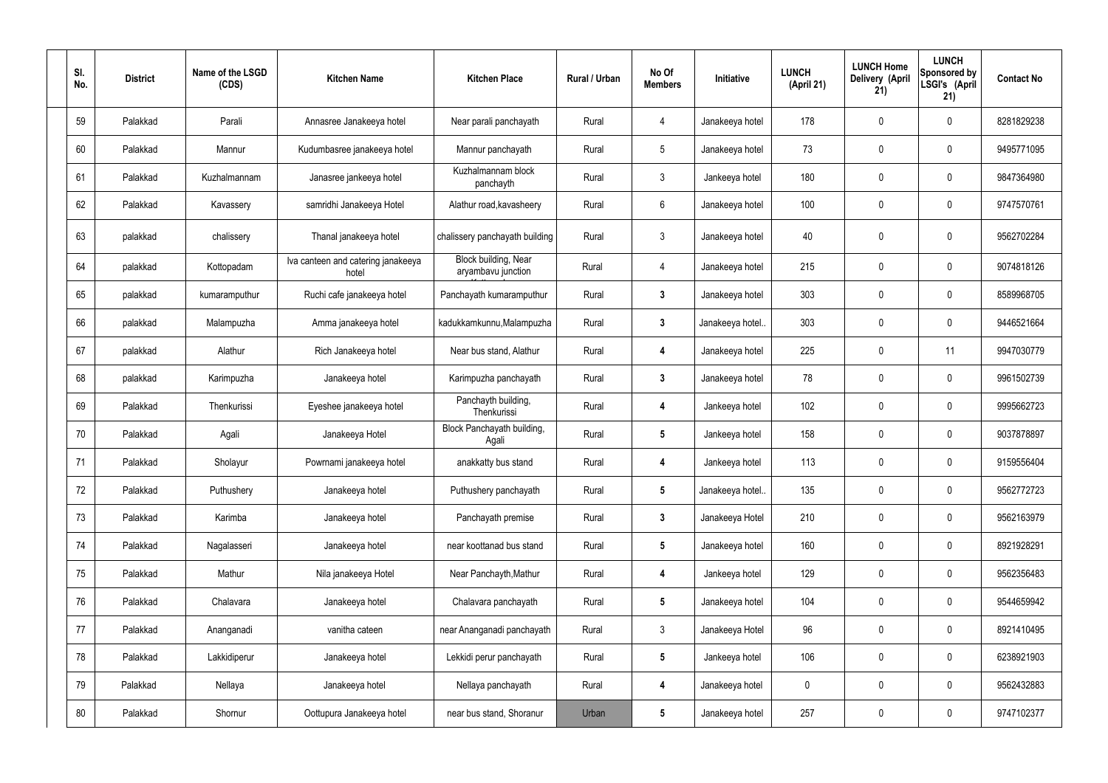| SI.<br>No. | <b>District</b> | Name of the LSGD<br>(CDS) | <b>Kitchen Name</b>                         | <b>Kitchen Place</b>                              | Rural / Urban | No Of<br><b>Members</b> | Initiative       | <b>LUNCH</b><br>(April 21) | <b>LUNCH Home</b><br>Delivery (April<br>21) | <b>LUNCH</b><br>Sponsored by<br>LSGI's (April<br>21) | <b>Contact No</b> |
|------------|-----------------|---------------------------|---------------------------------------------|---------------------------------------------------|---------------|-------------------------|------------------|----------------------------|---------------------------------------------|------------------------------------------------------|-------------------|
| 59         | Palakkad        | Parali                    | Annasree Janakeeya hotel                    | Near parali panchayath                            | Rural         | 4                       | Janakeeya hotel  | 178                        | 0                                           | $\mathbf 0$                                          | 8281829238        |
| 60         | Palakkad        | Mannur                    | Kudumbasree janakeeya hotel                 | Mannur panchayath                                 | Rural         | $5\phantom{.0}$         | Janakeeya hotel  | 73                         | 0                                           | $\mathbf 0$                                          | 9495771095        |
| 61         | Palakkad        | Kuzhalmannam              | Janasree jankeeya hotel                     | Kuzhalmannam block<br>panchayth                   | Rural         | $\mathbf{3}$            | Jankeeya hotel   | 180                        | 0                                           | $\mathbf 0$                                          | 9847364980        |
| 62         | Palakkad        | Kavassery                 | samridhi Janakeeya Hotel                    | Alathur road, kavasheery                          | Rural         | $6\phantom{.}6$         | Janakeeya hotel  | 100                        | 0                                           | $\mathbf 0$                                          | 9747570761        |
| 63         | palakkad        | chalissery                | Thanal janakeeya hotel                      | chalissery panchayath building                    | Rural         | $\mathfrak{Z}$          | Janakeeya hotel  | 40                         | $\boldsymbol{0}$                            | $\boldsymbol{0}$                                     | 9562702284        |
| 64         | palakkad        | Kottopadam                | Iva canteen and catering janakeeya<br>hotel | <b>Block building, Near</b><br>aryambavu junction | Rural         | 4                       | Janakeeya hotel  | 215                        | 0                                           | $\mathbf 0$                                          | 9074818126        |
| 65         | palakkad        | kumaramputhur             | Ruchi cafe janakeeya hotel                  | Panchayath kumaramputhur                          | Rural         | $\mathbf{3}$            | Janakeeya hotel  | 303                        | 0                                           | $\mathbf 0$                                          | 8589968705        |
| 66         | palakkad        | Malampuzha                | Amma janakeeya hotel                        | kadukkamkunnu, Malampuzha                         | Rural         | $3\phantom{a}$          | Janakeeya hotel. | 303                        | 0                                           | $\mathbf 0$                                          | 9446521664        |
| 67         | palakkad        | Alathur                   | Rich Janakeeya hotel                        | Near bus stand, Alathur                           | Rural         | 4                       | Janakeeya hotel  | 225                        | $\boldsymbol{0}$                            | 11                                                   | 9947030779        |
| 68         | palakkad        | Karimpuzha                | Janakeeya hotel                             | Karimpuzha panchayath                             | Rural         | $\mathbf{3}$            | Janakeeya hotel  | 78                         | 0                                           | $\mathbf 0$                                          | 9961502739        |
| 69         | Palakkad        | Thenkurissi               | Eyeshee janakeeya hotel                     | Panchayth building,<br>Thenkurissi                | Rural         | 4                       | Jankeeya hotel   | 102                        | $\mathbf 0$                                 | $\mathbf 0$                                          | 9995662723        |
| 70         | Palakkad        | Agali                     | Janakeeya Hotel                             | Block Panchayath building,<br>Agali               | Rural         | $5\phantom{.0}$         | Jankeeya hotel   | 158                        | 0                                           | $\mathbf 0$                                          | 9037878897        |
| 71         | Palakkad        | Sholayur                  | Powrnami janakeeya hotel                    | anakkatty bus stand                               | Rural         | 4                       | Jankeeya hotel   | 113                        | 0                                           | $\mathbf{0}$                                         | 9159556404        |
| 72         | Palakkad        | Puthushery                | Janakeeya hotel                             | Puthushery panchayath                             | Rural         | $5\phantom{.0}$         | Janakeeya hotel  | 135                        | 0                                           | $\mathbf 0$                                          | 9562772723        |
| 73         | Palakkad        | Karimba                   | Janakeeya hotel                             | Panchayath premise                                | Rural         | $3\phantom{a}$          | Janakeeya Hotel  | 210                        | 0                                           | $\mathbf 0$                                          | 9562163979        |
| 74         | Palakkad        | Nagalasseri               | Janakeeya hotel                             | near koottanad bus stand                          | Rural         | $5\phantom{.0}$         | Janakeeya hotel  | 160                        | 0                                           | $\mathbf 0$                                          | 8921928291        |
| 75         | Palakkad        | Mathur                    | Nila janakeeya Hotel                        | Near Panchayth, Mathur                            | Rural         | 4                       | Jankeeya hotel   | 129                        | 0                                           | $\mathbf 0$                                          | 9562356483        |
| 76         | Palakkad        | Chalavara                 | Janakeeya hotel                             | Chalavara panchayath                              | Rural         | $5\phantom{.0}$         | Janakeeya hotel  | 104                        | 0                                           | $\mathbf 0$                                          | 9544659942        |
| 77         | Palakkad        | Ananganadi                | vanitha cateen                              | near Ananganadi panchayath                        | Rural         | $\mathfrak{Z}$          | Janakeeya Hotel  | 96                         | 0                                           | $\mathbf 0$                                          | 8921410495        |
| 78         | Palakkad        | Lakkidiperur              | Janakeeya hotel                             | Lekkidi perur panchayath                          | Rural         | $5\phantom{.0}$         | Jankeeya hotel   | 106                        | 0                                           | $\mathbf 0$                                          | 6238921903        |
| 79         | Palakkad        | Nellaya                   | Janakeeya hotel                             | Nellaya panchayath                                | Rural         | 4                       | Janakeeya hotel  | 0                          | 0                                           | $\mathbf 0$                                          | 9562432883        |
| 80         | Palakkad        | Shornur                   | Oottupura Janakeeya hotel                   | near bus stand, Shoranur                          | Urban         | $\sqrt{5}$              | Janakeeya hotel  | 257                        | 0                                           | $\mathbf 0$                                          | 9747102377        |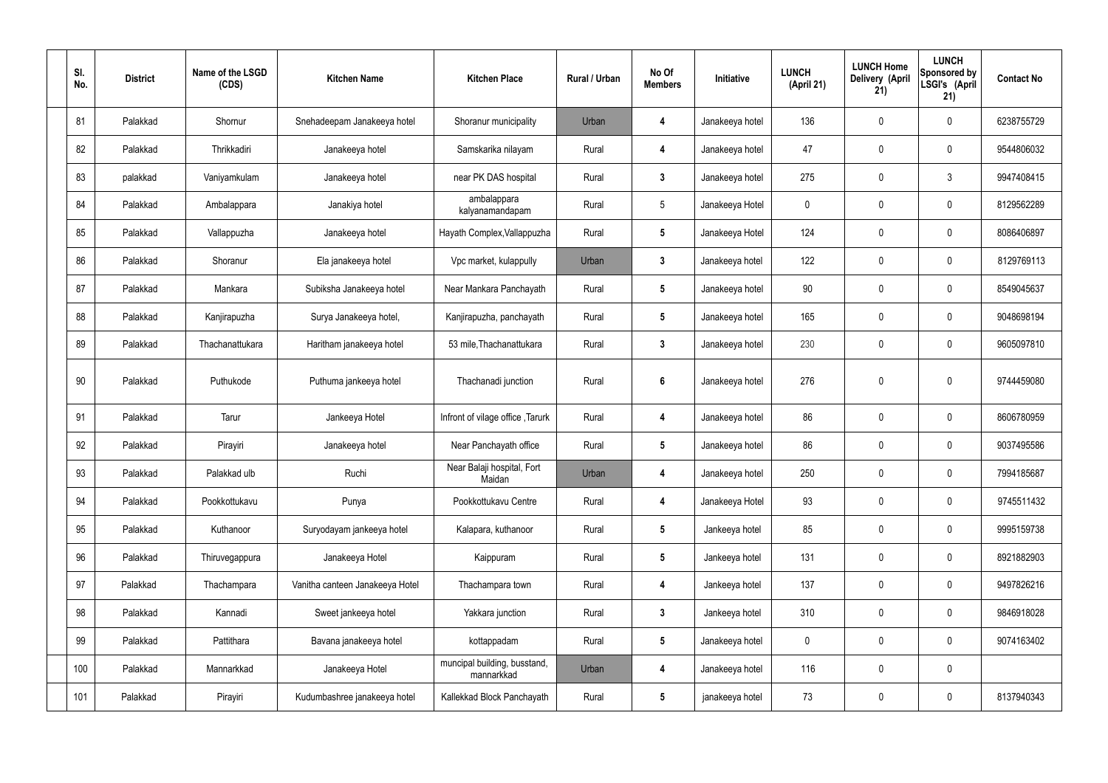| SI.<br>No. | <b>District</b> | Name of the LSGD<br>(CDS) | <b>Kitchen Name</b>             | <b>Kitchen Place</b>                       | Rural / Urban | No Of<br><b>Members</b> | Initiative      | <b>LUNCH</b><br>(April 21) | <b>LUNCH Home</b><br>Delivery (April<br>21) | <b>LUNCH</b><br>Sponsored by<br>LSGI's (April<br>21) | <b>Contact No</b> |
|------------|-----------------|---------------------------|---------------------------------|--------------------------------------------|---------------|-------------------------|-----------------|----------------------------|---------------------------------------------|------------------------------------------------------|-------------------|
| 81         | Palakkad        | Shornur                   | Snehadeepam Janakeeya hotel     | Shoranur municipality                      | Urban         | 4                       | Janakeeya hotel | 136                        | $\mathbf 0$                                 | $\mathbf 0$                                          | 6238755729        |
| 82         | Palakkad        | Thrikkadiri               | Janakeeya hotel                 | Samskarika nilayam                         | Rural         | 4                       | Janakeeya hotel | 47                         | $\mathbf 0$                                 | $\mathbf 0$                                          | 9544806032        |
| 83         | palakkad        | Vaniyamkulam              | Janakeeya hotel                 | near PK DAS hospital                       | Rural         | $3\phantom{a}$          | Janakeeya hotel | 275                        | 0                                           | $\mathfrak{Z}$                                       | 9947408415        |
| 84         | Palakkad        | Ambalappara               | Janakiya hotel                  | ambalappara<br>kalyanamandapam             | Rural         | $5\overline{)}$         | Janakeeya Hotel | $\mathbf 0$                | $\mathbf 0$                                 | $\mathbf 0$                                          | 8129562289        |
| 85         | Palakkad        | Vallappuzha               | Janakeeya hotel                 | Hayath Complex, Vallappuzha                | Rural         | $5\phantom{.0}$         | Janakeeya Hotel | 124                        | $\mathbf 0$                                 | $\mathbf 0$                                          | 8086406897        |
| 86         | Palakkad        | Shoranur                  | Ela janakeeya hotel             | Vpc market, kulappully                     | Urban         | $\mathbf{3}$            | Janakeeya hotel | 122                        | $\mathbf 0$                                 | $\mathbf 0$                                          | 8129769113        |
| 87         | Palakkad        | Mankara                   | Subiksha Janakeeya hotel        | Near Mankara Panchayath                    | Rural         | $5\phantom{.0}$         | Janakeeya hotel | 90                         | $\mathbf 0$                                 | $\mathbf 0$                                          | 8549045637        |
| 88         | Palakkad        | Kanjirapuzha              | Surya Janakeeya hotel,          | Kanjirapuzha, panchayath                   | Rural         | $5\phantom{.0}$         | Janakeeya hotel | 165                        | $\mathbf 0$                                 | $\mathbf 0$                                          | 9048698194        |
| 89         | Palakkad        | Thachanattukara           | Haritham janakeeya hotel        | 53 mile, Thachanattukara                   | Rural         | $3\phantom{a}$          | Janakeeya hotel | 230                        | 0                                           | $\mathbf 0$                                          | 9605097810        |
| 90         | Palakkad        | Puthukode                 | Puthuma jankeeya hotel          | Thachanadi junction                        | Rural         | $6\phantom{1}$          | Janakeeya hotel | 276                        | $\pmb{0}$                                   | $\mathbf 0$                                          | 9744459080        |
| 91         | Palakkad        | Tarur                     | Jankeeya Hotel                  | Infront of vilage office, Tarurk           | Rural         | 4                       | Janakeeya hotel | 86                         | 0                                           | $\mathbf 0$                                          | 8606780959        |
| 92         | Palakkad        | Pirayiri                  | Janakeeya hotel                 | Near Panchayath office                     | Rural         | $5\phantom{.0}$         | Janakeeya hotel | 86                         | 0                                           | $\overline{0}$                                       | 9037495586        |
| 93         | Palakkad        | Palakkad ulb              | Ruchi                           | Near Balaji hospital, Fort<br>Maidan       | Urban         | 4                       | Janakeeya hotel | 250                        | $\pmb{0}$                                   | $\mathbf 0$                                          | 7994185687        |
| 94         | Palakkad        | Pookkottukavu             | Punya                           | Pookkottukavu Centre                       | Rural         | 4                       | Janakeeya Hotel | 93                         | $\pmb{0}$                                   | $\mathbf 0$                                          | 9745511432        |
| 95         | Palakkad        | Kuthanoor                 | Suryodayam jankeeya hotel       | Kalapara, kuthanoor                        | Rural         | $5\phantom{.0}$         | Jankeeya hotel  | 85                         | $\pmb{0}$                                   | $\mathbf 0$                                          | 9995159738        |
| 96         | Palakkad        | Thiruvegappura            | Janakeeya Hotel                 | Kaippuram                                  | Rural         | $5\phantom{.0}$         | Jankeeya hotel  | 131                        | $\pmb{0}$                                   | $\mathbf 0$                                          | 8921882903        |
| 97         | Palakkad        | Thachampara               | Vanitha canteen Janakeeya Hotel | Thachampara town                           | Rural         | 4                       | Jankeeya hotel  | 137                        | $\pmb{0}$                                   | $\mathbf 0$                                          | 9497826216        |
| 98         | Palakkad        | Kannadi                   | Sweet jankeeya hotel            | Yakkara junction                           | Rural         | $\mathbf{3}$            | Jankeeya hotel  | 310                        | $\pmb{0}$                                   | $\mathbf 0$                                          | 9846918028        |
| 99         | Palakkad        | Pattithara                | Bavana janakeeya hotel          | kottappadam                                | Rural         | $5\phantom{.0}$         | Janakeeya hotel | $\boldsymbol{0}$           | $\pmb{0}$                                   | $\mathbf 0$                                          | 9074163402        |
| 100        | Palakkad        | Mannarkkad                | Janakeeya Hotel                 | muncipal building, busstand,<br>mannarkkad | Urban         | 4                       | Janakeeya hotel | 116                        | $\pmb{0}$                                   | $\mathbf 0$                                          |                   |
| 101        | Palakkad        | Pirayiri                  | Kudumbashree janakeeya hotel    | Kallekkad Block Panchayath                 | Rural         | $5\phantom{.0}$         | janakeeya hotel | 73                         | $\pmb{0}$                                   | $\boldsymbol{0}$                                     | 8137940343        |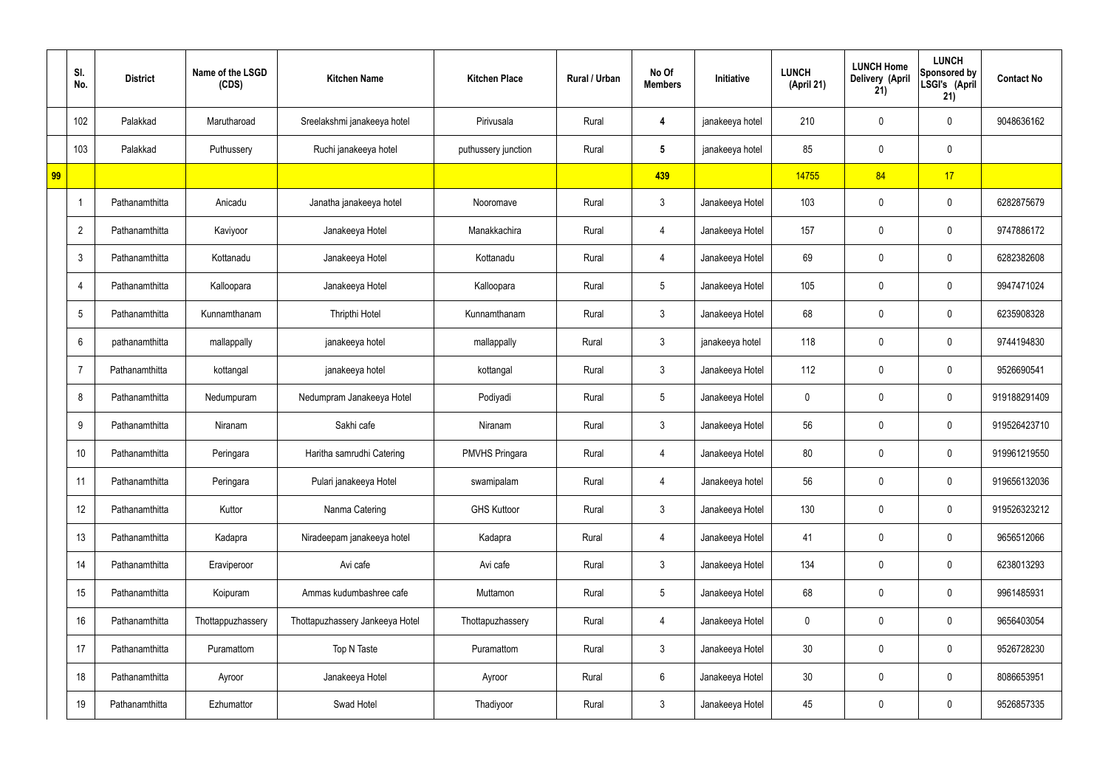|    | SI.<br>No.      | <b>District</b> | Name of the LSGD<br>(CDS) | <b>Kitchen Name</b>             | <b>Kitchen Place</b>  | Rural / Urban | No Of<br><b>Members</b> | Initiative      | <b>LUNCH</b><br>(April 21) | <b>LUNCH Home</b><br>Delivery (April<br>21) | <b>LUNCH</b><br>Sponsored by<br>LSGI's (April<br>21) | <b>Contact No</b> |
|----|-----------------|-----------------|---------------------------|---------------------------------|-----------------------|---------------|-------------------------|-----------------|----------------------------|---------------------------------------------|------------------------------------------------------|-------------------|
|    | 102             | Palakkad        | Marutharoad               | Sreelakshmi janakeeya hotel     | Pirivusala            | Rural         | 4                       | janakeeya hotel | 210                        | $\mathbf 0$                                 | $\mathbf 0$                                          | 9048636162        |
|    | 103             | Palakkad        | Puthussery                | Ruchi janakeeya hotel           | puthussery junction   | Rural         | $5\phantom{.0}$         | janakeeya hotel | 85                         | $\mathbf 0$                                 | $\mathbf 0$                                          |                   |
| 99 |                 |                 |                           |                                 |                       |               | 439                     |                 | 14755                      | 84                                          | 17                                                   |                   |
|    | -1              | Pathanamthitta  | Anicadu                   | Janatha janakeeya hotel         | Nooromave             | Rural         | $\mathbf{3}$            | Janakeeya Hotel | 103                        | $\mathbf 0$                                 | $\mathbf 0$                                          | 6282875679        |
|    | $\overline{2}$  | Pathanamthitta  | Kaviyoor                  | Janakeeya Hotel                 | Manakkachira          | Rural         | 4                       | Janakeeya Hotel | 157                        | $\mathbf 0$                                 | $\mathbf 0$                                          | 9747886172        |
|    | $\mathbf{3}$    | Pathanamthitta  | Kottanadu                 | Janakeeya Hotel                 | Kottanadu             | Rural         | $\overline{4}$          | Janakeeya Hotel | 69                         | $\mathbf 0$                                 | $\mathbf 0$                                          | 6282382608        |
|    | -4              | Pathanamthitta  | Kalloopara                | Janakeeya Hotel                 | Kalloopara            | Rural         | $5\phantom{.0}$         | Janakeeya Hotel | 105                        | $\mathbf 0$                                 | $\mathbf 0$                                          | 9947471024        |
|    | $5\phantom{.0}$ | Pathanamthitta  | Kunnamthanam              | Thripthi Hotel                  | Kunnamthanam          | Rural         | 3                       | Janakeeya Hotel | 68                         | $\mathbf 0$                                 | $\mathbf 0$                                          | 6235908328        |
|    | 6               | pathanamthitta  | mallappally               | janakeeya hotel                 | mallappally           | Rural         | $\mathbf{3}$            | janakeeya hotel | 118                        | $\mathbf 0$                                 | $\mathbf 0$                                          | 9744194830        |
|    | $\overline{7}$  | Pathanamthitta  | kottangal                 | janakeeya hotel                 | kottangal             | Rural         | 3                       | Janakeeya Hotel | 112                        | $\mathbf 0$                                 | $\mathbf 0$                                          | 9526690541        |
|    | 8               | Pathanamthitta  | Nedumpuram                | Nedumpram Janakeeya Hotel       | Podiyadi              | Rural         | $5\overline{)}$         | Janakeeya Hotel | $\mathbf 0$                | $\mathbf 0$                                 | $\mathbf 0$                                          | 919188291409      |
|    | 9               | Pathanamthitta  | Niranam                   | Sakhi cafe                      | Niranam               | Rural         | $\mathbf{3}$            | Janakeeya Hotel | 56                         | $\mathbf 0$                                 | $\mathbf 0$                                          | 919526423710      |
|    | 10              | Pathanamthitta  | Peringara                 | Haritha samrudhi Catering       | <b>PMVHS Pringara</b> | Rural         | 4                       | Janakeeya Hotel | 80                         | $\mathbf 0$                                 | $\mathbf 0$                                          | 919961219550      |
|    | 11              | Pathanamthitta  | Peringara                 | Pulari janakeeya Hotel          | swamipalam            | Rural         | 4                       | Janakeeya hotel | 56                         | $\mathbf 0$                                 | $\mathbf 0$                                          | 919656132036      |
|    | 12              | Pathanamthitta  | Kuttor                    | Nanma Catering                  | <b>GHS Kuttoor</b>    | Rural         | 3                       | Janakeeya Hotel | 130                        | 0                                           | $\mathbf 0$                                          | 919526323212      |
|    | 13              | Pathanamthitta  | Kadapra                   | Niradeepam janakeeya hotel      | Kadapra               | Rural         | $\overline{4}$          | Janakeeya Hotel | 41                         | 0                                           | $\mathbf 0$                                          | 9656512066        |
|    | 14              | Pathanamthitta  | Eraviperoor               | Avi cafe                        | Avi cafe              | Rural         | 3                       | Janakeeya Hotel | 134                        | 0                                           | $\mathbf 0$                                          | 6238013293        |
|    | 15              | Pathanamthitta  | Koipuram                  | Ammas kudumbashree cafe         | Muttamon              | Rural         | $5\phantom{.0}$         | Janakeeya Hotel | 68                         | 0                                           | $\mathbf 0$                                          | 9961485931        |
|    | 16              | Pathanamthitta  | Thottappuzhassery         | Thottapuzhassery Jankeeya Hotel | Thottapuzhassery      | Rural         | $\overline{4}$          | Janakeeya Hotel | $\mathbf 0$                | 0                                           | $\mathbf 0$                                          | 9656403054        |
|    | 17              | Pathanamthitta  | Puramattom                | Top N Taste                     | Puramattom            | Rural         | $\mathbf{3}$            | Janakeeya Hotel | 30 <sub>o</sub>            | 0                                           | $\mathbf 0$                                          | 9526728230        |
|    | 18              | Pathanamthitta  | Ayroor                    | Janakeeya Hotel                 | Ayroor                | Rural         | $6\overline{6}$         | Janakeeya Hotel | 30 <sub>o</sub>            | 0                                           | $\mathbf 0$                                          | 8086653951        |
|    | 19              | Pathanamthitta  | Ezhumattor                | Swad Hotel                      | Thadiyoor             | Rural         | $3\phantom{.0}$         | Janakeeya Hotel | 45                         | 0                                           | $\overline{0}$                                       | 9526857335        |
|    |                 |                 |                           |                                 |                       |               |                         |                 |                            |                                             |                                                      |                   |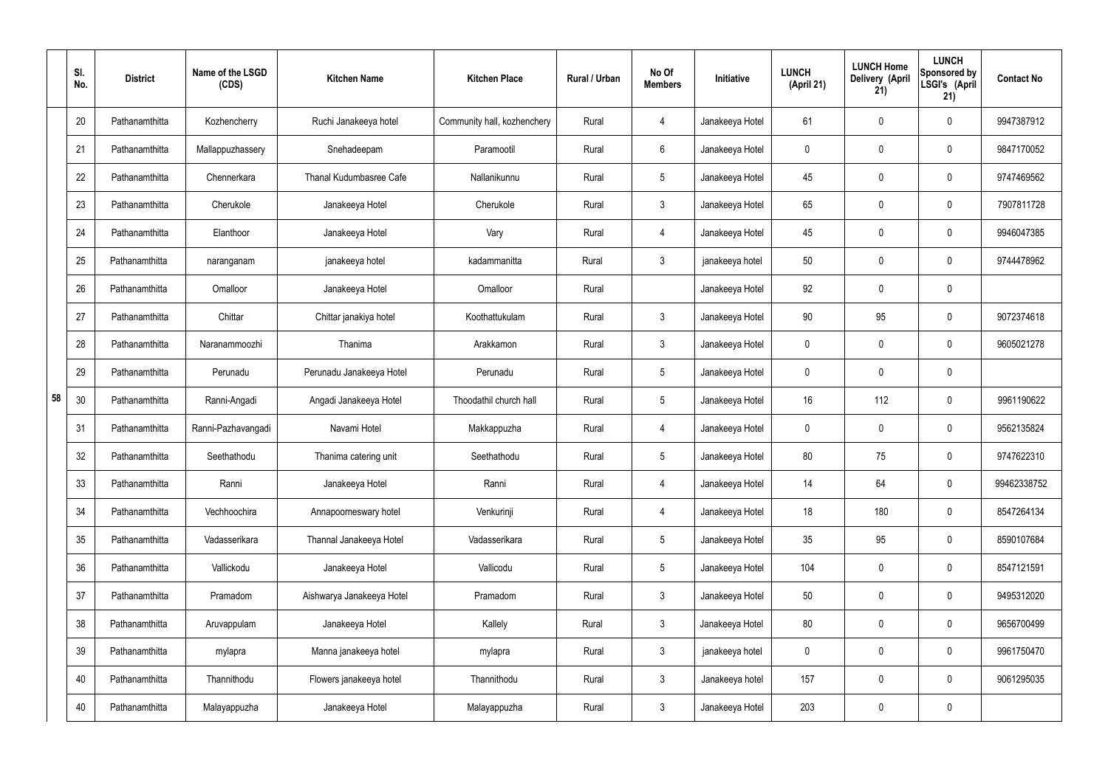|    | SI.<br>No. | <b>District</b> | Name of the LSGD<br>(CDS) | <b>Kitchen Name</b>       | <b>Kitchen Place</b>        | Rural / Urban | No Of<br><b>Members</b> | Initiative      | <b>LUNCH</b><br>(April 21) | <b>LUNCH Home</b><br>Delivery (April<br>21) | <b>LUNCH</b><br>Sponsored by<br>LSGI's (April<br>21) | <b>Contact No</b> |
|----|------------|-----------------|---------------------------|---------------------------|-----------------------------|---------------|-------------------------|-----------------|----------------------------|---------------------------------------------|------------------------------------------------------|-------------------|
|    | 20         | Pathanamthitta  | Kozhencherry              | Ruchi Janakeeya hotel     | Community hall, kozhenchery | Rural         | $\overline{4}$          | Janakeeya Hotel | 61                         | 0                                           | $\mathbf 0$                                          | 9947387912        |
|    | 21         | Pathanamthitta  | Mallappuzhassery          | Snehadeepam               | Paramootil                  | Rural         | 6                       | Janakeeya Hotel | $\mathbf 0$                | 0                                           | $\pmb{0}$                                            | 9847170052        |
|    | 22         | Pathanamthitta  | Chennerkara               | Thanal Kudumbasree Cafe   | Nallanikunnu                | Rural         | $5\phantom{.0}$         | Janakeeya Hotel | 45                         | 0                                           | $\mathbf 0$                                          | 9747469562        |
|    | 23         | Pathanamthitta  | Cherukole                 | Janakeeya Hotel           | Cherukole                   | Rural         | $\mathbf{3}$            | Janakeeya Hotel | 65                         | 0                                           | $\mathbf 0$                                          | 7907811728        |
|    | 24         | Pathanamthitta  | Elanthoor                 | Janakeeya Hotel           | Vary                        | Rural         | $\overline{4}$          | Janakeeya Hotel | 45                         | 0                                           | $\mathbf 0$                                          | 9946047385        |
|    | 25         | Pathanamthitta  | naranganam                | janakeeya hotel           | kadammanitta                | Rural         | $\mathbf{3}$            | janakeeya hotel | 50                         | 0                                           | $\mathbf 0$                                          | 9744478962        |
|    | 26         | Pathanamthitta  | Omalloor                  | Janakeeya Hotel           | Omalloor                    | Rural         |                         | Janakeeya Hotel | 92                         | $\mathbf 0$                                 | $\mathbf 0$                                          |                   |
|    | 27         | Pathanamthitta  | Chittar                   | Chittar janakiya hotel    | Koothattukulam              | Rural         | $\mathbf{3}$            | Janakeeya Hotel | 90                         | 95                                          | $\mathbf 0$                                          | 9072374618        |
|    | 28         | Pathanamthitta  | Naranammoozhi             | Thanima                   | Arakkamon                   | Rural         | $\mathbf{3}$            | Janakeeya Hotel | $\mathbf 0$                | 0                                           | $\mathbf 0$                                          | 9605021278        |
|    | 29         | Pathanamthitta  | Perunadu                  | Perunadu Janakeeya Hotel  | Perunadu                    | Rural         | $5\,$                   | Janakeeya Hotel | $\mathbf 0$                | 0                                           | $\mathbf 0$                                          |                   |
| 58 | 30         | Pathanamthitta  | Ranni-Angadi              | Angadi Janakeeya Hotel    | Thoodathil church hall      | Rural         | $5\phantom{.0}$         | Janakeeya Hotel | 16                         | 112                                         | $\mathbf 0$                                          | 9961190622        |
|    | 31         | Pathanamthitta  | Ranni-Pazhavangadi        | Navami Hotel              | Makkappuzha                 | Rural         | 4                       | Janakeeya Hotel | $\mathbf 0$                | 0                                           | $\boldsymbol{0}$                                     | 9562135824        |
|    | 32         | Pathanamthitta  | Seethathodu               | Thanima catering unit     | Seethathodu                 | Rural         | $5\phantom{.0}$         | Janakeeya Hotel | 80                         | 75                                          | $\boldsymbol{0}$                                     | 9747622310        |
|    | 33         | Pathanamthitta  | Ranni                     | Janakeeya Hotel           | Ranni                       | Rural         | $\overline{4}$          | Janakeeya Hotel | 14                         | 64                                          | $\mathbf 0$                                          | 99462338752       |
|    | 34         | Pathanamthitta  | Vechhoochira              | Annapoorneswary hotel     | Venkurinji                  | Rural         | $\overline{4}$          | Janakeeya Hotel | 18                         | 180                                         | $\mathbf 0$                                          | 8547264134        |
|    | 35         | Pathanamthitta  | Vadasserikara             | Thannal Janakeeya Hotel   | Vadasserikara               | Rural         | $5\phantom{.0}$         | Janakeeya Hotel | 35                         | 95                                          | $\mathbf 0$                                          | 8590107684        |
|    | 36         | Pathanamthitta  | Vallickodu                | Janakeeya Hotel           | Vallicodu                   | Rural         | $5\phantom{.0}$         | Janakeeya Hotel | 104                        | 0                                           | $\mathbf 0$                                          | 8547121591        |
|    | 37         | Pathanamthitta  | Pramadom                  | Aishwarya Janakeeya Hotel | Pramadom                    | Rural         | $\mathbf{3}$            | Janakeeya Hotel | 50                         | 0                                           | $\mathbf 0$                                          | 9495312020        |
|    | 38         | Pathanamthitta  | Aruvappulam               | Janakeeya Hotel           | Kallely                     | Rural         | $\mathfrak{Z}$          | Janakeeya Hotel | 80                         | 0                                           | $\mathbf 0$                                          | 9656700499        |
|    | 39         | Pathanamthitta  | mylapra                   | Manna janakeeya hotel     | mylapra                     | Rural         | $\mathfrak{Z}$          | janakeeya hotel | 0                          | 0                                           | $\mathbf 0$                                          | 9961750470        |
|    | 40         | Pathanamthitta  | Thannithodu               | Flowers janakeeya hotel   | Thannithodu                 | Rural         | $\mathfrak{Z}$          | Janakeeya hotel | 157                        | 0                                           | $\mathbf 0$                                          | 9061295035        |
|    | 40         | Pathanamthitta  | Malayappuzha              | Janakeeya Hotel           | Malayappuzha                | Rural         | $\mathfrak{Z}$          | Janakeeya Hotel | 203                        | 0                                           | $\boldsymbol{0}$                                     |                   |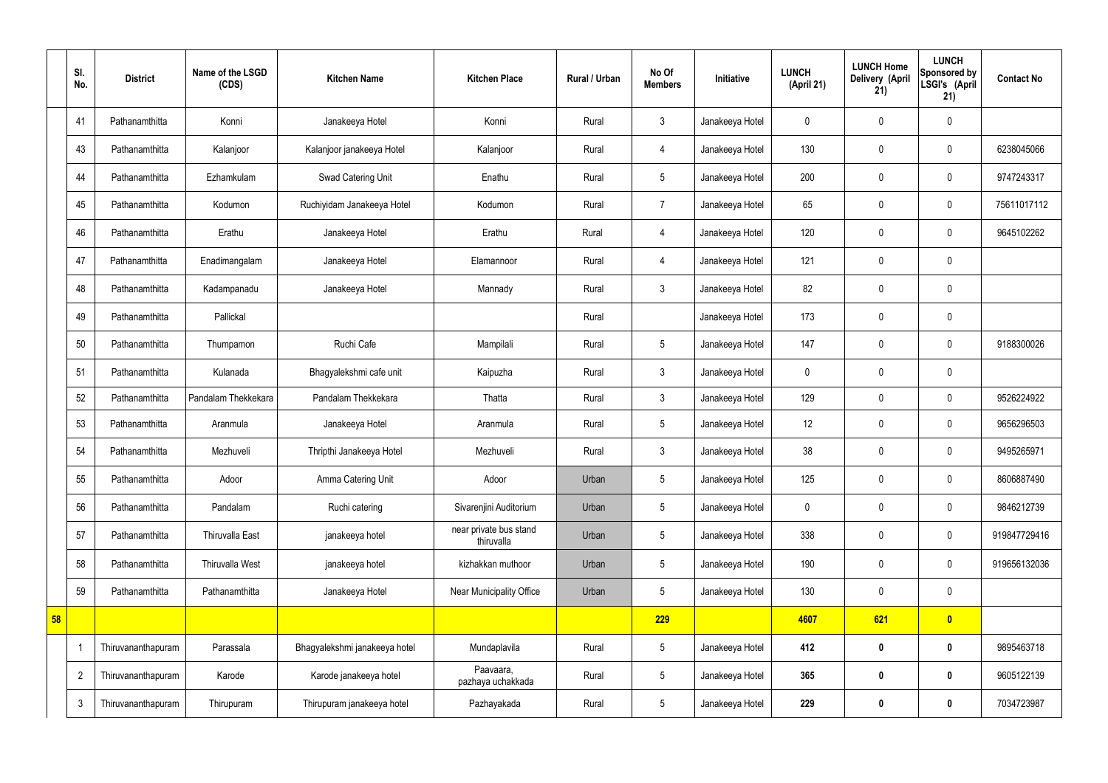|    | SI.<br>No.     | <b>District</b>    | Name of the LSGD<br>(CDS) | <b>Kitchen Name</b>           | <b>Kitchen Place</b>                 | Rural / Urban | No Of<br><b>Members</b> | Initiative      | <b>LUNCH</b><br>(April 21) | <b>LUNCH Home</b><br>Delivery (April<br>21) | <b>LUNCH</b><br>Sponsored by<br>LSGI's (April<br>21) | <b>Contact No</b> |
|----|----------------|--------------------|---------------------------|-------------------------------|--------------------------------------|---------------|-------------------------|-----------------|----------------------------|---------------------------------------------|------------------------------------------------------|-------------------|
|    | 41             | Pathanamthitta     | Konni                     | Janakeeya Hotel               | Konni                                | Rural         | 3                       | Janakeeya Hotel | $\mathbf 0$                | $\mathbf 0$                                 | $\mathbf 0$                                          |                   |
|    | 43             | Pathanamthitta     | Kalanjoor                 | Kalanjoor janakeeya Hotel     | Kalanjoor                            | Rural         | $\overline{4}$          | Janakeeya Hotel | 130                        | $\mathbf 0$                                 | $\mathbf 0$                                          | 6238045066        |
|    | 44             | Pathanamthitta     | Ezhamkulam                | Swad Catering Unit            | Enathu                               | Rural         | $5\overline{)}$         | Janakeeya Hotel | 200                        | $\mathbf 0$                                 | $\mathbf 0$                                          | 9747243317        |
|    | 45             | Pathanamthitta     | Kodumon                   | Ruchiyidam Janakeeya Hotel    | Kodumon                              | Rural         | $\overline{7}$          | Janakeeya Hotel | 65                         | $\mathbf 0$                                 | $\mathbf 0$                                          | 75611017112       |
|    | 46             | Pathanamthitta     | Erathu                    | Janakeeya Hotel               | Erathu                               | Rural         | 4                       | Janakeeya Hotel | 120                        | $\mathbf 0$                                 | $\mathbf 0$                                          | 9645102262        |
|    | 47             | Pathanamthitta     | Enadimangalam             | Janakeeya Hotel               | Elamannoor                           | Rural         | $\overline{4}$          | Janakeeya Hotel | 121                        | $\mathbf 0$                                 | $\mathbf 0$                                          |                   |
|    | 48             | Pathanamthitta     | Kadampanadu               | Janakeeya Hotel               | Mannady                              | Rural         | 3                       | Janakeeya Hotel | 82                         | $\pmb{0}$                                   | $\mathbf 0$                                          |                   |
|    | 49             | Pathanamthitta     | Pallickal                 |                               |                                      | Rural         |                         | Janakeeya Hotel | 173                        | $\mathbf 0$                                 | $\mathbf 0$                                          |                   |
|    | 50             | Pathanamthitta     | Thumpamon                 | Ruchi Cafe                    | Mampilali                            | Rural         | $5\phantom{.0}$         | Janakeeya Hotel | 147                        | $\mathbf 0$                                 | $\mathbf 0$                                          | 9188300026        |
|    | 51             | Pathanamthitta     | Kulanada                  | Bhagyalekshmi cafe unit       | Kaipuzha                             | Rural         | 3                       | Janakeeya Hotel | $\mathbf 0$                | $\mathbf 0$                                 | $\mathbf 0$                                          |                   |
|    | 52             | Pathanamthitta     | Pandalam Thekkekara       | Pandalam Thekkekara           | Thatta                               | Rural         | 3                       | Janakeeya Hotel | 129                        | $\mathbf 0$                                 | $\mathbf 0$                                          | 9526224922        |
|    | 53             | Pathanamthitta     | Aranmula                  | Janakeeya Hotel               | Aranmula                             | Rural         | 5 <sub>5</sub>          | Janakeeya Hotel | 12                         | $\pmb{0}$                                   | $\mathbf 0$                                          | 9656296503        |
|    | 54             | Pathanamthitta     | Mezhuveli                 | Thripthi Janakeeya Hotel      | Mezhuveli                            | Rural         | 3                       | Janakeeya Hotel | 38                         | $\mathbf 0$                                 | $\mathbf 0$                                          | 9495265971        |
|    | 55             | Pathanamthitta     | Adoor                     | Amma Catering Unit            | Adoor                                | Urban         | $5\phantom{.0}$         | Janakeeya Hotel | 125                        | $\pmb{0}$                                   | $\mathbf 0$                                          | 8606887490        |
|    | 56             | Pathanamthitta     | Pandalam                  | Ruchi catering                | Sivarenjini Auditorium               | Urban         | 5 <sub>5</sub>          | Janakeeya Hotel | $\pmb{0}$                  | $\pmb{0}$                                   | $\mathbf 0$                                          | 9846212739        |
|    | 57             | Pathanamthitta     | Thiruvalla East           | janakeeya hotel               | near private bus stand<br>thiruvalla | Urban         | $5\phantom{.0}$         | Janakeeya Hotel | 338                        | $\pmb{0}$                                   | $\pmb{0}$                                            | 919847729416      |
|    | 58             | Pathanamthitta     | <b>Thiruvalla West</b>    | janakeeya hotel               | kizhakkan muthoor                    | Urban         | $5\phantom{.0}$         | Janakeeya Hotel | 190                        | $\mathbf 0$                                 | $\mathbf 0$                                          | 919656132036      |
|    | 59             | Pathanamthitta     | Pathanamthitta            | Janakeeya Hotel               | Near Municipality Office             | Urban         | $5\phantom{.0}$         | Janakeeya Hotel | 130                        | $\mathbf 0$                                 | $\mathbf 0$                                          |                   |
| 58 |                |                    |                           |                               |                                      |               | 229                     |                 | 4607                       | 621                                         | $\bullet$                                            |                   |
|    |                | Thiruvananthapuram | Parassala                 | Bhagyalekshmi janakeeya hotel | Mundaplavila                         | Rural         | $5\phantom{.0}$         | Janakeeya Hotel | 412                        | $\bm{0}$                                    | $\bf{0}$                                             | 9895463718        |
|    | $\overline{2}$ | Thiruvananthapuram | Karode                    | Karode janakeeya hotel        | Paavaara,<br>pazhaya uchakkada       | Rural         | $5\phantom{.0}$         | Janakeeya Hotel | 365                        | $\bm{0}$                                    | $\bf{0}$                                             | 9605122139        |
|    | $\mathfrak{Z}$ | Thiruvananthapuram | Thirupuram                | Thirupuram janakeeya hotel    | Pazhayakada                          | Rural         | $5\phantom{.0}$         | Janakeeya Hotel | 229                        | $\pmb{0}$                                   | $\bf{0}$                                             | 7034723987        |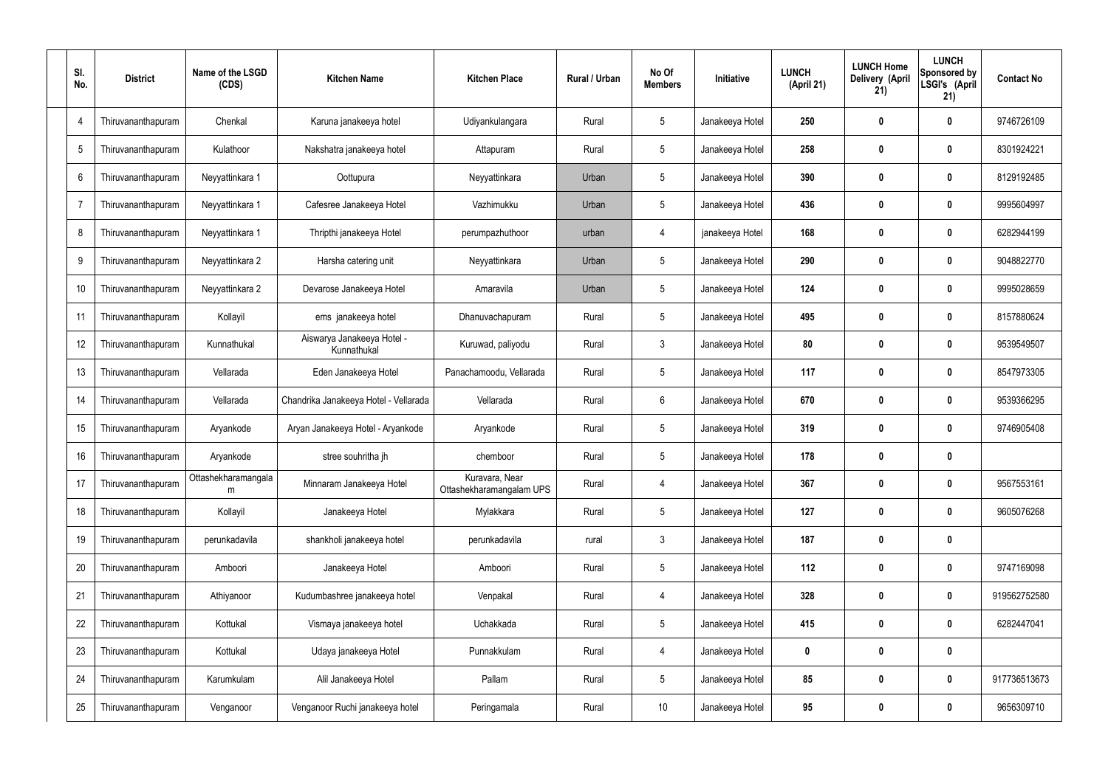| SI.<br>No.     | <b>District</b>    | Name of the LSGD<br>(CDS) | <b>Kitchen Name</b>                       | <b>Kitchen Place</b>                       | Rural / Urban | No Of<br><b>Members</b> | Initiative      | <b>LUNCH</b><br>(April 21) | <b>LUNCH Home</b><br>Delivery (April<br>21) | <b>LUNCH</b><br>Sponsored by<br>LSGI's (April<br>21) | <b>Contact No</b> |
|----------------|--------------------|---------------------------|-------------------------------------------|--------------------------------------------|---------------|-------------------------|-----------------|----------------------------|---------------------------------------------|------------------------------------------------------|-------------------|
| $\overline{4}$ | Thiruvananthapuram | Chenkal                   | Karuna janakeeya hotel                    | Udiyankulangara                            | Rural         | $5\phantom{.0}$         | Janakeeya Hotel | 250                        | 0                                           | $\bf{0}$                                             | 9746726109        |
| 5              | Thiruvananthapuram | Kulathoor                 | Nakshatra janakeeya hotel                 | Attapuram                                  | Rural         | $5\phantom{.0}$         | Janakeeya Hotel | 258                        | 0                                           | $\bf{0}$                                             | 8301924221        |
| 6              | Thiruvananthapuram | Neyyattinkara 1           | Oottupura                                 | Neyyattinkara                              | Urban         | $5\phantom{.0}$         | Janakeeya Hotel | 390                        | 0                                           | $\bf{0}$                                             | 8129192485        |
| $\overline{7}$ | Thiruvananthapuram | Neyyattinkara 1           | Cafesree Janakeeya Hotel                  | Vazhimukku                                 | Urban         | $5\phantom{.0}$         | Janakeeya Hotel | 436                        | 0                                           | $\bf{0}$                                             | 9995604997        |
| 8              | Thiruvananthapuram | Neyyattinkara 1           | Thripthi janakeeya Hotel                  | perumpazhuthoor                            | urban         | 4                       | janakeeya Hotel | 168                        | 0                                           | $\bf{0}$                                             | 6282944199        |
| 9              | Thiruvananthapuram | Neyyattinkara 2           | Harsha catering unit                      | Neyyattinkara                              | Urban         | $5\phantom{.0}$         | Janakeeya Hotel | 290                        | 0                                           | $\bf{0}$                                             | 9048822770        |
| 10             | Thiruvananthapuram | Neyyattinkara 2           | Devarose Janakeeya Hotel                  | Amaravila                                  | Urban         | $5\phantom{.0}$         | Janakeeya Hotel | 124                        | 0                                           | $\bf{0}$                                             | 9995028659        |
| 11             | Thiruvananthapuram | Kollayil                  | ems janakeeya hotel                       | Dhanuvachapuram                            | Rural         | $5\phantom{.0}$         | Janakeeya Hotel | 495                        | 0                                           | $\bf{0}$                                             | 8157880624        |
| 12             | Thiruvananthapuram | Kunnathukal               | Aiswarya Janakeeya Hotel -<br>Kunnathukal | Kuruwad, paliyodu                          | Rural         | $\mathfrak{Z}$          | Janakeeya Hotel | 80                         | 0                                           | $\boldsymbol{0}$                                     | 9539549507        |
| 13             | Thiruvananthapuram | Vellarada                 | Eden Janakeeya Hotel                      | Panachamoodu, Vellarada                    | Rural         | $5\phantom{.0}$         | Janakeeya Hotel | 117                        | 0                                           | $\mathbf 0$                                          | 8547973305        |
| 14             | Thiruvananthapuram | Vellarada                 | Chandrika Janakeeya Hotel - Vellarada     | Vellarada                                  | Rural         | $6\phantom{.}$          | Janakeeya Hotel | 670                        | 0                                           | $\mathbf 0$                                          | 9539366295        |
| 15             | Thiruvananthapuram | Aryankode                 | Aryan Janakeeya Hotel - Aryankode         | Aryankode                                  | Rural         | $5\phantom{.0}$         | Janakeeya Hotel | 319                        | 0                                           | $\boldsymbol{0}$                                     | 9746905408        |
| 16             | Thiruvananthapuram | Aryankode                 | stree souhritha jh                        | chemboor                                   | Rural         | $5\phantom{.0}$         | Janakeeya Hotel | 178                        | 0                                           | $\boldsymbol{0}$                                     |                   |
| 17             | Thiruvananthapuram | Ottashekharamangala<br>m  | Minnaram Janakeeya Hotel                  | Kuravara, Near<br>Ottashekharamangalam UPS | Rural         | 4                       | Janakeeya Hotel | 367                        | 0                                           | $\mathbf 0$                                          | 9567553161        |
| 18             | Thiruvananthapuram | Kollayil                  | Janakeeya Hotel                           | Mylakkara                                  | Rural         | $5\phantom{.0}$         | Janakeeya Hotel | 127                        | 0                                           | $\mathbf 0$                                          | 9605076268        |
| 19             | Thiruvananthapuram | perunkadavila             | shankholi janakeeya hotel                 | perunkadavila                              | rural         | $\mathfrak{Z}$          | Janakeeya Hotel | 187                        | $\boldsymbol{0}$                            | $\pmb{0}$                                            |                   |
| 20             | Thiruvananthapuram | Amboori                   | Janakeeya Hotel                           | Amboori                                    | Rural         | $5\phantom{.0}$         | Janakeeya Hotel | 112                        | $\boldsymbol{0}$                            | $\pmb{0}$                                            | 9747169098        |
| 21             | Thiruvananthapuram | Athiyanoor                | Kudumbashree janakeeya hotel              | Venpakal                                   | Rural         | 4                       | Janakeeya Hotel | 328                        | $\boldsymbol{0}$                            | $\mathbf 0$                                          | 919562752580      |
| 22             | Thiruvananthapuram | Kottukal                  | Vismaya janakeeya hotel                   | Uchakkada                                  | Rural         | $5\phantom{.0}$         | Janakeeya Hotel | 415                        | $\boldsymbol{0}$                            | $\mathbf 0$                                          | 6282447041        |
| 23             | Thiruvananthapuram | Kottukal                  | Udaya janakeeya Hotel                     | Punnakkulam                                | Rural         | 4                       | Janakeeya Hotel | 0                          | $\boldsymbol{0}$                            | $\pmb{0}$                                            |                   |
| 24             | Thiruvananthapuram | Karumkulam                | Alil Janakeeya Hotel                      | Pallam                                     | Rural         | $5\phantom{.0}$         | Janakeeya Hotel | 85                         | $\boldsymbol{0}$                            | $\pmb{0}$                                            | 917736513673      |
| 25             | Thiruvananthapuram | Venganoor                 | Venganoor Ruchi janakeeya hotel           | Peringamala                                | Rural         | 10 <sup>°</sup>         | Janakeeya Hotel | 95                         | $\boldsymbol{0}$                            | $\pmb{0}$                                            | 9656309710        |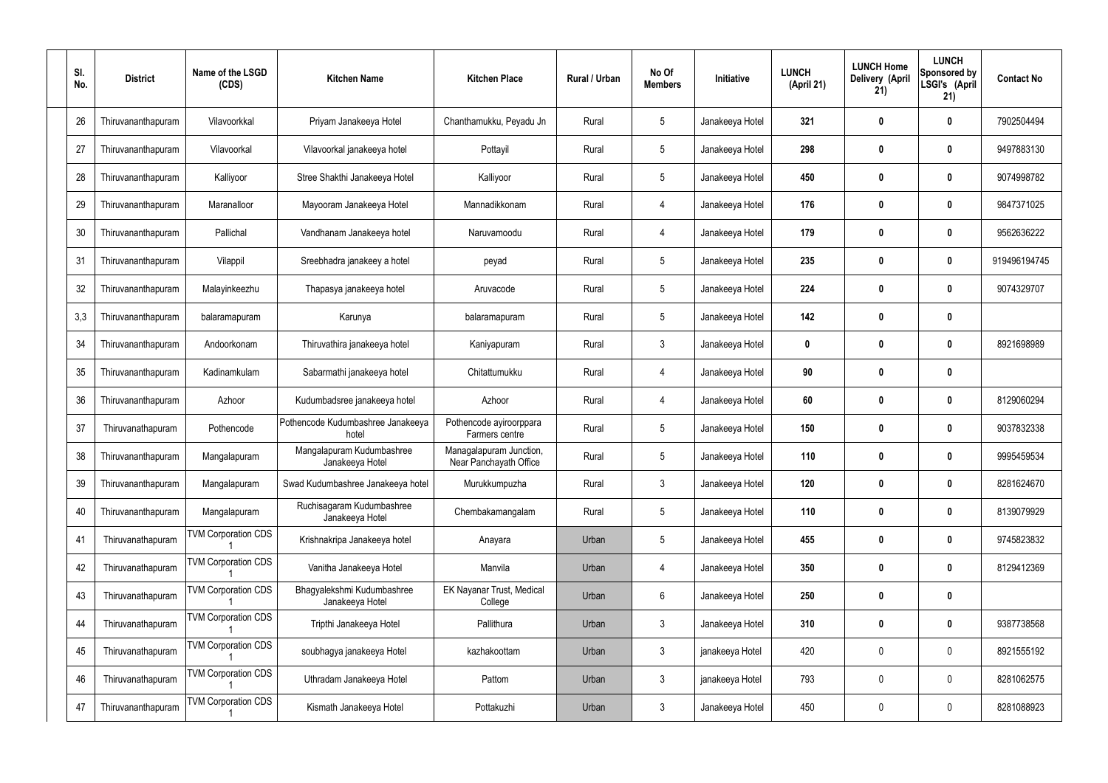| SI.<br>No. | <b>District</b>    | Name of the LSGD<br>(CDS)  | <b>Kitchen Name</b>                           | <b>Kitchen Place</b>                              | Rural / Urban | No Of<br><b>Members</b> | Initiative      | <b>LUNCH</b><br>(April 21) | <b>LUNCH Home</b><br>Delivery (April<br>21) | <b>LUNCH</b><br>Sponsored by<br>LSGI's (April<br>21) | <b>Contact No</b> |
|------------|--------------------|----------------------------|-----------------------------------------------|---------------------------------------------------|---------------|-------------------------|-----------------|----------------------------|---------------------------------------------|------------------------------------------------------|-------------------|
| 26         | Thiruvananthapuram | Vilavoorkkal               | Priyam Janakeeya Hotel                        | Chanthamukku, Peyadu Jn                           | Rural         | $5\,$                   | Janakeeya Hotel | 321                        | 0                                           | $\mathbf 0$                                          | 7902504494        |
| 27         | Thiruvananthapuram | Vilavoorkal                | Vilavoorkal janakeeya hotel                   | Pottayil                                          | Rural         | $5\phantom{.0}$         | Janakeeya Hotel | 298                        | 0                                           | $\boldsymbol{0}$                                     | 9497883130        |
| 28         | Thiruvananthapuram | Kalliyoor                  | Stree Shakthi Janakeeya Hotel                 | Kalliyoor                                         | Rural         | $5\,$                   | Janakeeya Hotel | 450                        | 0                                           | $\mathbf 0$                                          | 9074998782        |
| 29         | Thiruvananthapuram | Maranalloor                | Mayooram Janakeeya Hotel                      | Mannadikkonam                                     | Rural         | $\overline{4}$          | Janakeeya Hotel | 176                        | 0                                           | $\boldsymbol{0}$                                     | 9847371025        |
| 30         | Thiruvananthapuram | Pallichal                  | Vandhanam Janakeeya hotel                     | Naruvamoodu                                       | Rural         | $\overline{4}$          | Janakeeya Hotel | 179                        | 0                                           | $\boldsymbol{0}$                                     | 9562636222        |
| 31         | Thiruvananthapuram | Vilappil                   | Sreebhadra janakeey a hotel                   | peyad                                             | Rural         | $\sqrt{5}$              | Janakeeya Hotel | 235                        | 0                                           | $\boldsymbol{0}$                                     | 919496194745      |
| 32         | Thiruvananthapuram | Malayinkeezhu              | Thapasya janakeeya hotel                      | Aruvacode                                         | Rural         | $\sqrt{5}$              | Janakeeya Hotel | 224                        | 0                                           | $\boldsymbol{0}$                                     | 9074329707        |
| 3,3        | Thiruvananthapuram | balaramapuram              | Karunya                                       | balaramapuram                                     | Rural         | $\sqrt{5}$              | Janakeeya Hotel | 142                        | 0                                           | $\boldsymbol{0}$                                     |                   |
| 34         | Thiruvananthapuram | Andoorkonam                | Thiruvathira janakeeya hotel                  | Kaniyapuram                                       | Rural         | $\mathbf{3}$            | Janakeeya Hotel | $\mathbf 0$                | 0                                           | $\boldsymbol{0}$                                     | 8921698989        |
| 35         | Thiruvananthapuram | Kadinamkulam               | Sabarmathi janakeeya hotel                    | Chitattumukku                                     | Rural         | $\overline{4}$          | Janakeeya Hotel | 90                         | 0                                           | $\mathbf 0$                                          |                   |
| 36         | Thiruvananthapuram | Azhoor                     | Kudumbadsree janakeeya hotel                  | Azhoor                                            | Rural         | $\overline{4}$          | Janakeeya Hotel | 60                         | 0                                           | 0                                                    | 8129060294        |
| 37         | Thiruvanathapuram  | Pothencode                 | Pothencode Kudumbashree Janakeeya<br>hotel    | Pothencode ayiroorppara<br>Farmers centre         | Rural         | $\sqrt{5}$              | Janakeeya Hotel | 150                        | 0                                           | 0                                                    | 9037832338        |
| 38         | Thiruvananthapuram | Mangalapuram               | Mangalapuram Kudumbashree<br>Janakeeya Hotel  | Managalapuram Junction,<br>Near Panchayath Office | Rural         | 5                       | Janakeeya Hotel | 110                        | 0                                           | 0                                                    | 9995459534        |
| 39         | Thiruvananthapuram | Mangalapuram               | Swad Kudumbashree Janakeeya hotel             | Murukkumpuzha                                     | Rural         | $\mathfrak{Z}$          | Janakeeya Hotel | 120                        | 0                                           | $\pmb{0}$                                            | 8281624670        |
| 40         | Thiruvananthapuram | Mangalapuram               | Ruchisagaram Kudumbashree<br>Janakeeya Hotel  | Chembakamangalam                                  | Rural         | $5\,$                   | Janakeeya Hotel | 110                        | $\boldsymbol{0}$                            | $\mathbf 0$                                          | 8139079929        |
| 41         | Thiruvanathapuram  | <b>TVM Corporation CDS</b> | Krishnakripa Janakeeya hotel                  | Anayara                                           | Urban         | $\sqrt{5}$              | Janakeeya Hotel | 455                        | $\boldsymbol{0}$                            | $\mathbf 0$                                          | 9745823832        |
| 42         | Thiruvanathapuram  | <b>TVM Corporation CDS</b> | Vanitha Janakeeya Hotel                       | Manvila                                           | Urban         | $\overline{4}$          | Janakeeya Hotel | 350                        | $\boldsymbol{0}$                            | $\mathbf 0$                                          | 8129412369        |
| 43         | Thiruvanathapuram  | <b>TVM Corporation CDS</b> | Bhagyalekshmi Kudumbashree<br>Janakeeya Hotel | EK Nayanar Trust, Medical<br>College              | Urban         | $6\,$                   | Janakeeya Hotel | 250                        | $\boldsymbol{0}$                            | $\pmb{0}$                                            |                   |
| 44         | Thiruvanathapuram  | <b>TVM Corporation CDS</b> | Tripthi Janakeeya Hotel                       | Pallithura                                        | Urban         | $\mathfrak{Z}$          | Janakeeya Hotel | 310                        | $\boldsymbol{0}$                            | $\mathbf 0$                                          | 9387738568        |
| 45         | Thiruvanathapuram  | <b>TVM Corporation CDS</b> | soubhagya janakeeya Hotel                     | kazhakoottam                                      | Urban         | $\mathbf{3}$            | janakeeya Hotel | 420                        | $\boldsymbol{0}$                            | $\pmb{0}$                                            | 8921555192        |
| 46         | Thiruvanathapuram  | <b>TVM Corporation CDS</b> | Uthradam Janakeeya Hotel                      | Pattom                                            | Urban         | $\mathfrak{Z}$          | janakeeya Hotel | 793                        | $\boldsymbol{0}$                            | $\mathbf 0$                                          | 8281062575        |
| 47         | Thiruvananthapuram | <b>TVM Corporation CDS</b> | Kismath Janakeeya Hotel                       | Pottakuzhi                                        | Urban         | $\mathfrak{Z}$          | Janakeeya Hotel | 450                        | 0                                           | $\boldsymbol{0}$                                     | 8281088923        |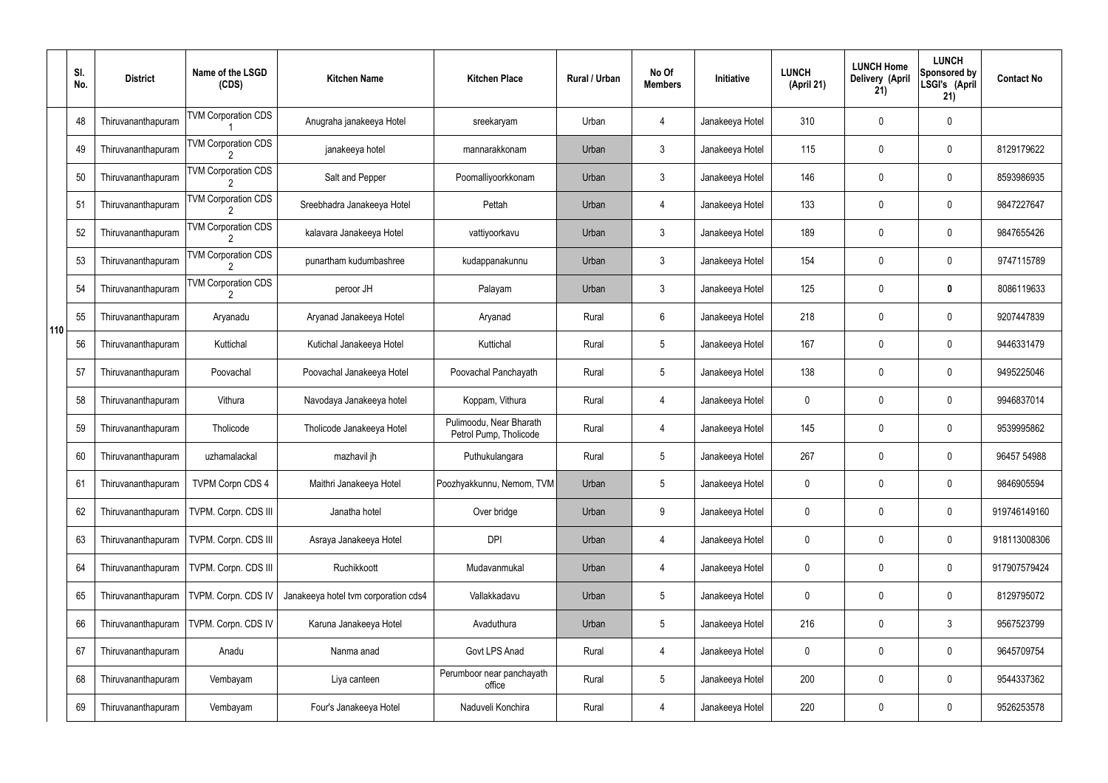|     | SI.<br>No. | <b>District</b>    | Name of the LSGD<br>(CDS)                    | <b>Kitchen Name</b>                  | <b>Kitchen Place</b>                              | Rural / Urban | No Of<br><b>Members</b> | Initiative      | <b>LUNCH</b><br>(April 21) | <b>LUNCH Home</b><br>Delivery (April<br>21) | <b>LUNCH</b><br>Sponsored by<br>LSGI's (April<br>21) | <b>Contact No</b> |
|-----|------------|--------------------|----------------------------------------------|--------------------------------------|---------------------------------------------------|---------------|-------------------------|-----------------|----------------------------|---------------------------------------------|------------------------------------------------------|-------------------|
|     | 48         | Thiruvananthapuram | <b>TVM Corporation CDS</b>                   | Anugraha janakeeya Hotel             | sreekaryam                                        | Urban         | 4                       | Janakeeya Hotel | 310                        | 0                                           | $\mathbf 0$                                          |                   |
|     | 49         | Thiruvananthapuram | <b>TVM Corporation CDS</b>                   | janakeeya hotel                      | mannarakkonam                                     | Urban         | $\mathbf{3}$            | Janakeeya Hotel | 115                        | 0                                           | $\pmb{0}$                                            | 8129179622        |
|     | 50         | Thiruvananthapuram | <b>TVM Corporation CDS</b>                   | Salt and Pepper                      | Poomalliyoorkkonam                                | Urban         | $\mathbf{3}$            | Janakeeya Hotel | 146                        | 0                                           | $\mathbf 0$                                          | 8593986935        |
|     | 51         | Thiruvananthapuram | <b>TVM Corporation CDS</b>                   | Sreebhadra Janakeeya Hotel           | Pettah                                            | Urban         | 4                       | Janakeeya Hotel | 133                        | 0                                           | $\pmb{0}$                                            | 9847227647        |
|     | 52         | Thiruvananthapuram | <b>TVM Corporation CDS</b>                   | kalavara Janakeeya Hotel             | vattiyoorkavu                                     | Urban         | $\mathbf{3}$            | Janakeeya Hotel | 189                        | 0                                           | $\mathbf 0$                                          | 9847655426        |
|     | 53         | Thiruvananthapuram | <b>TVM Corporation CDS</b>                   | punartham kudumbashree               | kudappanakunnu                                    | Urban         | $\mathfrak{Z}$          | Janakeeya Hotel | 154                        | 0                                           | $\pmb{0}$                                            | 9747115789        |
|     | 54         | Thiruvananthapuram | <b>TVM Corporation CDS</b><br>$\overline{2}$ | peroor JH                            | Palayam                                           | Urban         | $\mathbf{3}$            | Janakeeya Hotel | 125                        | 0                                           | 0                                                    | 8086119633        |
| 110 | 55         | Thiruvananthapuram | Aryanadu                                     | Aryanad Janakeeya Hotel              | Aryanad                                           | Rural         | 6                       | Janakeeya Hotel | 218                        | 0                                           | $\pmb{0}$                                            | 9207447839        |
|     | 56         | Thiruvananthapuram | Kuttichal                                    | Kutichal Janakeeya Hotel             | Kuttichal                                         | Rural         | $5\phantom{.0}$         | Janakeeya Hotel | 167                        | 0                                           | $\mathbf 0$                                          | 9446331479        |
|     | 57         | Thiruvananthapuram | Poovachal                                    | Poovachal Janakeeya Hotel            | Poovachal Panchayath                              | Rural         | $5\phantom{.0}$         | Janakeeya Hotel | 138                        | 0                                           | $\boldsymbol{0}$                                     | 9495225046        |
|     | 58         | Thiruvananthapuram | Vithura                                      | Navodaya Janakeeya hotel             | Koppam, Vithura                                   | Rural         | 4                       | Janakeeya Hotel | 0                          | 0                                           | $\mathbf 0$                                          | 9946837014        |
|     | 59         | Thiruvananthapuram | Tholicode                                    | Tholicode Janakeeya Hotel            | Pulimoodu, Near Bharath<br>Petrol Pump, Tholicode | Rural         | 4                       | Janakeeya Hotel | 145                        | 0                                           | $\mathbf 0$                                          | 9539995862        |
|     | 60         | Thiruvananthapuram | uzhamalackal                                 | mazhavil jh                          | Puthukulangara                                    | Rural         | 5                       | Janakeeya Hotel | 267                        | 0                                           | $\mathbf 0$                                          | 96457 54988       |
|     | 61         | Thiruvananthapuram | <b>TVPM Corpn CDS 4</b>                      | Maithri Janakeeya Hotel              | Poozhyakkunnu, Nemom, TVM                         | Urban         | 5                       | Janakeeya Hotel | 0                          | 0                                           | $\mathbf 0$                                          | 9846905594        |
|     | 62         | Thiruvananthapuram | TVPM. Corpn. CDS III                         | Janatha hotel                        | Over bridge                                       | Urban         | 9                       | Janakeeya Hotel | 0                          | 0                                           | $\pmb{0}$                                            | 919746149160      |
|     | 63         | Thiruvananthapuram | TVPM. Corpn. CDS III                         | Asraya Janakeeya Hotel               | <b>DPI</b>                                        | Urban         | 4                       | Janakeeya Hotel | 0                          | 0                                           | $\pmb{0}$                                            | 918113008306      |
|     | 64         | Thiruvananthapuram | TVPM. Corpn. CDS III                         | Ruchikkoott                          | Mudavanmukal                                      | Urban         | 4                       | Janakeeya Hotel | 0                          | 0                                           | $\pmb{0}$                                            | 917907579424      |
|     | 65         | Thiruvananthapuram | TVPM. Corpn. CDS IV                          | Janakeeya hotel tvm corporation cds4 | Vallakkadavu                                      | Urban         | 5                       | Janakeeya Hotel | 0                          | 0                                           | $\pmb{0}$                                            | 8129795072        |
|     | 66         | Thiruvananthapuram | TVPM. Corpn. CDS IV                          | Karuna Janakeeya Hotel               | Avaduthura                                        | Urban         | 5                       | Janakeeya Hotel | 216                        | 0                                           | $\mathfrak{Z}$                                       | 9567523799        |
|     | 67         | Thiruvananthapuram | Anadu                                        | Nanma anad                           | Govt LPS Anad                                     | Rural         | 4                       | Janakeeya Hotel | 0                          | 0                                           | $\pmb{0}$                                            | 9645709754        |
|     | 68         | Thiruvananthapuram | Vembayam                                     | Liya canteen                         | Perumboor near panchayath<br>office               | Rural         | 5                       | Janakeeya Hotel | 200                        | 0                                           | $\pmb{0}$                                            | 9544337362        |
|     | 69         | Thiruvananthapuram | Vembayam                                     | Four's Janakeeya Hotel               | Naduveli Konchira                                 | Rural         | 4                       | Janakeeya Hotel | 220                        | 0                                           | $\pmb{0}$                                            | 9526253578        |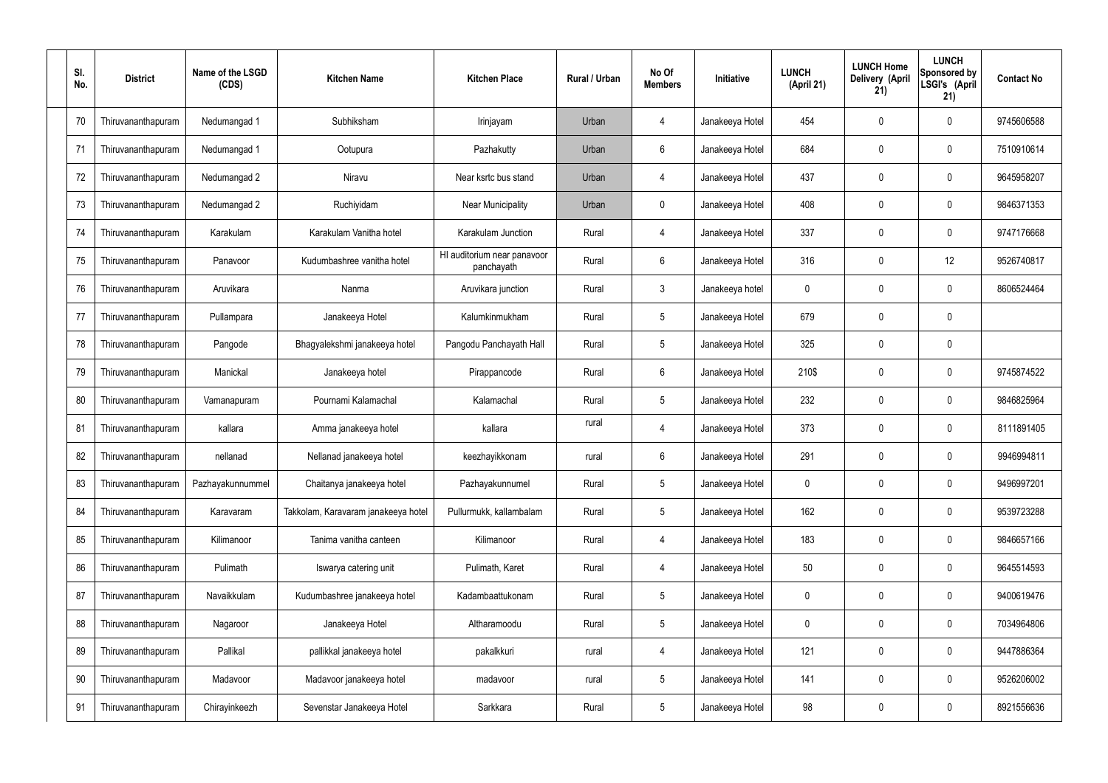| SI.<br>No. | <b>District</b>    | Name of the LSGD<br>(CDS) | <b>Kitchen Name</b>                 | <b>Kitchen Place</b>                      | Rural / Urban | No Of<br><b>Members</b> | Initiative      | <b>LUNCH</b><br>(April 21) | <b>LUNCH Home</b><br>Delivery (April<br>21) | <b>LUNCH</b><br>Sponsored by<br>LSGI's (April<br>21) | <b>Contact No</b> |
|------------|--------------------|---------------------------|-------------------------------------|-------------------------------------------|---------------|-------------------------|-----------------|----------------------------|---------------------------------------------|------------------------------------------------------|-------------------|
| 70         | Thiruvananthapuram | Nedumangad 1              | Subhiksham                          | Irinjayam                                 | Urban         | 4                       | Janakeeya Hotel | 454                        | 0                                           | 0                                                    | 9745606588        |
| 71         | Thiruvananthapuram | Nedumangad 1              | Ootupura                            | Pazhakutty                                | Urban         | 6                       | Janakeeya Hotel | 684                        | 0                                           | $\mathbf 0$                                          | 7510910614        |
| 72         | Thiruvananthapuram | Nedumangad 2              | Niravu                              | Near ksrtc bus stand                      | Urban         | $\overline{4}$          | Janakeeya Hotel | 437                        | 0                                           | $\mathbf 0$                                          | 9645958207        |
| 73         | Thiruvananthapuram | Nedumangad 2              | Ruchiyidam                          | Near Municipality                         | Urban         | $\mathbf 0$             | Janakeeya Hotel | 408                        | 0                                           | $\mathbf 0$                                          | 9846371353        |
| 74         | Thiruvananthapuram | Karakulam                 | Karakulam Vanitha hotel             | Karakulam Junction                        | Rural         | $\overline{4}$          | Janakeeya Hotel | 337                        | 0                                           | $\mathbf 0$                                          | 9747176668        |
| 75         | Thiruvananthapuram | Panavoor                  | Kudumbashree vanitha hotel          | HI auditorium near panavoor<br>panchayath | Rural         | $6\phantom{.}$          | Janakeeya Hotel | 316                        | 0                                           | 12                                                   | 9526740817        |
| 76         | Thiruvananthapuram | Aruvikara                 | Nanma                               | Aruvikara junction                        | Rural         | $\mathbf{3}$            | Janakeeya hotel | 0                          | 0                                           | $\mathbf 0$                                          | 8606524464        |
| 77         | Thiruvananthapuram | Pullampara                | Janakeeya Hotel                     | Kalumkinmukham                            | Rural         | $5\phantom{.0}$         | Janakeeya Hotel | 679                        | 0                                           | $\mathbf 0$                                          |                   |
| 78         | Thiruvananthapuram | Pangode                   | Bhagyalekshmi janakeeya hotel       | Pangodu Panchayath Hall                   | Rural         | $5\phantom{.0}$         | Janakeeya Hotel | 325                        | 0                                           | $\mathbf 0$                                          |                   |
| 79         | Thiruvananthapuram | Manickal                  | Janakeeya hotel                     | Pirappancode                              | Rural         | $6\phantom{.}$          | Janakeeya Hotel | 210\$                      | 0                                           | $\boldsymbol{0}$                                     | 9745874522        |
| 80         | Thiruvananthapuram | Vamanapuram               | Pournami Kalamachal                 | Kalamachal                                | Rural         | $5\phantom{.0}$         | Janakeeya Hotel | 232                        | 0                                           | $\boldsymbol{0}$                                     | 9846825964        |
| 81         | Thiruvananthapuram | kallara                   | Amma janakeeya hotel                | kallara                                   | rural         | 4                       | Janakeeya Hotel | 373                        | 0                                           | $\boldsymbol{0}$                                     | 8111891405        |
| 82         | Thiruvananthapuram | nellanad                  | Nellanad janakeeya hotel            | keezhayikkonam                            | rural         | 6                       | Janakeeya Hotel | 291                        | 0                                           | 0                                                    | 9946994811        |
| 83         | Thiruvananthapuram | Pazhayakunnummel          | Chaitanya janakeeya hotel           | Pazhayakunnumel                           | Rural         | $5\phantom{.0}$         | Janakeeya Hotel | 0                          | 0                                           | $\mathbf 0$                                          | 9496997201        |
| 84         | Thiruvananthapuram | Karavaram                 | Takkolam, Karavaram janakeeya hotel | Pullurmukk, kallambalam                   | Rural         | $5\phantom{.0}$         | Janakeeya Hotel | 162                        | $\mathbf 0$                                 | $\mathbf 0$                                          | 9539723288        |
| 85         | Thiruvananthapuram | Kilimanoor                | Tanima vanitha canteen              | Kilimanoor                                | Rural         | $\overline{4}$          | Janakeeya Hotel | 183                        | 0                                           | $\mathbf 0$                                          | 9846657166        |
| 86         | Thiruvananthapuram | Pulimath                  | Iswarya catering unit               | Pulimath, Karet                           | Rural         | $\overline{4}$          | Janakeeya Hotel | 50                         | 0                                           | $\mathbf 0$                                          | 9645514593        |
| 87         | Thiruvananthapuram | Navaikkulam               | Kudumbashree janakeeya hotel        | Kadambaattukonam                          | Rural         | $5\phantom{.0}$         | Janakeeya Hotel | $\mathbf 0$                | 0                                           | $\boldsymbol{0}$                                     | 9400619476        |
| 88         | Thiruvananthapuram | Nagaroor                  | Janakeeya Hotel                     | Altharamoodu                              | Rural         | $5\phantom{.0}$         | Janakeeya Hotel | $\mathbf 0$                | 0                                           | $\mathbf 0$                                          | 7034964806        |
| 89         | Thiruvananthapuram | Pallikal                  | pallikkal janakeeya hotel           | pakalkkuri                                | rural         | 4                       | Janakeeya Hotel | 121                        | 0                                           | $\mathbf 0$                                          | 9447886364        |
| 90         | Thiruvananthapuram | Madavoor                  | Madavoor janakeeya hotel            | madavoor                                  | rural         | $5\phantom{.0}$         | Janakeeya Hotel | 141                        | $\boldsymbol{0}$                            | $\pmb{0}$                                            | 9526206002        |
| 91         | Thiruvananthapuram | Chirayinkeezh             | Sevenstar Janakeeya Hotel           | Sarkkara                                  | Rural         | $5\,$                   | Janakeeya Hotel | 98                         | 0                                           | $\boldsymbol{0}$                                     | 8921556636        |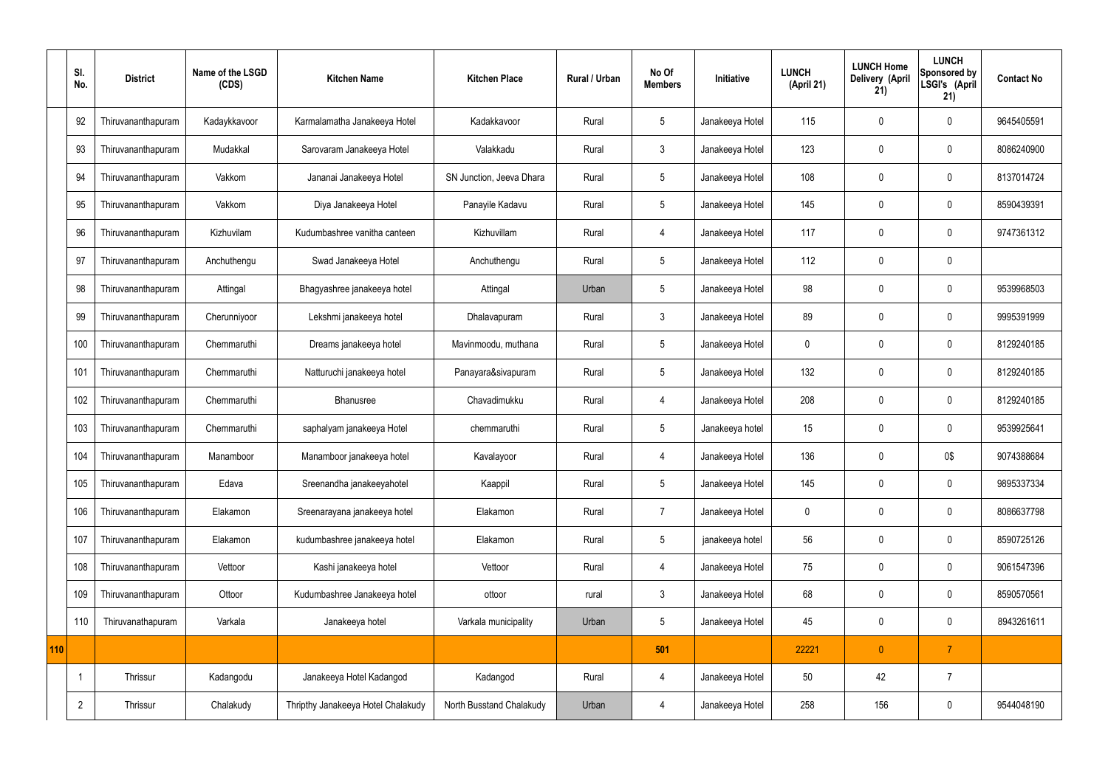|     | SI.<br>No.     | <b>District</b>    | Name of the LSGD<br>(CDS) | <b>Kitchen Name</b>                | <b>Kitchen Place</b>     | Rural / Urban | No Of<br><b>Members</b> | Initiative      | <b>LUNCH</b><br>(April 21) | <b>LUNCH Home</b><br>Delivery (April<br>21) | <b>LUNCH</b><br>Sponsored by<br>LSGI's (April<br>21) | <b>Contact No</b> |
|-----|----------------|--------------------|---------------------------|------------------------------------|--------------------------|---------------|-------------------------|-----------------|----------------------------|---------------------------------------------|------------------------------------------------------|-------------------|
|     | 92             | Thiruvananthapuram | Kadaykkavoor              | Karmalamatha Janakeeya Hotel       | Kadakkavoor              | Rural         | 5                       | Janakeeya Hotel | 115                        | 0                                           | $\mathbf 0$                                          | 9645405591        |
|     | 93             | Thiruvananthapuram | Mudakkal                  | Sarovaram Janakeeya Hotel          | Valakkadu                | Rural         | $\mathbf{3}$            | Janakeeya Hotel | 123                        | $\mathbf 0$                                 | $\mathbf 0$                                          | 8086240900        |
|     | 94             | Thiruvananthapuram | Vakkom                    | Jananai Janakeeya Hotel            | SN Junction, Jeeva Dhara | Rural         | $5\overline{)}$         | Janakeeya Hotel | 108                        | $\mathbf 0$                                 | $\mathbf 0$                                          | 8137014724        |
|     | 95             | Thiruvananthapuram | Vakkom                    | Diya Janakeeya Hotel               | Panayile Kadavu          | Rural         | $5\overline{)}$         | Janakeeya Hotel | 145                        | $\mathbf 0$                                 | $\mathbf 0$                                          | 8590439391        |
|     | 96             | Thiruvananthapuram | Kizhuvilam                | Kudumbashree vanitha canteen       | Kizhuvillam              | Rural         | $\overline{4}$          | Janakeeya Hotel | 117                        | $\mathbf 0$                                 | $\mathbf 0$                                          | 9747361312        |
|     | 97             | Thiruvananthapuram | Anchuthengu               | Swad Janakeeya Hotel               | Anchuthengu              | Rural         | $5\phantom{.0}$         | Janakeeya Hotel | 112                        | $\mathbf 0$                                 | $\mathbf 0$                                          |                   |
|     | 98             | Thiruvananthapuram | Attingal                  | Bhagyashree janakeeya hotel        | Attingal                 | Urban         | $5\phantom{.0}$         | Janakeeya Hotel | 98                         | $\mathbf 0$                                 | $\mathbf 0$                                          | 9539968503        |
|     | 99             | Thiruvananthapuram | Cherunniyoor              | Lekshmi janakeeya hotel            | Dhalavapuram             | Rural         | $\mathbf{3}$            | Janakeeya Hotel | 89                         | $\mathbf 0$                                 | $\mathbf 0$                                          | 9995391999        |
|     | 100            | Thiruvananthapuram | Chemmaruthi               | Dreams janakeeya hotel             | Mavinmoodu, muthana      | Rural         | 5                       | Janakeeya Hotel | $\mathbf 0$                | $\mathbf 0$                                 | $\mathbf 0$                                          | 8129240185        |
|     | 101            | Thiruvananthapuram | Chemmaruthi               | Natturuchi janakeeya hotel         | Panayara&sivapuram       | Rural         | $5\overline{)}$         | Janakeeya Hotel | 132                        | $\mathbf 0$                                 | $\mathbf 0$                                          | 8129240185        |
|     | 102            | Thiruvananthapuram | Chemmaruthi               | Bhanusree                          | Chavadimukku             | Rural         | 4                       | Janakeeya Hotel | 208                        | $\mathbf 0$                                 | $\mathbf 0$                                          | 8129240185        |
|     | 103            | Thiruvananthapuram | Chemmaruthi               | saphalyam janakeeya Hotel          | chemmaruthi              | Rural         | 5                       | Janakeeya hotel | 15                         | $\mathbf 0$                                 | $\mathbf 0$                                          | 9539925641        |
|     | 104            | Thiruvananthapuram | Manamboor                 | Manamboor janakeeya hotel          | Kavalayoor               | Rural         | 4                       | Janakeeya Hotel | 136                        | 0                                           | 0\$                                                  | 9074388684        |
|     | 105            | Thiruvananthapuram | Edava                     | Sreenandha janakeeyahotel          | Kaappil                  | Rural         | $5\phantom{.0}$         | Janakeeya Hotel | 145                        | $\mathbf 0$                                 | $\mathbf 0$                                          | 9895337334        |
|     | 106            | Thiruvananthapuram | Elakamon                  | Sreenarayana janakeeya hotel       | Elakamon                 | Rural         | $\overline{7}$          | Janakeeya Hotel | $\pmb{0}$                  | $\mathbf 0$                                 | $\mathbf 0$                                          | 8086637798        |
|     | 107            | Thiruvananthapuram | Elakamon                  | kudumbashree janakeeya hotel       | Elakamon                 | Rural         | $5\phantom{.0}$         | janakeeya hotel | 56                         | $\mathbf 0$                                 | $\mathbf 0$                                          | 8590725126        |
|     | 108            | Thiruvananthapuram | Vettoor                   | Kashi janakeeya hotel              | Vettoor                  | Rural         | $\overline{4}$          | Janakeeya Hotel | 75                         | $\mathbf 0$                                 | $\mathbf 0$                                          | 9061547396        |
|     | 109            | Thiruvananthapuram | Ottoor                    | Kudumbashree Janakeeya hotel       | ottoor                   | rural         | $\mathbf{3}$            | Janakeeya Hotel | 68                         | $\pmb{0}$                                   | $\mathbf 0$                                          | 8590570561        |
|     | 110            | Thiruvanathapuram  | Varkala                   | Janakeeya hotel                    | Varkala municipality     | Urban         | $5\phantom{.0}$         | Janakeeya Hotel | 45                         | $\pmb{0}$                                   | $\mathbf 0$                                          | 8943261611        |
| 110 |                |                    |                           |                                    |                          |               | 501                     |                 | 22221                      | $\mathbf{0}$                                | $\overline{7}$                                       |                   |
|     | -1             | Thrissur           | Kadangodu                 | Janakeeya Hotel Kadangod           | Kadangod                 | Rural         | 4                       | Janakeeya Hotel | 50                         | 42                                          | $\overline{7}$                                       |                   |
|     | $\overline{2}$ | Thrissur           | Chalakudy                 | Thripthy Janakeeya Hotel Chalakudy | North Busstand Chalakudy | Urban         | 4                       | Janakeeya Hotel | 258                        | 156                                         | $\mathbf 0$                                          | 9544048190        |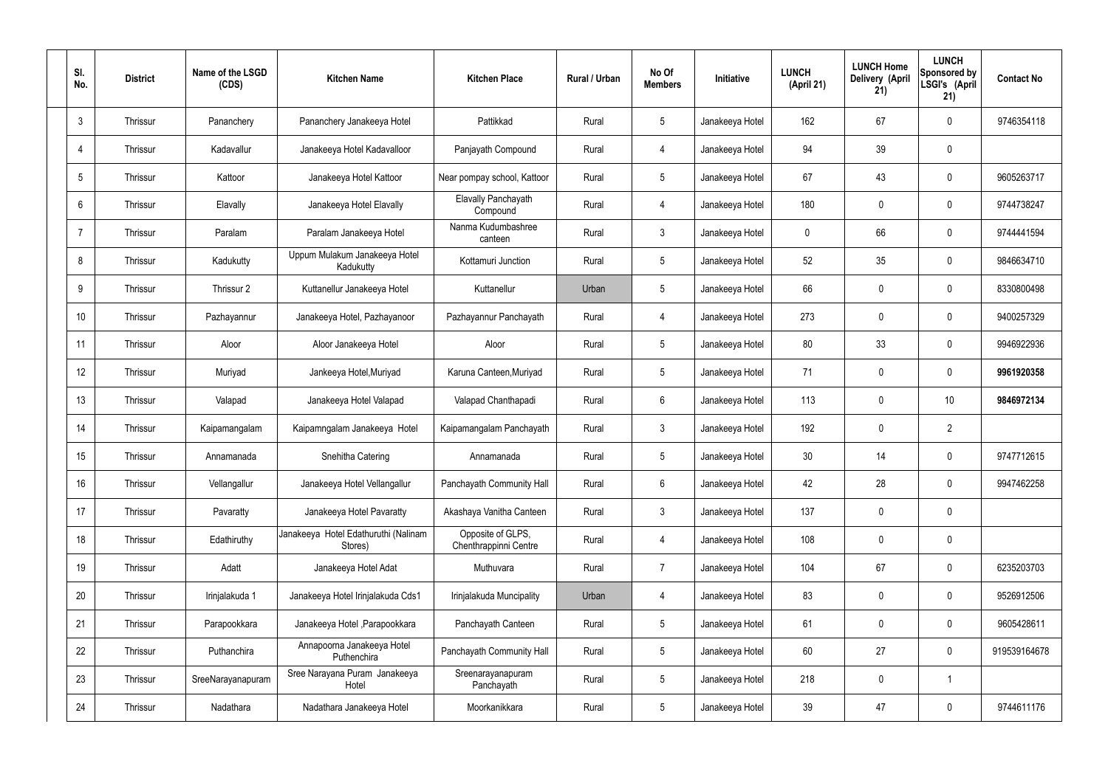| SI.<br>No.     | <b>District</b> | Name of the LSGD<br>(CDS) | <b>Kitchen Name</b>                             | <b>Kitchen Place</b>                       | <b>Rural / Urban</b> | No Of<br><b>Members</b> | Initiative      | <b>LUNCH</b><br>(April 21) | <b>LUNCH Home</b><br>Delivery (April<br>21) | <b>LUNCH</b><br>Sponsored by<br>LSGI's (April<br>21) | <b>Contact No</b> |
|----------------|-----------------|---------------------------|-------------------------------------------------|--------------------------------------------|----------------------|-------------------------|-----------------|----------------------------|---------------------------------------------|------------------------------------------------------|-------------------|
| 3              | Thrissur        | Pananchery                | Pananchery Janakeeya Hotel                      | Pattikkad                                  | Rural                | $5\phantom{.0}$         | Janakeeya Hotel | 162                        | 67                                          | $\mathbf 0$                                          | 9746354118        |
| 4              | Thrissur        | Kadavallur                | Janakeeya Hotel Kadavalloor                     | Panjayath Compound                         | Rural                | $\overline{4}$          | Janakeeya Hotel | 94                         | 39                                          | $\mathbf 0$                                          |                   |
| 5              | Thrissur        | Kattoor                   | Janakeeya Hotel Kattoor                         | Near pompay school, Kattoor                | Rural                | $5\overline{)}$         | Janakeeya Hotel | 67                         | 43                                          | $\mathbf 0$                                          | 9605263717        |
| 6              | Thrissur        | Elavally                  | Janakeeya Hotel Elavally                        | Elavally Panchayath<br>Compound            | Rural                | $\overline{4}$          | Janakeeya Hotel | 180                        | $\mathbf 0$                                 | $\mathbf 0$                                          | 9744738247        |
| $\overline{7}$ | Thrissur        | Paralam                   | Paralam Janakeeya Hotel                         | Nanma Kudumbashree<br>canteen              | Rural                | $\mathbf{3}$            | Janakeeya Hotel | 0                          | 66                                          | $\mathbf 0$                                          | 9744441594        |
| 8              | Thrissur        | Kadukutty                 | Uppum Mulakum Janakeeya Hotel<br>Kadukutty      | Kottamuri Junction                         | Rural                | $5\overline{)}$         | Janakeeya Hotel | 52                         | 35                                          | $\mathbf 0$                                          | 9846634710        |
| 9              | Thrissur        | Thrissur 2                | Kuttanellur Janakeeya Hotel                     | Kuttanellur                                | Urban                | $5\overline{)}$         | Janakeeya Hotel | 66                         | $\mathbf 0$                                 | $\mathbf 0$                                          | 8330800498        |
| 10             | Thrissur        | Pazhayannur               | Janakeeya Hotel, Pazhayanoor                    | Pazhayannur Panchayath                     | Rural                | $\overline{4}$          | Janakeeya Hotel | 273                        | $\mathbf 0$                                 | $\mathbf 0$                                          | 9400257329        |
| 11             | Thrissur        | Aloor                     | Aloor Janakeeya Hotel                           | Aloor                                      | Rural                | $5\overline{)}$         | Janakeeya Hotel | 80                         | 33                                          | $\mathbf 0$                                          | 9946922936        |
| 12             | Thrissur        | Muriyad                   | Jankeeya Hotel, Muriyad                         | Karuna Canteen, Muriyad                    | Rural                | $5\phantom{.0}$         | Janakeeya Hotel | 71                         | $\mathbf 0$                                 | $\mathbf 0$                                          | 9961920358        |
| 13             | Thrissur        | Valapad                   | Janakeeya Hotel Valapad                         | Valapad Chanthapadi                        | Rural                | $6\overline{6}$         | Janakeeya Hotel | 113                        | 0                                           | 10                                                   | 9846972134        |
| 14             | Thrissur        | Kaipamangalam             | Kaipamngalam Janakeeya Hotel                    | Kaipamangalam Panchayath                   | Rural                | $\mathbf{3}$            | Janakeeya Hotel | 192                        | $\mathbf 0$                                 | $\overline{2}$                                       |                   |
| 15             | Thrissur        | Annamanada                | Snehitha Catering                               | Annamanada                                 | Rural                | $5\phantom{.0}$         | Janakeeya Hotel | 30 <sub>2</sub>            | 14                                          | $\mathbf 0$                                          | 9747712615        |
| 16             | Thrissur        | Vellangallur              | Janakeeya Hotel Vellangallur                    | Panchayath Community Hall                  | Rural                | $6\phantom{.}6$         | Janakeeya Hotel | 42                         | 28                                          | $\mathbf 0$                                          | 9947462258        |
| 17             | Thrissur        | Pavaratty                 | Janakeeya Hotel Pavaratty                       | Akashaya Vanitha Canteen                   | Rural                | $\mathbf{3}$            | Janakeeya Hotel | 137                        | $\mathbf 0$                                 | $\mathbf 0$                                          |                   |
| 18             | Thrissur        | Edathiruthy               | Janakeeya Hotel Edathuruthi (Nalinam<br>Stores) | Opposite of GLPS,<br>Chenthrappinni Centre | Rural                | $\overline{4}$          | Janakeeya Hotel | 108                        | $\mathbf 0$                                 | $\mathbf 0$                                          |                   |
| 19             | Thrissur        | Adatt                     | Janakeeya Hotel Adat                            | Muthuvara                                  | Rural                | $\overline{7}$          | Janakeeya Hotel | 104                        | 67                                          | $\mathbf 0$                                          | 6235203703        |
| 20             | Thrissur        | Irinjalakuda 1            | Janakeeya Hotel Irinjalakuda Cds1               | Irinjalakuda Muncipality                   | Urban                | 4                       | Janakeeya Hotel | 83                         | 0                                           | $\mathbf 0$                                          | 9526912506        |
| 21             | Thrissur        | Parapookkara              | Janakeeya Hotel, Parapookkara                   | Panchayath Canteen                         | Rural                | $5\phantom{.0}$         | Janakeeya Hotel | 61                         | 0                                           | $\mathbf 0$                                          | 9605428611        |
| 22             | Thrissur        | Puthanchira               | Annapoorna Janakeeya Hotel<br>Puthenchira       | Panchayath Community Hall                  | Rural                | $5\overline{)}$         | Janakeeya Hotel | 60                         | 27                                          | $\mathbf 0$                                          | 919539164678      |
| 23             | Thrissur        | SreeNarayanapuram         | Sree Narayana Puram Janakeeya<br>Hotel          | Sreenarayanapuram<br>Panchayath            | Rural                | $5\phantom{.0}$         | Janakeeya Hotel | 218                        | 0                                           | $\overline{1}$                                       |                   |
| 24             | Thrissur        | Nadathara                 | Nadathara Janakeeya Hotel                       | Moorkanikkara                              | Rural                | $5\phantom{.0}$         | Janakeeya Hotel | 39                         | 47                                          | $\overline{0}$                                       | 9744611176        |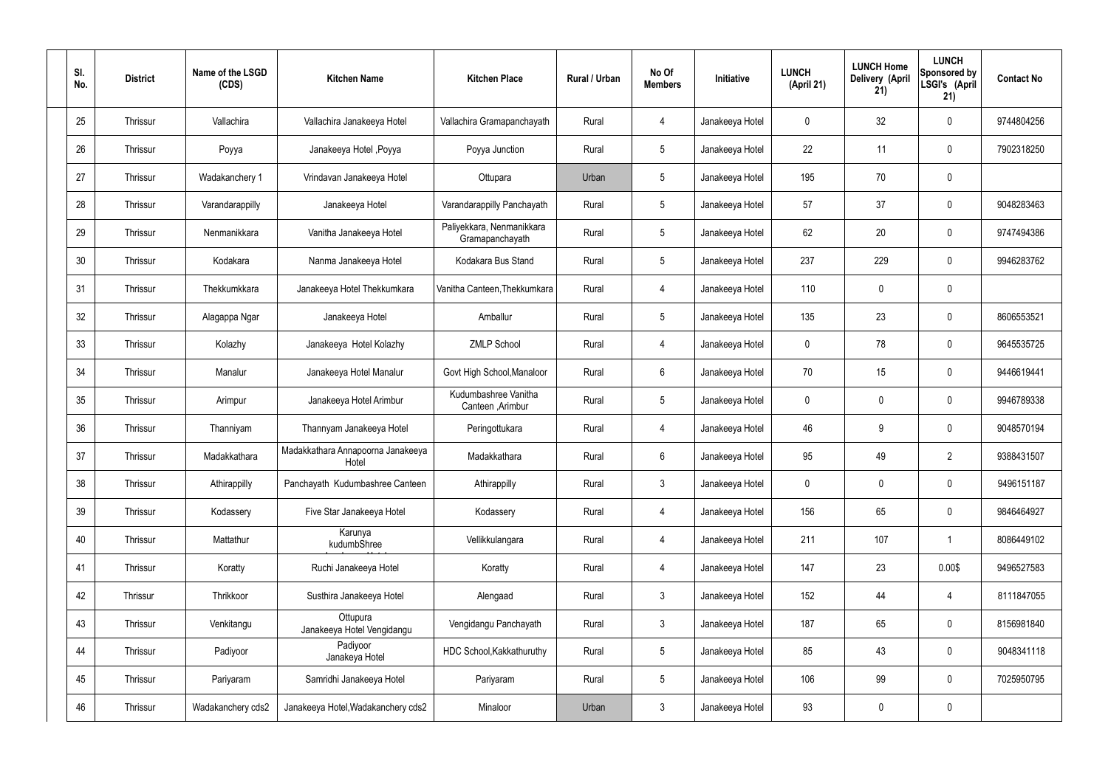| SI.<br>No. | <b>District</b> | Name of the LSGD<br>(CDS) | <b>Kitchen Name</b>                        | <b>Kitchen Place</b>                         | Rural / Urban | No Of<br><b>Members</b> | Initiative      | <b>LUNCH</b><br>(April 21) | <b>LUNCH Home</b><br>Delivery (April<br>21) | <b>LUNCH</b><br>Sponsored by<br>LSGI's (April<br>21) | <b>Contact No</b> |
|------------|-----------------|---------------------------|--------------------------------------------|----------------------------------------------|---------------|-------------------------|-----------------|----------------------------|---------------------------------------------|------------------------------------------------------|-------------------|
| 25         | Thrissur        | Vallachira                | Vallachira Janakeeya Hotel                 | Vallachira Gramapanchayath                   | Rural         | 4                       | Janakeeya Hotel | $\mathbf 0$                | 32                                          | $\mathbf 0$                                          | 9744804256        |
| 26         | Thrissur        | Poyya                     | Janakeeya Hotel , Poyya                    | Poyya Junction                               | Rural         | $5\phantom{.0}$         | Janakeeya Hotel | 22                         | 11                                          | $\mathbf 0$                                          | 7902318250        |
| 27         | Thrissur        | Wadakanchery 1            | Vrindavan Janakeeya Hotel                  | Ottupara                                     | Urban         | $5\phantom{.0}$         | Janakeeya Hotel | 195                        | 70                                          | $\mathbf 0$                                          |                   |
| 28         | Thrissur        | Varandarappilly           | Janakeeya Hotel                            | Varandarappilly Panchayath                   | Rural         | $5\phantom{.0}$         | Janakeeya Hotel | 57                         | 37                                          | $\mathbf 0$                                          | 9048283463        |
| 29         | Thrissur        | Nenmanikkara              | Vanitha Janakeeya Hotel                    | Paliyekkara, Nenmanikkara<br>Gramapanchayath | Rural         | $5\phantom{.0}$         | Janakeeya Hotel | 62                         | 20                                          | $\mathbf 0$                                          | 9747494386        |
| 30         | Thrissur        | Kodakara                  | Nanma Janakeeya Hotel                      | Kodakara Bus Stand                           | Rural         | $5\phantom{.0}$         | Janakeeya Hotel | 237                        | 229                                         | $\mathbf 0$                                          | 9946283762        |
| 31         | Thrissur        | Thekkumkkara              | Janakeeya Hotel Thekkumkara                | Vanitha Canteen, Thekkumkara                 | Rural         | $\overline{4}$          | Janakeeya Hotel | 110                        | $\mathbf 0$                                 | $\mathbf 0$                                          |                   |
| 32         | Thrissur        | Alagappa Ngar             | Janakeeya Hotel                            | Amballur                                     | Rural         | $5\phantom{.0}$         | Janakeeya Hotel | 135                        | 23                                          | $\mathbf 0$                                          | 8606553521        |
| 33         | Thrissur        | Kolazhy                   | Janakeeya Hotel Kolazhy                    | <b>ZMLP School</b>                           | Rural         | $\overline{4}$          | Janakeeya Hotel | $\mathbf 0$                | 78                                          | $\mathbf 0$                                          | 9645535725        |
| 34         | Thrissur        | Manalur                   | Janakeeya Hotel Manalur                    | Govt High School, Manaloor                   | Rural         | $6\phantom{.}6$         | Janakeeya Hotel | 70                         | 15                                          | $\mathbf 0$                                          | 9446619441        |
| 35         | Thrissur        | Arimpur                   | Janakeeya Hotel Arimbur                    | Kudumbashree Vanitha<br>Canteen , Arimbur    | Rural         | $5\phantom{.0}$         | Janakeeya Hotel | $\mathbf 0$                | 0                                           | $\mathbf 0$                                          | 9946789338        |
| 36         | Thrissur        | Thanniyam                 | Thannyam Janakeeya Hotel                   | Peringottukara                               | Rural         | 4                       | Janakeeya Hotel | 46                         | 9                                           | $\mathbf 0$                                          | 9048570194        |
| 37         | Thrissur        | Madakkathara              | Madakkathara Annapoorna Janakeeya<br>Hotel | Madakkathara                                 | Rural         | $6\phantom{.}6$         | Janakeeya Hotel | 95                         | 49                                          | $\overline{2}$                                       | 9388431507        |
| 38         | Thrissur        | Athirappilly              | Panchayath Kudumbashree Canteen            | Athirappilly                                 | Rural         | $\mathbf{3}$            | Janakeeya Hotel | $\mathbf 0$                | $\mathbf 0$                                 | $\mathbf 0$                                          | 9496151187        |
| 39         | Thrissur        | Kodassery                 | Five Star Janakeeya Hotel                  | Kodassery                                    | Rural         | $\overline{4}$          | Janakeeya Hotel | 156                        | 65                                          | $\mathbf 0$                                          | 9846464927        |
| 40         | Thrissur        | Mattathur                 | Karunya<br>kudumbShree                     | Vellikkulangara                              | Rural         | $\overline{4}$          | Janakeeya Hotel | 211                        | 107                                         | $\mathbf 1$                                          | 8086449102        |
| 41         | Thrissur        | Koratty                   | Ruchi Janakeeya Hotel                      | Koratty                                      | Rural         | $\overline{4}$          | Janakeeya Hotel | 147                        | 23                                          | 0.00\$                                               | 9496527583        |
| 42         | Thrissur        | Thrikkoor                 | Susthira Janakeeya Hotel                   | Alengaad                                     | Rural         | $\mathfrak{Z}$          | Janakeeya Hotel | 152                        | 44                                          | $\overline{4}$                                       | 8111847055        |
| 43         | Thrissur        | Venkitangu                | Ottupura<br>Janakeeya Hotel Vengidangu     | Vengidangu Panchayath                        | Rural         | $\mathfrak{Z}$          | Janakeeya Hotel | 187                        | 65                                          | $\mathbf 0$                                          | 8156981840        |
| 44         | Thrissur        | Padiyoor                  | Padiyoor<br>Janakeya Hotel                 | HDC School, Kakkathuruthy                    | Rural         | $5\phantom{.0}$         | Janakeeya Hotel | 85                         | 43                                          | $\mathbf 0$                                          | 9048341118        |
| 45         | Thrissur        | Pariyaram                 | Samridhi Janakeeya Hotel                   | Pariyaram                                    | Rural         | $5\phantom{.0}$         | Janakeeya Hotel | 106                        | 99                                          | $\mathbf 0$                                          | 7025950795        |
| 46         | Thrissur        | Wadakanchery cds2         | Janakeeya Hotel, Wadakanchery cds2         | Minaloor                                     | Urban         | $\mathfrak{Z}$          | Janakeeya Hotel | 93                         | 0                                           | $\mathbf 0$                                          |                   |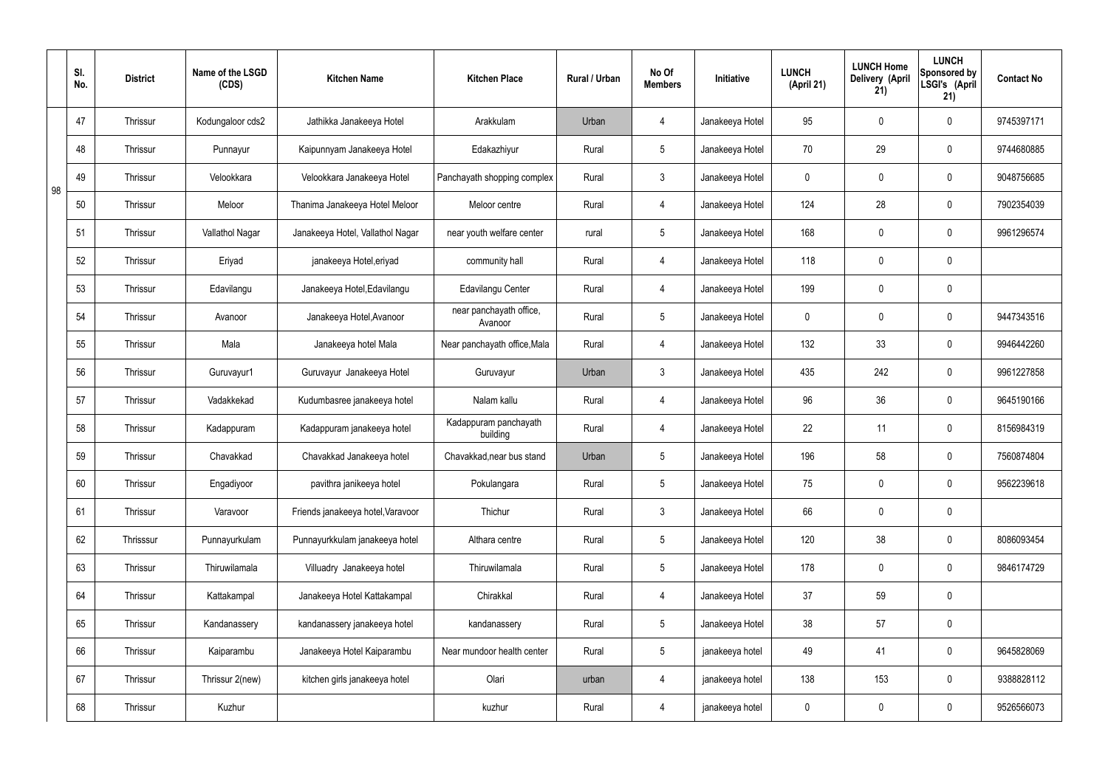|    | SI.<br>No. | <b>District</b> | Name of the LSGD<br>(CDS) | <b>Kitchen Name</b>               | <b>Kitchen Place</b>               | Rural / Urban | No Of<br><b>Members</b> | Initiative      | <b>LUNCH</b><br>(April 21) | <b>LUNCH Home</b><br>Delivery (April<br>21) | <b>LUNCH</b><br>Sponsored by<br>LSGI's (April<br>21) | <b>Contact No</b> |
|----|------------|-----------------|---------------------------|-----------------------------------|------------------------------------|---------------|-------------------------|-----------------|----------------------------|---------------------------------------------|------------------------------------------------------|-------------------|
|    | 47         | <b>Thrissur</b> | Kodungaloor cds2          | Jathikka Janakeeya Hotel          | Arakkulam                          | Urban         | 4                       | Janakeeya Hotel | 95                         | $\mathbf 0$                                 | $\mathbf 0$                                          | 9745397171        |
|    | 48         | <b>Thrissur</b> | Punnayur                  | Kaipunnyam Janakeeya Hotel        | Edakazhiyur                        | Rural         | $5\phantom{.0}$         | Janakeeya Hotel | 70                         | 29                                          | $\mathbf 0$                                          | 9744680885        |
| 98 | 49         | <b>Thrissur</b> | Velookkara                | Velookkara Janakeeya Hotel        | Panchayath shopping complex        | Rural         | 3                       | Janakeeya Hotel | $\mathbf 0$                | $\mathbf 0$                                 | $\mathbf 0$                                          | 9048756685        |
|    | 50         | <b>Thrissur</b> | Meloor                    | Thanima Janakeeya Hotel Meloor    | Meloor centre                      | Rural         | 4                       | Janakeeya Hotel | 124                        | 28                                          | $\mathbf 0$                                          | 7902354039        |
|    | 51         | <b>Thrissur</b> | Vallathol Nagar           | Janakeeya Hotel, Vallathol Nagar  | near youth welfare center          | rural         | $5\overline{)}$         | Janakeeya Hotel | 168                        | $\mathbf 0$                                 | $\mathbf 0$                                          | 9961296574        |
|    | 52         | <b>Thrissur</b> | Eriyad                    | janakeeya Hotel, eriyad           | community hall                     | Rural         | 4                       | Janakeeya Hotel | 118                        | $\mathbf 0$                                 | $\mathbf 0$                                          |                   |
|    | 53         | <b>Thrissur</b> | Edavilangu                | Janakeeya Hotel, Edavilangu       | Edavilangu Center                  | Rural         | $\overline{4}$          | Janakeeya Hotel | 199                        | $\mathbf 0$                                 | $\mathbf 0$                                          |                   |
|    | 54         | <b>Thrissur</b> | Avanoor                   | Janakeeya Hotel, Avanoor          | near panchayath office,<br>Avanoor | Rural         | $5\phantom{.0}$         | Janakeeya Hotel | $\mathbf 0$                | $\mathbf 0$                                 | $\mathbf 0$                                          | 9447343516        |
|    | 55         | <b>Thrissur</b> | Mala                      | Janakeeya hotel Mala              | Near panchayath office, Mala       | Rural         | $\overline{4}$          | Janakeeya Hotel | 132                        | 33                                          | $\mathbf 0$                                          | 9946442260        |
|    | 56         | Thrissur        | Guruvayur1                | Guruvayur Janakeeya Hotel         | Guruvayur                          | Urban         | $\mathbf{3}$            | Janakeeya Hotel | 435                        | 242                                         | $\mathbf 0$                                          | 9961227858        |
|    | 57         | Thrissur        | Vadakkekad                | Kudumbasree janakeeya hotel       | Nalam kallu                        | Rural         | $\overline{4}$          | Janakeeya Hotel | 96                         | 36                                          | $\mathbf 0$                                          | 9645190166        |
|    | 58         | Thrissur        | Kadappuram                | Kadappuram janakeeya hotel        | Kadappuram panchayath<br>building  | Rural         | 4                       | Janakeeya Hotel | 22                         | 11                                          | $\mathbf 0$                                          | 8156984319        |
|    | 59         | <b>Thrissur</b> | Chavakkad                 | Chavakkad Janakeeya hotel         | Chavakkad, near bus stand          | Urban         | 5 <sup>5</sup>          | Janakeeya Hotel | 196                        | 58                                          | $\mathbf 0$                                          | 7560874804        |
|    | 60         | Thrissur        | Engadiyoor                | pavithra janikeeya hotel          | Pokulangara                        | Rural         | $5\phantom{.0}$         | Janakeeya Hotel | 75                         | $\pmb{0}$                                   | $\mathbf 0$                                          | 9562239618        |
|    | 61         | Thrissur        | Varavoor                  | Friends janakeeya hotel, Varavoor | Thichur                            | Rural         | $3\phantom{a}$          | Janakeeya Hotel | 66                         | $\pmb{0}$                                   | $\mathbf 0$                                          |                   |
|    | 62         | Thrisssur       | Punnayurkulam             | Punnayurkkulam janakeeya hotel    | Althara centre                     | Rural         | $5\overline{)}$         | Janakeeya Hotel | 120                        | 38                                          | $\mathbf 0$                                          | 8086093454        |
|    | 63         | Thrissur        | Thiruwilamala             | Villuadry Janakeeya hotel         | Thiruwilamala                      | Rural         | $5\overline{)}$         | Janakeeya Hotel | 178                        | $\pmb{0}$                                   | $\mathbf 0$                                          | 9846174729        |
|    | 64         | Thrissur        | Kattakampal               | Janakeeya Hotel Kattakampal       | Chirakkal                          | Rural         | $\overline{4}$          | Janakeeya Hotel | 37                         | 59                                          | $\mathbf 0$                                          |                   |
|    | 65         | Thrissur        | Kandanassery              | kandanassery janakeeya hotel      | kandanassery                       | Rural         | $5\overline{)}$         | Janakeeya Hotel | 38                         | 57                                          | $\mathbf 0$                                          |                   |
|    | 66         | Thrissur        | Kaiparambu                | Janakeeya Hotel Kaiparambu        | Near mundoor health center         | Rural         | $5\overline{)}$         | janakeeya hotel | 49                         | 41                                          | $\mathbf 0$                                          | 9645828069        |
|    | 67         | Thrissur        | Thrissur 2(new)           | kitchen girls janakeeya hotel     | Olari                              | urban         | 4                       | janakeeya hotel | 138                        | 153                                         | $\mathbf 0$                                          | 9388828112        |
|    | 68         | Thrissur        | Kuzhur                    |                                   | kuzhur                             | Rural         | $\overline{4}$          | janakeeya hotel | $\pmb{0}$                  | $\pmb{0}$                                   | $\boldsymbol{0}$                                     | 9526566073        |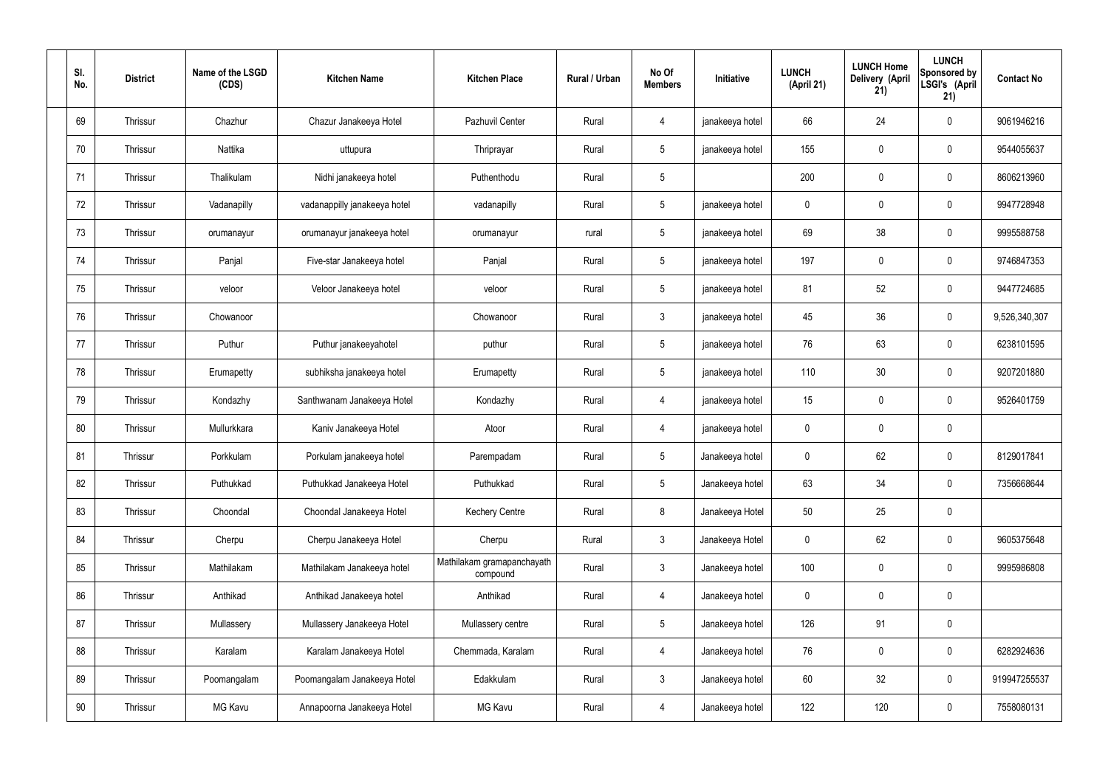| SI.<br>No. | <b>District</b> | Name of the LSGD<br>(CDS) | <b>Kitchen Name</b>          | <b>Kitchen Place</b>                   | Rural / Urban | No Of<br><b>Members</b> | Initiative      | <b>LUNCH</b><br>(April 21) | <b>LUNCH Home</b><br>Delivery (April<br>21) | <b>LUNCH</b><br>Sponsored by<br>LSGI's (April<br>21) | <b>Contact No</b> |
|------------|-----------------|---------------------------|------------------------------|----------------------------------------|---------------|-------------------------|-----------------|----------------------------|---------------------------------------------|------------------------------------------------------|-------------------|
| 69         | Thrissur        | Chazhur                   | Chazur Janakeeya Hotel       | Pazhuvil Center                        | Rural         | 4                       | janakeeya hotel | 66                         | 24                                          | $\mathbf 0$                                          | 9061946216        |
| 70         | Thrissur        | Nattika                   | uttupura                     | Thriprayar                             | Rural         | 5 <sup>5</sup>          | janakeeya hotel | 155                        | $\mathbf 0$                                 | $\mathbf 0$                                          | 9544055637        |
| 71         | Thrissur        | Thalikulam                | Nidhi janakeeya hotel        | Puthenthodu                            | Rural         | $5\overline{)}$         |                 | 200                        | $\mathbf 0$                                 | $\mathbf 0$                                          | 8606213960        |
| 72         | Thrissur        | Vadanapilly               | vadanappilly janakeeya hotel | vadanapilly                            | Rural         | $5\phantom{.0}$         | janakeeya hotel | $\mathbf 0$                | $\mathbf 0$                                 | $\mathbf 0$                                          | 9947728948        |
| 73         | Thrissur        | orumanayur                | orumanayur janakeeya hotel   | orumanayur                             | rural         | 5 <sup>5</sup>          | janakeeya hotel | 69                         | 38                                          | $\mathbf 0$                                          | 9995588758        |
| 74         | Thrissur        | Panjal                    | Five-star Janakeeya hotel    | Panjal                                 | Rural         | $5\overline{)}$         | janakeeya hotel | 197                        | $\mathbf 0$                                 | $\mathbf 0$                                          | 9746847353        |
| 75         | Thrissur        | veloor                    | Veloor Janakeeya hotel       | veloor                                 | Rural         | $5\overline{)}$         | janakeeya hotel | 81                         | 52                                          | $\mathbf 0$                                          | 9447724685        |
| 76         | Thrissur        | Chowanoor                 |                              | Chowanoor                              | Rural         | $\mathbf{3}$            | janakeeya hotel | 45                         | 36                                          | $\mathbf 0$                                          | 9,526,340,307     |
| 77         | Thrissur        | Puthur                    | Puthur janakeeyahotel        | puthur                                 | Rural         | $5\overline{)}$         | janakeeya hotel | 76                         | 63                                          | $\mathbf 0$                                          | 6238101595        |
| 78         | Thrissur        | Erumapetty                | subhiksha janakeeya hotel    | Erumapetty                             | Rural         | $5\phantom{.0}$         | janakeeya hotel | 110                        | 30                                          | $\mathbf 0$                                          | 9207201880        |
| 79         | Thrissur        | Kondazhy                  | Santhwanam Janakeeya Hotel   | Kondazhy                               | Rural         | 4                       | janakeeya hotel | 15                         | $\mathbf 0$                                 | $\mathbf 0$                                          | 9526401759        |
| 80         | Thrissur        | Mullurkkara               | Kaniv Janakeeya Hotel        | Atoor                                  | Rural         | 4                       | janakeeya hotel | $\mathbf 0$                | $\mathbf 0$                                 | $\mathbf 0$                                          |                   |
| 81         | Thrissur        | Porkkulam                 | Porkulam janakeeya hotel     | Parempadam                             | Rural         | $5\overline{)}$         | Janakeeya hotel | $\mathbf 0$                | 62                                          | $\mathbf 0$                                          | 8129017841        |
| 82         | Thrissur        | Puthukkad                 | Puthukkad Janakeeya Hotel    | Puthukkad                              | Rural         | $5\phantom{.0}$         | Janakeeya hotel | 63                         | 34                                          | $\mathbf 0$                                          | 7356668644        |
| 83         | Thrissur        | Choondal                  | Choondal Janakeeya Hotel     | <b>Kechery Centre</b>                  | Rural         | 8                       | Janakeeya Hotel | 50                         | 25                                          | $\mathbf 0$                                          |                   |
| 84         | Thrissur        | Cherpu                    | Cherpu Janakeeya Hotel       | Cherpu                                 | Rural         | $3\phantom{a}$          | Janakeeya Hotel | $\mathbf 0$                | 62                                          | $\mathbf 0$                                          | 9605375648        |
| 85         | Thrissur        | Mathilakam                | Mathilakam Janakeeya hotel   | Mathilakam gramapanchayath<br>compound | Rural         | $3\phantom{a}$          | Janakeeya hotel | 100                        | $\pmb{0}$                                   | $\mathbf 0$                                          | 9995986808        |
| 86         | Thrissur        | Anthikad                  | Anthikad Janakeeya hotel     | Anthikad                               | Rural         | $\overline{4}$          | Janakeeya hotel | $\mathbf 0$                | $\pmb{0}$                                   | $\mathbf 0$                                          |                   |
| 87         | Thrissur        | Mullassery                | Mullassery Janakeeya Hotel   | Mullassery centre                      | Rural         | $5\overline{)}$         | Janakeeya hotel | 126                        | 91                                          | $\mathbf 0$                                          |                   |
| 88         | Thrissur        | Karalam                   | Karalam Janakeeya Hotel      | Chemmada, Karalam                      | Rural         | $\overline{4}$          | Janakeeya hotel | 76                         | $\pmb{0}$                                   | $\mathbf 0$                                          | 6282924636        |
| 89         | Thrissur        | Poomangalam               | Poomangalam Janakeeya Hotel  | Edakkulam                              | Rural         | $3\phantom{a}$          | Janakeeya hotel | 60                         | 32                                          | $\mathbf 0$                                          | 919947255537      |
| 90         | Thrissur        | MG Kavu                   | Annapoorna Janakeeya Hotel   | MG Kavu                                | Rural         | 4                       | Janakeeya hotel | 122                        | 120                                         | $\mathbf 0$                                          | 7558080131        |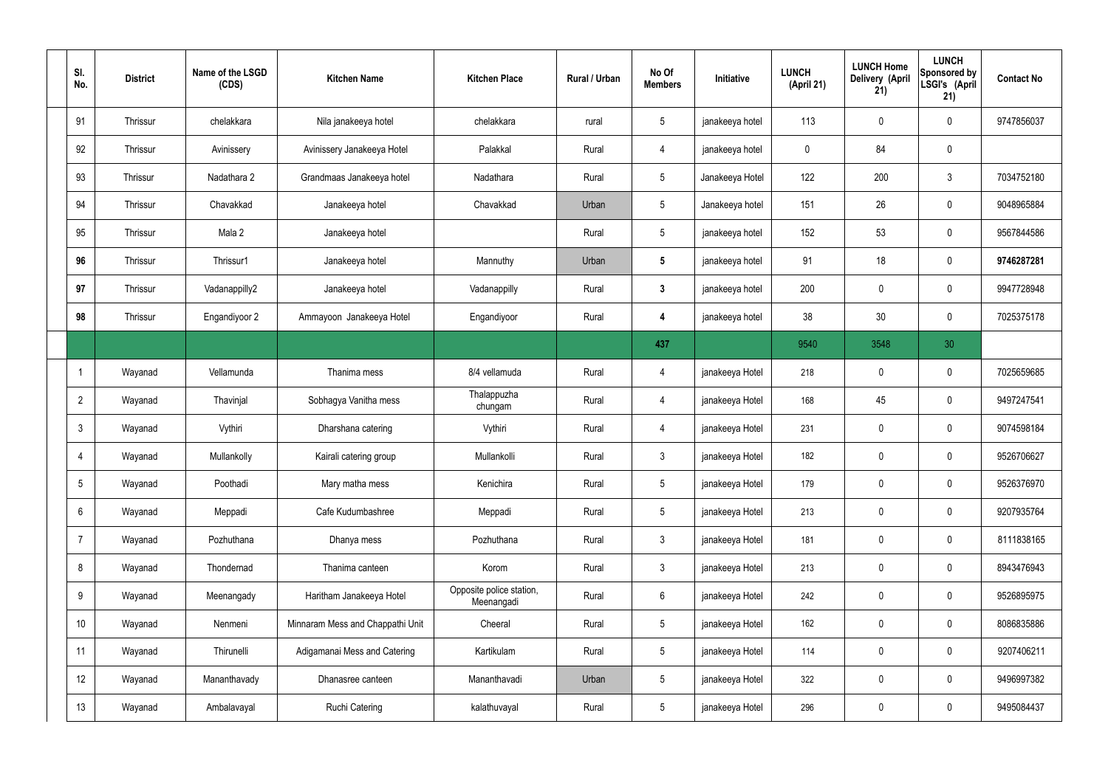| SI.<br>No.     | <b>District</b> | Name of the LSGD<br>(CDS) | <b>Kitchen Name</b>              | <b>Kitchen Place</b>                   | Rural / Urban | No Of<br><b>Members</b> | Initiative      | <b>LUNCH</b><br>(April 21) | <b>LUNCH Home</b><br>Delivery (April<br>21) | <b>LUNCH</b><br>Sponsored by<br>LSGI's (April<br>21) | <b>Contact No</b> |
|----------------|-----------------|---------------------------|----------------------------------|----------------------------------------|---------------|-------------------------|-----------------|----------------------------|---------------------------------------------|------------------------------------------------------|-------------------|
| 91             | Thrissur        | chelakkara                | Nila janakeeya hotel             | chelakkara                             | rural         | $5\phantom{.0}$         | janakeeya hotel | 113                        | $\mathbf 0$                                 | $\mathbf 0$                                          | 9747856037        |
| 92             | Thrissur        | Avinissery                | Avinissery Janakeeya Hotel       | Palakkal                               | Rural         | $\overline{4}$          | janakeeya hotel | $\mathbf 0$                | 84                                          | $\mathbf 0$                                          |                   |
| 93             | Thrissur        | Nadathara 2               | Grandmaas Janakeeya hotel        | Nadathara                              | Rural         | $5\phantom{.0}$         | Janakeeya Hotel | 122                        | 200                                         | $\mathbf{3}$                                         | 7034752180        |
| 94             | Thrissur        | Chavakkad                 | Janakeeya hotel                  | Chavakkad                              | Urban         | $5\phantom{.0}$         | Janakeeya hotel | 151                        | 26                                          | $\mathbf 0$                                          | 9048965884        |
| 95             | Thrissur        | Mala 2                    | Janakeeya hotel                  |                                        | Rural         | $5\phantom{.0}$         | janakeeya hotel | 152                        | 53                                          | $\mathbf 0$                                          | 9567844586        |
| 96             | Thrissur        | Thrissur1                 | Janakeeya hotel                  | Mannuthy                               | Urban         | $5\phantom{.0}$         | janakeeya hotel | 91                         | 18                                          | $\mathbf 0$                                          | 9746287281        |
| 97             | Thrissur        | Vadanappilly2             | Janakeeya hotel                  | Vadanappilly                           | Rural         | $\mathbf{3}$            | janakeeya hotel | 200                        | 0                                           | $\mathbf 0$                                          | 9947728948        |
| 98             | Thrissur        | Engandiyoor 2             | Ammayoon Janakeeya Hotel         | Engandiyoor                            | Rural         | 4                       | janakeeya hotel | 38                         | 30                                          | $\mathbf 0$                                          | 7025375178        |
|                |                 |                           |                                  |                                        |               | 437                     |                 | 9540                       | 3548                                        | 30                                                   |                   |
|                | Wayanad         | Vellamunda                | Thanima mess                     | 8/4 vellamuda                          | Rural         | 4                       | janakeeya Hotel | 218                        | $\mathbf 0$                                 | $\mathbf 0$                                          | 7025659685        |
| $\overline{2}$ | Wayanad         | Thavinjal                 | Sobhagya Vanitha mess            | Thalappuzha<br>chungam                 | Rural         | 4                       | janakeeya Hotel | 168                        | 45                                          | $\mathbf 0$                                          | 9497247541        |
| $\mathbf{3}$   | Wayanad         | Vythiri                   | Dharshana catering               | Vythiri                                | Rural         | 4                       | janakeeya Hotel | 231                        | 0                                           | $\mathbf 0$                                          | 9074598184        |
| $\overline{4}$ | Wayanad         | Mullankolly               | Kairali catering group           | Mullankolli                            | Rural         | $\mathbf{3}$            | janakeeya Hotel | 182                        | $\mathbf 0$                                 | $\mathbf 0$                                          | 9526706627        |
| 5              | Wayanad         | Poothadi                  | Mary matha mess                  | Kenichira                              | Rural         | $5\phantom{.0}$         | janakeeya Hotel | 179                        | 0                                           | $\mathbf 0$                                          | 9526376970        |
| 6              | Wayanad         | Meppadi                   | Cafe Kudumbashree                | Meppadi                                | Rural         | $5\phantom{.0}$         | janakeeya Hotel | 213                        | 0                                           | $\mathbf 0$                                          | 9207935764        |
| $\overline{7}$ | Wayanad         | Pozhuthana                | Dhanya mess                      | Pozhuthana                             | Rural         | $3\phantom{a}$          | janakeeya Hotel | 181                        | 0                                           | $\mathbf 0$                                          | 8111838165        |
| 8              | Wayanad         | Thondernad                | Thanima canteen                  | Korom                                  | Rural         | $3\phantom{a}$          | janakeeya Hotel | 213                        | 0                                           | $\mathbf 0$                                          | 8943476943        |
| 9              | Wayanad         | Meenangady                | Haritham Janakeeya Hotel         | Opposite police station,<br>Meenangadi | Rural         | $6\phantom{.}6$         | janakeeya Hotel | 242                        | 0                                           | $\mathbf 0$                                          | 9526895975        |
| 10             | Wayanad         | Nenmeni                   | Minnaram Mess and Chappathi Unit | Cheeral                                | Rural         | $5\phantom{.0}$         | janakeeya Hotel | 162                        | 0                                           | $\mathbf 0$                                          | 8086835886        |
| 11             | Wayanad         | Thirunelli                | Adigamanai Mess and Catering     | Kartikulam                             | Rural         | $5\phantom{.0}$         | janakeeya Hotel | 114                        | 0                                           | $\mathbf 0$                                          | 9207406211        |
| 12             | Wayanad         | Mananthavady              | Dhanasree canteen                | Mananthavadi                           | Urban         | $5\phantom{.0}$         | janakeeya Hotel | 322                        | $\pmb{0}$                                   | $\mathbf 0$                                          | 9496997382        |
| 13             | Wayanad         | Ambalavayal               | <b>Ruchi Catering</b>            | kalathuvayal                           | Rural         | $5\phantom{.0}$         | janakeeya Hotel | 296                        | $\pmb{0}$                                   | $\pmb{0}$                                            | 9495084437        |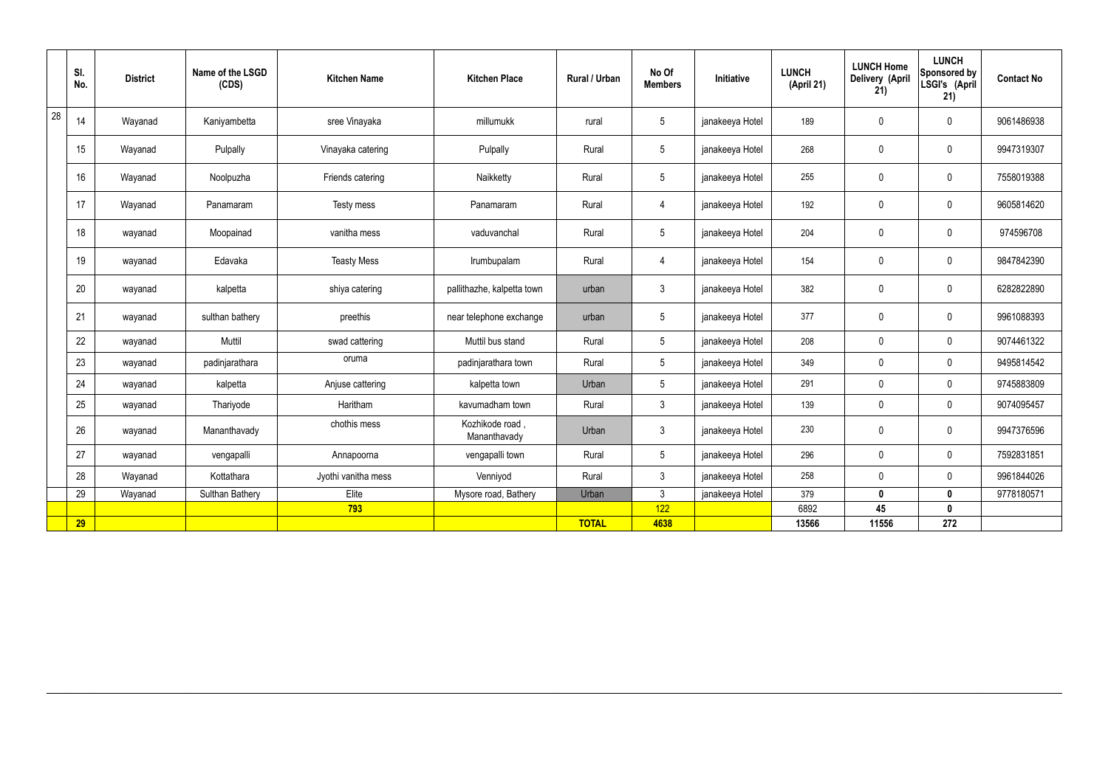|    | SI.<br>No. | <b>District</b> | Name of the LSGD<br>(CDS) | <b>Kitchen Name</b> | <b>Kitchen Place</b>            | Rural / Urban | No Of<br><b>Members</b> | Initiative      | <b>LUNCH</b><br>(April 21) | <b>LUNCH Home</b><br>Delivery (April<br>21) | <b>LUNCH</b><br>Sponsored by<br>LSGI's (April<br>21) | <b>Contact No</b> |
|----|------------|-----------------|---------------------------|---------------------|---------------------------------|---------------|-------------------------|-----------------|----------------------------|---------------------------------------------|------------------------------------------------------|-------------------|
| 28 | 14         | Wayanad         | Kaniyambetta              | sree Vinayaka       | millumukk                       | rural         | $5\overline{)}$         | janakeeya Hotel | 189                        | $\mathbf 0$                                 | $\mathbf 0$                                          | 9061486938        |
|    | 15         | Wayanad         | Pulpally                  | Vinayaka catering   | Pulpally                        | Rural         | $5\overline{)}$         | janakeeya Hotel | 268                        | $\mathbf 0$                                 | $\mathbf 0$                                          | 9947319307        |
|    | 16         | Wayanad         | Noolpuzha                 | Friends catering    | Naikketty                       | Rural         | $5\overline{)}$         | janakeeya Hotel | 255                        | $\mathbf 0$                                 | $\mathbf 0$                                          | 7558019388        |
|    | 17         | Wayanad         | Panamaram                 | Testy mess          | Panamaram                       | Rural         | $\overline{4}$          | janakeeya Hotel | 192                        | $\mathbf 0$                                 | $\mathbf 0$                                          | 9605814620        |
|    | 18         | wayanad         | Moopainad                 | vanitha mess        | vaduvanchal                     | Rural         | $5\phantom{.0}$         | janakeeya Hotel | 204                        | $\mathbf 0$                                 | $\mathbf 0$                                          | 974596708         |
|    | 19         | wayanad         | Edavaka                   | <b>Teasty Mess</b>  | Irumbupalam                     | Rural         | $\overline{4}$          | janakeeya Hotel | 154                        | $\mathbf 0$                                 | $\mathbf 0$                                          | 9847842390        |
|    | 20         | wayanad         | kalpetta                  | shiya catering      | pallithazhe, kalpetta town      | urban         | $\mathbf{3}$            | janakeeya Hotel | 382                        | $\mathbf 0$                                 | $\mathbf 0$                                          | 6282822890        |
|    | 21         | wayanad         | sulthan bathery           | preethis            | near telephone exchange         | urban         | $5\overline{)}$         | janakeeya Hotel | 377                        | $\mathbf 0$                                 | $\mathbf 0$                                          | 9961088393        |
|    | 22         | wayanad         | Muttil                    | swad cattering      | Muttil bus stand                | Rural         | $5\phantom{.0}$         | janakeeya Hotel | 208                        | $\pmb{0}$                                   | $\mathbf 0$                                          | 9074461322        |
|    | 23         | wayanad         | padinjarathara            | oruma               | padinjarathara town             | Rural         | $5\phantom{.0}$         | janakeeya Hotel | 349                        | $\pmb{0}$                                   | $\mathbf 0$                                          | 9495814542        |
|    | 24         | wayanad         | kalpetta                  | Anjuse cattering    | kalpetta town                   | Urban         | $5\phantom{.0}$         | janakeeya Hotel | 291                        | $\pmb{0}$                                   | $\mathbf 0$                                          | 9745883809        |
|    | 25         | wayanad         | Thariyode                 | Haritham            | kavumadham town                 | Rural         | $\mathbf{3}$            | janakeeya Hotel | 139                        | $\pmb{0}$                                   | $\mathbf 0$                                          | 9074095457        |
|    | 26         | wayanad         | Mananthavady              | chothis mess        | Kozhikode road,<br>Mananthavady | Urban         | $\mathbf{3}$            | janakeeya Hotel | 230                        | $\pmb{0}$                                   | $\mathbf 0$                                          | 9947376596        |
|    | 27         | wayanad         | vengapalli                | Annapoorna          | vengapalli town                 | Rural         | $5\phantom{.0}$         | janakeeya Hotel | 296                        | $\pmb{0}$                                   | $\pmb{0}$                                            | 7592831851        |
|    | 28         | Wayanad         | Kottathara                | Jyothi vanitha mess | Venniyod                        | Rural         | $\mathbf{3}$            | janakeeya Hotel | 258                        | $\pmb{0}$                                   | $\mathbf 0$                                          | 9961844026        |
|    | 29         | Wayanad         | <b>Sulthan Bathery</b>    | Elite               | Mysore road, Bathery            | Urban         | $\mathbf{3}$            | janakeeya Hotel | 379                        | $\mathbf 0$                                 | $\mathbf 0$                                          | 9778180571        |
|    |            |                 |                           | 793                 |                                 |               | 122                     |                 | 6892                       | 45                                          | $\mathbf 0$                                          |                   |
|    | 29         |                 |                           |                     |                                 | <b>TOTAL</b>  | 4638                    |                 | 13566                      | 11556                                       | 272                                                  |                   |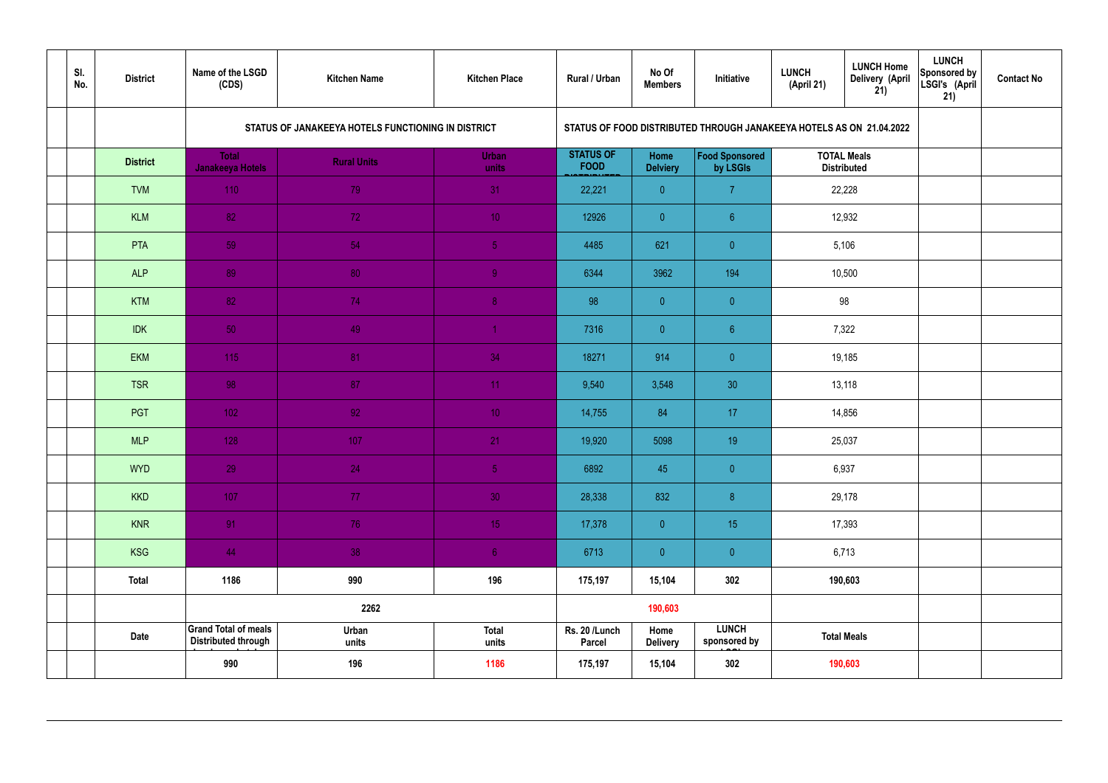| SI.<br>No. | <b>District</b> | Name of the LSGD<br>(CDS)                                 | <b>Kitchen Name</b>                                | <b>Kitchen Place</b>  | Rural / Urban                   | No Of<br><b>Members</b> | Initiative                                                           | <b>LUNCH</b><br>(April 21) | <b>LUNCH Home</b><br><b>Delivery (April</b><br>21) | <b>LUNCH</b><br>Sponsored by<br>LSGI's (April<br>21) | <b>Contact No</b> |
|------------|-----------------|-----------------------------------------------------------|----------------------------------------------------|-----------------------|---------------------------------|-------------------------|----------------------------------------------------------------------|----------------------------|----------------------------------------------------|------------------------------------------------------|-------------------|
|            |                 |                                                           | STATUS OF JANAKEEYA HOTELS FUNCTIONING IN DISTRICT |                       |                                 |                         | STATUS OF FOOD DISTRIBUTED THROUGH JANAKEEYA HOTELS AS ON 21.04.2022 |                            |                                                    |                                                      |                   |
|            | <b>District</b> | <b>Total</b><br><b>Janakeeya Hotels</b>                   | <b>Rural Units</b>                                 | <b>Urban</b><br>units | <b>STATUS OF</b><br><b>FOOD</b> | Home<br><b>Delviery</b> | Food Sponsored<br>by LSGIs                                           | <b>TOTAL Meals</b>         | <b>Distributed</b>                                 |                                                      |                   |
|            | <b>TVM</b>      | 110                                                       | 79                                                 | 31                    | 22,221                          | $\overline{0}$          | $\overline{7}$                                                       |                            | 22,228                                             |                                                      |                   |
|            | <b>KLM</b>      | 82                                                        | 72                                                 | 10 <sup>°</sup>       | 12926                           | $\overline{0}$          | $6^{\circ}$                                                          |                            | 12,932                                             |                                                      |                   |
|            | PTA             | 59                                                        | 54                                                 | $\sqrt{5}$            | 4485                            | 621                     | $\overline{0}$                                                       |                            | 5,106                                              |                                                      |                   |
|            | <b>ALP</b>      | 89                                                        | 80                                                 | $\overline{9}$        | 6344                            | 3962                    | 194                                                                  |                            | 10,500                                             |                                                      |                   |
|            | <b>KTM</b>      | 82                                                        | 74                                                 | 8 <sup>°</sup>        | 98                              | $\overline{0}$          | $\overline{0}$                                                       |                            | 98                                                 |                                                      |                   |
|            | <b>IDK</b>      | 50                                                        | 49                                                 | $\blacktriangleleft$  | 7316                            | $\overline{0}$          | 6 <sup>°</sup>                                                       |                            | 7,322                                              |                                                      |                   |
|            | <b>EKM</b>      | 115                                                       | 81                                                 | 34                    | 18271                           | 914                     | $\overline{0}$                                                       | 19,185                     |                                                    |                                                      |                   |
|            | <b>TSR</b>      | 98                                                        | 87                                                 | 11                    | 9,540                           | 3,548                   | 30                                                                   |                            | 13,118                                             |                                                      |                   |
|            | PGT             | $102$                                                     | 92                                                 | 10 <sup>°</sup>       | 14,755                          | 84                      | 17                                                                   |                            | 14,856                                             |                                                      |                   |
|            | <b>MLP</b>      | 128                                                       | 107                                                | 21                    | 19,920                          | 5098                    | 19                                                                   |                            | 25,037                                             |                                                      |                   |
|            | <b>WYD</b>      | 29                                                        | 24                                                 | $\overline{5}$        | 6892                            | 45                      | $\overline{0}$                                                       | 6,937                      |                                                    |                                                      |                   |
|            | <b>KKD</b>      | 107                                                       | 77                                                 | 30 <sup>°</sup>       | 28,338                          | 832                     | 8                                                                    |                            | 29,178                                             |                                                      |                   |
|            | <b>KNR</b>      | 91                                                        | 76                                                 | 15 <sub>1</sub>       | 17,378                          | $\overline{0}$          | 15 <sub>15</sub>                                                     |                            | 17,393                                             |                                                      |                   |
|            | <b>KSG</b>      | 44                                                        | 38                                                 | 6 <sup>1</sup>        | 6713                            | $\overline{0}$          | $\pmb{0}$                                                            | 6,713                      |                                                    |                                                      |                   |
|            | <b>Total</b>    | 1186                                                      | 990                                                | 196                   | 175,197                         | 15,104                  | 302                                                                  | 190,603                    |                                                    |                                                      |                   |
|            |                 |                                                           | 2262                                               |                       |                                 | 190,603                 |                                                                      |                            |                                                    |                                                      |                   |
|            | <b>Date</b>     | <b>Grand Total of meals</b><br><b>Distributed through</b> | Urban<br>units                                     | <b>Total</b><br>units | Rs. 20 /Lunch<br><b>Parcel</b>  | Home<br><b>Delivery</b> | <b>LUNCH</b><br>sponsored by                                         | <b>Total Meals</b>         |                                                    |                                                      |                   |
|            |                 | 990                                                       | 196                                                | 1186                  | 175,197                         | 15,104                  | 302                                                                  | 190,603                    |                                                    |                                                      |                   |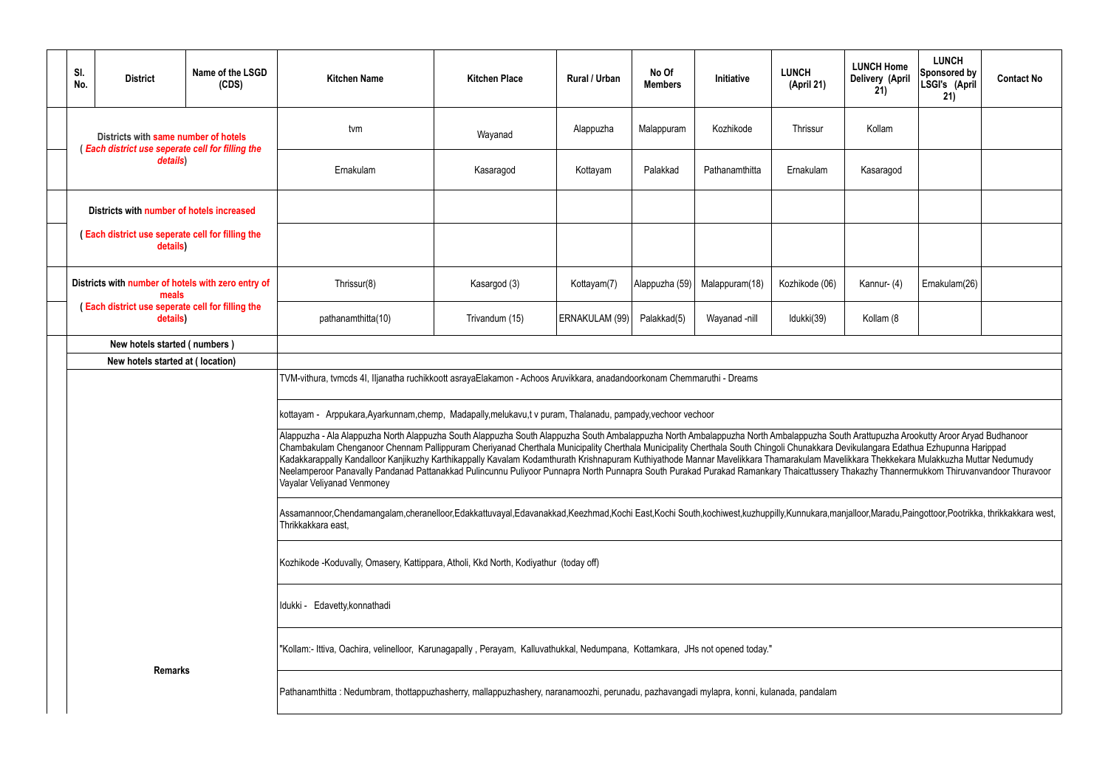|           | <b>LUNCH Home</b><br>Delivery (April<br>21)                                                                                                                                                         | <b>LUNCH</b><br><b>Sponsored by</b><br>LSGI's (April<br>21) | <b>Contact No</b>                                          |  |  |  |  |  |  |  |  |
|-----------|-----------------------------------------------------------------------------------------------------------------------------------------------------------------------------------------------------|-------------------------------------------------------------|------------------------------------------------------------|--|--|--|--|--|--|--|--|
|           | Kollam                                                                                                                                                                                              |                                                             |                                                            |  |  |  |  |  |  |  |  |
|           | Kasaragod                                                                                                                                                                                           |                                                             |                                                            |  |  |  |  |  |  |  |  |
|           |                                                                                                                                                                                                     |                                                             |                                                            |  |  |  |  |  |  |  |  |
|           |                                                                                                                                                                                                     |                                                             |                                                            |  |  |  |  |  |  |  |  |
|           | Kannur-(4)                                                                                                                                                                                          | Ernakulam(26)                                               |                                                            |  |  |  |  |  |  |  |  |
| Kollam (8 |                                                                                                                                                                                                     |                                                             |                                                            |  |  |  |  |  |  |  |  |
|           |                                                                                                                                                                                                     |                                                             |                                                            |  |  |  |  |  |  |  |  |
|           |                                                                                                                                                                                                     |                                                             |                                                            |  |  |  |  |  |  |  |  |
|           |                                                                                                                                                                                                     |                                                             |                                                            |  |  |  |  |  |  |  |  |
|           | outh Arattupuzha Arookutty Aroor Aryad Budhanoor<br>Devikulangara Edathua Ezhupunna Harippad<br>velikkara Thekkekara Mulakkuzha Muttar Nedumudy<br>Thakazhy Thannermukkom Thiruvanvandoor Thuravoor |                                                             |                                                            |  |  |  |  |  |  |  |  |
|           |                                                                                                                                                                                                     |                                                             | anjalloor,Maradu,Paingottoor,Pootrikka, thrikkakkara west, |  |  |  |  |  |  |  |  |
|           |                                                                                                                                                                                                     |                                                             |                                                            |  |  |  |  |  |  |  |  |
|           |                                                                                                                                                                                                     |                                                             |                                                            |  |  |  |  |  |  |  |  |
|           |                                                                                                                                                                                                     |                                                             |                                                            |  |  |  |  |  |  |  |  |
|           |                                                                                                                                                                                                     |                                                             |                                                            |  |  |  |  |  |  |  |  |
|           |                                                                                                                                                                                                     |                                                             |                                                            |  |  |  |  |  |  |  |  |

| SI.<br>No. | <b>District</b>                                                                         | Name of the LSGD<br>(CDS)                          | <b>Kitchen Name</b>                                                                                                                                                                                                                                                                                                                                                                                                                                                                                                                                                                                                                                                                                                                                                     | <b>Kitchen Place</b> | Rural / Urban  | No Of<br><b>Members</b> | Initiative     | <b>LUNCH</b><br>(April 21) | <b>LUNCH Home</b><br>Delivery (April<br>21) | <b>LUNCH</b><br>Sponsored by<br>LSGI's (April<br>21) | <b>Contact No</b> |  |  |
|------------|-----------------------------------------------------------------------------------------|----------------------------------------------------|-------------------------------------------------------------------------------------------------------------------------------------------------------------------------------------------------------------------------------------------------------------------------------------------------------------------------------------------------------------------------------------------------------------------------------------------------------------------------------------------------------------------------------------------------------------------------------------------------------------------------------------------------------------------------------------------------------------------------------------------------------------------------|----------------------|----------------|-------------------------|----------------|----------------------------|---------------------------------------------|------------------------------------------------------|-------------------|--|--|
|            | Districts with same number of hotels<br>Each district use seperate cell for filling the |                                                    | tvm                                                                                                                                                                                                                                                                                                                                                                                                                                                                                                                                                                                                                                                                                                                                                                     | Wayanad              | Alappuzha      | Malappuram              | Kozhikode      | Thrissur                   | Kollam                                      |                                                      |                   |  |  |
|            | details)                                                                                |                                                    | Ernakulam                                                                                                                                                                                                                                                                                                                                                                                                                                                                                                                                                                                                                                                                                                                                                               | Kasaragod            | Kottayam       | Palakkad                | Pathanamthitta | Ernakulam                  | Kasaragod                                   |                                                      |                   |  |  |
|            | Districts with number of hotels increased                                               |                                                    |                                                                                                                                                                                                                                                                                                                                                                                                                                                                                                                                                                                                                                                                                                                                                                         |                      |                |                         |                |                            |                                             |                                                      |                   |  |  |
|            | <b>Each district use seperate cell for filling the</b><br>details)                      |                                                    |                                                                                                                                                                                                                                                                                                                                                                                                                                                                                                                                                                                                                                                                                                                                                                         |                      |                |                         |                |                            |                                             |                                                      |                   |  |  |
|            | meals                                                                                   | Districts with number of hotels with zero entry of | Thrissur(8)                                                                                                                                                                                                                                                                                                                                                                                                                                                                                                                                                                                                                                                                                                                                                             | Kasargod (3)         | Kottayam(7)    | Alappuzha (59)          | Malappuram(18) | Kozhikode (06)             | Kannur- (4)                                 | Ernakulam(26)                                        |                   |  |  |
|            | <b>Each district use seperate cell for filling the</b><br>details)                      |                                                    | pathanamthitta(10)                                                                                                                                                                                                                                                                                                                                                                                                                                                                                                                                                                                                                                                                                                                                                      | Trivandum (15)       | ERNAKULAM (99) | Palakkad(5)             | Wayanad -nill  | Idukki(39)                 | Kollam (8                                   |                                                      |                   |  |  |
|            | New hotels started (numbers)                                                            |                                                    |                                                                                                                                                                                                                                                                                                                                                                                                                                                                                                                                                                                                                                                                                                                                                                         |                      |                |                         |                |                            |                                             |                                                      |                   |  |  |
|            | New hotels started at (location)                                                        |                                                    |                                                                                                                                                                                                                                                                                                                                                                                                                                                                                                                                                                                                                                                                                                                                                                         |                      |                |                         |                |                            |                                             |                                                      |                   |  |  |
|            |                                                                                         |                                                    | TVM-vithura, tvmcds 4I, Iljanatha ruchikkoott asrayaElakamon - Achoos Aruvikkara, anadandoorkonam Chemmaruthi - Dreams<br>kottayam - Arppukara, Ayarkunnam, chemp, Madapally, melukavu, tv puram, Thalanadu, pampady, vechoor vechoor                                                                                                                                                                                                                                                                                                                                                                                                                                                                                                                                   |                      |                |                         |                |                            |                                             |                                                      |                   |  |  |
|            |                                                                                         |                                                    | Alappuzha - Ala Alappuzha North Alappuzha South Alappuzha South Alappuzha South Ambalappuzha North Ambalappuzha South Arattupuzha Arookutty Aroor Aryad Budhanoor<br>Chambakulam Chenganoor Chennam Pallippuram Cheriyanad Cherthala Municipality Cherthala Municipality Cherthala South Chingoli Chunakkara Devikulangara Edathua Ezhupunna Harippad<br>Kadakkarappally Kandalloor Kanjikuzhy Karthikappally Kavalam Kodamthurath Krishnapuram Kuthiyathode Mannar Mavelikkara Thamarakulam Mavelikkara Thekkekara Mulakkuzha Muttar Nedumudy<br>Neelamperoor Panavally Pandanad Pattanakkad Pulincunnu Puliyoor Punnapra North Punnapra South Purakad Purakad Ramankary Thaicattussery Thakazhy Thannermukkom Thiruvanvandoor Thuravoor<br>Vayalar Veliyanad Venmoney |                      |                |                         |                |                            |                                             |                                                      |                   |  |  |
|            |                                                                                         |                                                    | Assamannoor,Chendamangalam,cheranelloor,Edakkattuvayal,Edavanakkad,Keezhmad,Kochi East,Kochi South,kochiwest,kuzhuppilly,Kunnukara,manjalloor,Maradu,Paingottoor,Pootrikka, thrikkakkara west,<br>Thrikkakkara east,                                                                                                                                                                                                                                                                                                                                                                                                                                                                                                                                                    |                      |                |                         |                |                            |                                             |                                                      |                   |  |  |
|            |                                                                                         |                                                    | Kozhikode -Koduvally, Omasery, Kattippara, Atholi, Kkd North, Kodiyathur (today off)                                                                                                                                                                                                                                                                                                                                                                                                                                                                                                                                                                                                                                                                                    |                      |                |                         |                |                            |                                             |                                                      |                   |  |  |
|            |                                                                                         |                                                    | Idukki - Edavetty, konnathadi                                                                                                                                                                                                                                                                                                                                                                                                                                                                                                                                                                                                                                                                                                                                           |                      |                |                         |                |                            |                                             |                                                      |                   |  |  |
|            |                                                                                         |                                                    | "Kollam:- Ittiva, Oachira, velinelloor, Karunagapally, Perayam, Kalluvathukkal, Nedumpana, Kottamkara, JHs not opened today."                                                                                                                                                                                                                                                                                                                                                                                                                                                                                                                                                                                                                                           |                      |                |                         |                |                            |                                             |                                                      |                   |  |  |
|            | <b>Remarks</b>                                                                          |                                                    | Pathanamthitta: Nedumbram, thottappuzhasherry, mallappuzhashery, naranamoozhi, perunadu, pazhavangadi mylapra, konni, kulanada, pandalam                                                                                                                                                                                                                                                                                                                                                                                                                                                                                                                                                                                                                                |                      |                |                         |                |                            |                                             |                                                      |                   |  |  |
|            |                                                                                         |                                                    |                                                                                                                                                                                                                                                                                                                                                                                                                                                                                                                                                                                                                                                                                                                                                                         |                      |                |                         |                |                            |                                             |                                                      |                   |  |  |